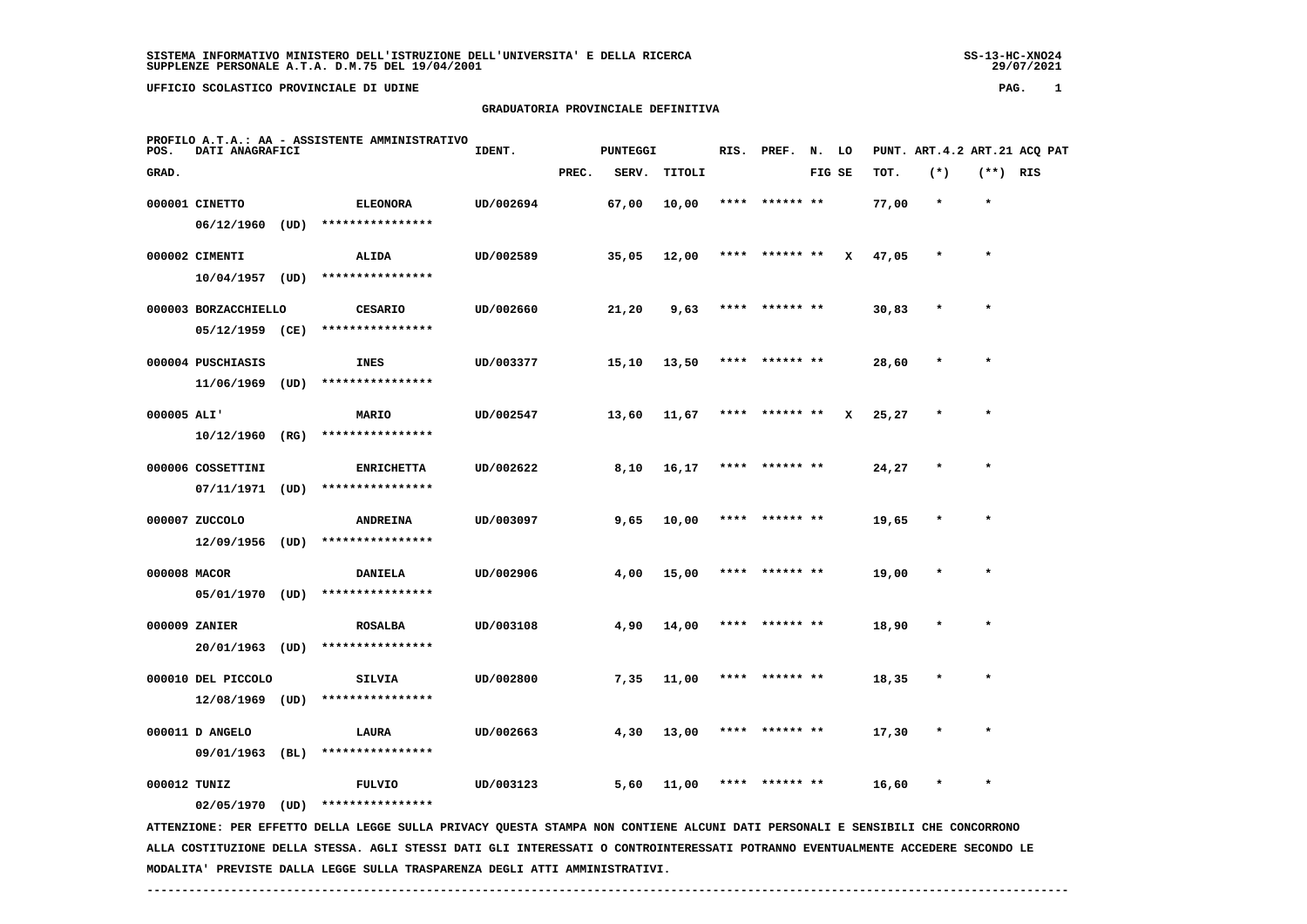SS-13-HC-XNO24<br>29/07/2021

# **UFFICIO SCOLASTICO PROVINCIALE DI UDINE PAG. 1**

# **GRADUATORIA PROVINCIALE DEFINITIVA**

| POS.         | DATI ANAGRAFICI      |      | PROFILO A.T.A.: AA - ASSISTENTE AMMINISTRATIVO | IDENT.    |       | PUNTEGGI |        |      | RIS. PREF.     | N. LO  |   |       | PUNT. ART. 4.2 ART. 21 ACO PAT |            |  |
|--------------|----------------------|------|------------------------------------------------|-----------|-------|----------|--------|------|----------------|--------|---|-------|--------------------------------|------------|--|
| GRAD.        |                      |      |                                                |           | PREC. | SERV.    | TITOLI |      |                | FIG SE |   | TOT.  | $(*)$                          | $(**)$ RIS |  |
|              | 000001 CINETTO       |      | <b>ELEONORA</b>                                | UD/002694 |       | 67,00    | 10,00  | **** | ****** **      |        |   | 77,00 | $\star$                        | $\star$    |  |
|              | 06/12/1960           | (UD) | ****************                               |           |       |          |        |      |                |        |   |       |                                |            |  |
|              | 000002 CIMENTI       |      | ALIDA                                          | UD/002589 |       | 35,05    | 12,00  |      | **** ****** ** |        | x | 47,05 | $\star$                        | $\star$    |  |
|              | 10/04/1957 (UD)      |      | ****************                               |           |       |          |        |      |                |        |   |       |                                |            |  |
|              | 000003 BORZACCHIELLO |      | <b>CESARIO</b>                                 | UD/002660 |       | 21,20    | 9,63   | **** | ****** **      |        |   | 30,83 | $\star$                        | $\star$    |  |
|              | 05/12/1959 (CE)      |      | ****************                               |           |       |          |        |      |                |        |   |       |                                |            |  |
|              |                      |      |                                                |           |       |          |        |      |                |        |   |       |                                |            |  |
|              | 000004 PUSCHIASIS    |      | <b>INES</b>                                    | UD/003377 |       | 15,10    | 13,50  | **** | ****** **      |        |   | 28,60 | $\star$                        | $\star$    |  |
|              | 11/06/1969           | (UD) | ****************                               |           |       |          |        |      |                |        |   |       |                                |            |  |
| 000005 ALI'  |                      |      | <b>MARIO</b>                                   | UD/002547 |       | 13,60    | 11,67  | **** | ****** **      |        | x | 25,27 | $\star$                        | $\star$    |  |
|              | 10/12/1960           | (RG) | ****************                               |           |       |          |        |      |                |        |   |       |                                |            |  |
|              | 000006 COSSETTINI    |      |                                                | UD/002622 |       |          |        | **** | ****** **      |        |   |       | $\star$                        | $\star$    |  |
|              | 07/11/1971           | (UD) | <b>ENRICHETTA</b><br>****************          |           |       | 8,10     | 16,17  |      |                |        |   | 24,27 |                                |            |  |
|              |                      |      |                                                |           |       |          |        |      |                |        |   |       |                                |            |  |
|              | 000007 ZUCCOLO       |      | <b>ANDREINA</b>                                | UD/003097 |       | 9,65     | 10,00  | **** | ****** **      |        |   | 19,65 | $\star$                        | $\star$    |  |
|              | 12/09/1956           | (UD) | ****************                               |           |       |          |        |      |                |        |   |       |                                |            |  |
| 000008 MACOR |                      |      | <b>DANIELA</b>                                 | UD/002906 |       | 4,00     | 15,00  |      |                |        |   | 19,00 | $\star$                        | $\star$    |  |
|              | 05/01/1970           | (UD) | ****************                               |           |       |          |        |      |                |        |   |       |                                |            |  |
|              |                      |      |                                                |           |       |          |        |      |                |        |   |       |                                |            |  |
|              | 000009 ZANIER        |      | <b>ROSALBA</b>                                 | UD/003108 |       | 4,90     | 14,00  |      |                |        |   | 18,90 |                                |            |  |
|              | 20/01/1963           | (UD) | ****************                               |           |       |          |        |      |                |        |   |       |                                |            |  |
|              | 000010 DEL PICCOLO   |      | <b>SILVIA</b>                                  | UD/002800 |       | 7,35     | 11,00  |      |                |        |   | 18,35 |                                | $\star$    |  |
|              | 12/08/1969           | (UD) | ****************                               |           |       |          |        |      |                |        |   |       |                                |            |  |
|              | 000011 D ANGELO      |      | LAURA                                          | UD/002663 |       | 4,30     | 13,00  |      |                |        |   | 17,30 |                                | $\star$    |  |
|              | 09/01/1963           | (BL) | ****************                               |           |       |          |        |      |                |        |   |       |                                |            |  |
|              |                      |      |                                                |           |       |          |        |      |                |        |   |       |                                |            |  |
| 000012 TUNIZ |                      |      | <b>FULVIO</b>                                  | UD/003123 |       | 5,60     | 11,00  |      |                |        |   | 16,60 |                                | $\star$    |  |
|              | 02/05/1970           | (UD) | ****************                               |           |       |          |        |      |                |        |   |       |                                |            |  |

 **ATTENZIONE: PER EFFETTO DELLA LEGGE SULLA PRIVACY QUESTA STAMPA NON CONTIENE ALCUNI DATI PERSONALI E SENSIBILI CHE CONCORRONO ALLA COSTITUZIONE DELLA STESSA. AGLI STESSI DATI GLI INTERESSATI O CONTROINTERESSATI POTRANNO EVENTUALMENTE ACCEDERE SECONDO LE MODALITA' PREVISTE DALLA LEGGE SULLA TRASPARENZA DEGLI ATTI AMMINISTRATIVI.**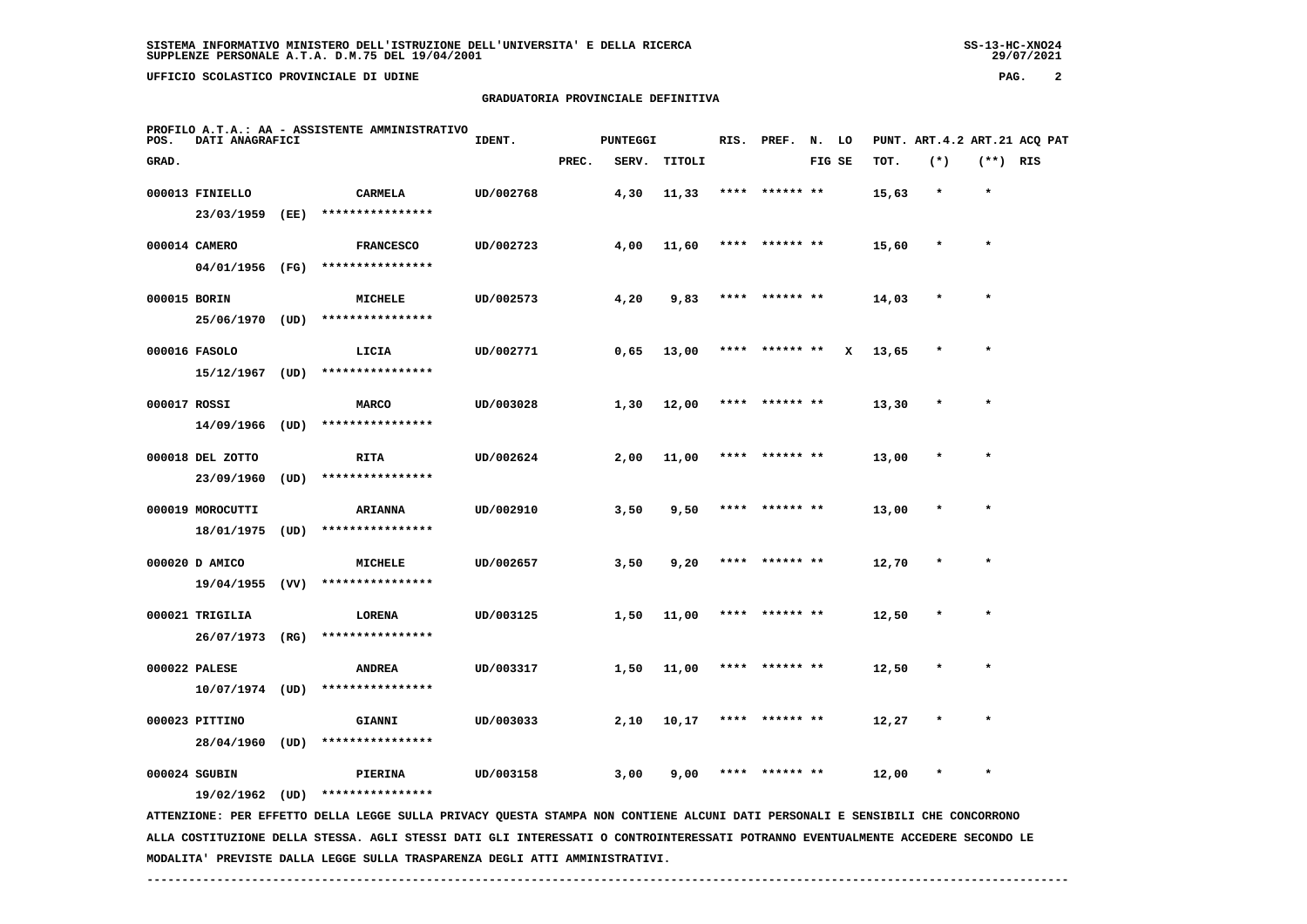# **GRADUATORIA PROVINCIALE DEFINITIVA**

| POS.         | DATI ANAGRAFICI                                      |                 | PROFILO A.T.A.: AA - ASSISTENTE AMMINISTRATIVO                                                                                                                  | IDENT.    |       | <b>PUNTEGGI</b> |        | RIS. | PREF.           | N. LO  |   |       | PUNT. ART.4.2 ART.21 ACQ PAT |            |  |
|--------------|------------------------------------------------------|-----------------|-----------------------------------------------------------------------------------------------------------------------------------------------------------------|-----------|-------|-----------------|--------|------|-----------------|--------|---|-------|------------------------------|------------|--|
| GRAD.        |                                                      |                 |                                                                                                                                                                 |           | PREC. | SERV.           | TITOLI |      |                 | FIG SE |   | TOT.  | $(*)$                        | $(**)$ RIS |  |
|              | 000013 FINIELLO<br>23/03/1959                        | (EE)            | CARMELA<br>****************                                                                                                                                     | UD/002768 |       | 4,30            | 11,33  | **** | ****** **       |        |   | 15,63 | $\star$                      | $\star$    |  |
|              | 000014 CAMERO<br>04/01/1956                          | (FG)            | <b>FRANCESCO</b><br>****************                                                                                                                            | UD/002723 |       | 4,00            | 11,60  |      | ****  ****** ** |        |   | 15,60 | $\star$                      | $\star$    |  |
| 000015 BORIN | 25/06/1970                                           | (UD)            | <b>MICHELE</b><br>****************                                                                                                                              | UD/002573 |       | 4,20            | 9,83   | **** | ****** **       |        |   | 14,03 | $\star$                      | $\star$    |  |
|              | 000016 FASOLO<br>15/12/1967                          | (UD)            | LICIA<br>****************                                                                                                                                       | UD/002771 |       | 0,65            | 13,00  | **** | ****** **       |        | x | 13,65 | $\pmb{\ast}$                 | $\star$    |  |
| 000017 ROSSI | 14/09/1966                                           | (UD)            | <b>MARCO</b><br>****************                                                                                                                                | UD/003028 |       | 1,30            | 12,00  | **** | ****** **       |        |   | 13,30 |                              |            |  |
|              | 000018 DEL ZOTTO<br>23/09/1960                       | $(\texttt{UD})$ | <b>RITA</b><br>****************                                                                                                                                 | UD/002624 |       | 2,00            | 11,00  |      | ****** **       |        |   | 13,00 |                              |            |  |
|              | 000019 MOROCUTTI<br>18/01/1975                       | (UD)            | <b>ARIANNA</b><br>****************                                                                                                                              | UD/002910 |       | 3,50            | 9,50   |      | ****** **       |        |   | 13,00 |                              | $\star$    |  |
|              | 000020 D AMICO<br>19/04/1955                         | (VV)            | MICHELE<br>****************                                                                                                                                     | UD/002657 |       | 3,50            | 9,20   | **** | ****** **       |        |   | 12,70 |                              |            |  |
|              | 000021 TRIGILIA<br>26/07/1973                        | (RG)            | LORENA<br>****************                                                                                                                                      | UD/003125 |       | 1,50            | 11,00  | **** | ****** **       |        |   | 12,50 |                              | $\star$    |  |
|              | 000022 PALESE                                        |                 | <b>ANDREA</b><br>****************                                                                                                                               | UD/003317 |       | 1,50            | 11,00  |      | ****  ****** ** |        |   | 12,50 | $\star$                      | $\star$    |  |
|              | 10/07/1974 (UD)<br>000023 PITTINO<br>28/04/1960 (UD) |                 | GIANNI<br>****************                                                                                                                                      | UD/003033 |       | 2,10            | 10,17  | **** | ****** **       |        |   | 12,27 |                              |            |  |
|              | 000024 SGUBIN                                        |                 | PIERINA                                                                                                                                                         | UD/003158 |       | 3,00            | 9,00   |      |                 |        |   | 12,00 |                              |            |  |
|              |                                                      |                 | 19/02/1962 (UD) ****************<br>ATTENTIONE. PRE ERRITO ORILA LECCE SULLA DIVACY OURSTA STANDA NON CONTIENE ALCUNI DATI PRESONALI E SENSIBILI CHE CONCORDONO |           |       |                 |        |      |                 |        |   |       |                              |            |  |

 **ATTENZIONE: PER EFFETTO DELLA LEGGE SULLA PRIVACY QUESTA STAMPA NON CONTIENE ALCUNI DATI PERSONALI E SENSIBILI CHE CONCORRONO ALLA COSTITUZIONE DELLA STESSA. AGLI STESSI DATI GLI INTERESSATI O CONTROINTERESSATI POTRANNO EVENTUALMENTE ACCEDERE SECONDO LE MODALITA' PREVISTE DALLA LEGGE SULLA TRASPARENZA DEGLI ATTI AMMINISTRATIVI.**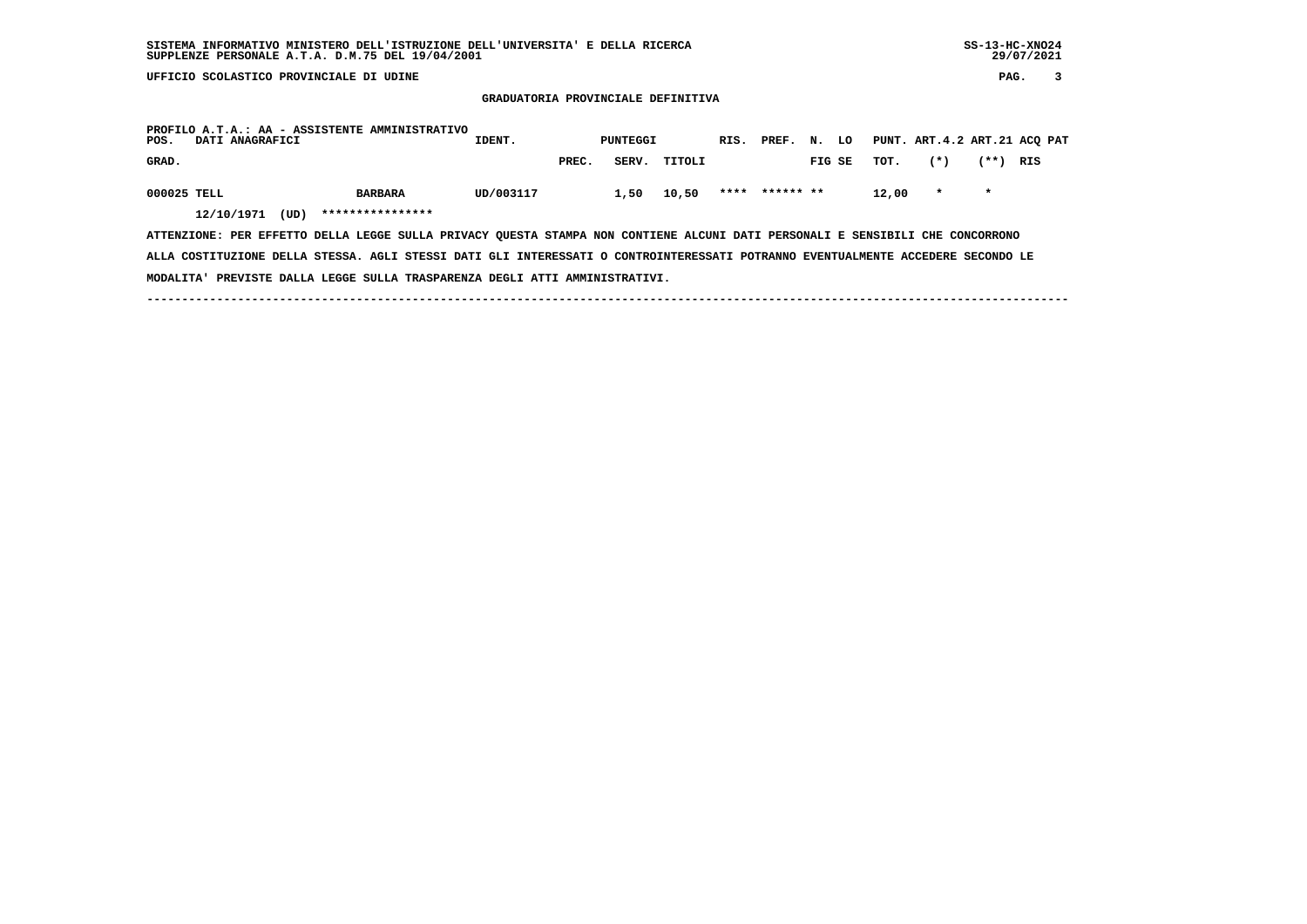**GRADUATORIA PROVINCIALE DEFINITIVA**

| PROFILO A.T.A.: AA - ASSISTENTE AMMINISTRATIVO<br>POS.                                                                          | DATI ANAGRAFICI                                                             |                  | IDENT.         |  |           |  | PUNTEGGI |  |       | RIS. PREF. N. LO |  |                |        | PUNT. ART.4.2 ART.21 ACQ PAT |         |         |     |  |
|---------------------------------------------------------------------------------------------------------------------------------|-----------------------------------------------------------------------------|------------------|----------------|--|-----------|--|----------|--|-------|------------------|--|----------------|--------|------------------------------|---------|---------|-----|--|
| GRAD.                                                                                                                           |                                                                             |                  |                |  |           |  | PREC.    |  | SERV. | TITOLI           |  |                | FIG SE | тот.                         | $(*)$   | $***$   | RIS |  |
| 000025 TELL                                                                                                                     |                                                                             |                  | <b>BARBARA</b> |  | UD/003117 |  |          |  | 1,50  | 10,50            |  | **** ****** ** |        | 12,00                        | $\star$ | $\star$ |     |  |
| 12/10/1971                                                                                                                      | (UD)                                                                        | **************** |                |  |           |  |          |  |       |                  |  |                |        |                              |         |         |     |  |
| ATTENZIONE: PER EFFETTO DELLA LEGGE SULLA PRIVACY OUESTA STAMPA NON CONTIENE ALCUNI DATI PERSONALI E SENSIBILI CHE CONCORRONO   |                                                                             |                  |                |  |           |  |          |  |       |                  |  |                |        |                              |         |         |     |  |
| ALLA COSTITUZIONE DELLA STESSA. AGLI STESSI DATI GLI INTERESSATI O CONTROINTERESSATI POTRANNO EVENTUALMENTE ACCEDERE SECONDO LE |                                                                             |                  |                |  |           |  |          |  |       |                  |  |                |        |                              |         |         |     |  |
|                                                                                                                                 | MODALITA' PREVISTE DALLA LEGGE SULLA TRASPARENZA DEGLI ATTI AMMINISTRATIVI. |                  |                |  |           |  |          |  |       |                  |  |                |        |                              |         |         |     |  |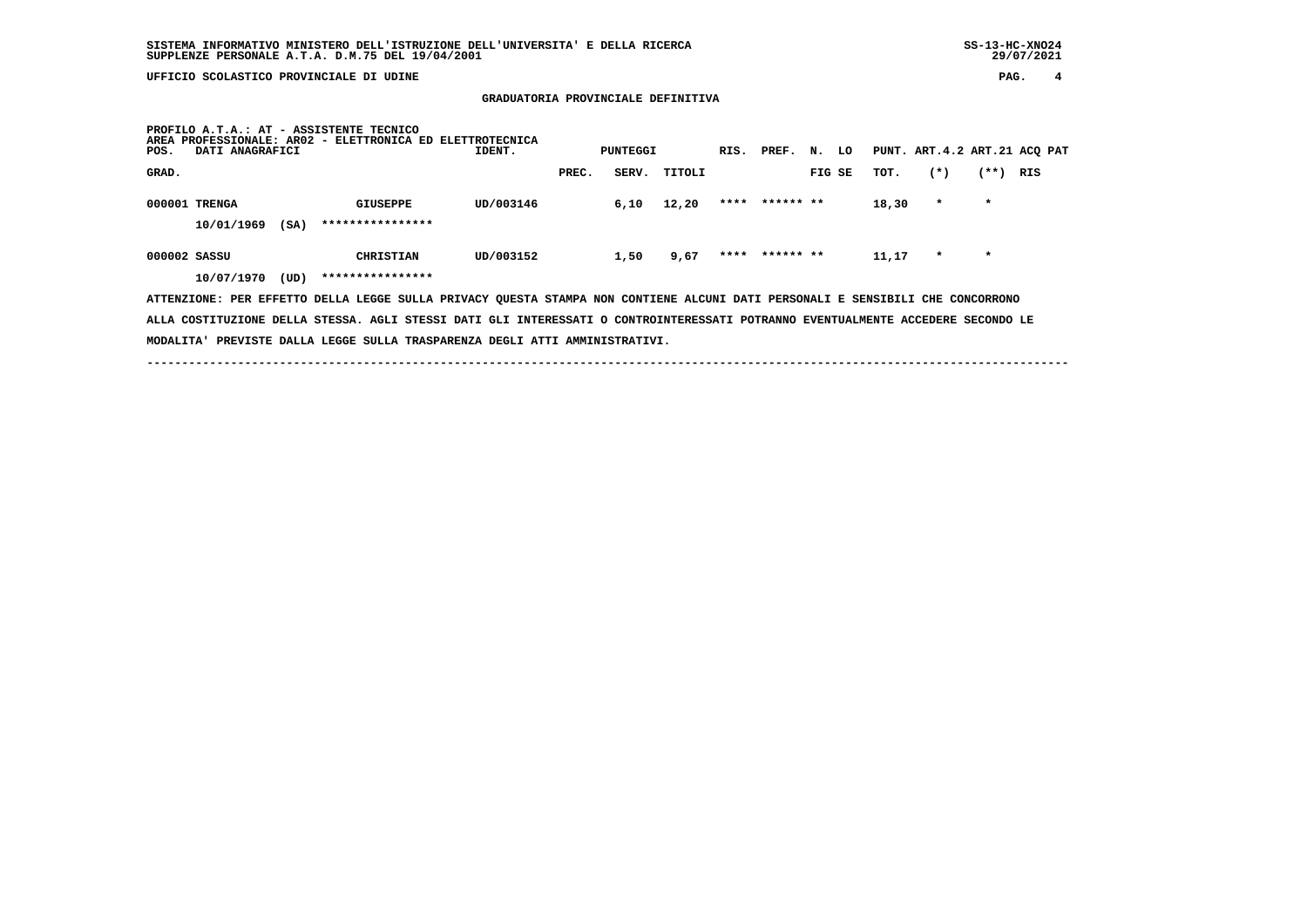**GRADUATORIA PROVINCIALE DEFINITIVA**

| <b>AREA</b><br>POS. | DATI ANAGRAFICI             |      | PROFILO A.T.A.: AT - ASSISTENTE TECNICO<br>PROFESSIONALE: AR02 - ELETTRONICA ED ELETTROTECNICA                                | IDENT.    |       | PUNTEGGI |        | RIS. PREF.     | N. | LO     |       |         |         | PUNT. ART.4.2 ART.21 ACQ PAT |
|---------------------|-----------------------------|------|-------------------------------------------------------------------------------------------------------------------------------|-----------|-------|----------|--------|----------------|----|--------|-------|---------|---------|------------------------------|
| GRAD.               |                             |      |                                                                                                                               |           | PREC. | SERV.    | TITOLI |                |    | FIG SE | TOT.  | $(*)$   | $***)$  | RIS                          |
|                     | 000001 TRENGA<br>10/01/1969 | (SA) | GIUSEPPE<br>****************                                                                                                  | UD/003146 |       | 6,10     | 12,20  | **** ****** ** |    |        | 18,30 | $\star$ | $\star$ |                              |
| 000002 SASSU        | 10/07/1970                  | (UD) | <b>CHRISTIAN</b><br>****************                                                                                          | UD/003152 |       | 1,50     | 9,67   | **** ****** ** |    |        | 11,17 | $\star$ | $\star$ |                              |
|                     |                             |      | ATTENZIONE: PER EFFETTO DELLA LEGGE SULLA PRIVACY QUESTA STAMPA NON CONTIENE ALCUNI DATI PERSONALI E SENSIBILI CHE CONCORRONO |           |       |          |        |                |    |        |       |         |         |                              |

 **ALLA COSTITUZIONE DELLA STESSA. AGLI STESSI DATI GLI INTERESSATI O CONTROINTERESSATI POTRANNO EVENTUALMENTE ACCEDERE SECONDO LE MODALITA' PREVISTE DALLA LEGGE SULLA TRASPARENZA DEGLI ATTI AMMINISTRATIVI.**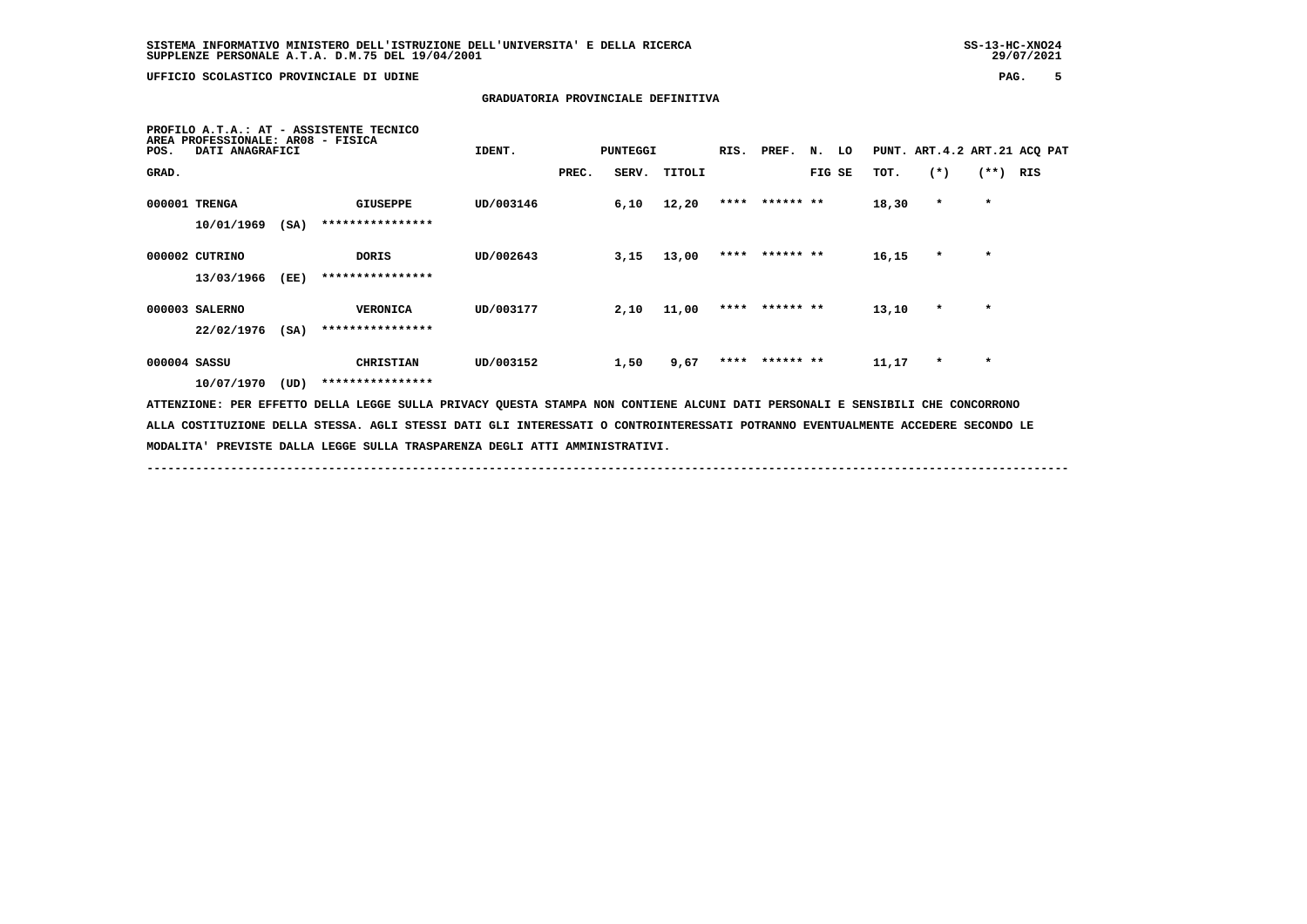**MODALITA' PREVISTE DALLA LEGGE SULLA TRASPARENZA DEGLI ATTI AMMINISTRATIVI.**

 **UFFICIO SCOLASTICO PROVINCIALE DI UDINE PAG. 5**

# **GRADUATORIA PROVINCIALE DEFINITIVA**

| <b>AREA</b><br>POS. | PROFESSIONALE: AR08 - FISICA<br>DATI ANAGRAFICI |      | PROFILO A.T.A.: AT - ASSISTENTE TECNICO                                                                                       | IDENT.    |       | <b>PUNTEGGI</b> |        | RIS. PREF.     | N.     | LO |       |         |         | PUNT. ART. 4.2 ART. 21 ACQ PAT |
|---------------------|-------------------------------------------------|------|-------------------------------------------------------------------------------------------------------------------------------|-----------|-------|-----------------|--------|----------------|--------|----|-------|---------|---------|--------------------------------|
| GRAD.               |                                                 |      |                                                                                                                               |           | PREC. | SERV.           | TITOLI |                | FIG SE |    | TOT.  | $(*)$   | $(**)$  | RIS                            |
|                     | 000001 TRENGA                                   |      | GIUSEPPE                                                                                                                      | UD/003146 |       | 6,10            | 12,20  | **** ****** ** |        |    | 18,30 | $\star$ | $\star$ |                                |
|                     | 10/01/1969                                      | (SA) | ****************                                                                                                              |           |       |                 |        |                |        |    |       |         |         |                                |
|                     | 000002 CUTRINO                                  |      | DORIS                                                                                                                         | UD/002643 |       | 3,15            | 13,00  | **** ****** ** |        |    | 16,15 | $\star$ | $\star$ |                                |
|                     | 13/03/1966                                      | (EE) | ****************                                                                                                              |           |       |                 |        |                |        |    |       |         |         |                                |
|                     | 000003 SALERNO                                  |      | <b>VERONICA</b>                                                                                                               | UD/003177 |       | 2,10            | 11,00  | **** ****** ** |        |    | 13,10 | $\star$ | $\star$ |                                |
|                     | 22/02/1976                                      | (SA) | ****************                                                                                                              |           |       |                 |        |                |        |    |       |         |         |                                |
|                     | 000004 SASSU                                    |      | <b>CHRISTIAN</b>                                                                                                              | UD/003152 |       | 1,50            | 9,67   | **** ****** ** |        |    | 11,17 | $\star$ | $\star$ |                                |
|                     | 10/07/1970                                      | (UD) | ****************                                                                                                              |           |       |                 |        |                |        |    |       |         |         |                                |
|                     |                                                 |      | ATTENZIONE: PER EFFETTO DELLA LEGGE SULLA PRIVACY QUESTA STAMPA NON CONTIENE ALCUNI DATI PERSONALI E SENSIBILI CHE CONCORRONO |           |       |                 |        |                |        |    |       |         |         |                                |

 **------------------------------------------------------------------------------------------------------------------------------------**

 **ALLA COSTITUZIONE DELLA STESSA. AGLI STESSI DATI GLI INTERESSATI O CONTROINTERESSATI POTRANNO EVENTUALMENTE ACCEDERE SECONDO LE**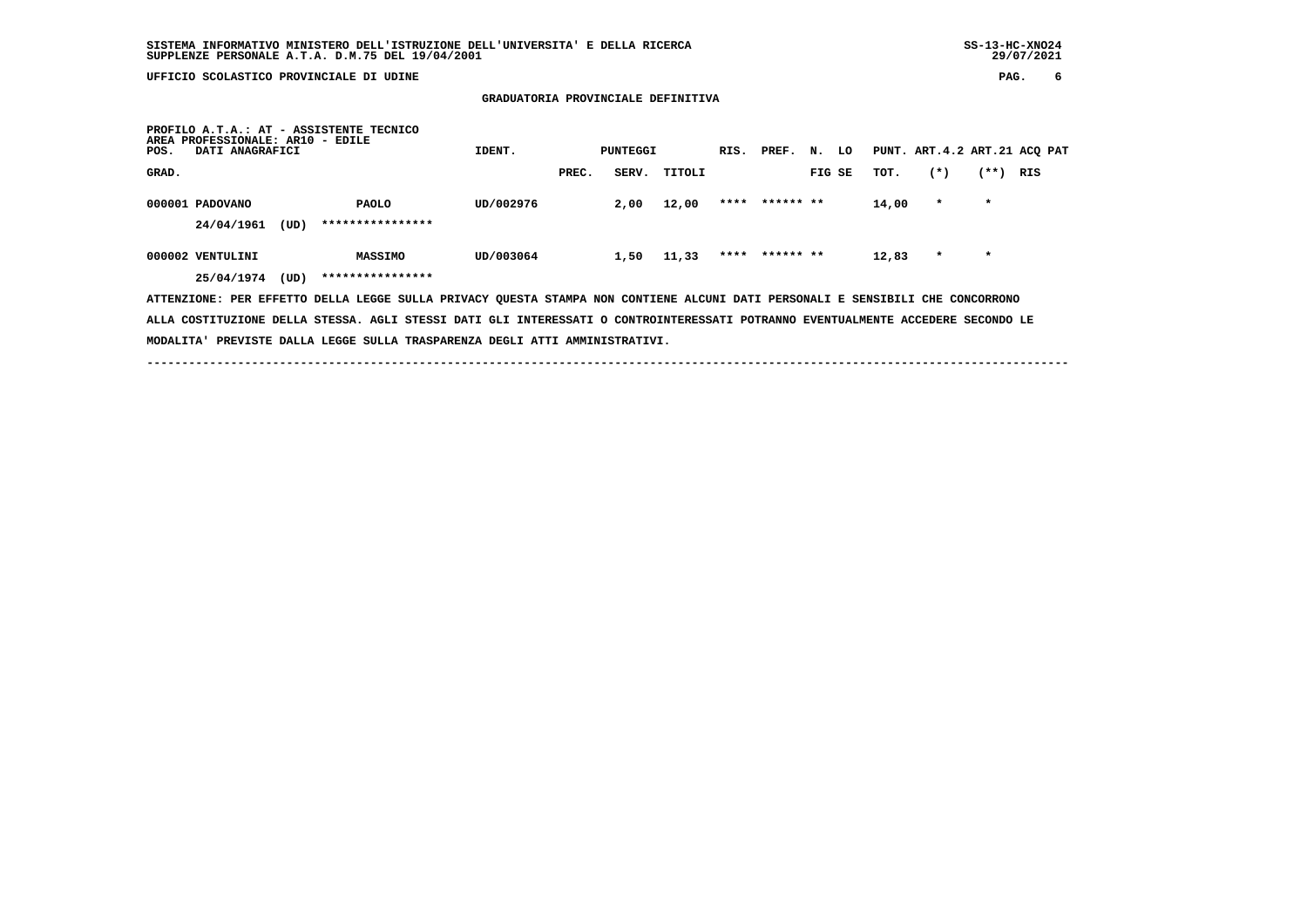# **GRADUATORIA PROVINCIALE DEFINITIVA**

| PROFILO A.T.A.: AT - ASSISTENTE TECNICO<br>AREA PROFESSIONALE: AR10 - EDILE<br>DATI ANAGRAFICI<br>POS.                        | IDENT.    |       | PUNTEGGI |        | RIS. | PREF. N.       |        | LO |       | PUNT. ART. 4.2 ART. 21 ACQ PAT |         |     |
|-------------------------------------------------------------------------------------------------------------------------------|-----------|-------|----------|--------|------|----------------|--------|----|-------|--------------------------------|---------|-----|
| GRAD.                                                                                                                         |           | PREC. | SERV.    | TITOLI |      |                | FIG SE |    | TOT.  | $(*)$                          | (**)    | RIS |
| 000001 PADOVANO<br><b>PAOLO</b>                                                                                               | UD/002976 |       | 2,00     | 12,00  | **** | ****** **      |        |    | 14,00 | $\star$                        | $\star$ |     |
| ****************<br>24/04/1961<br>(UD)                                                                                        |           |       |          |        |      |                |        |    |       |                                |         |     |
| 000002 VENTULINI<br><b>MASSIMO</b>                                                                                            | UD/003064 |       | 1,50     | 11,33  |      | **** ****** ** |        |    | 12,83 | $\star$                        | $\star$ |     |
| ****************<br>(UD)<br>25/04/1974                                                                                        |           |       |          |        |      |                |        |    |       |                                |         |     |
| ATTENZIONE: PER EFFETTO DELLA LEGGE SULLA PRIVACY QUESTA STAMPA NON CONTIENE ALCUNI DATI PERSONALI E SENSIBILI CHE CONCORRONO |           |       |          |        |      |                |        |    |       |                                |         |     |

 **ALLA COSTITUZIONE DELLA STESSA. AGLI STESSI DATI GLI INTERESSATI O CONTROINTERESSATI POTRANNO EVENTUALMENTE ACCEDERE SECONDO LE MODALITA' PREVISTE DALLA LEGGE SULLA TRASPARENZA DEGLI ATTI AMMINISTRATIVI.**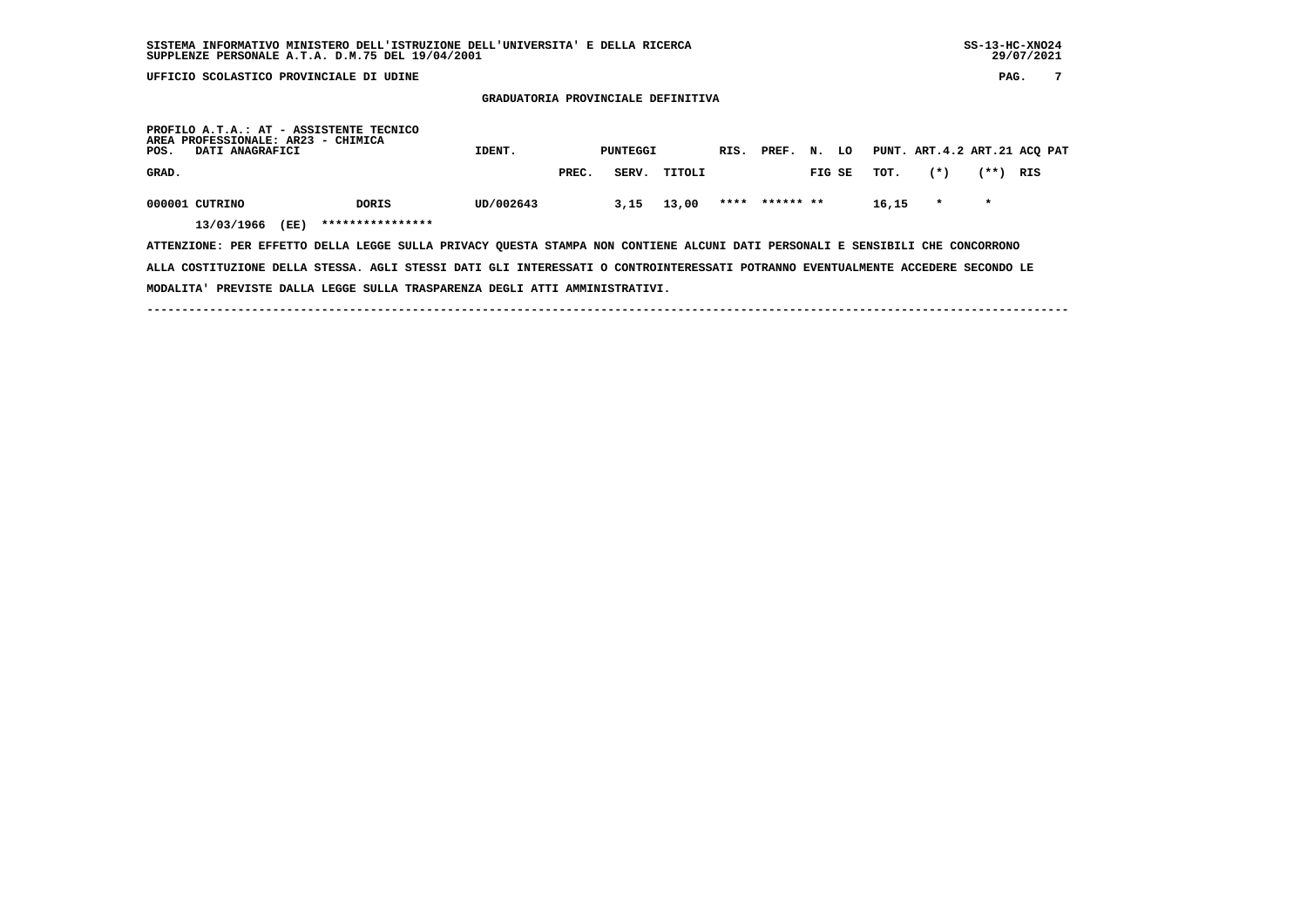**GRADUATORIA PROVINCIALE DEFINITIVA**

| POS.  | AREA PROFESSIONALE: AR23 - CHIMICA<br>DATI ANAGRAFICI |      | PROFILO A.T.A.: AT - ASSISTENTE TECNICO | IDENT.    |       | PUNTEGGI |        | RIS. | PREF.     | N. | LO     |       |         |         | PUNT. ART.4.2 ART.21 ACQ PAT |
|-------|-------------------------------------------------------|------|-----------------------------------------|-----------|-------|----------|--------|------|-----------|----|--------|-------|---------|---------|------------------------------|
| GRAD. |                                                       |      |                                         |           | PREC. | SERV.    | TITOLI |      |           |    | FIG SE | TOT.  | $(*)$   | (**)    | RIS                          |
|       | 000001 CUTRINO<br>13/03/1966                          | (EE) | <b>DORIS</b><br>****************        | UD/002643 |       | 3,15     | 13,00  | **** | ****** ** |    |        | 16,15 | $\star$ | $\star$ |                              |

 **ATTENZIONE: PER EFFETTO DELLA LEGGE SULLA PRIVACY QUESTA STAMPA NON CONTIENE ALCUNI DATI PERSONALI E SENSIBILI CHE CONCORRONO ALLA COSTITUZIONE DELLA STESSA. AGLI STESSI DATI GLI INTERESSATI O CONTROINTERESSATI POTRANNO EVENTUALMENTE ACCEDERE SECONDO LE MODALITA' PREVISTE DALLA LEGGE SULLA TRASPARENZA DEGLI ATTI AMMINISTRATIVI.**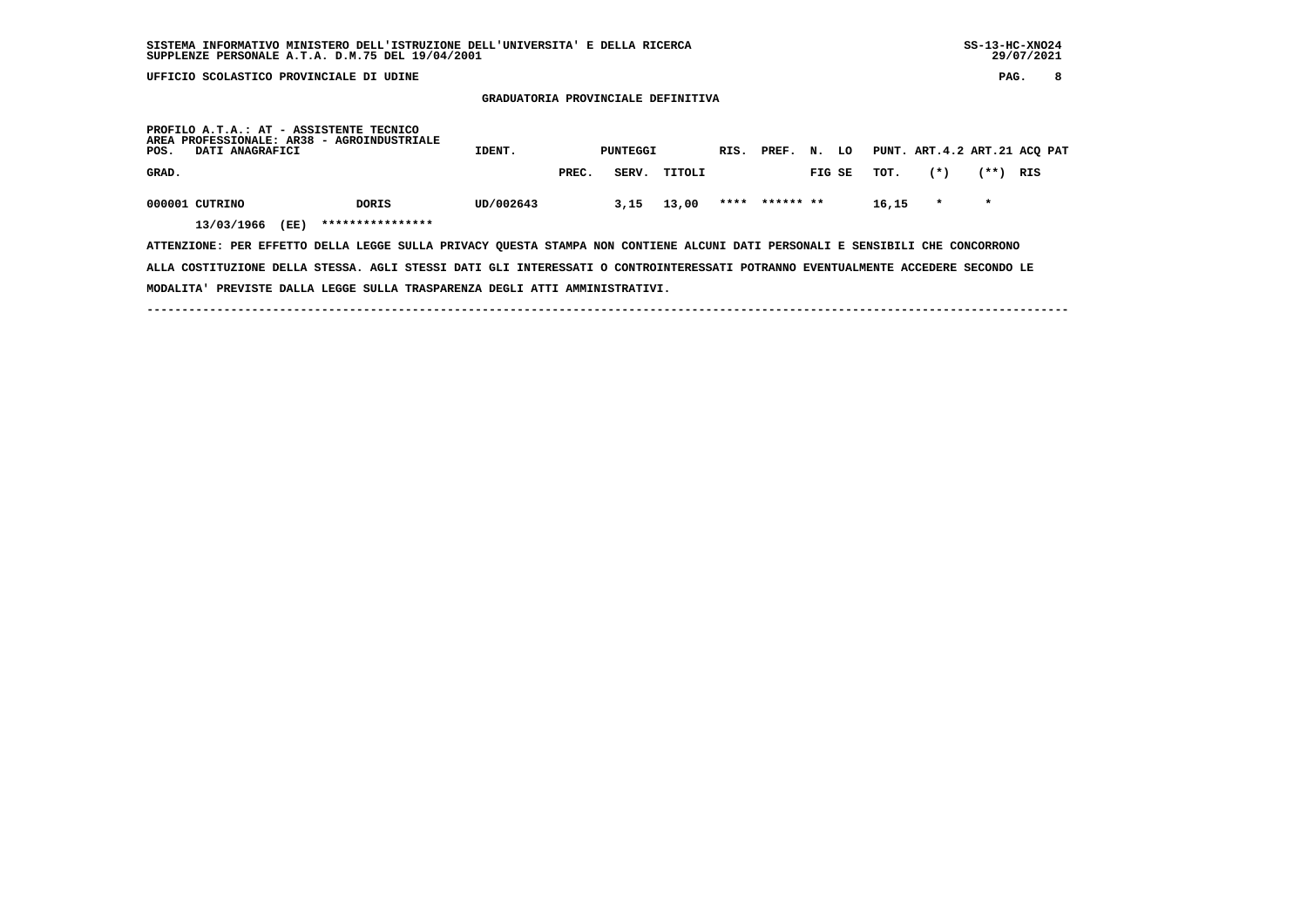**GRADUATORIA PROVINCIALE DEFINITIVA**

| POS.  | DATI ANAGRAFICI              |      | PROFILO A.T.A.: AT - ASSISTENTE TECNICO<br>AREA PROFESSIONALE: AR38 - AGROINDUSTRIALE | IDENT.    |       | PUNTEGGI |        | RIS. | PREF.     | N.     | LO |       |         |         | PUNT. ART.4.2 ART.21 ACQ PAT |
|-------|------------------------------|------|---------------------------------------------------------------------------------------|-----------|-------|----------|--------|------|-----------|--------|----|-------|---------|---------|------------------------------|
| GRAD. |                              |      |                                                                                       |           | PREC. | SERV.    | TITOLI |      |           | FIG SE |    | TOT.  | $(*)$   | (**)    | RIS                          |
|       | 000001 CUTRINO<br>13/03/1966 | (EE) | <b>DORIS</b><br>****************                                                      | UD/002643 |       | 3,15     | 13,00  | **** | ****** ** |        |    | 16,15 | $\star$ | $\star$ |                              |

 **ATTENZIONE: PER EFFETTO DELLA LEGGE SULLA PRIVACY QUESTA STAMPA NON CONTIENE ALCUNI DATI PERSONALI E SENSIBILI CHE CONCORRONO ALLA COSTITUZIONE DELLA STESSA. AGLI STESSI DATI GLI INTERESSATI O CONTROINTERESSATI POTRANNO EVENTUALMENTE ACCEDERE SECONDO LE MODALITA' PREVISTE DALLA LEGGE SULLA TRASPARENZA DEGLI ATTI AMMINISTRATIVI.**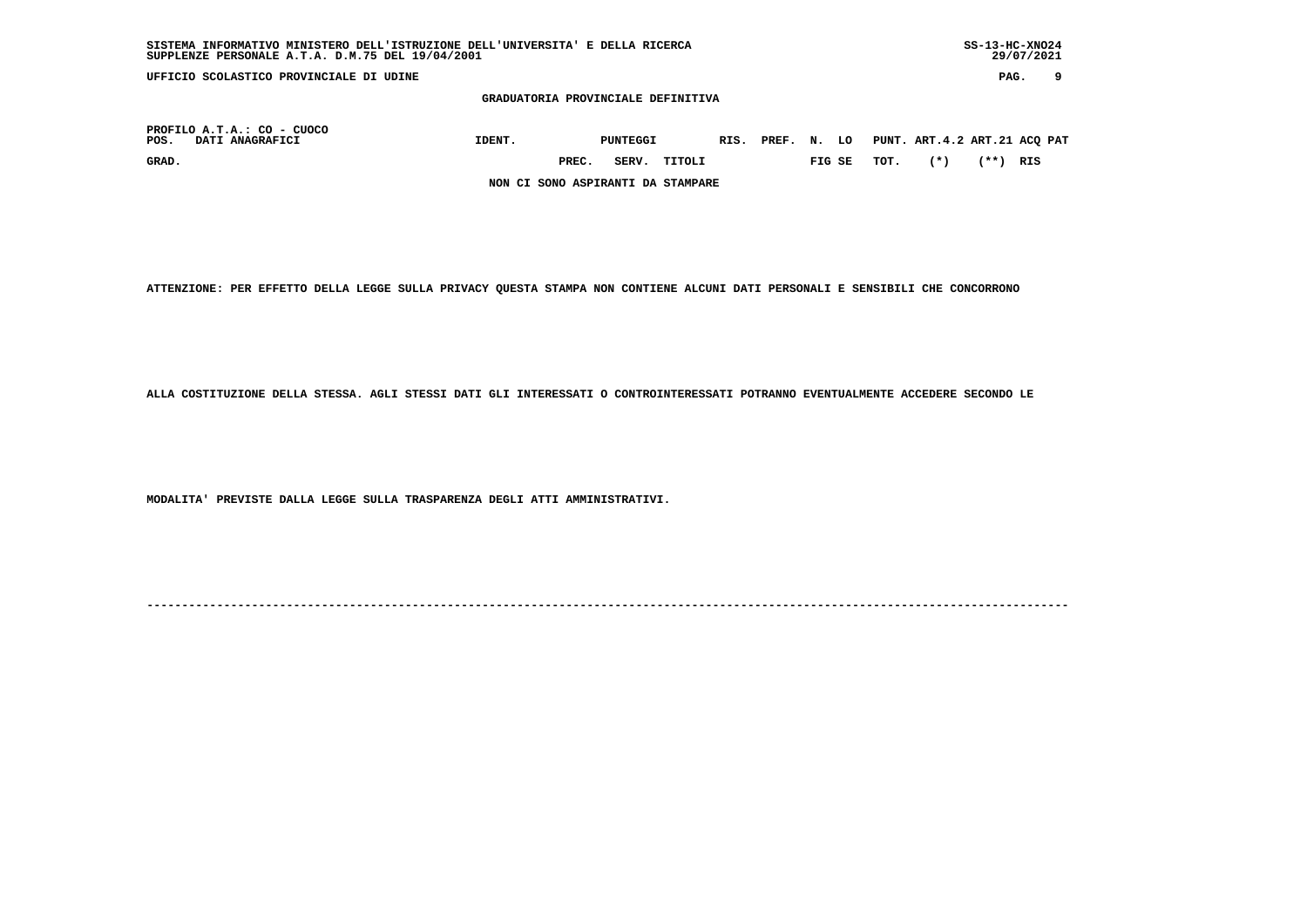| SUPPLENZE PERSONALE A.T.A. D.M.75 DEL 19/04/2001      |                                    |       |                 |        |            |        |      |                              |      | 29/07/2021 |   |
|-------------------------------------------------------|------------------------------------|-------|-----------------|--------|------------|--------|------|------------------------------|------|------------|---|
| UFFICIO SCOLASTICO PROVINCIALE DI UDINE               |                                    |       |                 |        |            |        |      |                              | PAG. |            | 9 |
|                                                       | GRADUATORIA PROVINCIALE DEFINITIVA |       |                 |        |            |        |      |                              |      |            |   |
| PROFILO A.T.A.: CO - CUOCO<br>POS.<br>DATI ANAGRAFICI | IDENT.                             |       | <b>PUNTEGGI</b> |        | RIS. PREF. | N. LO  |      | PUNT. ART.4.2 ART.21 ACQ PAT |      |            |   |
| GRAD.                                                 |                                    | PREC. | SERV.           | TITOLI |            | FIG SE | TOT. | $(*)$                        | (**) | RIS        |   |
|                                                       | NON CI SONO ASPIRANTI DA STAMPARE  |       |                 |        |            |        |      |                              |      |            |   |

 **SISTEMA INFORMATIVO MINISTERO DELL'ISTRUZIONE DELL'UNIVERSITA' E DELLA RICERCA SS-13-HC-XNO24**

 **ATTENZIONE: PER EFFETTO DELLA LEGGE SULLA PRIVACY QUESTA STAMPA NON CONTIENE ALCUNI DATI PERSONALI E SENSIBILI CHE CONCORRONO**

 **ALLA COSTITUZIONE DELLA STESSA. AGLI STESSI DATI GLI INTERESSATI O CONTROINTERESSATI POTRANNO EVENTUALMENTE ACCEDERE SECONDO LE**

 **MODALITA' PREVISTE DALLA LEGGE SULLA TRASPARENZA DEGLI ATTI AMMINISTRATIVI.**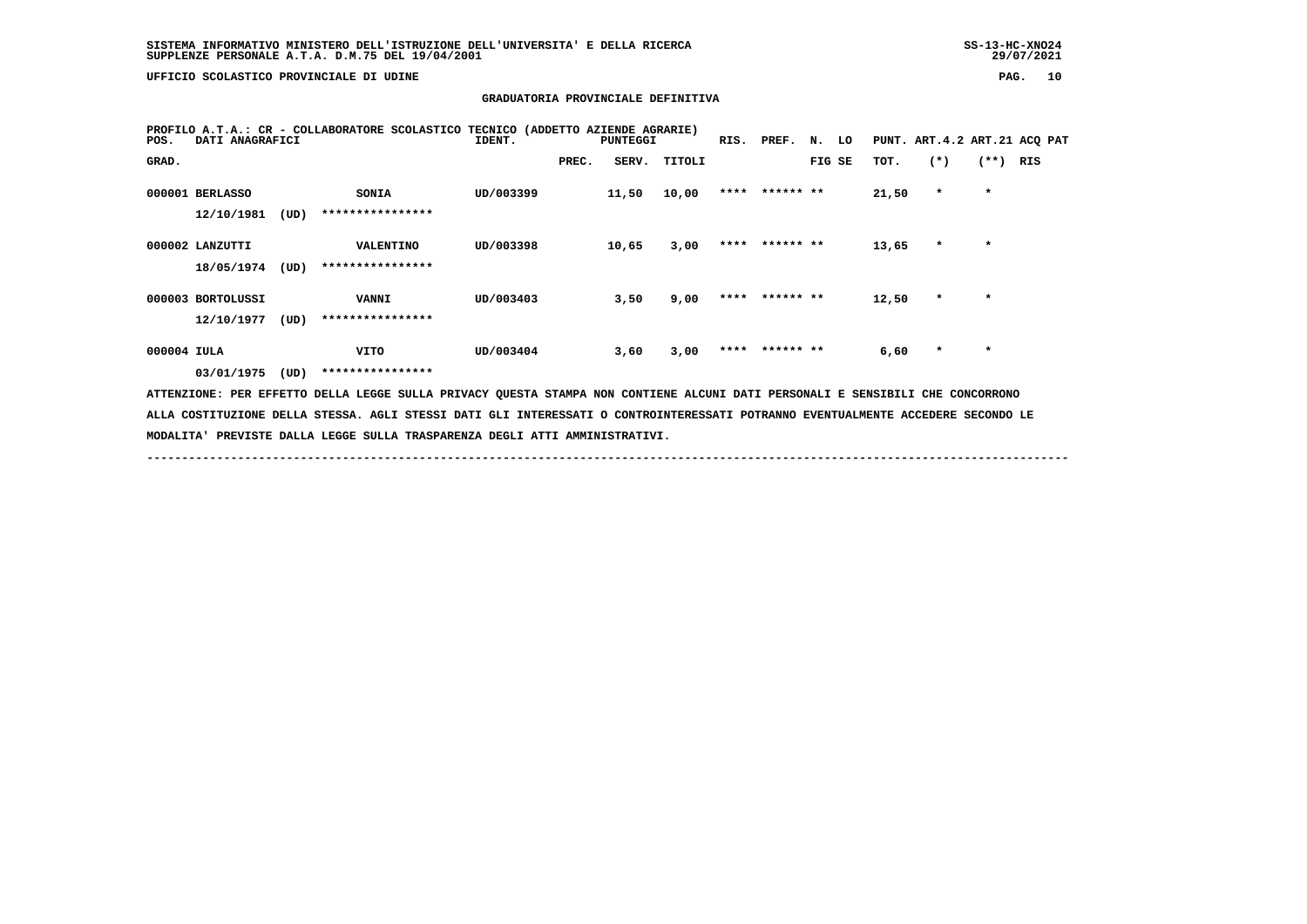# **GRADUATORIA PROVINCIALE DEFINITIVA**

| DATI ANAGRAFICI<br>POS. |      | PROFILO A.T.A.: CR - COLLABORATORE SCOLASTICO TECNICO (ADDETTO AZIENDE AGRARIE)                                                 | IDENT.    |       | <b>PUNTEGGI</b> |              | RIS. | PREF.          | N. LO  |       | PUNT. ART. 4.2 ART. 21 ACO PAT |         |     |  |
|-------------------------|------|---------------------------------------------------------------------------------------------------------------------------------|-----------|-------|-----------------|--------------|------|----------------|--------|-------|--------------------------------|---------|-----|--|
| GRAD.                   |      |                                                                                                                                 |           | PREC. |                 | SERV. TITOLI |      |                | FIG SE | TOT.  | $(*)$                          | $(**+)$ | RIS |  |
| 000001 BERLASSO         |      | <b>SONIA</b>                                                                                                                    | UD/003399 |       | 11,50           | 10,00        |      | **** ****** ** |        | 21,50 | $\star$                        | $\star$ |     |  |
| 12/10/1981              | (UD) | ****************                                                                                                                |           |       |                 |              |      |                |        |       |                                |         |     |  |
| 000002 LANZUTTI         |      | <b>VALENTINO</b>                                                                                                                | UD/003398 |       | 10,65           | 3,00         |      | **** ****** ** |        | 13,65 | $\star$                        | $\star$ |     |  |
| 18/05/1974              | (UD) | ****************                                                                                                                |           |       |                 |              |      |                |        |       |                                |         |     |  |
| 000003 BORTOLUSSI       |      | <b>VANNI</b>                                                                                                                    | UD/003403 |       | 3,50            | 9,00         |      | **** ****** ** |        | 12,50 | $\star$                        | $\star$ |     |  |
| 12/10/1977              | (UD) | ****************                                                                                                                |           |       |                 |              |      |                |        |       |                                |         |     |  |
| 000004 IULA             |      | <b>VITO</b>                                                                                                                     | UD/003404 |       | 3,60            | 3,00         |      | **** ****** ** |        | 6,60  | $\star$                        | $\star$ |     |  |
| 03/01/1975              | (UD) | ****************                                                                                                                |           |       |                 |              |      |                |        |       |                                |         |     |  |
|                         |      | ATTENZIONE: PER EFFETTO DELLA LEGGE SULLA PRIVACY QUESTA STAMPA NON CONTIENE ALCUNI DATI PERSONALI E SENSIBILI CHE CONCORRONO   |           |       |                 |              |      |                |        |       |                                |         |     |  |
|                         |      | ALLA COSTITUZIONE DELLA STESSA. AGLI STESSI DATI GLI INTERESSATI O CONTROINTERESSATI POTRANNO EVENTUALMENTE ACCEDERE SECONDO LE |           |       |                 |              |      |                |        |       |                                |         |     |  |

 **MODALITA' PREVISTE DALLA LEGGE SULLA TRASPARENZA DEGLI ATTI AMMINISTRATIVI.**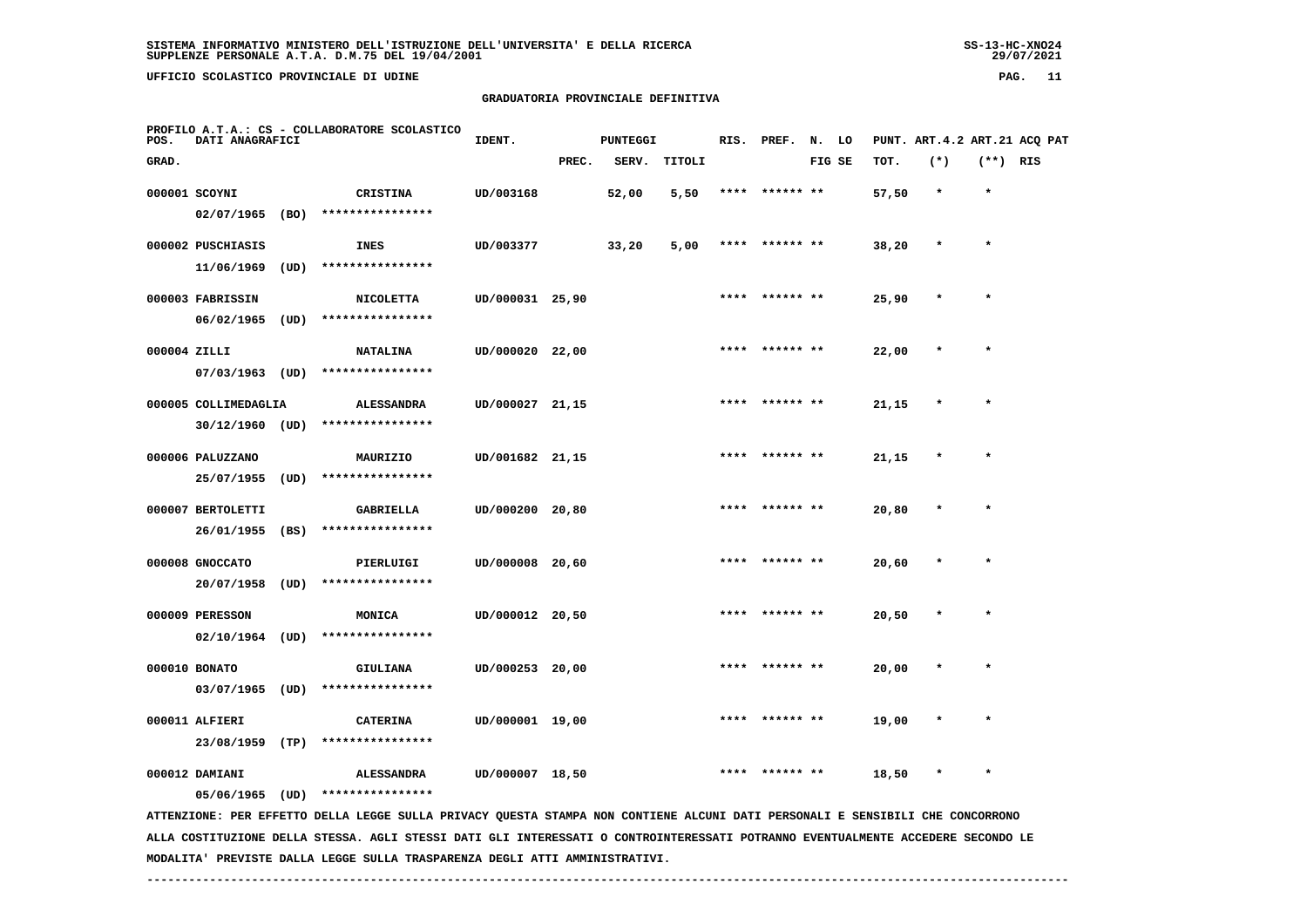$29/07/2021$ 

 **UFFICIO SCOLASTICO PROVINCIALE DI UDINE PAG. 11**

 **GRADUATORIA PROVINCIALE DEFINITIVA**

| POS.  | DATI ANAGRAFICI      |      | PROFILO A.T.A.: CS - COLLABORATORE SCOLASTICO                                                                                   | IDENT.          |       | PUNTEGGI |        | RIS. | PREF.     | N. LO  |       |         |            | PUNT. ART. 4.2 ART. 21 ACQ PAT |
|-------|----------------------|------|---------------------------------------------------------------------------------------------------------------------------------|-----------------|-------|----------|--------|------|-----------|--------|-------|---------|------------|--------------------------------|
| GRAD. |                      |      |                                                                                                                                 |                 | PREC. | SERV.    | TITOLI |      |           | FIG SE | TOT.  | $(*)$   | $(**)$ RIS |                                |
|       | 000001 SCOYNI        |      | <b>CRISTINA</b>                                                                                                                 | UD/003168       |       | 52,00    | 5,50   | **** | ****** ** |        | 57,50 | $\star$ | $\star$    |                                |
|       | 02/07/1965           | (BO) | ****************                                                                                                                |                 |       |          |        |      |           |        |       |         |            |                                |
|       | 000002 PUSCHIASIS    |      | <b>INES</b>                                                                                                                     | UD/003377       |       | 33,20    | 5,00   | **** | ****** ** |        | 38,20 | $\star$ | $\star$    |                                |
|       | 11/06/1969           | (UD) | ****************                                                                                                                |                 |       |          |        |      |           |        |       |         |            |                                |
|       | 000003 FABRISSIN     |      | <b>NICOLETTA</b>                                                                                                                | UD/000031 25,90 |       |          |        |      |           |        | 25,90 |         |            |                                |
|       | 06/02/1965           | (UD) | ****************                                                                                                                |                 |       |          |        |      |           |        |       |         |            |                                |
|       | 000004 ZILLI         |      | <b>NATALINA</b>                                                                                                                 | UD/000020 22,00 |       |          |        |      | ****** ** |        | 22,00 |         | $\star$    |                                |
|       | 07/03/1963           | (UD) | ****************                                                                                                                |                 |       |          |        |      |           |        |       |         |            |                                |
|       | 000005 COLLIMEDAGLIA |      | <b>ALESSANDRA</b>                                                                                                               | UD/000027 21,15 |       |          |        |      |           |        | 21,15 |         |            |                                |
|       | $30/12/1960$ (UD)    |      | ****************                                                                                                                |                 |       |          |        |      |           |        |       |         |            |                                |
|       | 000006 PALUZZANO     |      | MAURIZIO                                                                                                                        | UD/001682 21,15 |       |          |        |      |           |        | 21,15 |         | $\star$    |                                |
|       | 25/07/1955           | (UD) | ****************                                                                                                                |                 |       |          |        |      |           |        |       |         |            |                                |
|       | 000007 BERTOLETTI    |      | <b>GABRIELLA</b>                                                                                                                | UD/000200 20,80 |       |          |        |      |           |        | 20,80 |         |            |                                |
|       | 26/01/1955           | (BS) | ****************                                                                                                                |                 |       |          |        |      |           |        |       |         |            |                                |
|       | 000008 GNOCCATO      |      | PIERLUIGI                                                                                                                       | UD/000008 20,60 |       |          |        |      |           |        | 20,60 |         |            |                                |
|       | 20/07/1958           | (UD) | ****************                                                                                                                |                 |       |          |        |      |           |        |       |         |            |                                |
|       | 000009 PERESSON      |      | MONICA                                                                                                                          | UD/000012 20,50 |       |          |        |      | ****** ** |        | 20,50 |         | $\star$    |                                |
|       | $02/10/1964$ (UD)    |      | ****************                                                                                                                |                 |       |          |        |      |           |        |       |         |            |                                |
|       | 000010 BONATO        |      | GIULIANA                                                                                                                        | UD/000253 20,00 |       |          |        |      | ****** ** |        | 20,00 |         | $\star$    |                                |
|       | $03/07/1965$ (UD)    |      | ****************                                                                                                                |                 |       |          |        |      |           |        |       |         |            |                                |
|       | 000011 ALFIERI       |      | <b>CATERINA</b>                                                                                                                 | UD/000001 19,00 |       |          |        |      |           |        | 19,00 |         |            |                                |
|       | 23/08/1959 (TP)      |      | ****************                                                                                                                |                 |       |          |        |      |           |        |       |         |            |                                |
|       | 000012 DAMIANI       |      | <b>ALESSANDRA</b>                                                                                                               | UD/000007 18,50 |       |          |        |      | ****** ** |        | 18,50 |         | $\star$    |                                |
|       | $05/06/1965$ (UD)    |      | ****************                                                                                                                |                 |       |          |        |      |           |        |       |         |            |                                |
|       |                      |      | ATTENZIONE: PER EFFETTO DELLA LEGGE SULLA PRIVACY QUESTA STAMPA NON CONTIENE ALCUNI DATI PERSONALI E SENSIBILI CHE CONCORRONO   |                 |       |          |        |      |           |        |       |         |            |                                |
|       |                      |      | ALLA COSTITUZIONE DELLA STESSA. AGLI STESSI DATI GLI INTERESSATI O CONTROINTERESSATI POTRANNO EVENTUALMENTE ACCEDERE SECONDO LE |                 |       |          |        |      |           |        |       |         |            |                                |

 **MODALITA' PREVISTE DALLA LEGGE SULLA TRASPARENZA DEGLI ATTI AMMINISTRATIVI.**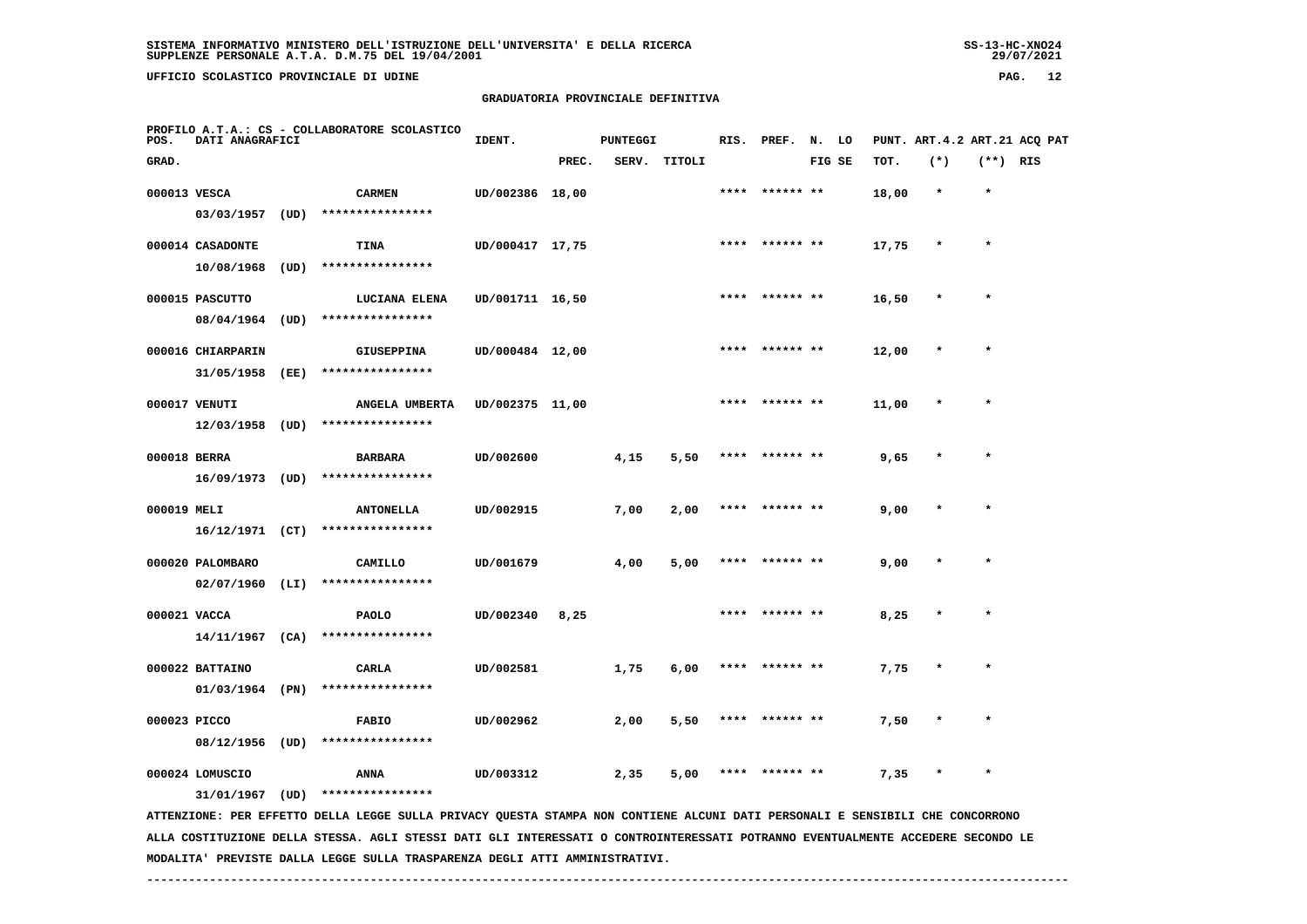29/07/2021

 **UFFICIO SCOLASTICO PROVINCIALE DI UDINE PAG. 12**

 **PROFILO A.T.A.: CS - COLLABORATORE SCOLASTICO**

 **03/03/1957 (UD) \*\*\*\*\*\*\*\*\*\*\*\*\*\*\*\***

# **GRADUATORIA PROVINCIALE DEFINITIVA**

**IDENT.** PUNTEGGI RIS. PREF. N. LO PUNT. ART.4.2 ART.21 ACQ PAT  **GRAD. PREC. SERV. TITOLI FIG SE TOT. (\*) (\*\*) RIS 000013 VESCA CARMEN UD/002386 18,00 \*\*\*\* \*\*\*\*\*\* \*\* 18,00 \* \***

| 000014 CASADONTE  |      | TINA              | UD/000417 17,75 | **** | ****** ** | 17,75 | $\ast$  | $\star$ |
|-------------------|------|-------------------|-----------------|------|-----------|-------|---------|---------|
| 10/08/1968        | (UD) | ****************  |                 |      |           |       |         |         |
| 000015 PASCUTTO   |      | LUCIANA ELENA     | UD/001711 16,50 | **** | ****** ** | 16,50 | $\star$ | $\star$ |
| 08/04/1964        | (UD) | ****************  |                 |      |           |       |         |         |
| 000016 CHIARPARIN |      | <b>GIUSEPPINA</b> | UD/000484 12,00 | **** | ****** ** | 12,00 | $\star$ | $\star$ |

 **31/05/1958 (EE) \*\*\*\*\*\*\*\*\*\*\*\*\*\*\*\***

| 000017 VENUTI | ANGELA UMBERTA                | UD/002375 11,00 |  | **** ****** ** | 11,00 |  |
|---------------|-------------------------------|-----------------|--|----------------|-------|--|
| 12/03/1958    | $\sim$ (UD) ***************** |                 |  |                |       |  |

| 000018 BERRA | <b>BARBARA</b>        | UD/002600 | 4,15 | 5,50 | ****  ****** ** | 9,65 | $\star$ |  |
|--------------|-----------------------|-----------|------|------|-----------------|------|---------|--|
| 16/09/1973   | (UD) **************** |           |      |      |                 |      |         |  |

 **000019 MELI ANTONELLA UD/002915 7,00 2,00 \*\*\*\* \*\*\*\*\*\* \*\* 9,00 \* \* 16/12/1971 (CT) \*\*\*\*\*\*\*\*\*\*\*\*\*\*\*\***

 **000020 PALOMBARO CAMILLO UD/001679 4,00 5,00 \*\*\*\* \*\*\*\*\*\* \*\* 9,00 \* \* 02/07/1960 (LI) \*\*\*\*\*\*\*\*\*\*\*\*\*\*\*\* 000021 VACCA PAOLO UD/002340 8,25 \*\*\*\* \*\*\*\*\*\* \*\* 8,25 \* \***

 **14/11/1967 (CA) \*\*\*\*\*\*\*\*\*\*\*\*\*\*\*\***

 **000022 BATTAINO CARLA UD/002581 1,75 6,00 \*\*\*\* \*\*\*\*\*\* \*\* 7,75 \* \* 01/03/1964 (PN) \*\*\*\*\*\*\*\*\*\*\*\*\*\*\*\***

 **000023 PICCO FABIO UD/002962 2,00 5,50 \*\*\*\* \*\*\*\*\*\* \*\* 7,50 \* \* 08/12/1956 (UD) \*\*\*\*\*\*\*\*\*\*\*\*\*\*\*\***

 **000024 LOMUSCIO ANNA UD/003312 2,35 5,00 \*\*\*\* \*\*\*\*\*\* \*\* 7,35 \* \***

 **31/01/1967 (UD) \*\*\*\*\*\*\*\*\*\*\*\*\*\*\*\***

 **ATTENZIONE: PER EFFETTO DELLA LEGGE SULLA PRIVACY QUESTA STAMPA NON CONTIENE ALCUNI DATI PERSONALI E SENSIBILI CHE CONCORRONO ALLA COSTITUZIONE DELLA STESSA. AGLI STESSI DATI GLI INTERESSATI O CONTROINTERESSATI POTRANNO EVENTUALMENTE ACCEDERE SECONDO LE MODALITA' PREVISTE DALLA LEGGE SULLA TRASPARENZA DEGLI ATTI AMMINISTRATIVI.**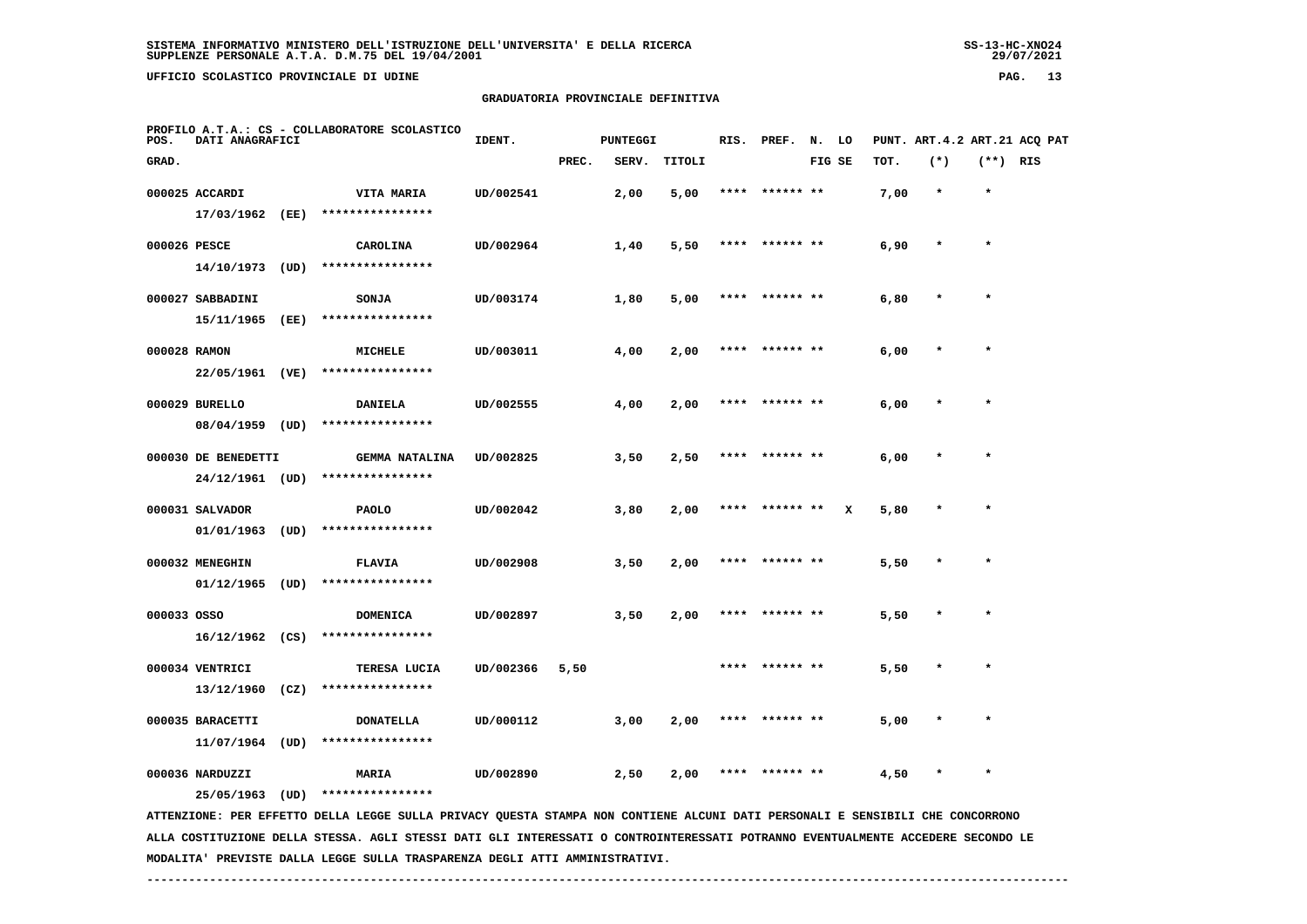**UFFICIO SCOLASTICO PROVINCIALE DI UDINE PAG. 13**

 **GRADUATORIA PROVINCIALE DEFINITIVA**

| $(*)$<br>$(**)$ RIS<br>GRAD.<br>PREC.<br>TITOLI<br>FIG SE<br>TOT.<br>SERV.<br>000025 ACCARDI<br>UD/002541<br>2,00<br>5,00<br>7,00<br>$\star$<br>$\star$<br>VITA MARIA<br>****<br>****** **<br>****************<br>17/03/1962<br>(EE)<br>$\star$<br>000026 PESCE<br>CAROLINA<br>UD/002964<br>1,40<br>5,50<br>**** ****** **<br>6,90<br>$\star$<br>****************<br>14/10/1973<br>(UD)<br>000027 SABBADINI<br>UD/003174<br>1,80<br>6,80<br>$\star$<br><b>SONJA</b><br>5,00<br>****** **<br>****************<br>15/11/1965<br>(EE)<br>000028 RAMON<br>UD/003011<br>MICHELE<br>4,00<br>2,00<br>****** **<br>6,00<br>****************<br>22/05/1961 (VE)<br>$\star$<br>000029 BURELLO<br>UD/002555<br>4,00<br>2,00<br>****** **<br>6,00<br><b>DANIELA</b> | PROFILO A.T.A.: CS - COLLABORATORE SCOLASTICO<br>DATI ANAGRAFICI<br>POS. |  |  |  |  |  |
|---------------------------------------------------------------------------------------------------------------------------------------------------------------------------------------------------------------------------------------------------------------------------------------------------------------------------------------------------------------------------------------------------------------------------------------------------------------------------------------------------------------------------------------------------------------------------------------------------------------------------------------------------------------------------------------------------------------------------------------------------------|--------------------------------------------------------------------------|--|--|--|--|--|
|                                                                                                                                                                                                                                                                                                                                                                                                                                                                                                                                                                                                                                                                                                                                                         |                                                                          |  |  |  |  |  |
|                                                                                                                                                                                                                                                                                                                                                                                                                                                                                                                                                                                                                                                                                                                                                         |                                                                          |  |  |  |  |  |
|                                                                                                                                                                                                                                                                                                                                                                                                                                                                                                                                                                                                                                                                                                                                                         |                                                                          |  |  |  |  |  |
|                                                                                                                                                                                                                                                                                                                                                                                                                                                                                                                                                                                                                                                                                                                                                         |                                                                          |  |  |  |  |  |
|                                                                                                                                                                                                                                                                                                                                                                                                                                                                                                                                                                                                                                                                                                                                                         |                                                                          |  |  |  |  |  |
|                                                                                                                                                                                                                                                                                                                                                                                                                                                                                                                                                                                                                                                                                                                                                         |                                                                          |  |  |  |  |  |
|                                                                                                                                                                                                                                                                                                                                                                                                                                                                                                                                                                                                                                                                                                                                                         |                                                                          |  |  |  |  |  |
|                                                                                                                                                                                                                                                                                                                                                                                                                                                                                                                                                                                                                                                                                                                                                         |                                                                          |  |  |  |  |  |
|                                                                                                                                                                                                                                                                                                                                                                                                                                                                                                                                                                                                                                                                                                                                                         |                                                                          |  |  |  |  |  |
|                                                                                                                                                                                                                                                                                                                                                                                                                                                                                                                                                                                                                                                                                                                                                         |                                                                          |  |  |  |  |  |
| ****************                                                                                                                                                                                                                                                                                                                                                                                                                                                                                                                                                                                                                                                                                                                                        | 08/04/1959<br>(UD)                                                       |  |  |  |  |  |
| 3,50<br>2,50<br>000030 DE BENEDETTI<br><b>GEMMA NATALINA</b><br>UD/002825<br>6,00                                                                                                                                                                                                                                                                                                                                                                                                                                                                                                                                                                                                                                                                       |                                                                          |  |  |  |  |  |
| ****************<br>24/12/1961 (UD)                                                                                                                                                                                                                                                                                                                                                                                                                                                                                                                                                                                                                                                                                                                     |                                                                          |  |  |  |  |  |
| 000031 SALVADOR<br>UD/002042<br>3,80<br><b>PAOLO</b><br>2,00<br>****** **<br>x<br>5,80<br>$\star$                                                                                                                                                                                                                                                                                                                                                                                                                                                                                                                                                                                                                                                       |                                                                          |  |  |  |  |  |
| ****************<br>01/01/1963<br>(UD)                                                                                                                                                                                                                                                                                                                                                                                                                                                                                                                                                                                                                                                                                                                  |                                                                          |  |  |  |  |  |
| $\star$<br>000032 MENEGHIN<br><b>FLAVIA</b><br>UD/002908<br>3,50<br>2,00<br>****** **<br>5,50<br>$\star$<br>****                                                                                                                                                                                                                                                                                                                                                                                                                                                                                                                                                                                                                                        |                                                                          |  |  |  |  |  |
| 01/12/1965<br>(UD)<br>****************                                                                                                                                                                                                                                                                                                                                                                                                                                                                                                                                                                                                                                                                                                                  |                                                                          |  |  |  |  |  |
| 000033 OSSO<br>UD/002897<br>5,50<br>$\star$<br><b>DOMENICA</b><br>3,50<br>2,00<br>****                                                                                                                                                                                                                                                                                                                                                                                                                                                                                                                                                                                                                                                                  |                                                                          |  |  |  |  |  |
| $16/12/1962$ (CS)<br>****************                                                                                                                                                                                                                                                                                                                                                                                                                                                                                                                                                                                                                                                                                                                   |                                                                          |  |  |  |  |  |
| 000034 VENTRICI<br>UD/002366<br>TERESA LUCIA<br>5,50<br>5,50                                                                                                                                                                                                                                                                                                                                                                                                                                                                                                                                                                                                                                                                                            |                                                                          |  |  |  |  |  |
| ****************<br>13/12/1960<br>(CZ)                                                                                                                                                                                                                                                                                                                                                                                                                                                                                                                                                                                                                                                                                                                  |                                                                          |  |  |  |  |  |
| 000035 BARACETTI<br><b>DONATELLA</b><br>UD/000112<br>3,00<br>2,00<br>5,00                                                                                                                                                                                                                                                                                                                                                                                                                                                                                                                                                                                                                                                                               |                                                                          |  |  |  |  |  |
| 11/07/1964<br>(UD)<br>****************                                                                                                                                                                                                                                                                                                                                                                                                                                                                                                                                                                                                                                                                                                                  |                                                                          |  |  |  |  |  |
| 000036 NARDUZZI<br><b>MARIA</b><br>UD/002890<br>2,50<br>2,00<br>4,50<br>$\star$                                                                                                                                                                                                                                                                                                                                                                                                                                                                                                                                                                                                                                                                         |                                                                          |  |  |  |  |  |
| ****************<br>25/05/1963<br>(UD)<br>ATTENZIONE: PER EFFETTO DELLA LEGGE SULLA PRIVACY QUESTA STAMPA NON CONTIENE ALCUNI DATI PERSONALI E SENSIBILI CHE CONCORRONO                                                                                                                                                                                                                                                                                                                                                                                                                                                                                                                                                                                 |                                                                          |  |  |  |  |  |

 **ALLA COSTITUZIONE DELLA STESSA. AGLI STESSI DATI GLI INTERESSATI O CONTROINTERESSATI POTRANNO EVENTUALMENTE ACCEDERE SECONDO LE MODALITA' PREVISTE DALLA LEGGE SULLA TRASPARENZA DEGLI ATTI AMMINISTRATIVI.**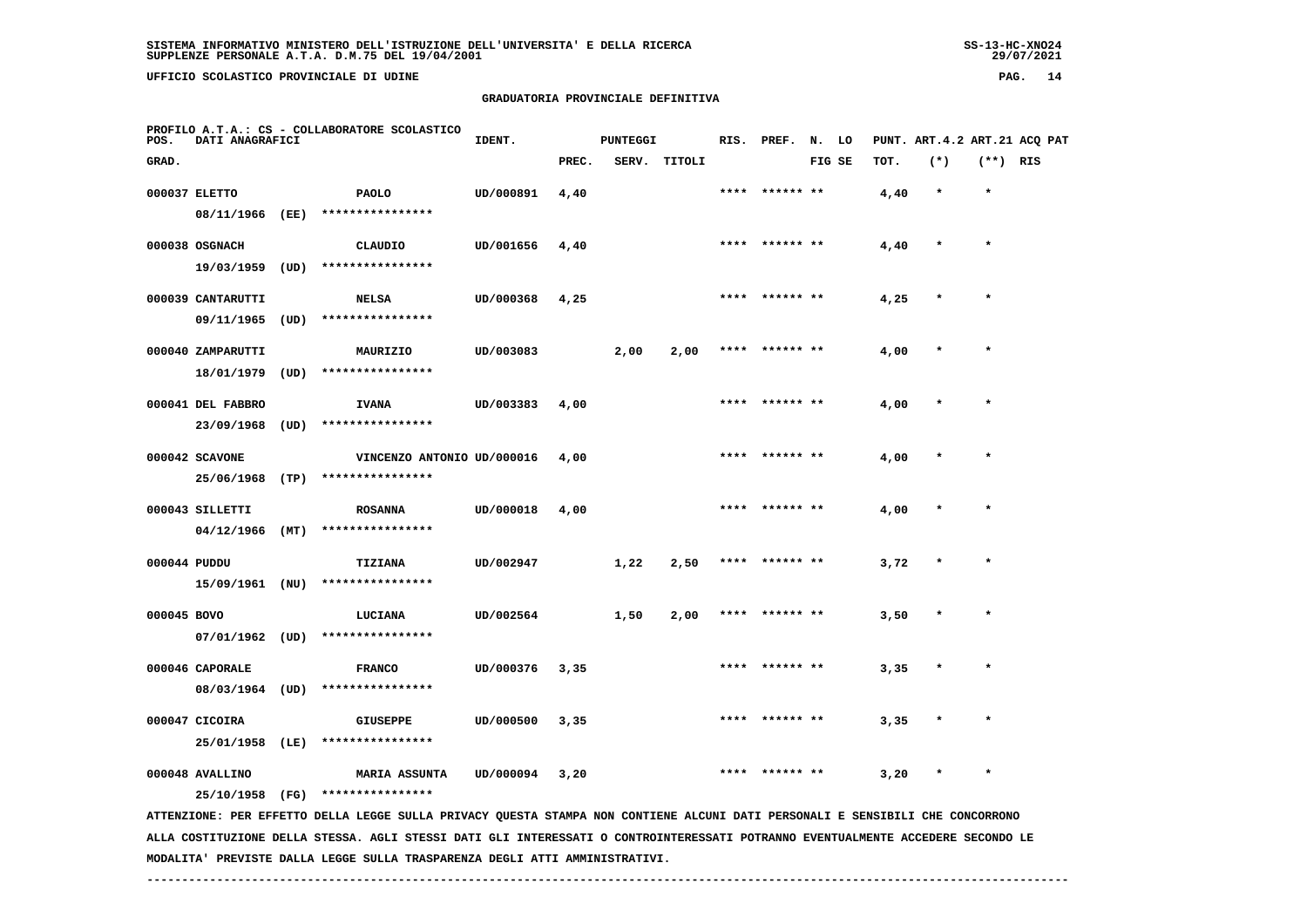29/07/2021

 **UFFICIO SCOLASTICO PROVINCIALE DI UDINE PAG. 14**

 **PROFILO A.T.A.: CS - COLLABORATORE SCOLASTICO**

# **GRADUATORIA PROVINCIALE DEFINITIVA**

 **GRAD. PREC. SERV. TITOLI FIG SE TOT. (\*) (\*\*) RIS**

 **000037 ELETTO PAOLO UD/000891 4,40 \*\*\*\* \*\*\*\*\*\* \*\* 4,40 \* \***

|              | 08/11/1966        | (EE) | ****************           |           |      |      |      |      |                |      |         |         |
|--------------|-------------------|------|----------------------------|-----------|------|------|------|------|----------------|------|---------|---------|
|              | 000038 OSGNACH    |      | CLAUDIO                    | UD/001656 | 4,40 |      |      | **** | ****** **      | 4,40 | $\star$ | $\star$ |
|              | 19/03/1959        | (UD) | ****************           |           |      |      |      |      |                |      |         |         |
|              | 000039 CANTARUTTI |      | <b>NELSA</b>               | UD/000368 | 4,25 |      |      | **** | ****** **      | 4,25 | $\star$ | $\star$ |
|              | 09/11/1965        | (UD) | ****************           |           |      |      |      |      |                |      |         |         |
|              | 000040 ZAMPARUTTI |      | MAURIZIO                   | UD/003083 |      | 2,00 | 2,00 | **** | ****** **      | 4,00 | $\star$ | ÷       |
|              | 18/01/1979        | (UD) | ****************           |           |      |      |      |      |                |      |         |         |
|              | 000041 DEL FABBRO |      | <b>IVANA</b>               | UD/003383 | 4,00 |      |      | **** | ****** **      | 4,00 | $\star$ | $\star$ |
|              | 23/09/1968        | (UD) | ****************           |           |      |      |      |      |                |      |         |         |
|              | 000042 SCAVONE    |      | VINCENZO ANTONIO UD/000016 |           | 4,00 |      |      | **** | ****** **      | 4,00 | $\star$ |         |
|              | 25/06/1968        | (TP) | ****************           |           |      |      |      |      |                |      |         |         |
|              | 000043 SILLETTI   |      | <b>ROSANNA</b>             | UD/000018 | 4,00 |      |      | **** | ****** **      | 4,00 | $\star$ | $\star$ |
|              | 04/12/1966        | (MT) | ****************           |           |      |      |      |      |                |      |         |         |
| 000044 PUDDU |                   |      | TIZIANA                    | UD/002947 |      | 1,22 | 2,50 |      | **** ****** ** | 3,72 | $\star$ | $\star$ |

**IDENT.** PUNTEGGI RIS. PREF. N. LO PUNT. ART.4.2 ART.21 ACQ PAT

 **15/09/1961 (NU) \*\*\*\*\*\*\*\*\*\*\*\*\*\*\*\***

 **000045 BOVO LUCIANA UD/002564 1,50 2,00 \*\*\*\* \*\*\*\*\*\* \*\* 3,50 \* \* 07/01/1962 (UD) \*\*\*\*\*\*\*\*\*\*\*\*\*\*\*\***

000046 CAPORALE **FRANCO** UD/000376 3,35 \*\*\*\* \*\*\*\*\*\* \*\* 3,35  **08/03/1964 (UD) \*\*\*\*\*\*\*\*\*\*\*\*\*\*\*\* 000047 CICOIRA GIUSEPPE UD/000500 3,35 \*\*\*\* \*\*\*\*\*\* \*\* 3,35 \* \***

 **25/01/1958 (LE) \*\*\*\*\*\*\*\*\*\*\*\*\*\*\*\***

 **000048 AVALLINO MARIA ASSUNTA UD/000094 3,20 \*\*\*\* \*\*\*\*\*\* \*\* 3,20 \* \***

 **25/10/1958 (FG) \*\*\*\*\*\*\*\*\*\*\*\*\*\*\*\***

 **ATTENZIONE: PER EFFETTO DELLA LEGGE SULLA PRIVACY QUESTA STAMPA NON CONTIENE ALCUNI DATI PERSONALI E SENSIBILI CHE CONCORRONO ALLA COSTITUZIONE DELLA STESSA. AGLI STESSI DATI GLI INTERESSATI O CONTROINTERESSATI POTRANNO EVENTUALMENTE ACCEDERE SECONDO LE MODALITA' PREVISTE DALLA LEGGE SULLA TRASPARENZA DEGLI ATTI AMMINISTRATIVI.**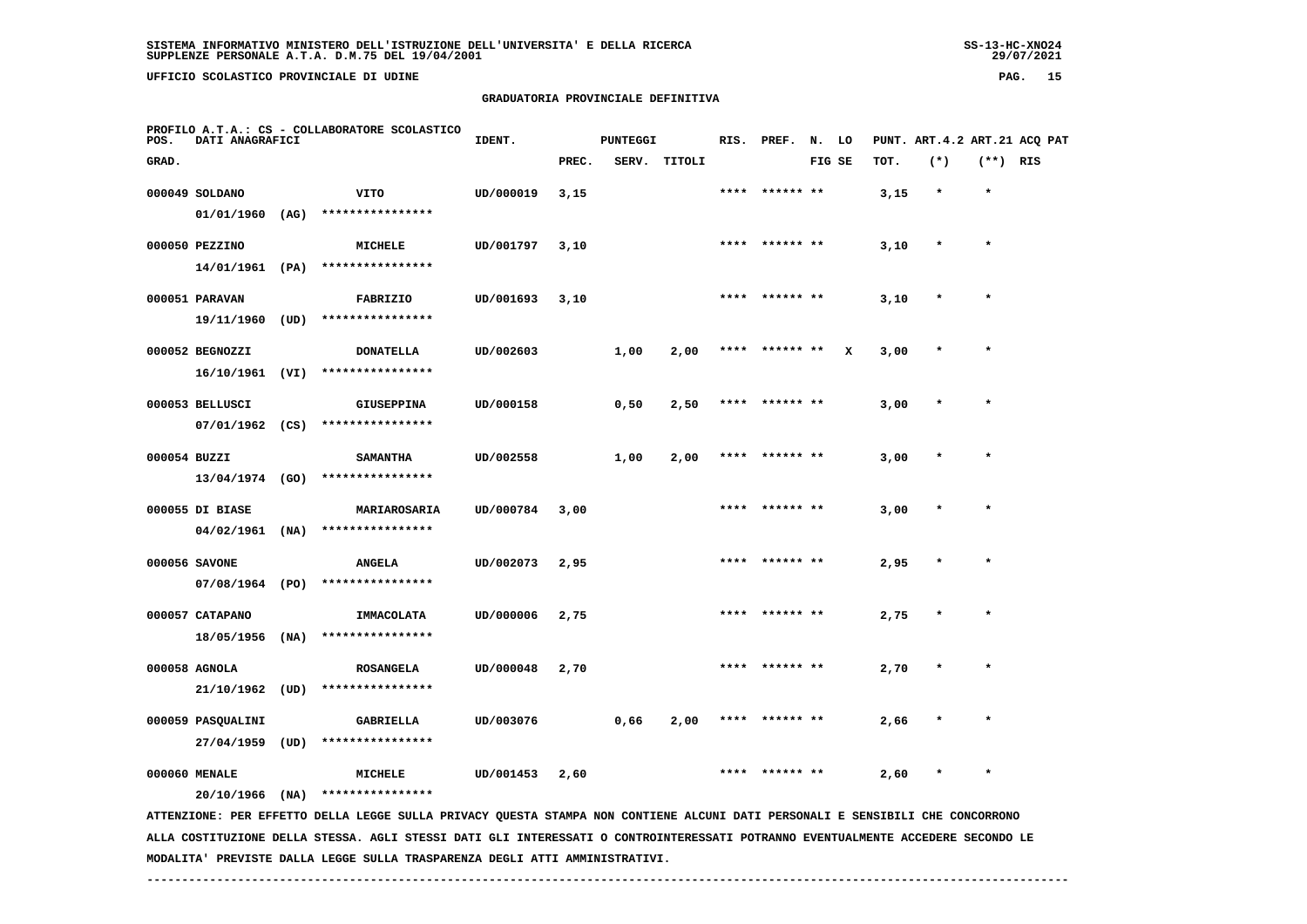**UFFICIO SCOLASTICO PROVINCIALE DI UDINE PAG. 15**

# **GRADUATORIA PROVINCIALE DEFINITIVA**

| PROFILO A.T.A.: CS - COLLABORATORE SCOLASTICO<br>POS.<br>DATI ANAGRAFICI | IDENT. |       | PUNTEGGI |        |  |        |      |       | RIS. PREF. N. LO PUNT. ART.4.2 ART.21 ACO PAT |     |
|--------------------------------------------------------------------------|--------|-------|----------|--------|--|--------|------|-------|-----------------------------------------------|-----|
| GRAD.                                                                    |        | PREC. | SERV.    | TITOLI |  | FIG SE | TOT. | $(*)$ | $(***)$                                       | RIS |

| GRAD.        |                                    |      |                                       |           | PREC. | SERV. | TITOLI |      |                | FIG SE |   | тот. | $(*)$     | (**) RIS |  |
|--------------|------------------------------------|------|---------------------------------------|-----------|-------|-------|--------|------|----------------|--------|---|------|-----------|----------|--|
|              | 000049 SOLDANO<br>01/01/1960       | (AG) | VITO<br>****************              | UD/000019 | 3,15  |       |        | **** | ****** **      |        |   | 3,15 | $\star$   | $\star$  |  |
|              | 000050 PEZZINO<br>14/01/1961 (PA)  |      | MICHELE<br>****************           | UD/001797 | 3,10  |       |        | **** | ****** **      |        |   | 3,10 | $\pmb{*}$ | $\star$  |  |
|              | 000051 PARAVAN                     |      | <b>FABRIZIO</b>                       | UD/001693 | 3,10  |       |        |      | **** ****** ** |        |   | 3,10 |           | $\star$  |  |
|              | 19/11/1960<br>000052 BEGNOZZI      | (UD) | ****************<br><b>DONATELLA</b>  | UD/002603 |       | 1,00  | 2,00   |      |                |        | x | 3,00 |           |          |  |
|              | 16/10/1961<br>000053 BELLUSCI      | (VI) | ****************<br><b>GIUSEPPINA</b> | UD/000158 |       | 0,50  | 2,50   |      |                |        |   | 3,00 |           |          |  |
| 000054 BUZZI | 07/01/1962                         | (CS) | ****************<br><b>SAMANTHA</b>   | UD/002558 |       | 1,00  | 2,00   |      | ****** **      |        |   | 3,00 |           | $\star$  |  |
|              | 13/04/1974 (GO)<br>000055 DI BIASE |      | ****************<br>MARIAROSARIA      | UD/000784 | 3,00  |       |        |      | ****** **      |        |   | 3,00 |           | $\star$  |  |
|              | $04/02/1961$ (NA)<br>000056 SAVONE |      | ****************<br><b>ANGELA</b>     | UD/002073 | 2,95  |       |        |      | **** ****** ** |        |   | 2,95 | $\star$   | $\star$  |  |
|              | 07/08/1964 (PO)                    |      | ****************                      |           |       |       |        |      |                |        |   |      |           |          |  |
|              | 000057 CATAPANO<br>18/05/1956      | (NA) | <b>IMMACOLATA</b><br>**************** | UD/000006 | 2,75  |       |        |      | **** ****** ** |        |   | 2,75 | $\star$   | $\star$  |  |
|              | 000058 AGNOLA<br>21/10/1962        | (UD) | <b>ROSANGELA</b><br>****************  | UD/000048 | 2,70  |       |        |      |                |        |   | 2,70 |           | $\star$  |  |
|              | 000059 PASQUALINI<br>27/04/1959    | (UD) | <b>GABRIELLA</b><br>****************  | UD/003076 |       | 0,66  | 2,00   | **** | ****** **      |        |   | 2,66 | $\star$   | $\star$  |  |
|              | 000060 MENALE<br>20/10/1966        | (NA) | <b>MICHELE</b><br>****************    | UD/001453 | 2,60  |       |        | **** | ****** **      |        |   | 2,60 | $\star$   | $\star$  |  |

 **ATTENZIONE: PER EFFETTO DELLA LEGGE SULLA PRIVACY QUESTA STAMPA NON CONTIENE ALCUNI DATI PERSONALI E SENSIBILI CHE CONCORRONO ALLA COSTITUZIONE DELLA STESSA. AGLI STESSI DATI GLI INTERESSATI O CONTROINTERESSATI POTRANNO EVENTUALMENTE ACCEDERE SECONDO LE MODALITA' PREVISTE DALLA LEGGE SULLA TRASPARENZA DEGLI ATTI AMMINISTRATIVI.**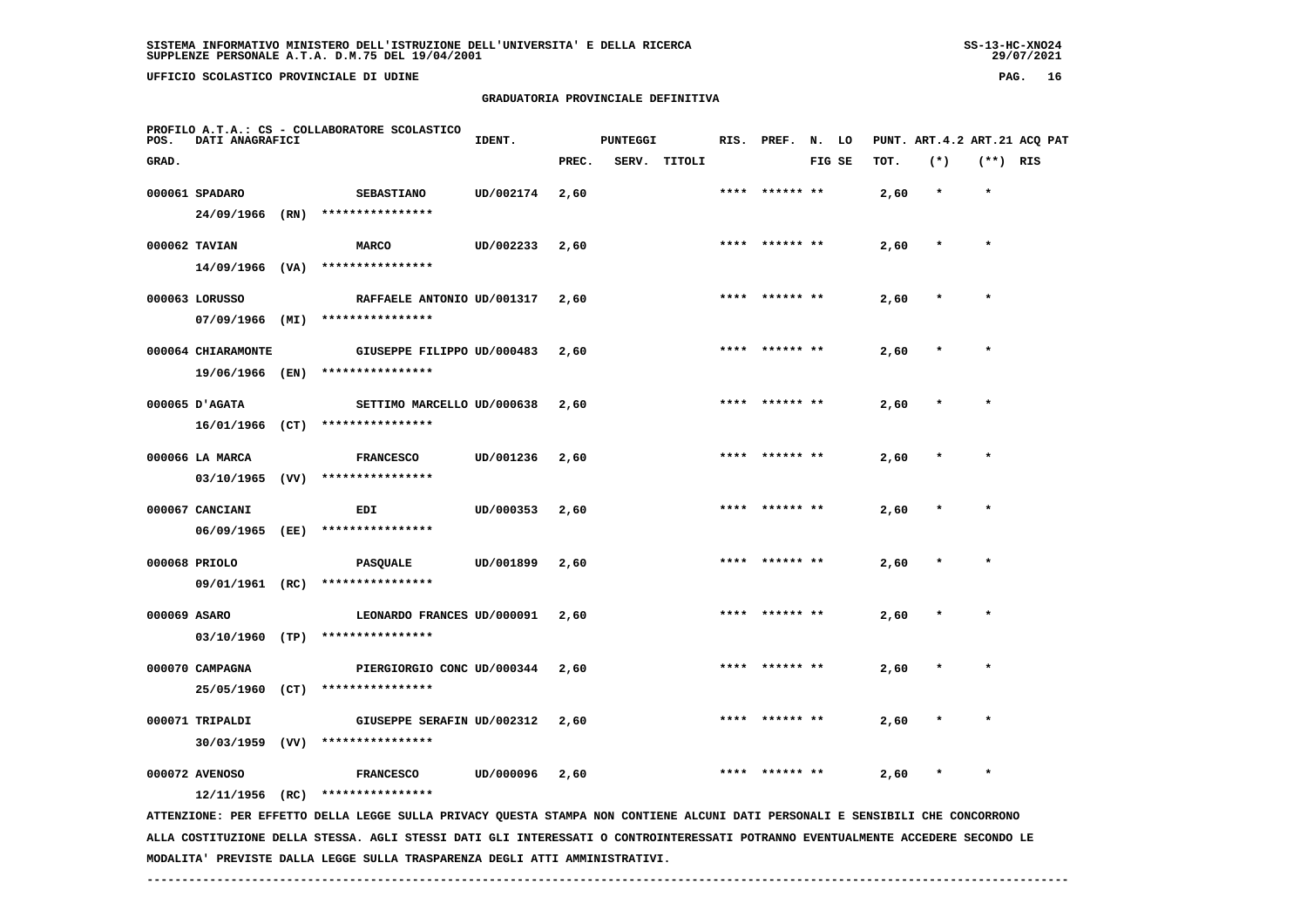-29/07/2021

 **UFFICIO SCOLASTICO PROVINCIALE DI UDINE PAG. 16**

 **PROFILO A.T.A.: CS - COLLABORATORE SCOLASTICO**

# **GRADUATORIA PROVINCIALE DEFINITIVA**

**IDENT.** PUNTEGGI RIS. PREF. N. LO PUNT. ART.4.2 ART.21 ACQ PAT  **GRAD. PREC. SERV. TITOLI FIG SE TOT. (\*) (\*\*) RIS 000061 SPADARO SEBASTIANO UD/002174 2,60 \*\*\*\* \*\*\*\*\*\* \*\* 2,60 \* \***

|               | 24/09/1966                         | (RN) | ****************                     |                |      |      |                |      |         |         |
|---------------|------------------------------------|------|--------------------------------------|----------------|------|------|----------------|------|---------|---------|
| 000062 TAVIAN |                                    |      | <b>MARCO</b>                         | UD/002233 2,60 |      |      | **** ****** ** | 2,60 | $\star$ | $\star$ |
|               | 14/09/1966 (VA)                    |      | ****************                     |                |      |      |                |      |         |         |
|               | 000063 LORUSSO                     |      | RAFFAELE ANTONIO UD/001317 2,60      |                |      |      | **** ****** ** | 2,60 | $\star$ | $\star$ |
|               | 07/09/1966                         | (MI) | ****************                     |                |      |      |                |      |         |         |
|               | 000064 CHIARAMONTE                 |      | GIUSEPPE FILIPPO UD/000483 2,60      |                |      |      | **** ****** ** | 2,60 | $\star$ | $\star$ |
|               | 19/06/1966 (EN)                    |      | ****************                     |                |      |      |                |      |         |         |
|               | 000065 D'AGATA                     |      | SETTIMO MARCELLO UD/000638           |                | 2,60 |      | **** ****** ** | 2,60 | $\star$ | $\star$ |
|               | 16/01/1966 (CT)                    |      | ****************                     |                |      |      |                |      |         |         |
|               | 000066 LA MARCA<br>03/10/1965 (VV) |      | <b>FRANCESCO</b><br>**************** | UD/001236      | 2,60 |      | **** ****** ** | 2,60 | $\star$ | $\star$ |
|               |                                    |      |                                      |                |      |      |                |      |         |         |
|               | 000067 CANCIANI<br>06/09/1965      | (EE) | EDI<br>****************              | UD/000353      | 2,60 |      | **** ****** ** | 2,60 | $\star$ | $\star$ |
|               |                                    |      |                                      |                |      |      | **** ****** ** |      |         | $\star$ |
|               | 000068 PRIOLO<br>09/01/1961        | (RC) | <b>PASQUALE</b><br>****************  | UD/001899      | 2,60 |      |                | 2,60 |         |         |
| 000069 ASARO  |                                    |      | LEONARDO FRANCES UD/000091           |                | 2,60 | **** |                | 2,60 |         | $\star$ |
|               | 03/10/1960                         | (TP) | ****************                     |                |      |      |                |      |         |         |
|               | 000070 CAMPAGNA                    |      | PIERGIORGIO CONC UD/000344 2,60      |                |      | **** | ****** **      | 2,60 | $\star$ | $\star$ |
|               | 25/05/1960                         | (CT) | ****************                     |                |      |      |                |      |         |         |
|               |                                    |      |                                      |                |      |      |                |      |         |         |

 **000071 TRIPALDI GIUSEPPE SERAFIN UD/002312 2,60 \*\*\*\* \*\*\*\*\*\* \*\* 2,60 \* \* 30/03/1959 (VV) \*\*\*\*\*\*\*\*\*\*\*\*\*\*\*\***

 **000072 AVENOSO FRANCESCO UD/000096 2,60 \*\*\*\* \*\*\*\*\*\* \*\* 2,60 \* \* 12/11/1956 (RC) \*\*\*\*\*\*\*\*\*\*\*\*\*\*\*\***

 **ATTENZIONE: PER EFFETTO DELLA LEGGE SULLA PRIVACY QUESTA STAMPA NON CONTIENE ALCUNI DATI PERSONALI E SENSIBILI CHE CONCORRONO ALLA COSTITUZIONE DELLA STESSA. AGLI STESSI DATI GLI INTERESSATI O CONTROINTERESSATI POTRANNO EVENTUALMENTE ACCEDERE SECONDO LE MODALITA' PREVISTE DALLA LEGGE SULLA TRASPARENZA DEGLI ATTI AMMINISTRATIVI.**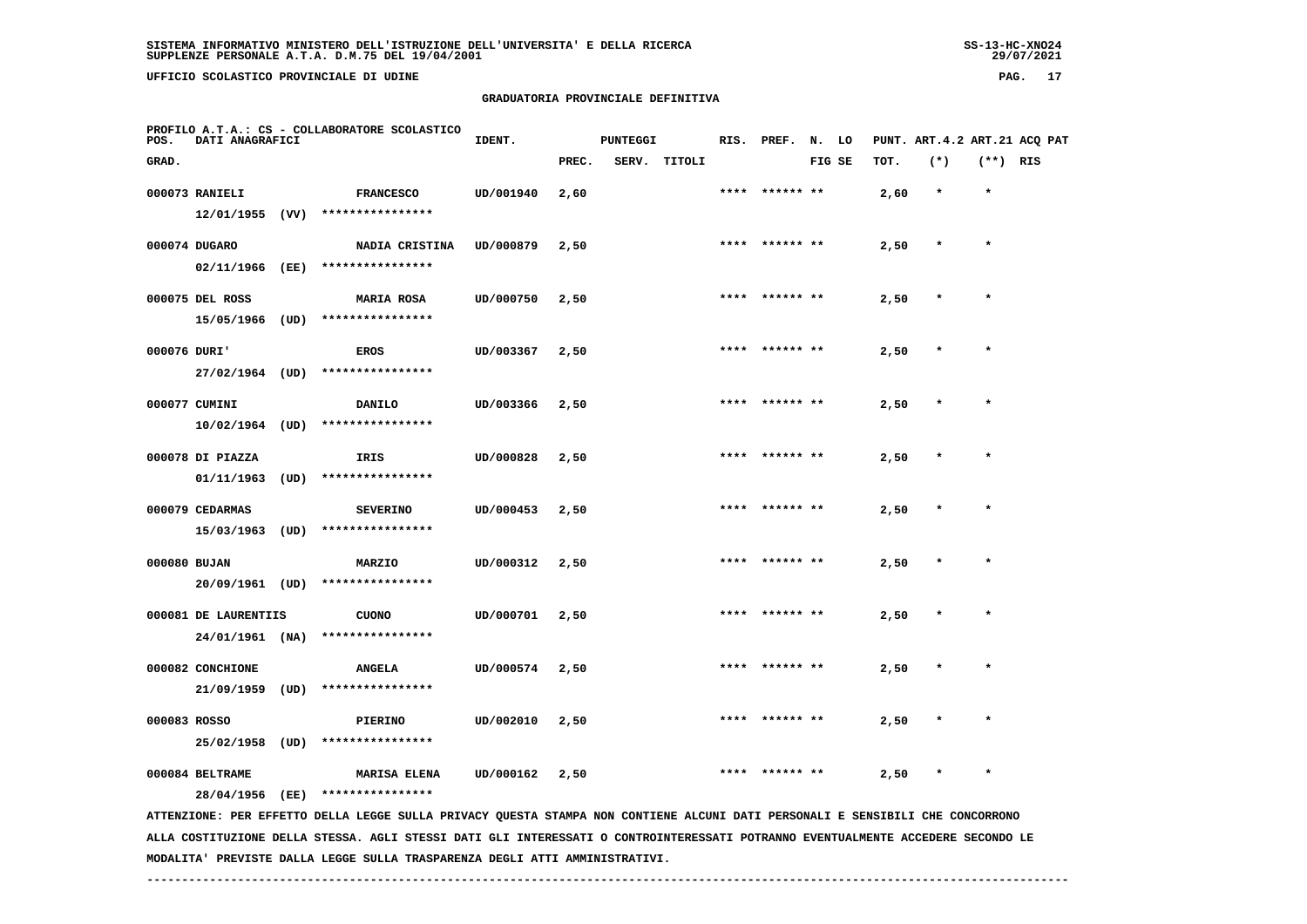**UFFICIO SCOLASTICO PROVINCIALE DI UDINE PAG. 17**

# **GRADUATORIA PROVINCIALE DEFINITIVA**

| POS.  | DATI ANAGRAFICI                         |      | PROFILO A.T.A.: CS - COLLABORATORE SCOLASTICO                                                                                   | IDENT.    |       | <b>PUNTEGGI</b> |        | RIS. PREF. | N. LO  |      |         |            | PUNT. ART. 4.2 ART. 21 ACQ PAT |
|-------|-----------------------------------------|------|---------------------------------------------------------------------------------------------------------------------------------|-----------|-------|-----------------|--------|------------|--------|------|---------|------------|--------------------------------|
| GRAD. |                                         |      |                                                                                                                                 |           | PREC. | SERV.           | TITOLI |            | FIG SE | TOT. | $(*)$   | $(**)$ RIS |                                |
|       | 000073 RANIELI<br>12/01/1955 (VV)       |      | <b>FRANCESCO</b><br>****************                                                                                            | UD/001940 | 2,60  |                 |        | ****** **  |        | 2,60 | $\star$ | $\star$    |                                |
|       | 000074 DUGARO<br>02/11/1966             | (EE) | NADIA CRISTINA<br>****************                                                                                              | UD/000879 | 2,50  |                 |        |            |        | 2,50 | $\ast$  | $\star$    |                                |
|       | 000075 DEL ROSS                         |      | <b>MARIA ROSA</b>                                                                                                               | UD/000750 | 2,50  |                 |        |            |        | 2,50 |         |            |                                |
|       | 15/05/1966<br>000076 DURI'              | (UD) | ****************<br><b>EROS</b>                                                                                                 | UD/003367 | 2,50  |                 |        |            |        | 2,50 |         | $\star$    |                                |
|       | 27/02/1964 (UD)<br>000077 CUMINI        |      | ****************<br>DANILO                                                                                                      | UD/003366 | 2,50  |                 |        |            |        | 2,50 |         |            |                                |
|       | 10/02/1964<br>000078 DI PIAZZA          | (UD) | ****************<br>IRIS                                                                                                        | UD/000828 | 2,50  |                 |        |            |        | 2,50 |         | $\star$    |                                |
|       | 01/11/1963                              | (UD) | ****************                                                                                                                |           |       |                 |        |            |        |      |         |            |                                |
|       | 000079 CEDARMAS<br>15/03/1963           | (UD) | <b>SEVERINO</b><br>****************                                                                                             | UD/000453 | 2,50  |                 |        |            |        | 2,50 |         |            |                                |
|       | 000080 BUJAN<br>20/09/1961 (UD)         |      | <b>MARZIO</b><br>****************                                                                                               | UD/000312 | 2,50  |                 |        |            |        | 2,50 |         | $\star$    |                                |
|       | 000081 DE LAURENTIIS<br>24/01/1961 (NA) |      | <b>CUONO</b><br>****************                                                                                                | UD/000701 | 2,50  |                 |        |            |        | 2,50 |         |            |                                |
|       | 000082 CONCHIONE<br>21/09/1959          | (UD) | <b>ANGELA</b><br>****************                                                                                               | UD/000574 | 2,50  |                 |        |            |        | 2,50 |         |            |                                |
|       | 000083 ROSSO                            |      | PIERINO                                                                                                                         | UD/002010 | 2,50  |                 |        |            |        | 2,50 |         |            |                                |
|       | 25/02/1958<br>000084 BELTRAME           | (UD) | ****************<br><b>MARISA ELENA</b>                                                                                         | UD/000162 | 2,50  |                 |        |            |        | 2,50 |         |            |                                |
|       | 28/04/1956                              | (EE) | ****************                                                                                                                |           |       |                 |        |            |        |      |         |            |                                |
|       |                                         |      | ATTENZIONE: PER EFFETTO DELLA LEGGE SULLA PRIVACY QUESTA STAMPA NON CONTIENE ALCUNI DATI PERSONALI E SENSIBILI CHE CONCORRONO   |           |       |                 |        |            |        |      |         |            |                                |
|       |                                         |      | ALLA COSTITUZIONE DELLA STESSA. AGLI STESSI DATI GLI INTERESSATI O CONTROINTERESSATI POTRANNO EVENTUALMENTE ACCEDERE SECONDO LE |           |       |                 |        |            |        |      |         |            |                                |

 **MODALITA' PREVISTE DALLA LEGGE SULLA TRASPARENZA DEGLI ATTI AMMINISTRATIVI.**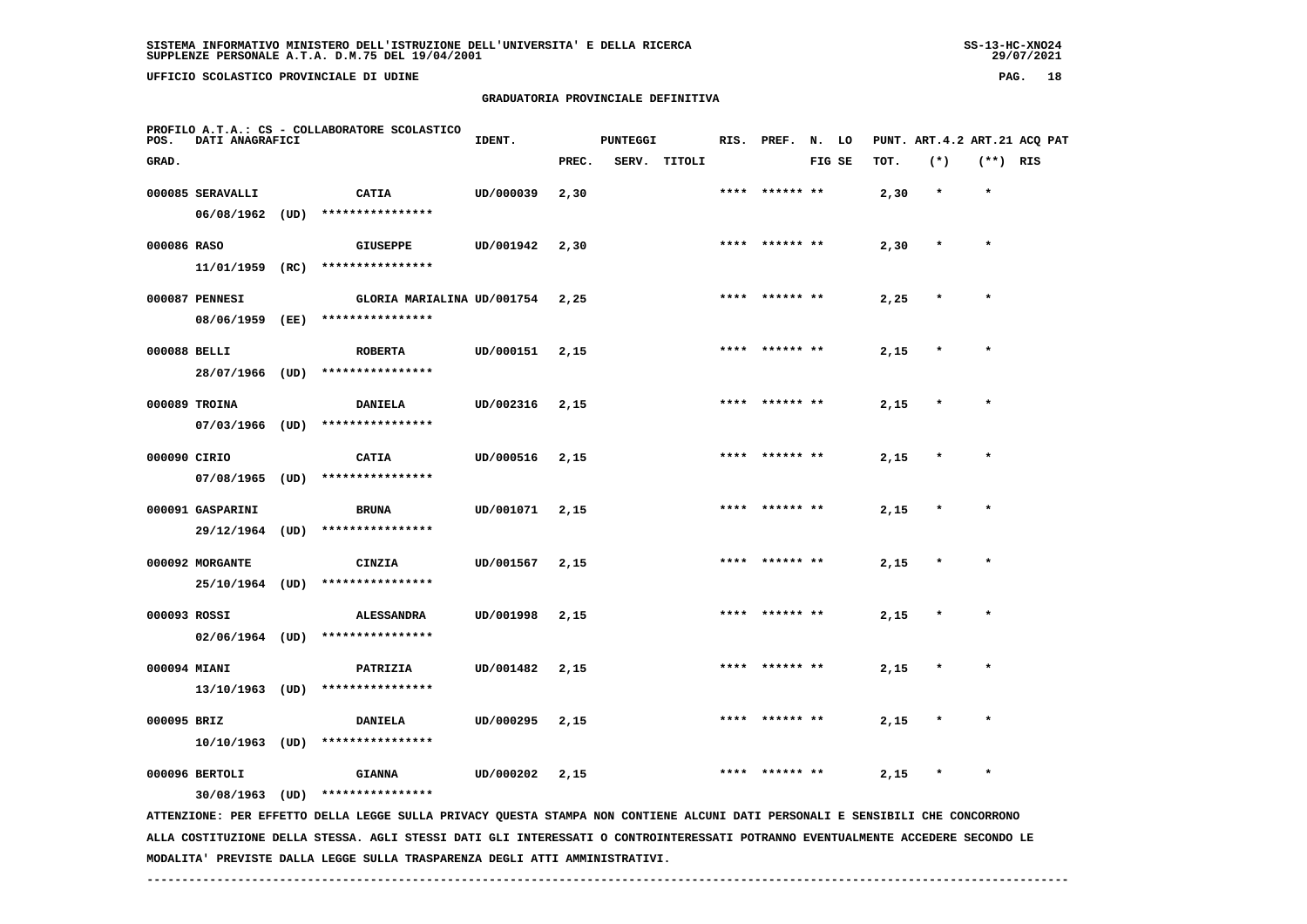**UFFICIO SCOLASTICO PROVINCIALE DI UDINE PAG. 18**

 **PROFILO A.T.A.: CS - COLLABORATORE SCOLASTICO**

#### **GRADUATORIA PROVINCIALE DEFINITIVA**

 **GRAD. PREC. SERV. TITOLI FIG SE TOT. (\*) (\*\*) RIS**

**IDENT.** PUNTEGGI RIS. PREF. N. LO PUNT. ART.4.2 ART.21 ACQ PAT

|              | 000085 SERAVALLI  | <b>CATIA</b>                                                                                                                            | UD/000039 | 2,30 |      | **** ****** **  |                | 2,30 |         |         |
|--------------|-------------------|-----------------------------------------------------------------------------------------------------------------------------------------|-----------|------|------|-----------------|----------------|------|---------|---------|
|              | $06/08/1962$ (UD) | ****************                                                                                                                        |           |      |      |                 |                |      |         |         |
| 000086 RASO  |                   | <b>GIUSEPPE</b>                                                                                                                         | UD/001942 | 2,30 |      |                 | **** ****** ** | 2,30 |         | $\star$ |
|              | $11/01/1959$ (RC) | ****************                                                                                                                        |           |      |      |                 |                |      |         |         |
|              | 000087 PENNESI    | GLORIA MARIALINA UD/001754                                                                                                              |           | 2,25 |      | ****  ****** ** |                | 2,25 |         | $\star$ |
|              | 08/06/1959 (EE)   | ****************                                                                                                                        |           |      |      |                 |                |      |         |         |
| 000088 BELLI |                   | <b>ROBERTA</b>                                                                                                                          | UD/000151 | 2,15 | **** |                 | ****** **      | 2,15 |         |         |
|              | 28/07/1966 (UD)   | ****************                                                                                                                        |           |      |      |                 |                |      |         |         |
|              | 000089 TROINA     |                                                                                                                                         |           |      | **** |                 | ****** **      |      |         | *       |
|              | $07/03/1966$ (UD) | <b>DANIELA</b><br>****************                                                                                                      | UD/002316 | 2,15 |      |                 |                | 2,15 |         |         |
|              |                   |                                                                                                                                         |           |      |      |                 |                |      |         |         |
| 000090 CIRIO |                   | <b>CATIA</b>                                                                                                                            | UD/000516 | 2,15 |      |                 | **** ****** ** | 2,15 | $\star$ | $\star$ |
|              | $07/08/1965$ (UD) | ****************                                                                                                                        |           |      |      |                 |                |      |         |         |
|              | 000091 GASPARINI  | <b>BRUNA</b>                                                                                                                            | UD/001071 | 2,15 |      |                 | **** ****** ** | 2,15 | $\star$ | $\star$ |
|              | 29/12/1964 (UD)   | ****************                                                                                                                        |           |      |      |                 |                |      |         |         |
|              | 000092 MORGANTE   | CINZIA                                                                                                                                  | UD/001567 | 2,15 |      |                 | **** ****** ** | 2,15 |         | $\star$ |
|              | 25/10/1964 (UD)   | ****************                                                                                                                        |           |      |      |                 |                |      |         |         |
| 000093 ROSSI |                   | <b>ALESSANDRA</b>                                                                                                                       | UD/001998 | 2,15 |      |                 | **** ****** ** | 2,15 |         | $\star$ |
|              | $02/06/1964$ (UD) | ****************                                                                                                                        |           |      |      |                 |                |      |         |         |
| 000094 MIANI |                   | PATRIZIA                                                                                                                                | UD/001482 | 2,15 | **** |                 | ****** **      | 2,15 |         | $\star$ |
|              | $13/10/1963$ (UD) | ****************                                                                                                                        |           |      |      |                 |                |      |         |         |
|              |                   |                                                                                                                                         |           |      |      |                 |                |      |         |         |
| 000095 BRIZ  |                   | <b>DANIELA</b><br>****************                                                                                                      | UD/000295 | 2,15 |      |                 |                | 2,15 |         | $\star$ |
|              | $10/10/1963$ (UD) |                                                                                                                                         |           |      |      |                 |                |      |         |         |
|              | 000096 BERTOLI    | <b>GIANNA</b>                                                                                                                           | UD/000202 | 2,15 | **** |                 | *** **         | 2,15 |         | $\star$ |
|              | 30/08/1963 (UD)   | ****************<br>ATTRODUCTONE. DED EESTER A TECHO CUITA DOTUACY OUESEA STANDA NON CONTIENT ALCUNITARE ATOUR CENSIFITY OUE CONCORDONO |           |      |      |                 |                |      |         |         |

 **ATTENZIONE: PER EFFETTO DELLA LEGGE SULLA PRIVACY QUESTA STAMPA NON CONTIENE ALCUNI DATI PERSONALI E SENSIBILI CHE CONCORRONO ALLA COSTITUZIONE DELLA STESSA. AGLI STESSI DATI GLI INTERESSATI O CONTROINTERESSATI POTRANNO EVENTUALMENTE ACCEDERE SECONDO LE MODALITA' PREVISTE DALLA LEGGE SULLA TRASPARENZA DEGLI ATTI AMMINISTRATIVI.**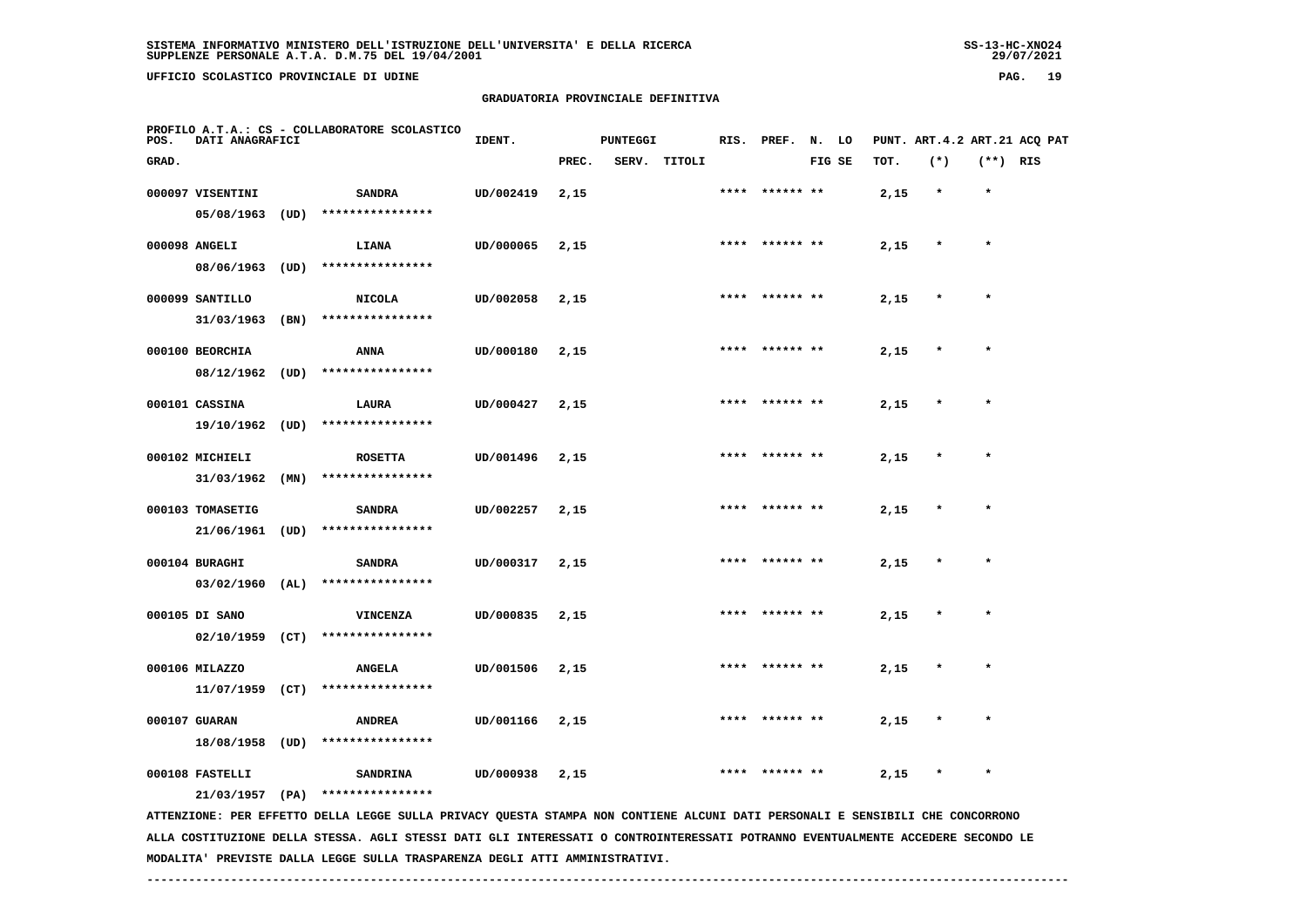29/07/2021

 **UFFICIO SCOLASTICO PROVINCIALE DI UDINE PAG. 19**

 **PROFILO A.T.A.: CS - COLLABORATORE SCOLASTICO**

 **05/08/1963 (UD) \*\*\*\*\*\*\*\*\*\*\*\*\*\*\*\***

#### **GRADUATORIA PROVINCIALE DEFINITIVA**

 **GRAD. PREC. SERV. TITOLI FIG SE TOT. (\*) (\*\*) RIS**

 **000097 VISENTINI SANDRA UD/002419 2,15 \*\*\*\* \*\*\*\*\*\* \*\* 2,15 \* \***

**IDENT.** PUNTEGGI RIS. PREF. N. LO PUNT. ART.4.2 ART.21 ACQ PAT

| 000098 ANGELI<br>08/06/1963    | (UD) | LIANA<br>****************           | UD/000065 | 2,15 | **** | ****** **      | 2,15 | $\star$ | $\star$ |
|--------------------------------|------|-------------------------------------|-----------|------|------|----------------|------|---------|---------|
| 000099 SANTILLO<br>31/03/1963  | (BN) | <b>NICOLA</b><br>****************   | UD/002058 | 2,15 |      | **** ****** ** | 2,15 | $\star$ | $\star$ |
| 000100 BEORCHIA<br>08/12/1962  | (UD) | <b>ANNA</b><br>****************     | UD/000180 | 2,15 | **** | ****** **      | 2,15 | $\star$ | $\star$ |
| 000101 CASSINA<br>19/10/1962   | (UD) | LAURA<br>****************           | UD/000427 | 2,15 | **** | ****** **      | 2,15 | $\star$ | $\star$ |
| 000102 MICHIELI<br>31/03/1962  | (MN) | <b>ROSETTA</b><br>****************  | UD/001496 | 2,15 |      | **** ****** ** | 2,15 | $\star$ | $\star$ |
| 000103 TOMASETIG<br>21/06/1961 | (UD) | <b>SANDRA</b><br>****************   | UD/002257 | 2,15 |      | **** ****** ** | 2,15 | $\star$ | $\star$ |
| 000104 BURAGHI<br>03/02/1960   | (AL) | <b>SANDRA</b><br>****************   | UD/000317 | 2,15 | **** | ****** **      | 2,15 | $\star$ | $\star$ |
| 000105 DI SANO<br>02/10/1959   | (CT) | <b>VINCENZA</b><br>**************** | UD/000835 | 2,15 | **** | ****** **      | 2,15 | $\star$ | $\star$ |

 **000106 MILAZZO ANGELA UD/001506 2,15 \*\*\*\* \*\*\*\*\*\* \*\* 2,15 \* \* 11/07/1959 (CT) \*\*\*\*\*\*\*\*\*\*\*\*\*\*\*\* 000107 GUARAN ANDREA UD/001166 2,15 \*\*\*\* \*\*\*\*\*\* \*\* 2,15 \* \***

 **000108 FASTELLI SANDRINA UD/000938 2,15 \*\*\*\* \*\*\*\*\*\* \*\* 2,15 \* \***

 **21/03/1957 (PA) \*\*\*\*\*\*\*\*\*\*\*\*\*\*\*\***

 **18/08/1958 (UD) \*\*\*\*\*\*\*\*\*\*\*\*\*\*\*\***

 **ATTENZIONE: PER EFFETTO DELLA LEGGE SULLA PRIVACY QUESTA STAMPA NON CONTIENE ALCUNI DATI PERSONALI E SENSIBILI CHE CONCORRONO ALLA COSTITUZIONE DELLA STESSA. AGLI STESSI DATI GLI INTERESSATI O CONTROINTERESSATI POTRANNO EVENTUALMENTE ACCEDERE SECONDO LE MODALITA' PREVISTE DALLA LEGGE SULLA TRASPARENZA DEGLI ATTI AMMINISTRATIVI.**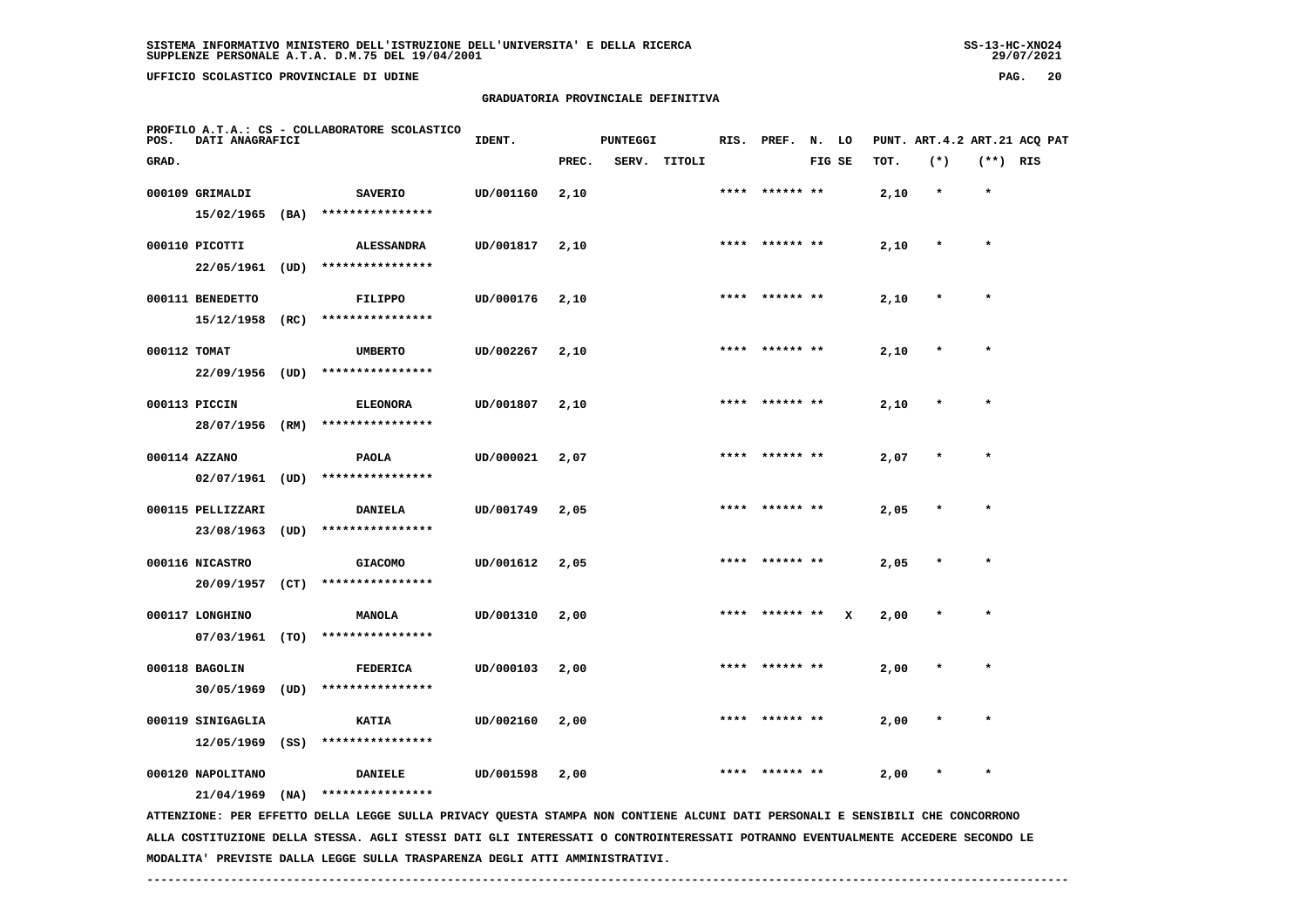**UFFICIO SCOLASTICO PROVINCIALE DI UDINE PAG. 20**

# **GRADUATORIA PROVINCIALE DEFINITIVA**

| POS.         | DATI ANAGRAFICI   |      | PROFILO A.T.A.: CS - COLLABORATORE SCOLASTICO                                                                                 | IDENT.    |       | <b>PUNTEGGI</b> |              |      | RIS. PREF. N. LO |        |   |      | PUNT. ART. 4.2 ART. 21 ACQ PAT |            |  |
|--------------|-------------------|------|-------------------------------------------------------------------------------------------------------------------------------|-----------|-------|-----------------|--------------|------|------------------|--------|---|------|--------------------------------|------------|--|
| GRAD.        |                   |      |                                                                                                                               |           | PREC. |                 | SERV. TITOLI |      |                  | FIG SE |   | TOT. | $(*)$                          | $(**)$ RIS |  |
|              | 000109 GRIMALDI   |      | <b>SAVERIO</b>                                                                                                                | UD/001160 | 2,10  |                 |              |      | ****  ****** **  |        |   | 2,10 | $\star$                        | $\star$    |  |
|              | 15/02/1965        | (BA) | ****************                                                                                                              |           |       |                 |              |      |                  |        |   |      |                                |            |  |
|              | 000110 PICOTTI    |      | <b>ALESSANDRA</b>                                                                                                             | UD/001817 | 2,10  |                 |              |      | **** ****** **   |        |   | 2,10 |                                | $\star$    |  |
|              | 22/05/1961 (UD)   |      | ****************                                                                                                              |           |       |                 |              |      |                  |        |   |      |                                |            |  |
|              | 000111 BENEDETTO  |      | <b>FILIPPO</b>                                                                                                                | UD/000176 | 2,10  |                 |              | **** |                  |        |   | 2,10 | $\star$                        | $\star$    |  |
|              | 15/12/1958        | (RC) | ****************                                                                                                              |           |       |                 |              |      |                  |        |   |      |                                |            |  |
| 000112 TOMAT |                   |      | <b>UMBERTO</b>                                                                                                                | UD/002267 | 2,10  |                 |              |      |                  |        |   | 2,10 |                                |            |  |
|              | 22/09/1956 (UD)   |      | ****************                                                                                                              |           |       |                 |              |      |                  |        |   |      |                                |            |  |
|              | 000113 PICCIN     |      | <b>ELEONORA</b>                                                                                                               | UD/001807 | 2,10  |                 |              |      |                  |        |   | 2,10 |                                |            |  |
|              | 28/07/1956 (RM)   |      | ****************                                                                                                              |           |       |                 |              |      |                  |        |   |      |                                |            |  |
|              | 000114 AZZANO     |      | <b>PAOLA</b>                                                                                                                  | UD/000021 | 2,07  |                 |              |      | **** ****** **   |        |   | 2,07 |                                | $\star$    |  |
|              | $02/07/1961$ (UD) |      | ****************                                                                                                              |           |       |                 |              |      |                  |        |   |      |                                |            |  |
|              | 000115 PELLIZZARI |      | <b>DANIELA</b>                                                                                                                | UD/001749 | 2,05  |                 |              | **** | ****** **        |        |   | 2,05 |                                | $\star$    |  |
|              | 23/08/1963        | (UD) | ****************                                                                                                              |           |       |                 |              |      |                  |        |   |      |                                |            |  |
|              | 000116 NICASTRO   |      | <b>GIACOMO</b>                                                                                                                | UD/001612 | 2,05  |                 |              |      | **** ****** **   |        |   | 2,05 | $\ast$                         | $\star$    |  |
|              | 20/09/1957        | (CT) | ****************                                                                                                              |           |       |                 |              |      |                  |        |   |      |                                |            |  |
|              | 000117 LONGHINO   |      | <b>MANOLA</b>                                                                                                                 | UD/001310 | 2,00  |                 |              |      |                  |        | x | 2,00 |                                |            |  |
|              | 07/03/1961 (TO)   |      | ****************                                                                                                              |           |       |                 |              |      |                  |        |   |      |                                |            |  |
|              | 000118 BAGOLIN    |      | <b>FEDERICA</b>                                                                                                               | UD/000103 | 2,00  |                 |              |      |                  |        |   | 2,00 |                                |            |  |
|              | 30/05/1969 (UD)   |      | ****************                                                                                                              |           |       |                 |              |      |                  |        |   |      |                                |            |  |
|              | 000119 SINIGAGLIA |      | <b>KATIA</b>                                                                                                                  | UD/002160 | 2,00  |                 |              |      | ****  ****** **  |        |   | 2,00 |                                | $\star$    |  |
|              | 12/05/1969        | (SS) | ****************                                                                                                              |           |       |                 |              |      |                  |        |   |      |                                |            |  |
|              | 000120 NAPOLITANO |      | <b>DANIELE</b>                                                                                                                | UD/001598 | 2,00  |                 |              | **** | ****** **        |        |   | 2,00 |                                | $\star$    |  |
|              | 21/04/1969        | (NA) | ****************                                                                                                              |           |       |                 |              |      |                  |        |   |      |                                |            |  |
|              |                   |      | ATTENZIONE: PER EFFETTO DELLA LEGGE SULLA PRIVACY QUESTA STAMPA NON CONTIENE ALCUNI DATI PERSONALI E SENSIBILI CHE CONCORRONO |           |       |                 |              |      |                  |        |   |      |                                |            |  |

 **ALLA COSTITUZIONE DELLA STESSA. AGLI STESSI DATI GLI INTERESSATI O CONTROINTERESSATI POTRANNO EVENTUALMENTE ACCEDERE SECONDO LE MODALITA' PREVISTE DALLA LEGGE SULLA TRASPARENZA DEGLI ATTI AMMINISTRATIVI.**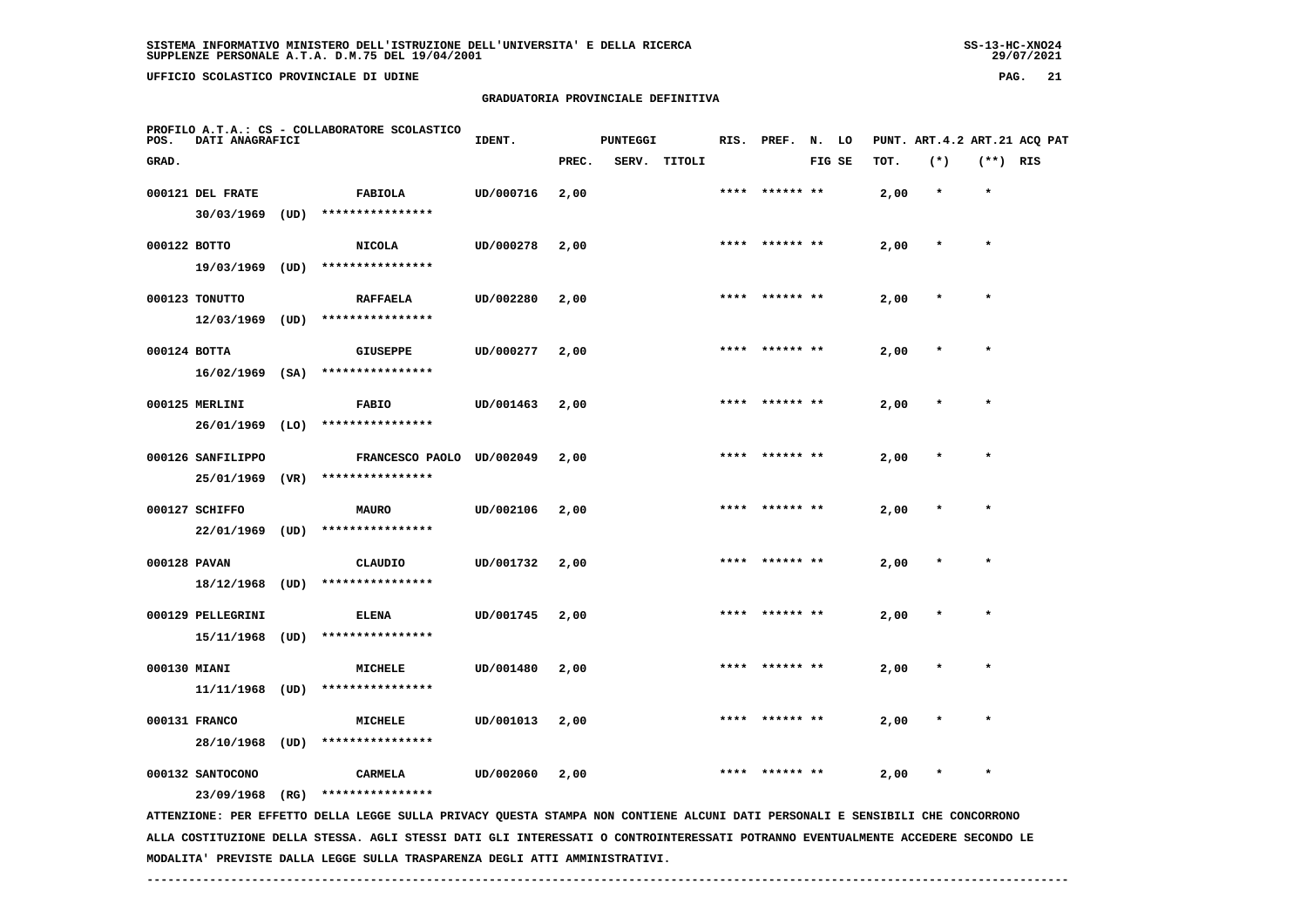**UFFICIO SCOLASTICO PROVINCIALE DI UDINE PAG. 21**

# **GRADUATORIA PROVINCIALE DEFINITIVA**

| POS.         | DATI ANAGRAFICI   |      | PROFILO A.T.A.: CS - COLLABORATORE SCOLASTICO                                                                                 | IDENT.    |       | <b>PUNTEGGI</b> |        |      | RIS. PREF. N. LO |        |      |         |            | PUNT. ART.4.2 ART.21 ACQ PAT |
|--------------|-------------------|------|-------------------------------------------------------------------------------------------------------------------------------|-----------|-------|-----------------|--------|------|------------------|--------|------|---------|------------|------------------------------|
| GRAD.        |                   |      |                                                                                                                               |           | PREC. | SERV.           | TITOLI |      |                  | FIG SE | TOT. | $(*)$   | $(**)$ RIS |                              |
|              | 000121 DEL FRATE  |      | FABIOLA                                                                                                                       | UD/000716 | 2,00  |                 |        | **** | ****** **        |        | 2,00 | $\star$ | $\star$    |                              |
|              | 30/03/1969        | (UD) | ****************                                                                                                              |           |       |                 |        |      |                  |        |      |         |            |                              |
| 000122 BOTTO |                   |      | <b>NICOLA</b>                                                                                                                 | UD/000278 | 2,00  |                 |        |      | **** ****** **   |        | 2,00 | $\ast$  | $\star$    |                              |
|              | 19/03/1969        | (UD) | ****************                                                                                                              |           |       |                 |        |      |                  |        |      |         |            |                              |
|              | 000123 TONUTTO    |      | <b>RAFFAELA</b>                                                                                                               | UD/002280 | 2,00  |                 |        |      | ****  ****** **  |        | 2,00 |         | $\star$    |                              |
|              | 12/03/1969        | (UD) | ****************                                                                                                              |           |       |                 |        |      |                  |        |      |         |            |                              |
| 000124 BOTTA |                   |      | <b>GIUSEPPE</b>                                                                                                               | UD/000277 | 2,00  |                 |        |      |                  |        | 2,00 |         |            |                              |
|              | $16/02/1969$ (SA) |      | ****************                                                                                                              |           |       |                 |        |      |                  |        |      |         |            |                              |
|              | 000125 MERLINI    |      | <b>FABIO</b>                                                                                                                  | UD/001463 | 2,00  |                 |        |      |                  |        | 2,00 |         |            |                              |
|              | 26/01/1969        | (LO) | ****************                                                                                                              |           |       |                 |        |      |                  |        |      |         |            |                              |
|              | 000126 SANFILIPPO |      | FRANCESCO PAOLO UD/002049                                                                                                     |           | 2,00  |                 |        |      | **** ****** **   |        | 2,00 |         | $\star$    |                              |
|              | 25/01/1969        | (VR) | ****************                                                                                                              |           |       |                 |        |      |                  |        |      |         |            |                              |
|              | 000127 SCHIFFO    |      | <b>MAURO</b>                                                                                                                  | UD/002106 | 2,00  |                 |        |      | **** ****** **   |        | 2,00 |         | $\star$    |                              |
|              | 22/01/1969 (UD)   |      | ****************                                                                                                              |           |       |                 |        |      |                  |        |      |         |            |                              |
| 000128 PAVAN |                   |      | CLAUDIO                                                                                                                       | UD/001732 | 2,00  |                 |        | **** | ****** **        |        | 2,00 |         |            |                              |
|              | 18/12/1968 (UD)   |      | ****************                                                                                                              |           |       |                 |        |      |                  |        |      |         |            |                              |
|              | 000129 PELLEGRINI |      | <b>ELENA</b>                                                                                                                  | UD/001745 | 2,00  |                 |        | **** | ****** **        |        | 2,00 |         | $\star$    |                              |
|              | 15/11/1968        | (UD) | ****************                                                                                                              |           |       |                 |        |      |                  |        |      |         |            |                              |
| 000130 MIANI |                   |      | MICHELE                                                                                                                       | UD/001480 | 2,00  |                 |        |      | ****** **        |        | 2,00 |         |            |                              |
|              | 11/11/1968        | (UD) | ****************                                                                                                              |           |       |                 |        |      |                  |        |      |         |            |                              |
|              | 000131 FRANCO     |      | <b>MICHELE</b>                                                                                                                | UD/001013 | 2,00  |                 |        |      |                  |        | 2,00 |         |            |                              |
|              | 28/10/1968        | (UD) | ****************                                                                                                              |           |       |                 |        |      |                  |        |      |         |            |                              |
|              | 000132 SANTOCONO  |      | CARMELA                                                                                                                       | UD/002060 | 2,00  |                 |        |      |                  |        | 2,00 | $\ast$  | $\star$    |                              |
|              | 23/09/1968        | (RG) | ****************                                                                                                              |           |       |                 |        |      |                  |        |      |         |            |                              |
|              |                   |      | ATTENZIONE: PER EFFETTO DELLA LEGGE SULLA PRIVACY QUESTA STAMPA NON CONTIENE ALCUNI DATI PERSONALI E SENSIBILI CHE CONCORRONO |           |       |                 |        |      |                  |        |      |         |            |                              |

 **ALLA COSTITUZIONE DELLA STESSA. AGLI STESSI DATI GLI INTERESSATI O CONTROINTERESSATI POTRANNO EVENTUALMENTE ACCEDERE SECONDO LE MODALITA' PREVISTE DALLA LEGGE SULLA TRASPARENZA DEGLI ATTI AMMINISTRATIVI.**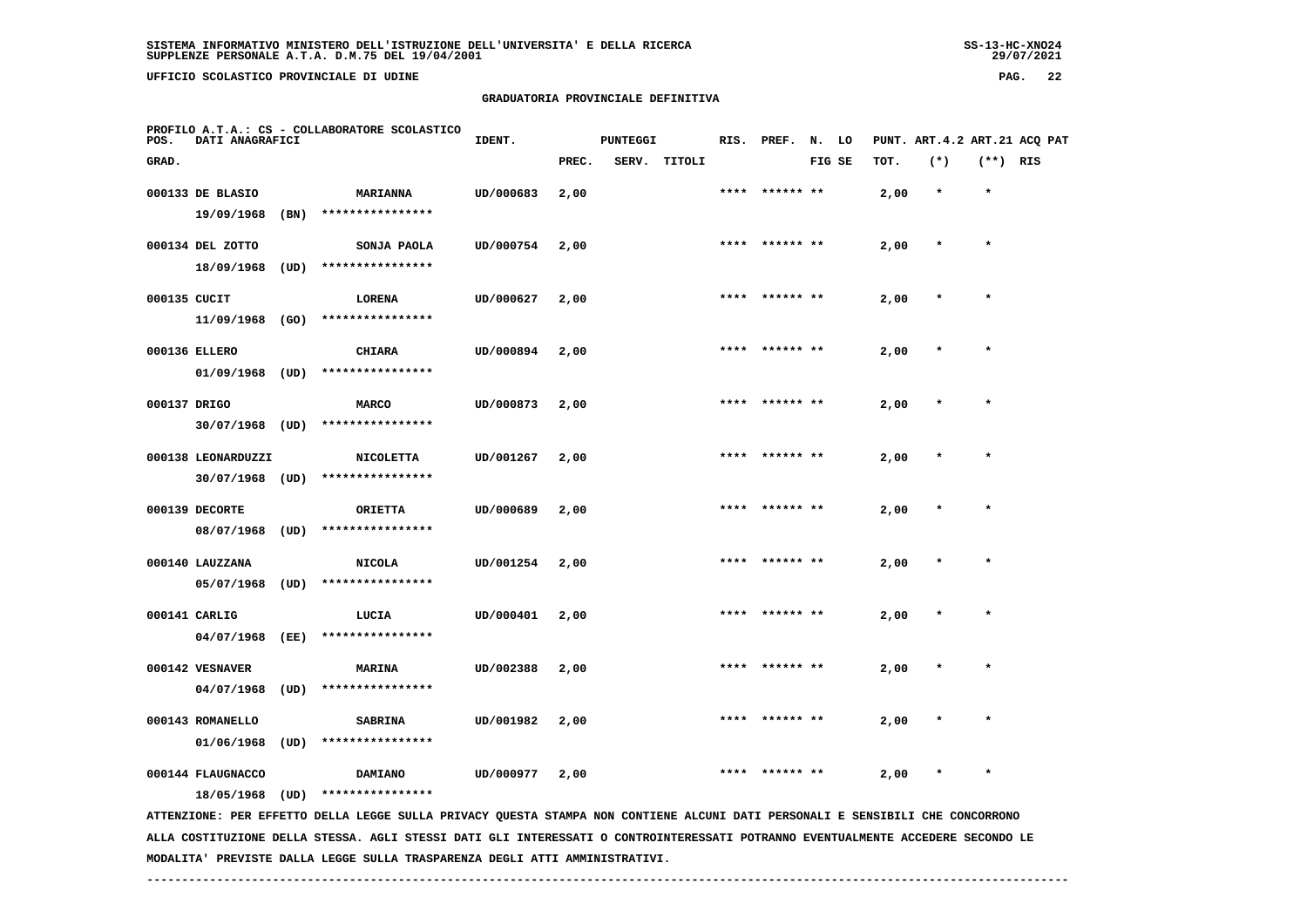**UFFICIO SCOLASTICO PROVINCIALE DI UDINE PAG. 22**

# **GRADUATORIA PROVINCIALE DEFINITIVA**

| POS.  | DATI ANAGRAFICI                         |      | PROFILO A.T.A.: CS - COLLABORATORE SCOLASTICO                                                                                                                                                                                                                    | IDENT.    |       | <b>PUNTEGGI</b> |              | RIS. | PREF.          | N. LO  |      |         |            | PUNT. ART. 4.2 ART. 21 ACO PAT |
|-------|-----------------------------------------|------|------------------------------------------------------------------------------------------------------------------------------------------------------------------------------------------------------------------------------------------------------------------|-----------|-------|-----------------|--------------|------|----------------|--------|------|---------|------------|--------------------------------|
| GRAD. |                                         |      |                                                                                                                                                                                                                                                                  |           | PREC. |                 | SERV. TITOLI |      |                | FIG SE | TOT. | $(*)$   | $(**)$ RIS |                                |
|       | 000133 DE BLASIO<br>19/09/1968          | (BN) | <b>MARIANNA</b><br>****************                                                                                                                                                                                                                              | UD/000683 | 2,00  |                 |              |      | **** ****** ** |        | 2,00 | $\star$ | $\star$    |                                |
|       | 000134 DEL ZOTTO                        |      | SONJA PAOLA                                                                                                                                                                                                                                                      | UD/000754 | 2,00  |                 |              |      | **** ****** ** |        | 2,00 | $\star$ | $\star$    |                                |
|       | 18/09/1968                              | (UD) | ****************                                                                                                                                                                                                                                                 |           |       |                 |              |      |                |        |      |         |            |                                |
|       | 000135 CUCIT<br>11/09/1968 (GO)         |      | <b>LORENA</b><br>****************                                                                                                                                                                                                                                | UD/000627 | 2,00  |                 |              |      |                |        | 2,00 |         |            |                                |
|       | 000136 ELLERO                           |      | <b>CHIARA</b>                                                                                                                                                                                                                                                    | UD/000894 | 2,00  |                 |              |      |                |        | 2,00 |         |            |                                |
|       | $01/09/1968$ (UD)<br>000137 DRIGO       |      | ****************<br><b>MARCO</b>                                                                                                                                                                                                                                 | UD/000873 | 2,00  |                 |              | **** | ****** **      |        | 2,00 |         |            |                                |
|       | 30/07/1968 (UD)                         |      | ****************                                                                                                                                                                                                                                                 |           |       |                 |              |      |                |        |      |         |            |                                |
|       | 000138 LEONARDUZZI<br>$30/07/1968$ (UD) |      | <b>NICOLETTA</b><br>****************                                                                                                                                                                                                                             | UD/001267 | 2,00  |                 |              | **** |                |        | 2,00 |         | $\star$    |                                |
|       | 000139 DECORTE                          |      | <b>ORIETTA</b>                                                                                                                                                                                                                                                   | UD/000689 | 2,00  |                 |              |      |                |        | 2,00 |         |            |                                |
|       | 08/07/1968<br>000140 LAUZZANA           | (UD) | ****************<br><b>NICOLA</b>                                                                                                                                                                                                                                | UD/001254 | 2,00  |                 |              |      |                |        | 2,00 |         |            |                                |
|       | 05/07/1968                              | (UD) | ****************                                                                                                                                                                                                                                                 |           |       |                 |              |      |                |        |      |         |            |                                |
|       | 000141 CARLIG<br>04/07/1968             | (EE) | LUCIA<br>****************                                                                                                                                                                                                                                        | UD/000401 | 2,00  |                 |              |      | ****** **      |        | 2,00 |         |            |                                |
|       | 000142 VESNAVER                         |      | <b>MARINA</b>                                                                                                                                                                                                                                                    | UD/002388 | 2,00  |                 |              | **** | ****** **      |        | 2,00 |         | $\star$    |                                |
|       | 04/07/1968<br>000143 ROMANELLO          | (UD) | ****************<br><b>SABRINA</b>                                                                                                                                                                                                                               | UD/001982 | 2,00  |                 |              |      |                |        | 2,00 |         |            |                                |
|       | 01/06/1968                              | (UD) | ****************                                                                                                                                                                                                                                                 |           |       |                 |              |      |                |        |      |         |            |                                |
|       | 000144 FLAUGNACCO                       |      | DAMIANO                                                                                                                                                                                                                                                          | UD/000977 | 2,00  |                 |              |      |                |        | 2,00 |         | $\star$    |                                |
|       | 18/05/1968                              | (UD) | ****************                                                                                                                                                                                                                                                 |           |       |                 |              |      |                |        |      |         |            |                                |
|       |                                         |      | ATTENZIONE: PER EFFETTO DELLA LEGGE SULLA PRIVACY QUESTA STAMPA NON CONTIENE ALCUNI DATI PERSONALI E SENSIBILI CHE CONCORRONO<br>ALLA COSTITUZIONE DELLA STESSA. AGLI STESSI DATI GLI INTERESSATI O CONTROINTERESSATI POTRANNO EVENTUALMENTE ACCEDERE SECONDO LE |           |       |                 |              |      |                |        |      |         |            |                                |

 **MODALITA' PREVISTE DALLA LEGGE SULLA TRASPARENZA DEGLI ATTI AMMINISTRATIVI.**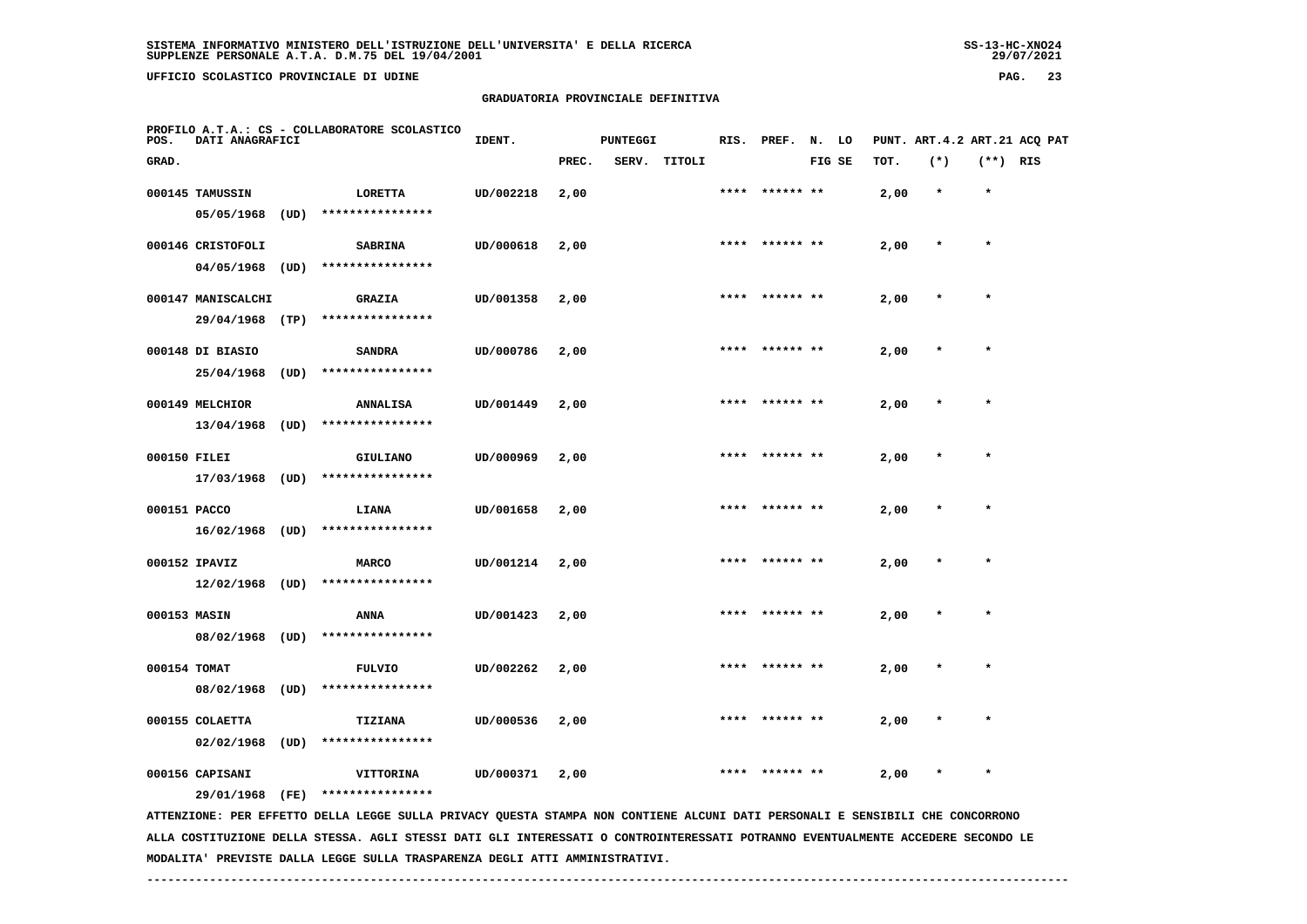**UFFICIO SCOLASTICO PROVINCIALE DI UDINE PAG. 23**

# **GRADUATORIA PROVINCIALE DEFINITIVA**

| POS.         | DATI ANAGRAFICI    |      | PROFILO A.T.A.: CS - COLLABORATORE SCOLASTICO                                                                                   | IDENT.    |       | <b>PUNTEGGI</b> |              | RIS. | PREF.          | N. LO  |      |         |            | PUNT. ART.4.2 ART.21 ACQ PAT |
|--------------|--------------------|------|---------------------------------------------------------------------------------------------------------------------------------|-----------|-------|-----------------|--------------|------|----------------|--------|------|---------|------------|------------------------------|
| GRAD.        |                    |      |                                                                                                                                 |           | PREC. |                 | SERV. TITOLI |      |                | FIG SE | TOT. | $(*)$   | $(**)$ RIS |                              |
|              | 000145 TAMUSSIN    |      | <b>LORETTA</b>                                                                                                                  | UD/002218 | 2,00  |                 |              |      | **** ****** ** |        | 2,00 | $\star$ | $\star$    |                              |
|              | 05/05/1968         | (UD) | ****************                                                                                                                |           |       |                 |              |      |                |        |      |         |            |                              |
|              | 000146 CRISTOFOLI  |      | <b>SABRINA</b>                                                                                                                  | UD/000618 | 2,00  |                 |              |      | **** ****** ** |        | 2,00 | $\star$ | $\star$    |                              |
|              | 04/05/1968         | (UD) | ****************                                                                                                                |           |       |                 |              |      |                |        |      |         |            |                              |
|              | 000147 MANISCALCHI |      | <b>GRAZIA</b>                                                                                                                   | UD/001358 | 2,00  |                 |              |      |                |        | 2,00 |         |            |                              |
|              | 29/04/1968         | (TP) | ****************                                                                                                                |           |       |                 |              |      |                |        |      |         |            |                              |
|              | 000148 DI BIASIO   |      | <b>SANDRA</b>                                                                                                                   | UD/000786 | 2,00  |                 |              |      |                |        | 2,00 |         |            |                              |
|              | 25/04/1968         | (UD) | ****************                                                                                                                |           |       |                 |              |      |                |        |      |         |            |                              |
|              | 000149 MELCHIOR    |      | <b>ANNALISA</b>                                                                                                                 | UD/001449 | 2,00  |                 |              | **** | ****** **      |        | 2,00 |         | $\star$    |                              |
|              | 13/04/1968         | (UD) | ****************                                                                                                                |           |       |                 |              |      |                |        |      |         |            |                              |
| 000150 FILEI |                    |      | GIULIANO                                                                                                                        | UD/000969 | 2,00  |                 |              | **** |                |        | 2,00 |         | $\star$    |                              |
|              | 17/03/1968 (UD)    |      | ****************                                                                                                                |           |       |                 |              |      |                |        |      |         |            |                              |
| 000151 PACCO |                    |      | LIANA                                                                                                                           | UD/001658 | 2,00  |                 |              |      |                |        | 2,00 |         |            |                              |
|              | $16/02/1968$ (UD)  |      | ****************                                                                                                                |           |       |                 |              |      |                |        |      |         |            |                              |
|              | 000152 IPAVIZ      |      | <b>MARCO</b>                                                                                                                    | UD/001214 | 2,00  |                 |              |      |                |        | 2,00 |         |            |                              |
|              | $12/02/1968$ (UD)  |      | ****************                                                                                                                |           |       |                 |              |      |                |        |      |         |            |                              |
| 000153 MASIN |                    |      | ANNA                                                                                                                            | UD/001423 | 2,00  |                 |              |      | ****** **      |        | 2,00 |         |            |                              |
|              | 08/02/1968         | (UD) | ****************                                                                                                                |           |       |                 |              |      |                |        |      |         |            |                              |
| 000154 TOMAT |                    |      | <b>FULVIO</b>                                                                                                                   | UD/002262 | 2,00  |                 |              | **** | ****** **      |        | 2,00 |         | $\star$    |                              |
|              | 08/02/1968         | (UD) | ****************                                                                                                                |           |       |                 |              |      |                |        |      |         |            |                              |
|              | 000155 COLAETTA    |      | TIZIANA                                                                                                                         | UD/000536 | 2,00  |                 |              |      |                |        | 2,00 |         |            |                              |
|              | 02/02/1968         | (UD) | ****************                                                                                                                |           |       |                 |              |      |                |        |      |         |            |                              |
|              | 000156 CAPISANI    |      | VITTORINA                                                                                                                       | UD/000371 | 2,00  |                 |              |      |                |        | 2,00 |         | $\star$    |                              |
|              | 29/01/1968         | (FE) | ****************                                                                                                                |           |       |                 |              |      |                |        |      |         |            |                              |
|              |                    |      | ATTENZIONE: PER EFFETTO DELLA LEGGE SULLA PRIVACY QUESTA STAMPA NON CONTIENE ALCUNI DATI PERSONALI E SENSIBILI CHE CONCORRONO   |           |       |                 |              |      |                |        |      |         |            |                              |
|              |                    |      | ALLA COSTITUZIONE DELLA STESSA. AGLI STESSI DATI GLI INTERESSATI O CONTROINTERESSATI POTRANNO EVENTUALMENTE ACCEDERE SECONDO LE |           |       |                 |              |      |                |        |      |         |            |                              |

 **MODALITA' PREVISTE DALLA LEGGE SULLA TRASPARENZA DEGLI ATTI AMMINISTRATIVI.**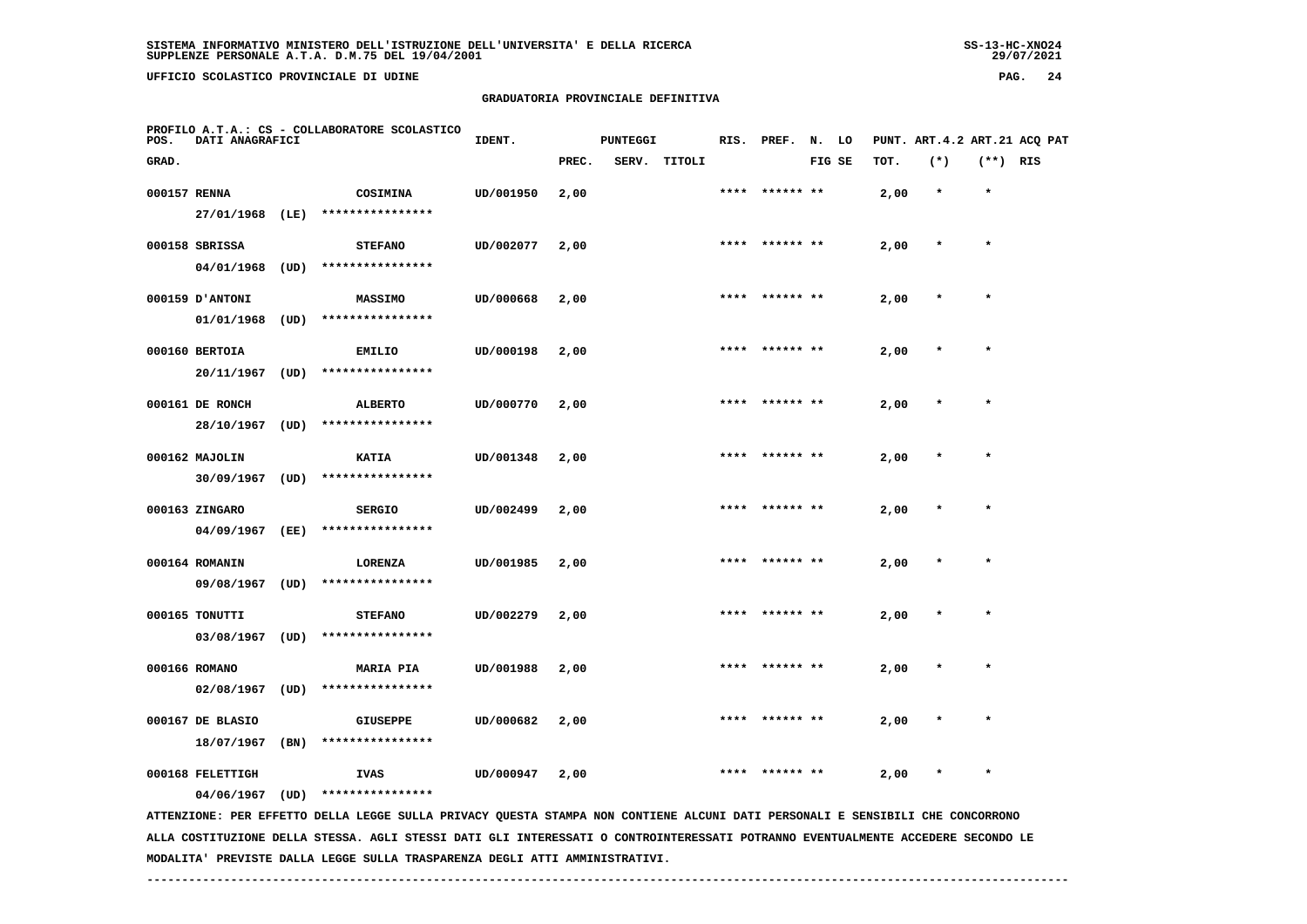**UFFICIO SCOLASTICO PROVINCIALE DI UDINE PAG. 24**

#### **GRADUATORIA PROVINCIALE DEFINITIVA**

| POS.  | DATI ANAGRAFICI  |      | PROFILO A.T.A.: CS - COLLABORATORE SCOLASTICO                                                                                   | IDENT.    |       | <b>PUNTEGGI</b> |        | RIS. | PREF.     | N.     | LO |      |         |            | PUNT. ART. 4.2 ART. 21 ACQ PAT |
|-------|------------------|------|---------------------------------------------------------------------------------------------------------------------------------|-----------|-------|-----------------|--------|------|-----------|--------|----|------|---------|------------|--------------------------------|
| GRAD. |                  |      |                                                                                                                                 |           | PREC. | SERV.           | TITOLI |      |           | FIG SE |    | TOT. | $(*)$   | $(**)$ RIS |                                |
|       | 000157 RENNA     |      | COSIMINA                                                                                                                        | UD/001950 | 2,00  |                 |        | **** | ****** ** |        |    | 2,00 | $\star$ | $\star$    |                                |
|       | 27/01/1968       | (LE) | ****************                                                                                                                |           |       |                 |        |      |           |        |    |      |         |            |                                |
|       | 000158 SBRISSA   |      | <b>STEFANO</b>                                                                                                                  | UD/002077 | 2,00  |                 |        |      |           |        |    | 2,00 |         | $\star$    |                                |
|       | 04/01/1968       | (UD) | ****************                                                                                                                |           |       |                 |        |      |           |        |    |      |         |            |                                |
|       | 000159 D'ANTONI  |      | MASSIMO                                                                                                                         | UD/000668 | 2,00  |                 |        |      |           |        |    | 2,00 |         |            |                                |
|       | 01/01/1968       | (UD) | ****************                                                                                                                |           |       |                 |        |      |           |        |    |      |         |            |                                |
|       | 000160 BERTOIA   |      | <b>EMILIO</b>                                                                                                                   | UD/000198 | 2,00  |                 |        |      | ****** ** |        |    | 2,00 |         | $\star$    |                                |
|       | 20/11/1967       | (UD) | ****************                                                                                                                |           |       |                 |        |      |           |        |    |      |         |            |                                |
|       | 000161 DE RONCH  |      | <b>ALBERTO</b>                                                                                                                  | UD/000770 | 2,00  |                 |        |      | ****** ** |        |    | 2,00 |         |            |                                |
|       | 28/10/1967       | (UD) | ****************                                                                                                                |           |       |                 |        |      |           |        |    |      |         |            |                                |
|       | 000162 MAJOLIN   |      | <b>KATIA</b>                                                                                                                    | UD/001348 | 2,00  |                 |        |      |           |        |    | 2,00 |         | $\star$    |                                |
|       | 30/09/1967       | (UD) | ****************                                                                                                                |           |       |                 |        |      |           |        |    |      |         |            |                                |
|       | 000163 ZINGARO   |      | <b>SERGIO</b>                                                                                                                   | UD/002499 | 2,00  |                 |        |      |           |        |    | 2,00 |         |            |                                |
|       | 04/09/1967       | (EE) | ****************                                                                                                                |           |       |                 |        |      |           |        |    |      |         |            |                                |
|       | 000164 ROMANIN   |      | LORENZA                                                                                                                         | UD/001985 | 2,00  |                 |        |      |           |        |    | 2,00 |         | $\star$    |                                |
|       | 09/08/1967       | (UD) | ****************                                                                                                                |           |       |                 |        |      |           |        |    |      |         |            |                                |
|       | 000165 TONUTTI   |      | <b>STEFANO</b>                                                                                                                  | UD/002279 | 2,00  |                 |        |      | ****** ** |        |    | 2,00 |         |            |                                |
|       | 03/08/1967       | (UD) | ****************                                                                                                                |           |       |                 |        |      |           |        |    |      |         |            |                                |
|       | 000166 ROMANO    |      | <b>MARIA PIA</b>                                                                                                                | UD/001988 | 2,00  |                 |        | **** | ****** ** |        |    | 2,00 |         | $\star$    |                                |
|       | 02/08/1967       | (UD) | ****************                                                                                                                |           |       |                 |        |      |           |        |    |      |         |            |                                |
|       | 000167 DE BLASIO |      | <b>GIUSEPPE</b>                                                                                                                 | UD/000682 | 2,00  |                 |        |      |           |        |    | 2,00 |         |            |                                |
|       | 18/07/1967       | (BN) | ****************                                                                                                                |           |       |                 |        |      |           |        |    |      |         |            |                                |
|       | 000168 FELETTIGH |      | <b>IVAS</b>                                                                                                                     | UD/000947 | 2,00  |                 |        |      |           |        |    | 2,00 |         |            |                                |
|       | 04/06/1967       | (UD) | ****************                                                                                                                |           |       |                 |        |      |           |        |    |      |         |            |                                |
|       |                  |      | ATTENZIONE: PER EFFETTO DELLA LEGGE SULLA PRIVACY QUESTA STAMPA NON CONTIENE ALCUNI DATI PERSONALI E SENSIBILI CHE CONCORRONO   |           |       |                 |        |      |           |        |    |      |         |            |                                |
|       |                  |      | ALLA COSTITUZIONE DELLA STESSA. AGLI STESSI DATI GLI INTERESSATI O CONTROINTERESSATI POTRANNO EVENTUALMENTE ACCEDERE SECONDO LE |           |       |                 |        |      |           |        |    |      |         |            |                                |

 **MODALITA' PREVISTE DALLA LEGGE SULLA TRASPARENZA DEGLI ATTI AMMINISTRATIVI.**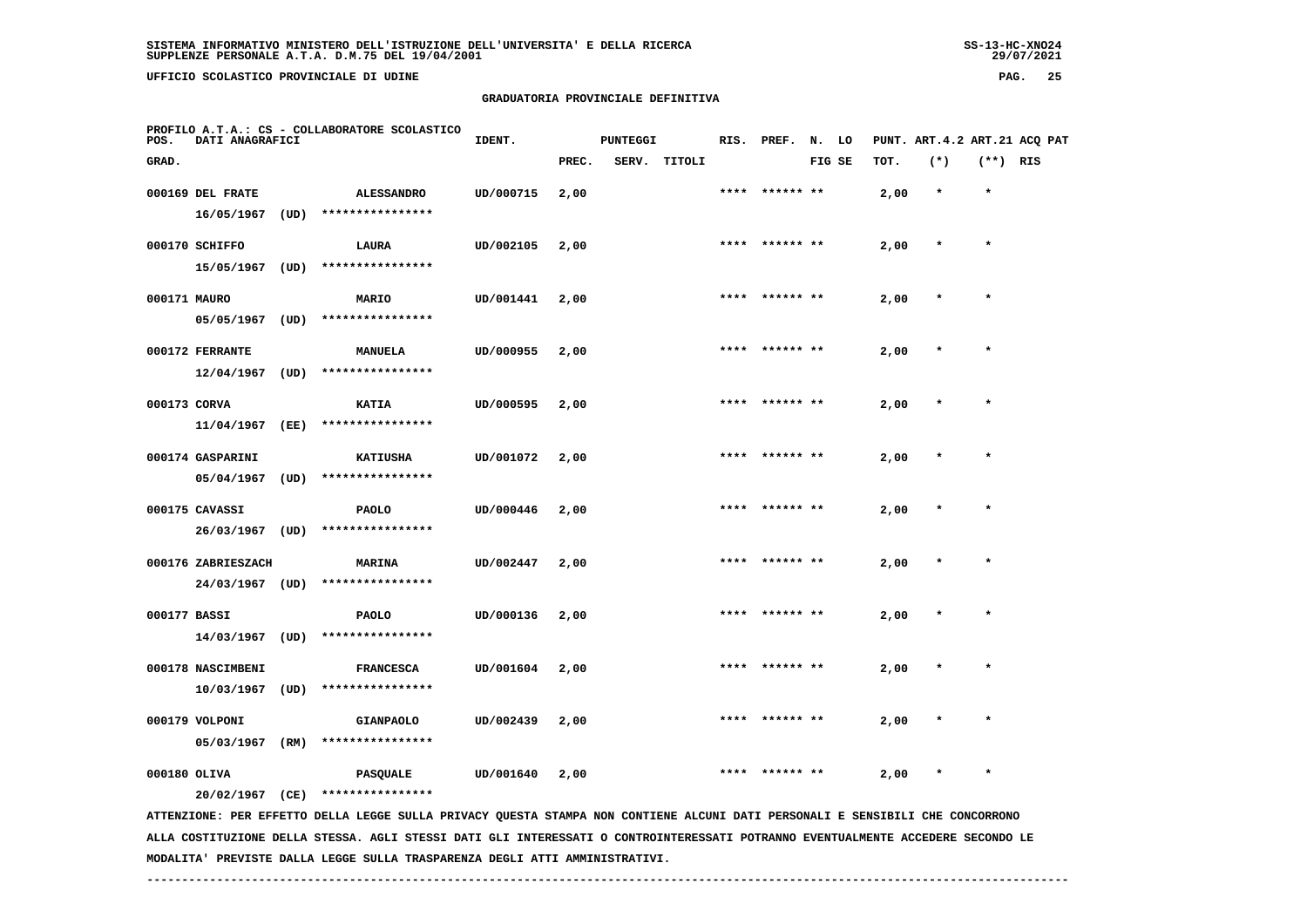**UFFICIO SCOLASTICO PROVINCIALE DI UDINE PAG. 25**

# **GRADUATORIA PROVINCIALE DEFINITIVA**

| POS.         | DATI ANAGRAFICI    |      | PROFILO A.T.A.: CS - COLLABORATORE SCOLASTICO                                                                                 | IDENT.    |       | <b>PUNTEGGI</b> |        | RIS. | PREF.          | N. LO  |      |         |            | PUNT. ART.4.2 ART.21 ACQ PAT |
|--------------|--------------------|------|-------------------------------------------------------------------------------------------------------------------------------|-----------|-------|-----------------|--------|------|----------------|--------|------|---------|------------|------------------------------|
| GRAD.        |                    |      |                                                                                                                               |           | PREC. | SERV.           | TITOLI |      |                | FIG SE | TOT. | $(*)$   | $(**)$ RIS |                              |
|              | 000169 DEL FRATE   |      | <b>ALESSANDRO</b>                                                                                                             | UD/000715 | 2,00  |                 |        |      |                |        | 2,00 | $\star$ | $\star$    |                              |
|              | 16/05/1967         | (UD) | ****************                                                                                                              |           |       |                 |        |      |                |        |      |         |            |                              |
|              | 000170 SCHIFFO     |      | LAURA                                                                                                                         | UD/002105 | 2,00  |                 |        |      | **** ****** ** |        | 2,00 | $\star$ | $\star$    |                              |
|              | 15/05/1967         | (UD) | ****************                                                                                                              |           |       |                 |        |      |                |        |      |         |            |                              |
| 000171 MAURO |                    |      | MARIO                                                                                                                         | UD/001441 | 2,00  |                 |        | **** | ****** **      |        | 2,00 |         | $\star$    |                              |
|              | 05/05/1967         | (UD) | ****************                                                                                                              |           |       |                 |        |      |                |        |      |         |            |                              |
|              | 000172 FERRANTE    |      | MANUELA                                                                                                                       | UD/000955 | 2,00  |                 |        |      |                |        | 2,00 |         |            |                              |
|              | 12/04/1967         | (UD) | ****************                                                                                                              |           |       |                 |        |      |                |        |      |         |            |                              |
| 000173 CORVA |                    |      | <b>KATIA</b>                                                                                                                  | UD/000595 | 2,00  |                 |        |      |                |        | 2,00 |         | $\star$    |                              |
|              | 11/04/1967         | (EE) | ****************                                                                                                              |           |       |                 |        |      |                |        |      |         |            |                              |
|              | 000174 GASPARINI   |      | <b>KATIUSHA</b>                                                                                                               | UD/001072 | 2,00  |                 |        | **** | ****** **      |        | 2,00 |         |            |                              |
|              | 05/04/1967         | (UD) | ****************                                                                                                              |           |       |                 |        |      |                |        |      |         |            |                              |
|              | 000175 CAVASSI     |      | <b>PAOLO</b>                                                                                                                  | UD/000446 | 2,00  |                 |        |      | **** ****** ** |        | 2,00 |         | $\star$    |                              |
|              | 26/03/1967         | (UD) | ****************                                                                                                              |           |       |                 |        |      |                |        |      |         |            |                              |
|              | 000176 ZABRIESZACH |      | <b>MARINA</b>                                                                                                                 | UD/002447 | 2,00  |                 |        | **** | ****** **      |        | 2,00 |         | $\star$    |                              |
|              | 24/03/1967         | (UD) | ****************                                                                                                              |           |       |                 |        |      |                |        |      |         |            |                              |
| 000177 BASSI |                    |      | <b>PAOLO</b>                                                                                                                  | UD/000136 | 2,00  |                 |        |      |                |        | 2,00 |         |            |                              |
|              | 14/03/1967         | (UD) | ****************                                                                                                              |           |       |                 |        |      |                |        |      |         |            |                              |
|              | 000178 NASCIMBENI  |      | <b>FRANCESCA</b>                                                                                                              | UD/001604 | 2,00  |                 |        |      |                |        | 2,00 |         | $\star$    |                              |
|              | 10/03/1967         | (UD) | ****************                                                                                                              |           |       |                 |        |      |                |        |      |         |            |                              |
|              | 000179 VOLPONI     |      | <b>GIANPAOLO</b>                                                                                                              | UD/002439 | 2,00  |                 |        |      | ****** **      |        | 2,00 |         |            |                              |
|              | 05/03/1967         | (RM) | ****************                                                                                                              |           |       |                 |        |      |                |        |      |         |            |                              |
| 000180 OLIVA |                    |      | <b>PASQUALE</b>                                                                                                               | UD/001640 | 2,00  |                 |        |      |                |        | 2,00 |         | $\star$    |                              |
|              | 20/02/1967 (CE)    |      | ****************                                                                                                              |           |       |                 |        |      |                |        |      |         |            |                              |
|              |                    |      | ATTENZIONE: PER EFFETTO DELLA LEGGE SULLA PRIVACY QUESTA STAMPA NON CONTIENE ALCUNI DATI PERSONALI E SENSIBILI CHE CONCORRONO |           |       |                 |        |      |                |        |      |         |            |                              |

 **ALLA COSTITUZIONE DELLA STESSA. AGLI STESSI DATI GLI INTERESSATI O CONTROINTERESSATI POTRANNO EVENTUALMENTE ACCEDERE SECONDO LE MODALITA' PREVISTE DALLA LEGGE SULLA TRASPARENZA DEGLI ATTI AMMINISTRATIVI.**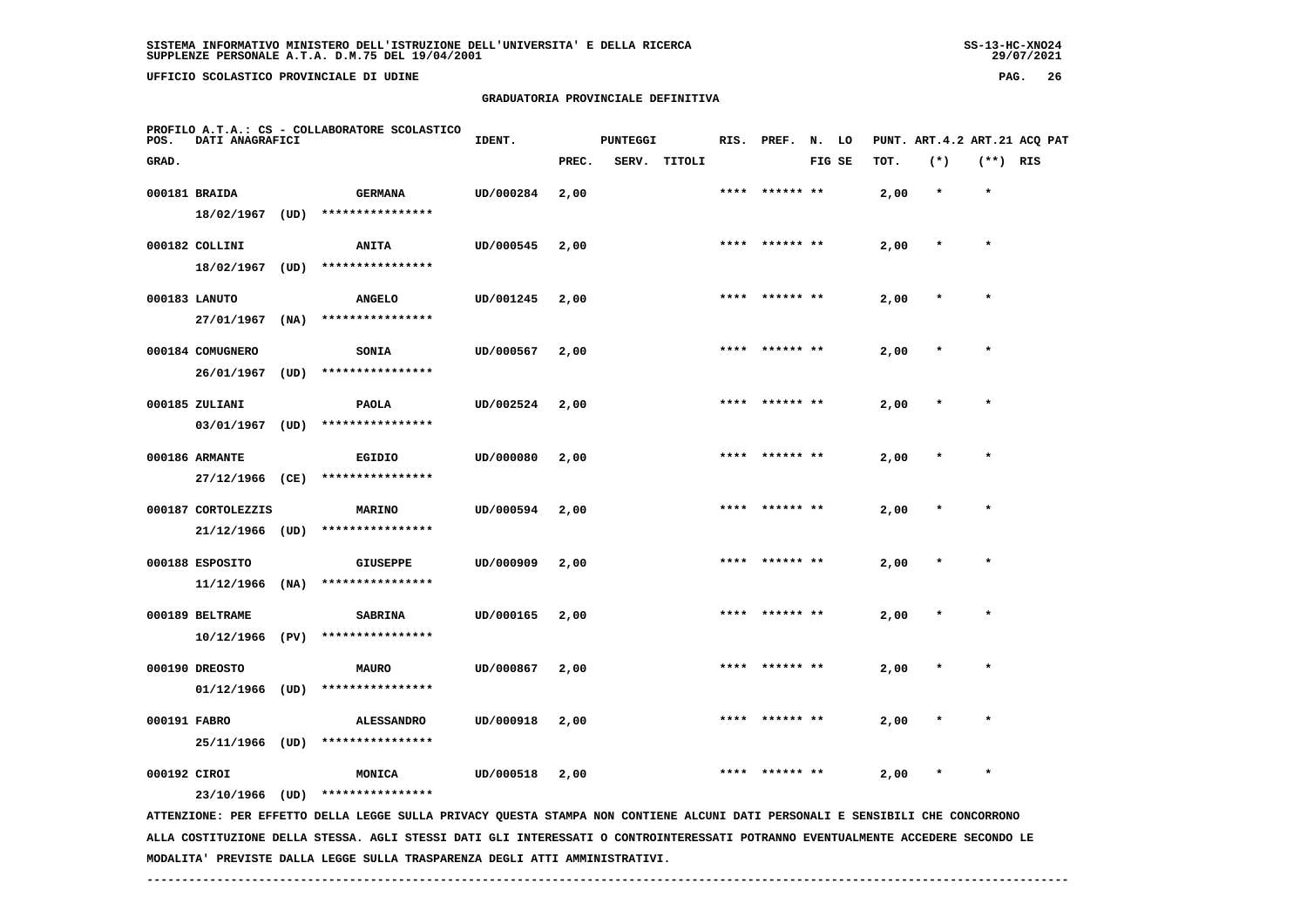**UFFICIO SCOLASTICO PROVINCIALE DI UDINE PAG. 26**

# **GRADUATORIA PROVINCIALE DEFINITIVA**

| POS.         | DATI ANAGRAFICI             |      | PROFILO A.T.A.: CS - COLLABORATORE SCOLASTICO                                                                                 | IDENT.    |       | <b>PUNTEGGI</b> |              |      | RIS. PREF.     | N. LO  |      | PUNT. ART. 4.2 ART. 21 ACQ PAT |            |  |
|--------------|-----------------------------|------|-------------------------------------------------------------------------------------------------------------------------------|-----------|-------|-----------------|--------------|------|----------------|--------|------|--------------------------------|------------|--|
| GRAD.        |                             |      |                                                                                                                               |           | PREC. |                 | SERV. TITOLI |      |                | FIG SE | TOT. | $(*)$                          | $(**)$ RIS |  |
|              | 000181 BRAIDA               |      | <b>GERMANA</b>                                                                                                                | UD/000284 | 2,00  |                 |              |      | **** ****** ** |        | 2,00 | $\star$                        | $\star$    |  |
|              | 18/02/1967                  | (UD) | ****************                                                                                                              |           |       |                 |              |      |                |        |      |                                |            |  |
|              | 000182 COLLINI              |      | <b>ANITA</b>                                                                                                                  | UD/000545 | 2,00  |                 |              |      | **** ****** ** |        | 2,00 |                                | $\star$    |  |
|              | 18/02/1967                  | (UD) | ****************                                                                                                              |           |       |                 |              |      |                |        |      |                                |            |  |
|              |                             |      |                                                                                                                               |           |       |                 |              |      |                |        |      |                                | $\star$    |  |
|              | 000183 LANUTO<br>27/01/1967 | (NA) | <b>ANGELO</b><br>****************                                                                                             | UD/001245 | 2,00  |                 |              |      |                |        | 2,00 |                                |            |  |
|              |                             |      |                                                                                                                               |           |       |                 |              |      |                |        |      |                                |            |  |
|              | 000184 COMUGNERO            |      | <b>SONIA</b>                                                                                                                  | UD/000567 | 2,00  |                 |              |      |                |        | 2,00 |                                |            |  |
|              | 26/01/1967                  | (UD) | ****************                                                                                                              |           |       |                 |              |      |                |        |      |                                |            |  |
|              | 000185 ZULIANI              |      | <b>PAOLA</b>                                                                                                                  | UD/002524 | 2,00  |                 |              |      |                |        | 2,00 |                                | $\star$    |  |
|              | 03/01/1967                  | (UD) | ****************                                                                                                              |           |       |                 |              |      |                |        |      |                                |            |  |
|              | 000186 ARMANTE              |      | <b>EGIDIO</b>                                                                                                                 | UD/000080 | 2,00  |                 |              | **** | ****** **      |        | 2,00 |                                | $\star$    |  |
|              | 27/12/1966 (CE)             |      | ****************                                                                                                              |           |       |                 |              |      |                |        |      |                                |            |  |
|              |                             |      |                                                                                                                               |           |       |                 |              |      |                |        |      |                                |            |  |
|              | 000187 CORTOLEZZIS          |      | <b>MARINO</b><br>****************                                                                                             | UD/000594 | 2,00  |                 |              |      | **** ****** ** |        | 2,00 |                                | $\star$    |  |
|              | 21/12/1966 (UD)             |      |                                                                                                                               |           |       |                 |              |      |                |        |      |                                |            |  |
|              | 000188 ESPOSITO             |      | <b>GIUSEPPE</b>                                                                                                               | UD/000909 | 2,00  |                 |              | **** | ****** **      |        | 2,00 |                                | $\star$    |  |
|              | 11/12/1966                  | (NA) | ****************                                                                                                              |           |       |                 |              |      |                |        |      |                                |            |  |
|              | 000189 BELTRAME             |      | <b>SABRINA</b>                                                                                                                | UD/000165 | 2,00  |                 |              |      |                |        | 2,00 |                                |            |  |
|              | 10/12/1966                  | (PV) | ****************                                                                                                              |           |       |                 |              |      |                |        |      |                                |            |  |
|              | 000190 DREOSTO              |      | <b>MAURO</b>                                                                                                                  | UD/000867 | 2,00  |                 |              |      |                |        | 2,00 |                                |            |  |
|              | 01/12/1966                  | (UD) | ****************                                                                                                              |           |       |                 |              |      |                |        |      |                                |            |  |
|              |                             |      |                                                                                                                               |           |       |                 |              |      |                |        |      |                                |            |  |
| 000191 FABRO |                             |      | <b>ALESSANDRO</b>                                                                                                             | UD/000918 | 2,00  |                 |              |      | ****** **      |        | 2,00 |                                |            |  |
|              | 25/11/1966 (UD)             |      | ****************                                                                                                              |           |       |                 |              |      |                |        |      |                                |            |  |
| 000192 CIROI |                             |      | MONICA                                                                                                                        | UD/000518 | 2,00  |                 |              |      |                |        | 2,00 |                                | $\star$    |  |
|              | 23/10/1966 (UD)             |      | ****************                                                                                                              |           |       |                 |              |      |                |        |      |                                |            |  |
|              |                             |      | ATTENZIONE: PER EFFETTO DELLA LEGGE SULLA PRIVACY QUESTA STAMPA NON CONTIENE ALCUNI DATI PERSONALI E SENSIBILI CHE CONCORRONO |           |       |                 |              |      |                |        |      |                                |            |  |

 **ALLA COSTITUZIONE DELLA STESSA. AGLI STESSI DATI GLI INTERESSATI O CONTROINTERESSATI POTRANNO EVENTUALMENTE ACCEDERE SECONDO LE MODALITA' PREVISTE DALLA LEGGE SULLA TRASPARENZA DEGLI ATTI AMMINISTRATIVI.**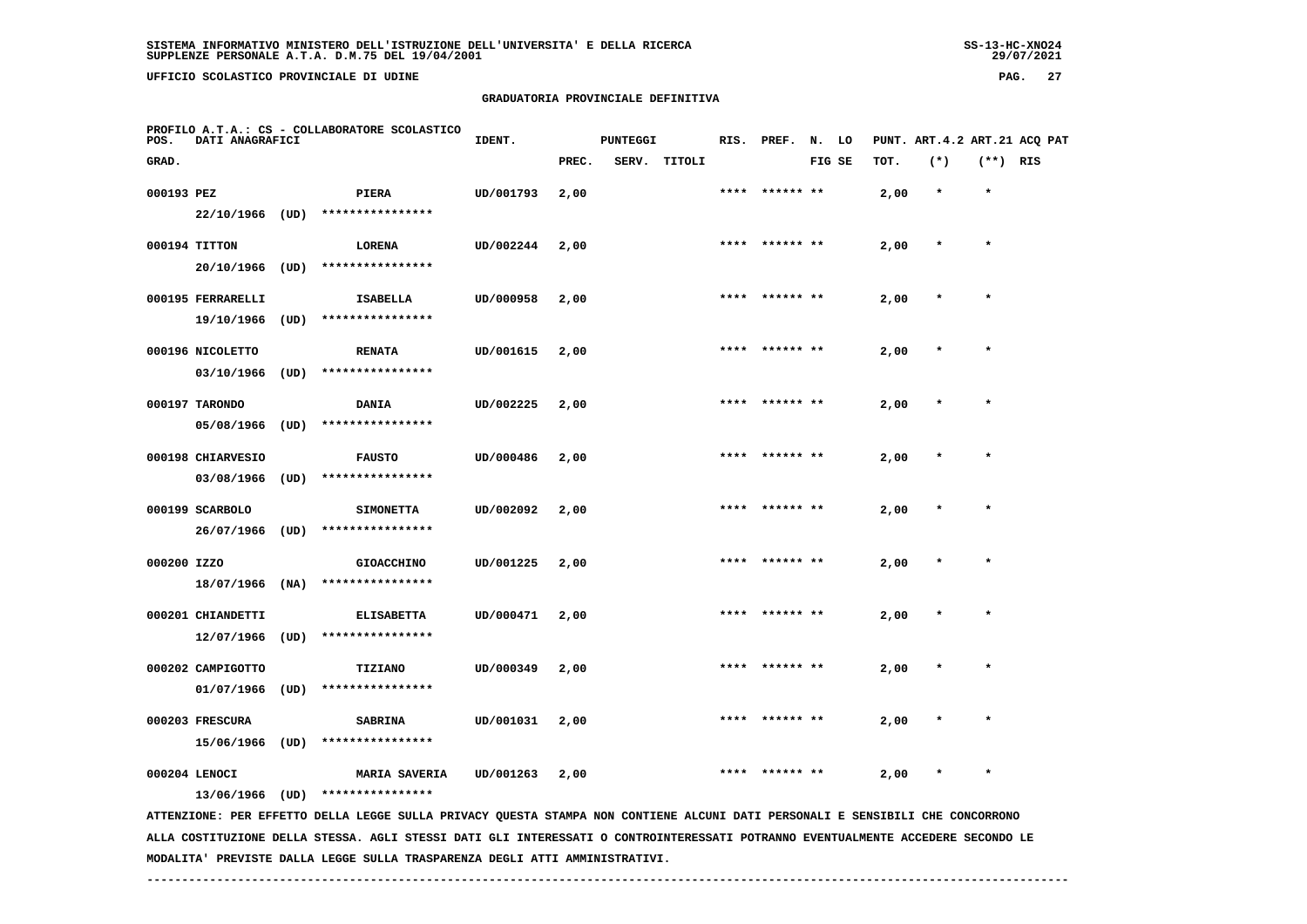$29/07/2021$ 

 **UFFICIO SCOLASTICO PROVINCIALE DI UDINE PAG. 27**

# **GRADUATORIA PROVINCIALE DEFINITIVA**

| POS.        | DATI ANAGRAFICI   |      | PROFILO A.T.A.: CS - COLLABORATORE SCOLASTICO                                                                                   | IDENT.    |       | <b>PUNTEGGI</b> |              | RIS. | PREF.          | N. LO  |      |         |            | PUNT. ART. 4.2 ART. 21 ACO PAT |
|-------------|-------------------|------|---------------------------------------------------------------------------------------------------------------------------------|-----------|-------|-----------------|--------------|------|----------------|--------|------|---------|------------|--------------------------------|
| GRAD.       |                   |      |                                                                                                                                 |           | PREC. |                 | SERV. TITOLI |      |                | FIG SE | TOT. | $(*)$   | $(**)$ RIS |                                |
| 000193 PEZ  |                   |      | PIERA                                                                                                                           | UD/001793 | 2,00  |                 |              |      | **** ****** ** |        | 2,00 | $\star$ | $\star$    |                                |
|             | $22/10/1966$ (UD) |      | ****************                                                                                                                |           |       |                 |              |      |                |        |      |         |            |                                |
|             | 000194 TITTON     |      | LORENA                                                                                                                          | UD/002244 | 2,00  |                 |              |      | **** ****** ** |        | 2,00 | $\star$ | $\star$    |                                |
|             | 20/10/1966        | (UD) | ****************                                                                                                                |           |       |                 |              |      |                |        |      |         |            |                                |
|             | 000195 FERRARELLI |      | <b>ISABELLA</b>                                                                                                                 | UD/000958 | 2,00  |                 |              |      |                |        | 2,00 |         |            |                                |
|             | 19/10/1966        | (UD) | ****************                                                                                                                |           |       |                 |              |      |                |        |      |         |            |                                |
|             | 000196 NICOLETTO  |      | <b>RENATA</b>                                                                                                                   | UD/001615 | 2,00  |                 |              |      |                |        | 2,00 |         |            |                                |
|             | 03/10/1966        | (UD) | ****************                                                                                                                |           |       |                 |              |      |                |        |      |         |            |                                |
|             | 000197 TARONDO    |      | <b>DANIA</b>                                                                                                                    | UD/002225 | 2,00  |                 |              | **** | ****** **      |        | 2,00 |         | $\star$    |                                |
|             | 05/08/1966        | (UD) | ****************                                                                                                                |           |       |                 |              |      |                |        |      |         |            |                                |
|             | 000198 CHIARVESIO |      | <b>FAUSTO</b>                                                                                                                   | UD/000486 | 2,00  |                 |              | **** |                |        | 2,00 |         | $\star$    |                                |
|             | 03/08/1966        | (UD) | ****************                                                                                                                |           |       |                 |              |      |                |        |      |         |            |                                |
|             | 000199 SCARBOLO   |      | <b>SIMONETTA</b>                                                                                                                | UD/002092 | 2,00  |                 |              |      |                |        | 2,00 |         |            |                                |
|             | 26/07/1966        | (UD) | ****************                                                                                                                |           |       |                 |              |      |                |        |      |         |            |                                |
| 000200 IZZO |                   |      | <b>GIOACCHINO</b>                                                                                                               | UD/001225 | 2,00  |                 |              |      |                |        | 2,00 |         |            |                                |
|             | 18/07/1966        | (NA) | ****************                                                                                                                |           |       |                 |              |      |                |        |      |         |            |                                |
|             | 000201 CHIANDETTI |      | <b>ELISABETTA</b>                                                                                                               | UD/000471 | 2,00  |                 |              |      | ****** **      |        | 2,00 |         |            |                                |
|             | 12/07/1966        | (UD) | ****************                                                                                                                |           |       |                 |              |      |                |        |      |         |            |                                |
|             | 000202 CAMPIGOTTO |      | TIZIANO                                                                                                                         | UD/000349 | 2,00  |                 |              | **** | ****** **      |        | 2,00 |         | $\star$    |                                |
|             | 01/07/1966        | (UD) | ****************                                                                                                                |           |       |                 |              |      |                |        |      |         |            |                                |
|             | 000203 FRESCURA   |      | <b>SABRINA</b>                                                                                                                  | UD/001031 | 2,00  |                 |              |      |                |        | 2,00 |         |            |                                |
|             | 15/06/1966        | (UD) | ****************                                                                                                                |           |       |                 |              |      |                |        |      |         |            |                                |
|             | 000204 LENOCI     |      | <b>MARIA SAVERIA</b>                                                                                                            | UD/001263 | 2,00  |                 |              |      |                |        | 2,00 |         | $\star$    |                                |
|             | 13/06/1966 (UD)   |      | ****************                                                                                                                |           |       |                 |              |      |                |        |      |         |            |                                |
|             |                   |      | ATTENZIONE: PER EFFETTO DELLA LEGGE SULLA PRIVACY QUESTA STAMPA NON CONTIENE ALCUNI DATI PERSONALI E SENSIBILI CHE CONCORRONO   |           |       |                 |              |      |                |        |      |         |            |                                |
|             |                   |      | ALLA COSTITUZIONE DELLA STESSA. AGLI STESSI DATI GLI INTERESSATI O CONTROINTERESSATI POTRANNO EVENTUALMENTE ACCEDERE SECONDO LE |           |       |                 |              |      |                |        |      |         |            |                                |

 **MODALITA' PREVISTE DALLA LEGGE SULLA TRASPARENZA DEGLI ATTI AMMINISTRATIVI.**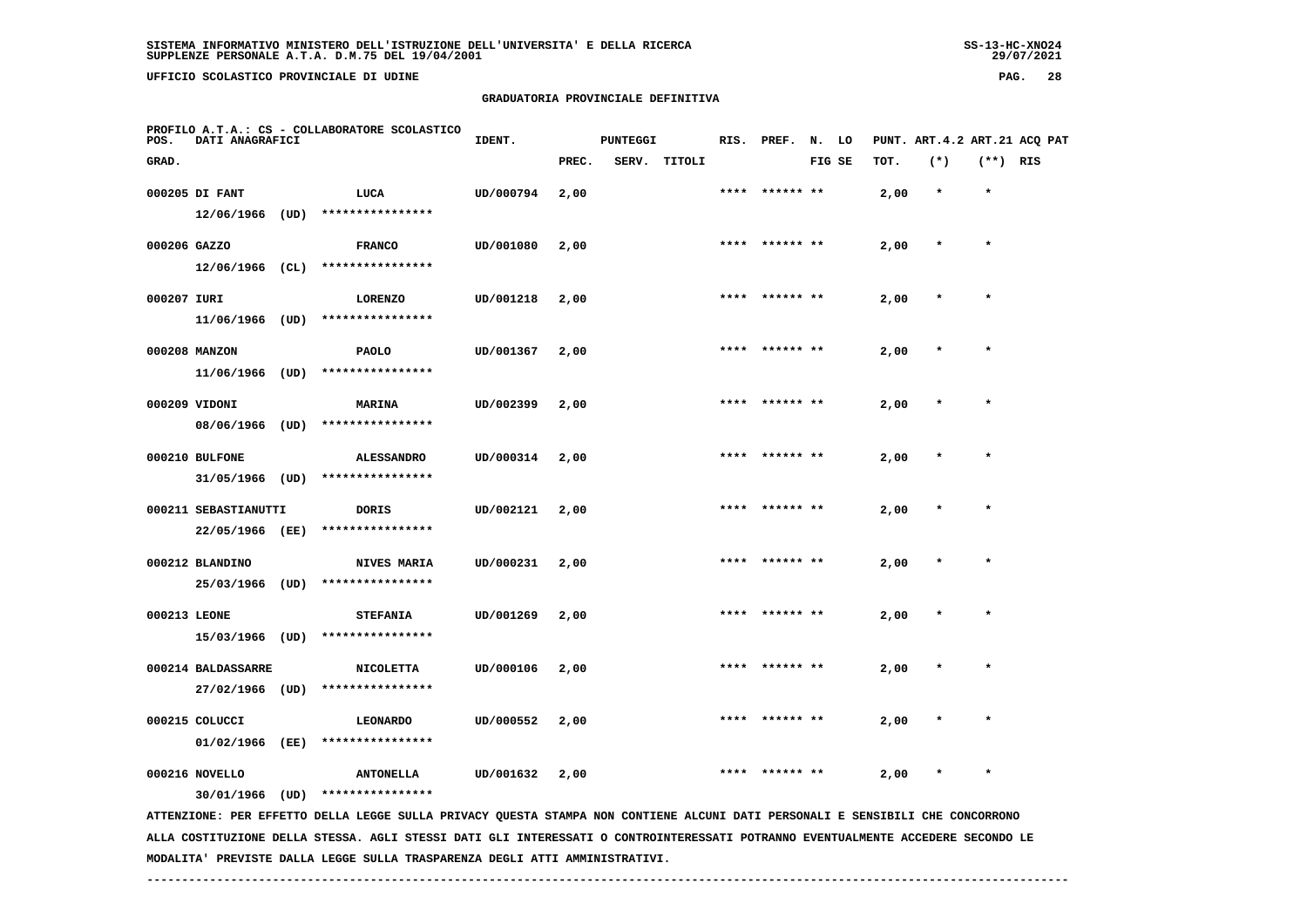**UFFICIO SCOLASTICO PROVINCIALE DI UDINE PAG. 28**

# **GRADUATORIA PROVINCIALE DEFINITIVA**

| POS.         | DATI ANAGRAFICI      |      | PROFILO A.T.A.: CS - COLLABORATORE SCOLASTICO                                                                                 | IDENT.    |       | <b>PUNTEGGI</b> |        |      | RIS. PREF.     | N. LO  |      |         |            | PUNT. ART.4.2 ART.21 ACQ PAT |
|--------------|----------------------|------|-------------------------------------------------------------------------------------------------------------------------------|-----------|-------|-----------------|--------|------|----------------|--------|------|---------|------------|------------------------------|
| GRAD.        |                      |      |                                                                                                                               |           | PREC. | SERV.           | TITOLI |      |                | FIG SE | TOT. | $(*)$   | $(**)$ RIS |                              |
|              | 000205 DI FANT       |      | LUCA                                                                                                                          | UD/000794 | 2,00  |                 |        | **** | ****** **      |        | 2,00 | $\star$ | $\star$    |                              |
|              | $12/06/1966$ (UD)    |      | ****************                                                                                                              |           |       |                 |        |      |                |        |      |         |            |                              |
| 000206 GAZZO |                      |      | <b>FRANCO</b>                                                                                                                 | UD/001080 | 2,00  |                 |        | **** |                |        | 2,00 | $\ast$  | $\star$    |                              |
|              | $12/06/1966$ (CL)    |      | ****************                                                                                                              |           |       |                 |        |      |                |        |      |         |            |                              |
| 000207 IURI  |                      |      | <b>LORENZO</b>                                                                                                                | UD/001218 | 2,00  |                 |        | **** | ****** **      |        | 2,00 |         | $\star$    |                              |
|              | 11/06/1966 (UD)      |      | ****************                                                                                                              |           |       |                 |        |      |                |        |      |         |            |                              |
|              | 000208 MANZON        |      | <b>PAOLO</b>                                                                                                                  | UD/001367 | 2,00  |                 |        |      |                |        | 2,00 |         |            |                              |
|              | 11/06/1966           | (UD) | ****************                                                                                                              |           |       |                 |        |      |                |        |      |         |            |                              |
|              | 000209 VIDONI        |      | <b>MARINA</b>                                                                                                                 | UD/002399 | 2,00  |                 |        |      |                |        | 2,00 |         |            |                              |
|              | 08/06/1966           | (UD) | ****************                                                                                                              |           |       |                 |        |      |                |        |      |         |            |                              |
|              | 000210 BULFONE       |      | <b>ALESSANDRO</b>                                                                                                             | UD/000314 | 2,00  |                 |        | **** | ****** **      |        | 2,00 |         | $\star$    |                              |
|              | 31/05/1966 (UD)      |      | ****************                                                                                                              |           |       |                 |        |      |                |        |      |         |            |                              |
|              | 000211 SEBASTIANUTTI |      | <b>DORIS</b>                                                                                                                  | UD/002121 | 2,00  |                 |        |      | **** ****** ** |        | 2,00 |         | $\star$    |                              |
|              | 22/05/1966 (EE)      |      | ****************                                                                                                              |           |       |                 |        |      |                |        |      |         |            |                              |
|              | 000212 BLANDINO      |      | NIVES MARIA                                                                                                                   | UD/000231 | 2,00  |                 |        |      |                |        | 2,00 |         |            |                              |
|              | 25/03/1966 (UD)      |      | ****************                                                                                                              |           |       |                 |        |      |                |        |      |         |            |                              |
| 000213 LEONE |                      |      | <b>STEFANIA</b>                                                                                                               | UD/001269 | 2,00  |                 |        | **** | ****** **      |        | 2,00 |         |            |                              |
|              | 15/03/1966 (UD)      |      | ****************                                                                                                              |           |       |                 |        |      |                |        |      |         |            |                              |
|              | 000214 BALDASSARRE   |      | <b>NICOLETTA</b>                                                                                                              | UD/000106 | 2,00  |                 |        |      |                |        | 2,00 |         |            |                              |
|              | 27/02/1966           | (UD) | ****************                                                                                                              |           |       |                 |        |      |                |        |      |         |            |                              |
|              | 000215 COLUCCI       |      | <b>LEONARDO</b>                                                                                                               | UD/000552 | 2,00  |                 |        |      |                |        | 2,00 |         |            |                              |
|              | 01/02/1966           | (EE) | ****************                                                                                                              |           |       |                 |        |      |                |        |      |         |            |                              |
|              | 000216 NOVELLO       |      | <b>ANTONELLA</b>                                                                                                              | UD/001632 | 2,00  |                 |        |      |                |        | 2,00 |         | $\star$    |                              |
|              | 30/01/1966           | (UD) | ****************                                                                                                              |           |       |                 |        |      |                |        |      |         |            |                              |
|              |                      |      | ATTENZIONE: PER EFFETTO DELLA LEGGE SULLA PRIVACY QUESTA STAMPA NON CONTIENE ALCUNI DATI PERSONALI E SENSIBILI CHE CONCORRONO |           |       |                 |        |      |                |        |      |         |            |                              |

 **ALLA COSTITUZIONE DELLA STESSA. AGLI STESSI DATI GLI INTERESSATI O CONTROINTERESSATI POTRANNO EVENTUALMENTE ACCEDERE SECONDO LE MODALITA' PREVISTE DALLA LEGGE SULLA TRASPARENZA DEGLI ATTI AMMINISTRATIVI.**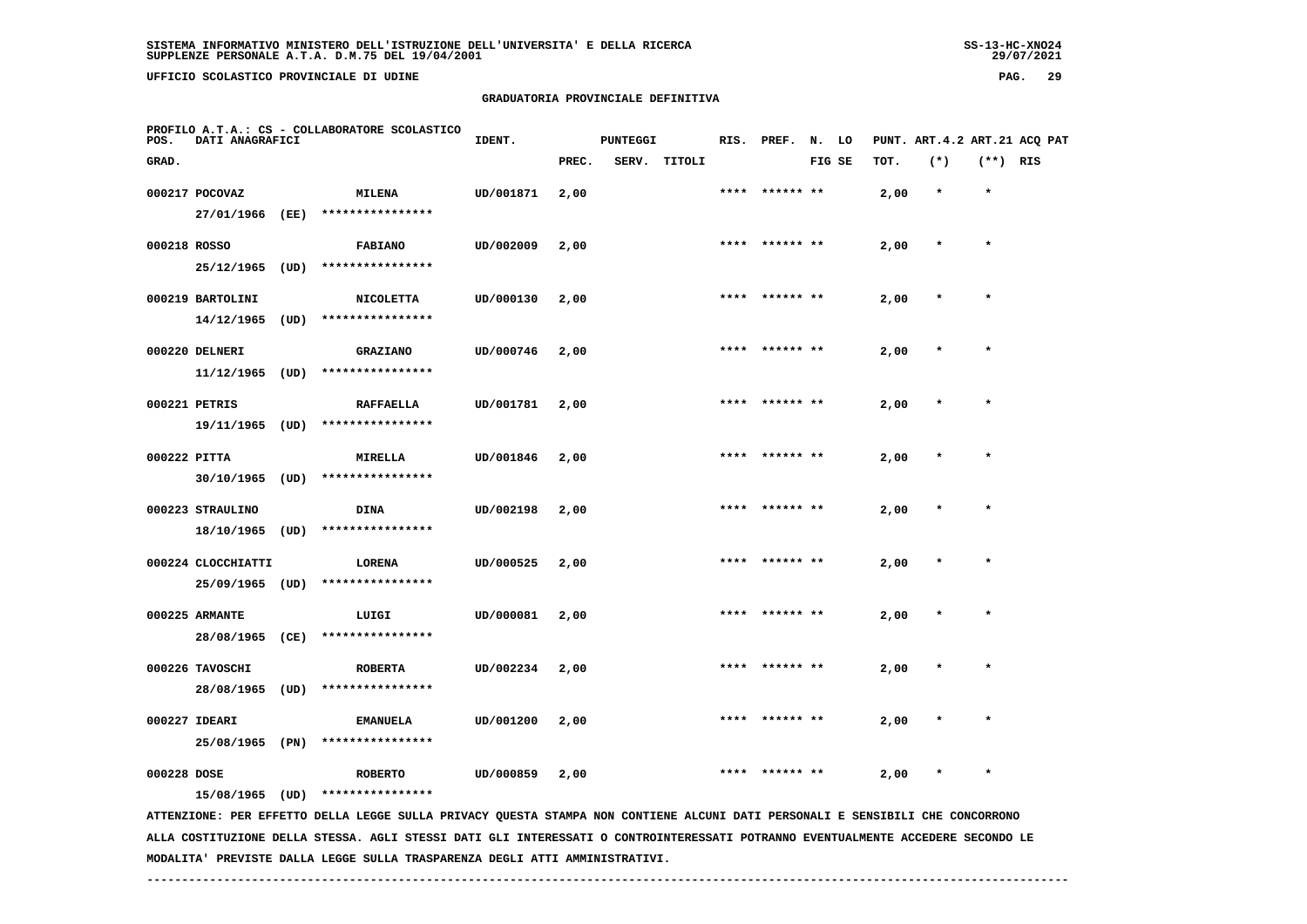**UFFICIO SCOLASTICO PROVINCIALE DI UDINE PAG. 29**

#### **GRADUATORIA PROVINCIALE DEFINITIVA**

| POS.         | DATI ANAGRAFICI                    |      | PROFILO A.T.A.: CS - COLLABORATORE SCOLASTICO                                                                                 | IDENT.    |       | <b>PUNTEGGI</b> |        |      | RIS. PREF.     | N. LO |        |      | PUNT. ART. 4.2 ART. 21 ACQ PAT |            |  |
|--------------|------------------------------------|------|-------------------------------------------------------------------------------------------------------------------------------|-----------|-------|-----------------|--------|------|----------------|-------|--------|------|--------------------------------|------------|--|
| GRAD.        |                                    |      |                                                                                                                               |           | PREC. | SERV.           | TITOLI |      |                |       | FIG SE | TOT. | $(*)$                          | $(**)$ RIS |  |
|              | 000217 POCOVAZ                     |      | <b>MILENA</b>                                                                                                                 | UD/001871 | 2,00  |                 |        |      |                |       |        | 2,00 | $\star$                        | $\star$    |  |
|              | 27/01/1966 (EE)                    |      | ****************                                                                                                              |           |       |                 |        |      |                |       |        |      |                                |            |  |
| 000218 ROSSO |                                    |      | <b>FABIANO</b>                                                                                                                | UD/002009 | 2,00  |                 |        | **** | ****** **      |       |        | 2,00 |                                | $\star$    |  |
|              | 25/12/1965                         | (UD) | ****************                                                                                                              |           |       |                 |        |      |                |       |        |      |                                |            |  |
|              | 000219 BARTOLINI                   |      | <b>NICOLETTA</b>                                                                                                              | UD/000130 | 2,00  |                 |        |      |                |       |        | 2,00 |                                |            |  |
|              | 14/12/1965                         | (UD) | ****************                                                                                                              |           |       |                 |        |      |                |       |        |      |                                |            |  |
|              |                                    |      |                                                                                                                               |           |       |                 |        |      |                |       |        |      |                                |            |  |
|              | 000220 DELNERI                     |      | <b>GRAZIANO</b><br>****************                                                                                           | UD/000746 | 2,00  |                 |        |      | **** ****** ** |       |        | 2,00 |                                | $\star$    |  |
|              | 11/12/1965                         | (UD) |                                                                                                                               |           |       |                 |        |      |                |       |        |      |                                |            |  |
|              | 000221 PETRIS                      |      | <b>RAFFAELLA</b>                                                                                                              | UD/001781 | 2,00  |                 |        |      | **** ****** ** |       |        | 2,00 |                                | $\star$    |  |
|              | 19/11/1965 (UD)                    |      | ****************                                                                                                              |           |       |                 |        |      |                |       |        |      |                                |            |  |
| 000222 PITTA |                                    |      | <b>MIRELLA</b>                                                                                                                | UD/001846 | 2,00  |                 |        |      | **** ****** ** |       |        | 2,00 |                                | $\star$    |  |
|              | 30/10/1965                         | (UD) | ****************                                                                                                              |           |       |                 |        |      |                |       |        |      |                                |            |  |
|              | 000223 STRAULINO                   |      | <b>DINA</b>                                                                                                                   | UD/002198 | 2,00  |                 |        | **** |                |       |        | 2,00 |                                | $\star$    |  |
|              | 18/10/1965                         | (UD) | ****************                                                                                                              |           |       |                 |        |      |                |       |        |      |                                |            |  |
|              | 000224 CLOCCHIATTI                 |      | LORENA                                                                                                                        | UD/000525 | 2,00  |                 |        |      |                |       |        | 2,00 |                                |            |  |
|              | 25/09/1965                         | (UD) | ****************                                                                                                              |           |       |                 |        |      |                |       |        |      |                                |            |  |
|              | 000225 ARMANTE                     |      | LUIGI                                                                                                                         | UD/000081 | 2,00  |                 |        |      |                |       |        | 2,00 |                                | $\star$    |  |
|              | 28/08/1965 (CE)                    |      | ****************                                                                                                              |           |       |                 |        |      |                |       |        |      |                                |            |  |
|              |                                    |      |                                                                                                                               |           |       |                 |        |      |                |       |        |      |                                |            |  |
|              | 000226 TAVOSCHI<br>28/08/1965 (UD) |      | <b>ROBERTA</b><br>****************                                                                                            | UD/002234 | 2,00  |                 |        |      |                |       |        | 2,00 |                                |            |  |
|              |                                    |      |                                                                                                                               |           |       |                 |        |      |                |       |        |      |                                |            |  |
|              | 000227 IDEARI                      |      | <b>EMANUELA</b>                                                                                                               | UD/001200 | 2,00  |                 |        |      | **** ****** ** |       |        | 2,00 |                                | $\star$    |  |
|              | 25/08/1965 (PN)                    |      | ****************                                                                                                              |           |       |                 |        |      |                |       |        |      |                                |            |  |
| 000228 DOSE  |                                    |      | <b>ROBERTO</b>                                                                                                                | UD/000859 | 2,00  |                 |        |      |                |       |        | 2,00 |                                |            |  |
|              | 15/08/1965                         | (UD) | ****************                                                                                                              |           |       |                 |        |      |                |       |        |      |                                |            |  |
|              |                                    |      | ATTENZIONE: PER EFFETTO DELLA LEGGE SULLA PRIVACY QUESTA STAMPA NON CONTIENE ALCUNI DATI PERSONALI E SENSIBILI CHE CONCORRONO |           |       |                 |        |      |                |       |        |      |                                |            |  |

 **ALLA COSTITUZIONE DELLA STESSA. AGLI STESSI DATI GLI INTERESSATI O CONTROINTERESSATI POTRANNO EVENTUALMENTE ACCEDERE SECONDO LE MODALITA' PREVISTE DALLA LEGGE SULLA TRASPARENZA DEGLI ATTI AMMINISTRATIVI.**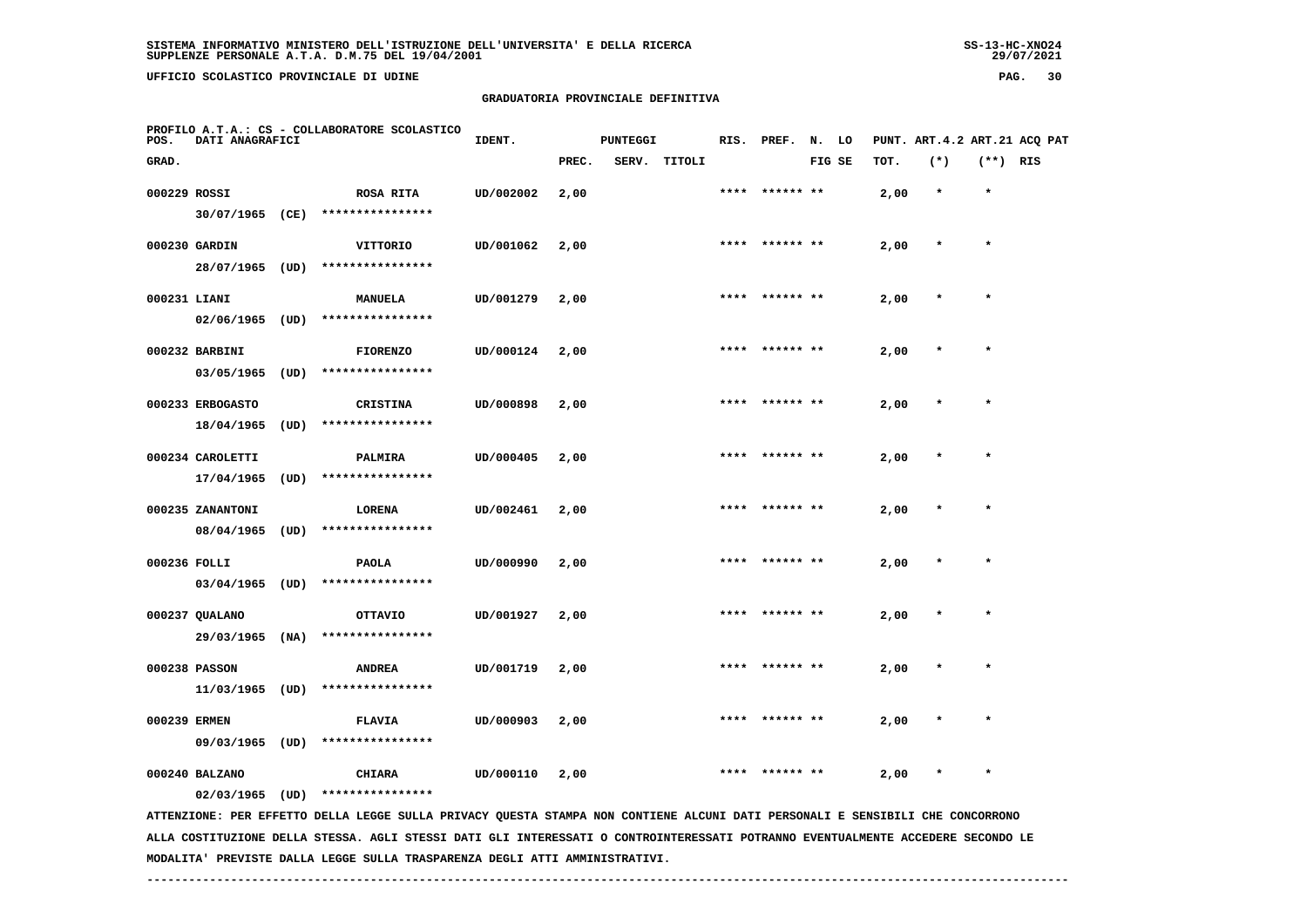**UFFICIO SCOLASTICO PROVINCIALE DI UDINE PAG. 30**

#### **GRADUATORIA PROVINCIALE DEFINITIVA**

| POS.         | DATI ANAGRAFICI   |      | PROFILO A.T.A.: CS - COLLABORATORE SCOLASTICO                                                                                 | IDENT.    |       | <b>PUNTEGGI</b> |        |      | RIS. PREF. N. LO |        |      |         |            | PUNT. ART.4.2 ART.21 ACQ PAT |
|--------------|-------------------|------|-------------------------------------------------------------------------------------------------------------------------------|-----------|-------|-----------------|--------|------|------------------|--------|------|---------|------------|------------------------------|
| GRAD.        |                   |      |                                                                                                                               |           | PREC. | SERV.           | TITOLI |      |                  | FIG SE | TOT. | $(*)$   | $(**)$ RIS |                              |
| 000229 ROSSI |                   |      | <b>ROSA RITA</b>                                                                                                              | UD/002002 | 2,00  |                 |        |      |                  |        | 2,00 | $\star$ | $\star$    |                              |
|              | 30/07/1965 (CE)   |      | ****************                                                                                                              |           |       |                 |        |      |                  |        |      |         |            |                              |
|              | 000230 GARDIN     |      | VITTORIO                                                                                                                      | UD/001062 | 2,00  |                 |        |      | **** ****** **   |        | 2,00 | $\star$ | $\star$    |                              |
|              | 28/07/1965 (UD)   |      | ****************                                                                                                              |           |       |                 |        |      |                  |        |      |         |            |                              |
| 000231 LIANI |                   |      | <b>MANUELA</b>                                                                                                                | UD/001279 | 2,00  |                 |        | **** | ****** **        |        | 2,00 |         | $\star$    |                              |
|              | 02/06/1965        | (UD) | ****************                                                                                                              |           |       |                 |        |      |                  |        |      |         |            |                              |
|              | 000232 BARBINI    |      | <b>FIORENZO</b>                                                                                                               | UD/000124 | 2,00  |                 |        |      |                  |        | 2,00 |         |            |                              |
|              | 03/05/1965        | (UD) | ****************                                                                                                              |           |       |                 |        |      |                  |        |      |         |            |                              |
|              | 000233 ERBOGASTO  |      | <b>CRISTINA</b>                                                                                                               | UD/000898 | 2,00  |                 |        |      |                  |        | 2,00 |         | $\star$    |                              |
|              | 18/04/1965        | (UD) | ****************                                                                                                              |           |       |                 |        |      |                  |        |      |         |            |                              |
|              | 000234 CAROLETTI  |      | PALMIRA                                                                                                                       | UD/000405 | 2,00  |                 |        | **** | ****** **        |        | 2,00 |         |            |                              |
|              | 17/04/1965        | (UD) | ****************                                                                                                              |           |       |                 |        |      |                  |        |      |         |            |                              |
|              | 000235 ZANANTONI  |      | LORENA                                                                                                                        | UD/002461 | 2,00  |                 |        |      |                  |        | 2,00 |         | $\star$    |                              |
|              | 08/04/1965        | (UD) | ****************                                                                                                              |           |       |                 |        |      |                  |        |      |         |            |                              |
| 000236 FOLLI |                   |      | <b>PAOLA</b>                                                                                                                  | UD/000990 | 2,00  |                 |        | **** | ****** **        |        | 2,00 |         | $\star$    |                              |
|              | $03/04/1965$ (UD) |      | ****************                                                                                                              |           |       |                 |        |      |                  |        |      |         |            |                              |
|              | 000237 QUALANO    |      | <b>OTTAVIO</b>                                                                                                                | UD/001927 | 2,00  |                 |        |      |                  |        | 2,00 |         |            |                              |
|              | 29/03/1965        | (NA) | ****************                                                                                                              |           |       |                 |        |      |                  |        |      |         |            |                              |
|              | 000238 PASSON     |      | <b>ANDREA</b>                                                                                                                 | UD/001719 | 2,00  |                 |        |      |                  |        | 2,00 |         |            |                              |
|              | $11/03/1965$ (UD) |      | ****************                                                                                                              |           |       |                 |        |      |                  |        |      |         |            |                              |
| 000239 ERMEN |                   |      | <b>FLAVIA</b>                                                                                                                 | UD/000903 | 2,00  |                 |        |      | ****** **        |        | 2,00 |         |            |                              |
|              | 09/03/1965 (UD)   |      | ****************                                                                                                              |           |       |                 |        |      |                  |        |      |         |            |                              |
|              | 000240 BALZANO    |      | <b>CHIARA</b>                                                                                                                 | UD/000110 | 2,00  |                 |        |      |                  |        | 2,00 |         | $\star$    |                              |
|              | $02/03/1965$ (UD) |      | ****************                                                                                                              |           |       |                 |        |      |                  |        |      |         |            |                              |
|              |                   |      | ATTENZIONE: PER EFFETTO DELLA LEGGE SULLA PRIVACY QUESTA STAMPA NON CONTIENE ALCUNI DATI PERSONALI E SENSIBILI CHE CONCORRONO |           |       |                 |        |      |                  |        |      |         |            |                              |

 **ALLA COSTITUZIONE DELLA STESSA. AGLI STESSI DATI GLI INTERESSATI O CONTROINTERESSATI POTRANNO EVENTUALMENTE ACCEDERE SECONDO LE MODALITA' PREVISTE DALLA LEGGE SULLA TRASPARENZA DEGLI ATTI AMMINISTRATIVI.**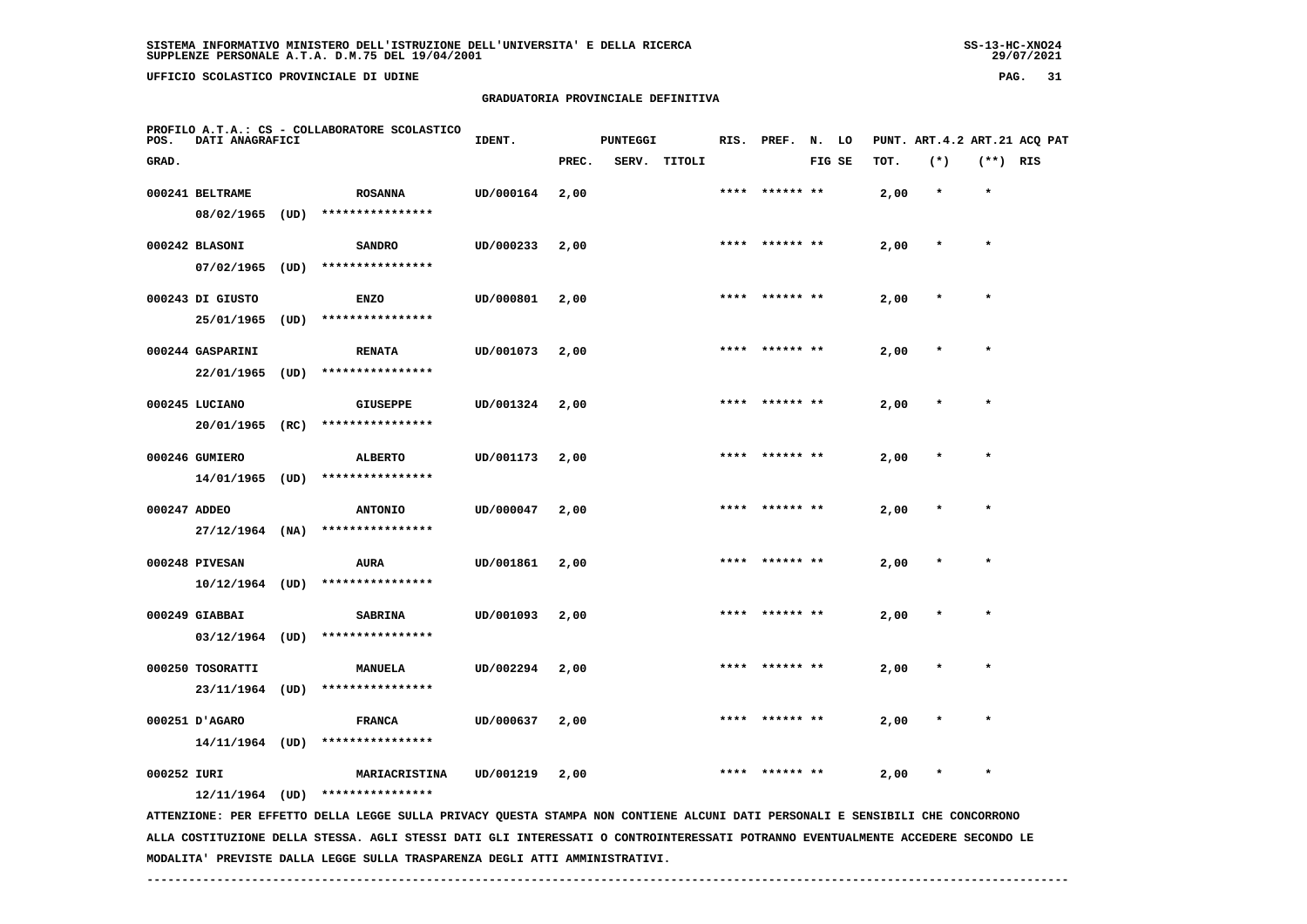**UFFICIO SCOLASTICO PROVINCIALE DI UDINE PAG. 31**

#### **GRADUATORIA PROVINCIALE DEFINITIVA**

| POS.         | DATI ANAGRAFICI   |      | PROFILO A.T.A.: CS - COLLABORATORE SCOLASTICO                                                                                                     | IDENT.    |       | <b>PUNTEGGI</b> |        |      | RIS. PREF. | N.     | LO |      |         |            | PUNT. ART. 4.2 ART. 21 ACQ PAT |
|--------------|-------------------|------|---------------------------------------------------------------------------------------------------------------------------------------------------|-----------|-------|-----------------|--------|------|------------|--------|----|------|---------|------------|--------------------------------|
| GRAD.        |                   |      |                                                                                                                                                   |           | PREC. | SERV.           | TITOLI |      |            | FIG SE |    | TOT. | $(*)$   | $(**)$ RIS |                                |
|              | 000241 BELTRAME   |      | <b>ROSANNA</b>                                                                                                                                    | UD/000164 | 2,00  |                 |        | **** | ****** **  |        |    | 2,00 | $\star$ | $\star$    |                                |
|              | 08/02/1965        | (UD) | ****************                                                                                                                                  |           |       |                 |        |      |            |        |    |      |         |            |                                |
|              | 000242 BLASONI    |      | <b>SANDRO</b>                                                                                                                                     | UD/000233 | 2,00  |                 |        | **** |            |        |    | 2,00 | $\ast$  | $\star$    |                                |
|              | 07/02/1965        | (UD) | ****************                                                                                                                                  |           |       |                 |        |      |            |        |    |      |         |            |                                |
|              | 000243 DI GIUSTO  |      | <b>ENZO</b>                                                                                                                                       | UD/000801 | 2,00  |                 |        |      |            |        |    | 2,00 |         |            |                                |
|              | 25/01/1965        | (UD) | ****************                                                                                                                                  |           |       |                 |        |      |            |        |    |      |         |            |                                |
|              | 000244 GASPARINI  |      | <b>RENATA</b>                                                                                                                                     | UD/001073 | 2,00  |                 |        |      | ****** **  |        |    | 2,00 |         | $\star$    |                                |
|              | 22/01/1965        | (UD) | ****************                                                                                                                                  |           |       |                 |        |      |            |        |    |      |         |            |                                |
|              | 000245 LUCIANO    |      | <b>GIUSEPPE</b>                                                                                                                                   | UD/001324 | 2,00  |                 |        | **** | ****** **  |        |    | 2,00 |         | $\star$    |                                |
|              | 20/01/1965        | (RC) | ****************                                                                                                                                  |           |       |                 |        |      |            |        |    |      |         |            |                                |
|              | 000246 GUMIERO    |      | <b>ALBERTO</b>                                                                                                                                    | UD/001173 | 2,00  |                 |        | **** | ****** **  |        |    | 2,00 | $\star$ | $\star$    |                                |
|              | 14/01/1965        | (UD) | ****************                                                                                                                                  |           |       |                 |        |      |            |        |    |      |         |            |                                |
| 000247 ADDEO |                   |      | <b>ANTONIO</b>                                                                                                                                    | UD/000047 | 2,00  |                 |        |      |            |        |    | 2,00 |         |            |                                |
|              | $27/12/1964$ (NA) |      | ****************                                                                                                                                  |           |       |                 |        |      |            |        |    |      |         |            |                                |
|              | 000248 PIVESAN    |      | AURA                                                                                                                                              | UD/001861 | 2,00  |                 |        |      |            |        |    | 2,00 |         |            |                                |
|              | $10/12/1964$ (UD) |      | ****************                                                                                                                                  |           |       |                 |        |      |            |        |    |      |         |            |                                |
|              | 000249 GIABBAI    |      | <b>SABRINA</b>                                                                                                                                    | UD/001093 | 2,00  |                 |        |      | ****** **  |        |    | 2,00 |         |            |                                |
|              | $03/12/1964$ (UD) |      | ****************                                                                                                                                  |           |       |                 |        |      |            |        |    |      |         |            |                                |
|              | 000250 TOSORATTI  |      | <b>MANUELA</b>                                                                                                                                    | UD/002294 | 2,00  |                 |        | **** | ****** **  |        |    | 2,00 |         | $\star$    |                                |
|              | 23/11/1964        | (UD) | ****************                                                                                                                                  |           |       |                 |        |      |            |        |    |      |         |            |                                |
|              | 000251 D'AGARO    |      | <b>FRANCA</b>                                                                                                                                     | UD/000637 | 2,00  |                 |        |      |            |        |    | 2,00 |         |            |                                |
|              | 14/11/1964 (UD)   |      | ****************                                                                                                                                  |           |       |                 |        |      |            |        |    |      |         |            |                                |
| 000252 IURI  |                   |      | MARIACRISTINA                                                                                                                                     | UD/001219 | 2,00  |                 |        |      |            |        |    | 2,00 |         |            |                                |
|              | 12/11/1964 (UD)   |      | ****************<br>ATTENZIONE: PER EFFETTO DELLA LEGGE SULLA PRIVACY QUESTA STAMPA NON CONTIENE ALCUNI DATI PERSONALI E SENSIBILI CHE CONCORRONO |           |       |                 |        |      |            |        |    |      |         |            |                                |
|              |                   |      | ALLA COSTITUZIONE DELLA STESSA. AGLI STESSI DATI GLI INTERESSATI O CONTROINTERESSATI POTRANNO EVENTUALMENTE ACCEDERE SECONDO LE                   |           |       |                 |        |      |            |        |    |      |         |            |                                |

 **MODALITA' PREVISTE DALLA LEGGE SULLA TRASPARENZA DEGLI ATTI AMMINISTRATIVI.**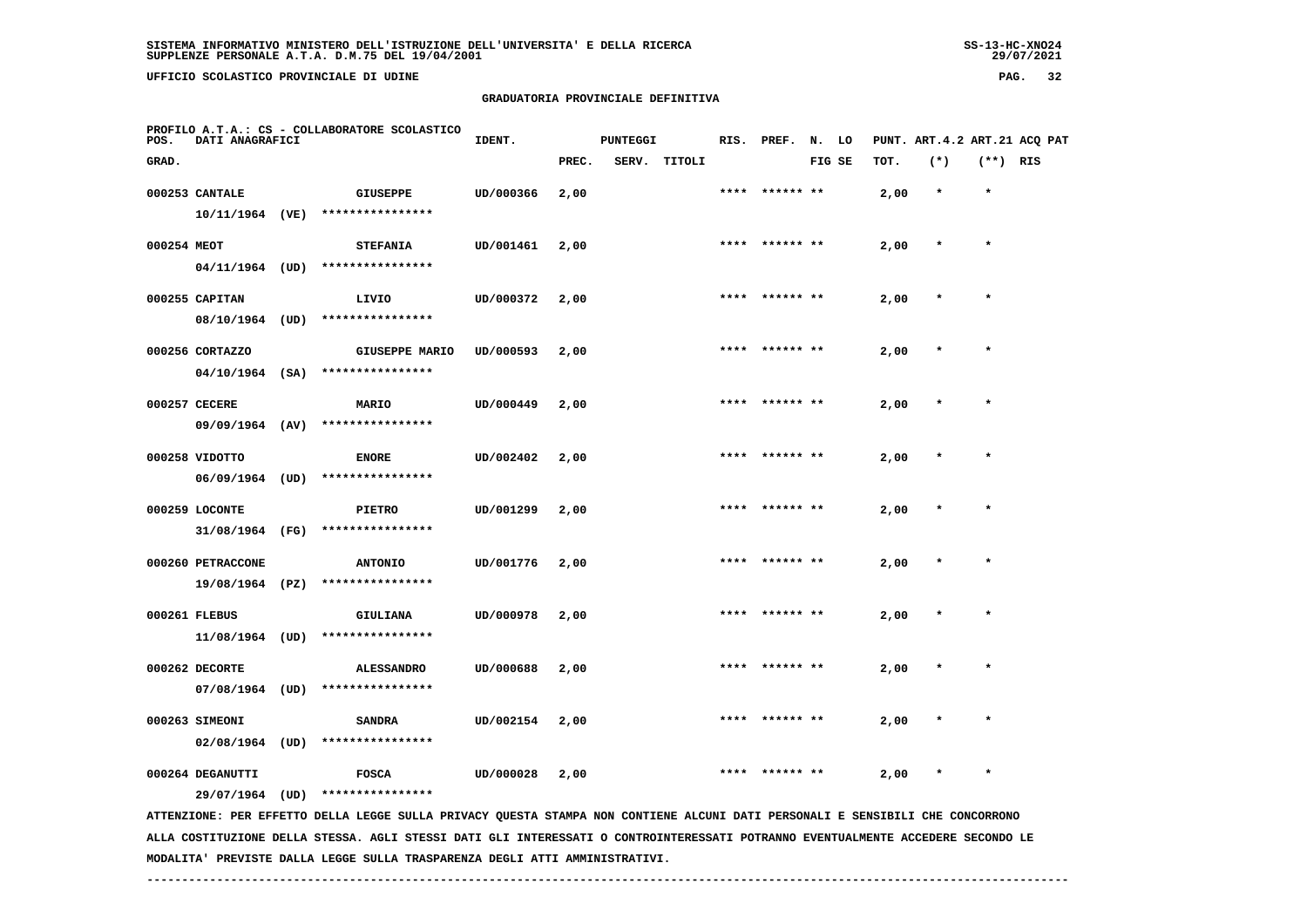**UFFICIO SCOLASTICO PROVINCIALE DI UDINE PAG. 32**

# **GRADUATORIA PROVINCIALE DEFINITIVA**

| POS.        | DATI ANAGRAFICI   | PROFILO A.T.A.: CS - COLLABORATORE SCOLASTICO                                                                                 | IDENT.    |       | <b>PUNTEGGI</b> |              |      | RIS. PREF. N. LO |        |      |         |            | PUNT. ART.4.2 ART.21 ACQ PAT |
|-------------|-------------------|-------------------------------------------------------------------------------------------------------------------------------|-----------|-------|-----------------|--------------|------|------------------|--------|------|---------|------------|------------------------------|
| GRAD.       |                   |                                                                                                                               |           | PREC. |                 | SERV. TITOLI |      |                  | FIG SE | TOT. | $(*)$   | $(**)$ RIS |                              |
|             | 000253 CANTALE    | <b>GIUSEPPE</b>                                                                                                               | UD/000366 | 2,00  |                 |              |      | **** ****** **   |        | 2,00 | $\star$ | $\star$    |                              |
|             | 10/11/1964 (VE)   | ****************                                                                                                              |           |       |                 |              |      |                  |        |      |         |            |                              |
| 000254 MEOT |                   | <b>STEFANIA</b>                                                                                                               | UD/001461 | 2,00  |                 |              |      | **** ****** **   |        | 2,00 | $\ast$  | $\star$    |                              |
|             | $04/11/1964$ (UD) | ****************                                                                                                              |           |       |                 |              |      |                  |        |      |         |            |                              |
|             | 000255 CAPITAN    | LIVIO                                                                                                                         | UD/000372 | 2,00  |                 |              | **** |                  |        | 2,00 | $\star$ | $\star$    |                              |
|             |                   | 08/10/1964 (UD) ****************                                                                                              |           |       |                 |              |      |                  |        |      |         |            |                              |
|             | 000256 CORTAZZO   | <b>GIUSEPPE MARIO</b>                                                                                                         | UD/000593 | 2,00  |                 |              |      |                  |        | 2,00 |         |            |                              |
|             | $04/10/1964$ (SA) | ****************                                                                                                              |           |       |                 |              |      |                  |        |      |         |            |                              |
|             | 000257 CECERE     | <b>MARIO</b>                                                                                                                  | UD/000449 | 2,00  |                 |              |      | **** ****** **   |        | 2,00 |         |            |                              |
|             | 09/09/1964 (AV)   | ****************                                                                                                              |           |       |                 |              |      |                  |        |      |         |            |                              |
|             | 000258 VIDOTTO    | <b>ENORE</b>                                                                                                                  | UD/002402 | 2,00  |                 |              | **** | ****** **        |        | 2,00 |         | $\ast$     |                              |
|             | $06/09/1964$ (UD) | ****************                                                                                                              |           |       |                 |              |      |                  |        |      |         |            |                              |
|             | 000259 LOCONTE    | PIETRO                                                                                                                        | UD/001299 | 2,00  |                 |              |      | ****  ****** **  |        | 2,00 |         | $\star$    |                              |
|             | 31/08/1964 (FG)   | ****************                                                                                                              |           |       |                 |              |      |                  |        |      |         |            |                              |
|             | 000260 PETRACCONE | <b>ANTONIO</b>                                                                                                                | UD/001776 | 2,00  |                 |              |      | ****** **        |        | 2,00 | $\ast$  | $\star$    |                              |
|             | 19/08/1964 (PZ)   | ****************                                                                                                              |           |       |                 |              |      |                  |        |      |         |            |                              |
|             | 000261 FLEBUS     | GIULIANA                                                                                                                      | UD/000978 | 2,00  |                 |              |      | ****  ****** **  |        | 2,00 |         | $\star$    |                              |
|             |                   | $11/08/1964$ (UD) *****************                                                                                           |           |       |                 |              |      |                  |        |      |         |            |                              |
|             | 000262 DECORTE    | <b>ALESSANDRO</b>                                                                                                             | UD/000688 | 2,00  |                 |              |      |                  |        | 2,00 |         |            |                              |
|             | $07/08/1964$ (UD) | ****************                                                                                                              |           |       |                 |              |      |                  |        |      |         |            |                              |
|             | 000263 SIMEONI    | <b>SANDRA</b>                                                                                                                 | UD/002154 | 2,00  |                 |              |      |                  |        | 2,00 |         |            |                              |
|             | $02/08/1964$ (UD) | ****************                                                                                                              |           |       |                 |              |      |                  |        |      |         |            |                              |
|             | 000264 DEGANUTTI  | <b>FOSCA</b>                                                                                                                  | UD/000028 | 2,00  |                 |              |      |                  |        | 2,00 |         |            |                              |
|             | 29/07/1964 (UD)   | ****************                                                                                                              |           |       |                 |              |      |                  |        |      |         |            |                              |
|             |                   | ATTENZIONE: PER EFFETTO DELLA LEGGE SULLA PRIVACY QUESTA STAMPA NON CONTIENE ALCUNI DATI PERSONALI E SENSIBILI CHE CONCORRONO |           |       |                 |              |      |                  |        |      |         |            |                              |

 **ALLA COSTITUZIONE DELLA STESSA. AGLI STESSI DATI GLI INTERESSATI O CONTROINTERESSATI POTRANNO EVENTUALMENTE ACCEDERE SECONDO LE MODALITA' PREVISTE DALLA LEGGE SULLA TRASPARENZA DEGLI ATTI AMMINISTRATIVI.**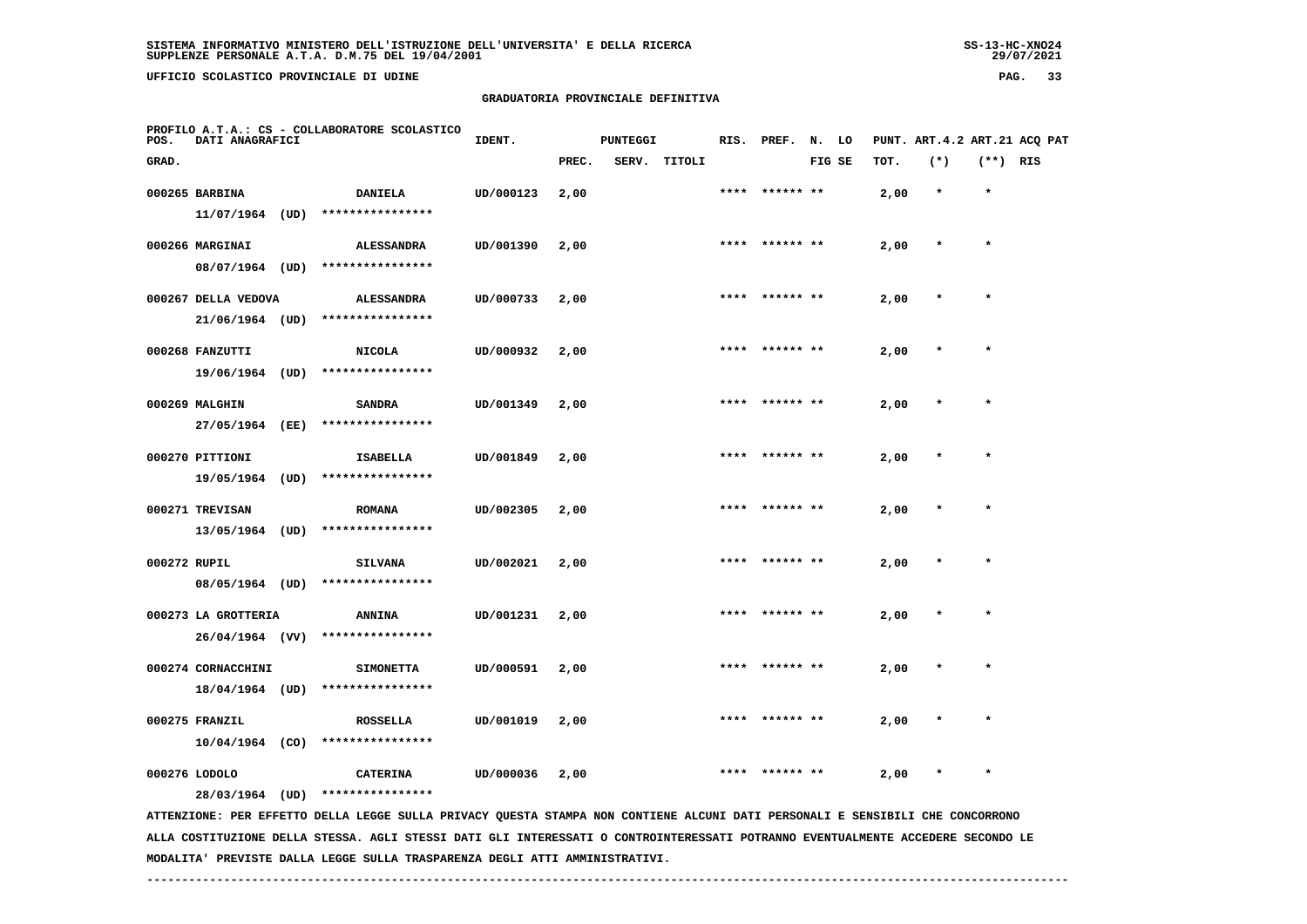**UFFICIO SCOLASTICO PROVINCIALE DI UDINE PAG. 33**

# **GRADUATORIA PROVINCIALE DEFINITIVA**

| POS.         | DATI ANAGRAFICI                        |      | PROFILO A.T.A.: CS - COLLABORATORE SCOLASTICO                                                                                 | IDENT.    |       | <b>PUNTEGGI</b> |        | RIS. | PREF.          | N. LO  |      | PUNT. ART.4.2 ART.21 ACQ PAT |            |  |
|--------------|----------------------------------------|------|-------------------------------------------------------------------------------------------------------------------------------|-----------|-------|-----------------|--------|------|----------------|--------|------|------------------------------|------------|--|
| GRAD.        |                                        |      |                                                                                                                               |           | PREC. | SERV.           | TITOLI |      |                | FIG SE | TOT. | $(*)$                        | $(**)$ RIS |  |
|              | 000265 BARBINA<br>11/07/1964 (UD)      |      | <b>DANIELA</b><br>****************                                                                                            | UD/000123 | 2,00  |                 |        |      |                |        | 2,00 |                              | $\star$    |  |
|              | 000266 MARGINAI<br>08/07/1964 (UD)     |      | <b>ALESSANDRA</b><br>****************                                                                                         | UD/001390 | 2,00  |                 |        |      |                |        | 2,00 |                              |            |  |
|              | 000267 DELLA VEDOVA<br>21/06/1964 (UD) |      | <b>ALESSANDRA</b><br>****************                                                                                         | UD/000733 | 2,00  |                 |        | **** |                |        | 2,00 | $\star$                      | $\star$    |  |
|              | 000268 FANZUTTI<br>19/06/1964 (UD)     |      | <b>NICOLA</b><br>****************                                                                                             | UD/000932 | 2,00  |                 |        |      |                |        | 2,00 |                              |            |  |
|              | 000269 MALGHIN<br>27/05/1964           | (EE) | <b>SANDRA</b><br>****************                                                                                             | UD/001349 | 2,00  |                 |        |      | **** ****** ** |        | 2,00 |                              | $\star$    |  |
|              | 000270 PITTIONI<br>19/05/1964          | (UD) | <b>ISABELLA</b><br>****************                                                                                           | UD/001849 | 2,00  |                 |        |      |                |        | 2,00 |                              |            |  |
|              | 000271 TREVISAN<br>13/05/1964 (UD)     |      | <b>ROMANA</b><br>****************                                                                                             | UD/002305 | 2,00  |                 |        | **** | ****** **      |        | 2,00 |                              | $\star$    |  |
| 000272 RUPIL | 08/05/1964 (UD)                        |      | <b>SILVANA</b><br>****************                                                                                            | UD/002021 | 2,00  |                 |        | **** |                |        | 2,00 |                              | $\star$    |  |
|              | 000273 LA GROTTERIA<br>26/04/1964 (VV) |      | <b>ANNINA</b><br>****************                                                                                             | UD/001231 | 2,00  |                 |        |      |                |        | 2,00 |                              |            |  |
|              | 000274 CORNACCHINI<br>18/04/1964 (UD)  |      | <b>SIMONETTA</b><br>****************                                                                                          | UD/000591 | 2,00  |                 |        |      |                |        | 2,00 |                              |            |  |
|              | 000275 FRANZIL<br>$10/04/1964$ (CO)    |      | <b>ROSSELLA</b><br>****************                                                                                           | UD/001019 | 2,00  |                 |        |      |                |        | 2,00 |                              |            |  |
|              | 000276 LODOLO<br>28/03/1964 (UD)       |      | <b>CATERINA</b><br>****************                                                                                           | UD/000036 | 2,00  |                 |        |      |                |        | 2,00 |                              |            |  |
|              |                                        |      | ATTENZIONE: PER EFFETTO DELLA LEGGE SULLA PRIVACY QUESTA STAMPA NON CONTIENE ALCUNI DATI PERSONALI E SENSIBILI CHE CONCORRONO |           |       |                 |        |      |                |        |      |                              |            |  |

 **ALLA COSTITUZIONE DELLA STESSA. AGLI STESSI DATI GLI INTERESSATI O CONTROINTERESSATI POTRANNO EVENTUALMENTE ACCEDERE SECONDO LE MODALITA' PREVISTE DALLA LEGGE SULLA TRASPARENZA DEGLI ATTI AMMINISTRATIVI.**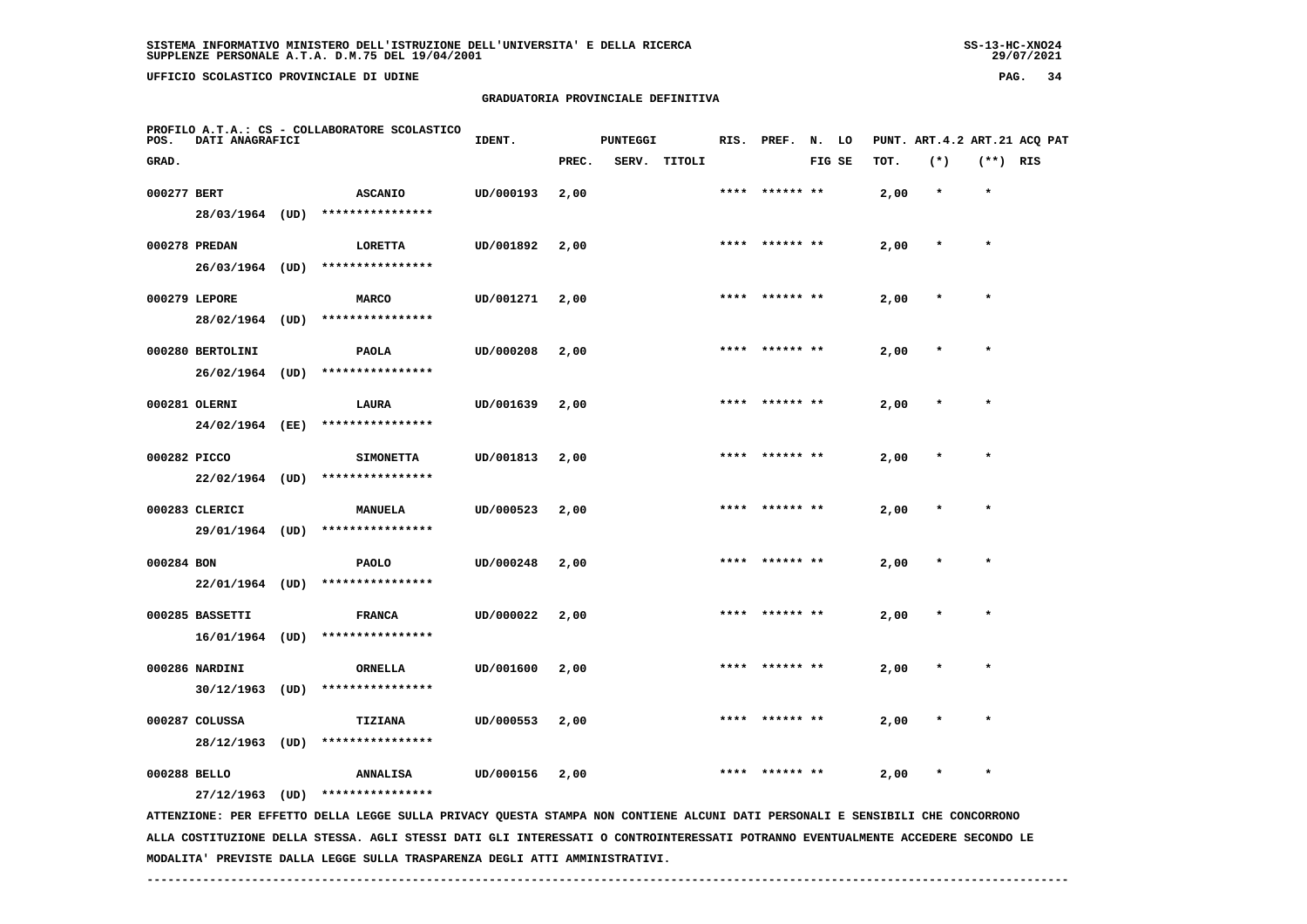**UFFICIO SCOLASTICO PROVINCIALE DI UDINE PAG. 34**

#### **GRADUATORIA PROVINCIALE DEFINITIVA**

| PROFILO A.T.A.: CS - COLLABORATORE SCOLASTICO<br><b>DATI ANAGRAFICI</b><br>POS. |                   |  | IDENT.                                                                                                                        | <b>PUNTEGGI</b> |       |  | RIS. PREF. N. LO |      |                 | PUNT. ART.4.2 ART.21 ACQ PAT |      |         |            |  |
|---------------------------------------------------------------------------------|-------------------|--|-------------------------------------------------------------------------------------------------------------------------------|-----------------|-------|--|------------------|------|-----------------|------------------------------|------|---------|------------|--|
| GRAD.                                                                           |                   |  |                                                                                                                               |                 | PREC. |  | SERV. TITOLI     |      |                 | FIG SE                       | TOT. | $(*)$   | $(**)$ RIS |  |
| 000277 BERT                                                                     |                   |  | <b>ASCANIO</b>                                                                                                                | UD/000193       | 2,00  |  |                  |      | **** ****** **  |                              | 2,00 | $\star$ | $\star$    |  |
|                                                                                 | 28/03/1964 (UD)   |  | ****************                                                                                                              |                 |       |  |                  |      |                 |                              |      |         |            |  |
|                                                                                 | 000278 PREDAN     |  | LORETTA                                                                                                                       | UD/001892       | 2,00  |  |                  | **** | ****** **       |                              | 2,00 | $\star$ | $\star$    |  |
|                                                                                 | 26/03/1964 (UD)   |  | ****************                                                                                                              |                 |       |  |                  |      |                 |                              |      |         |            |  |
|                                                                                 | 000279 LEPORE     |  | <b>MARCO</b>                                                                                                                  | UD/001271       | 2,00  |  |                  |      | **** ****** **  |                              | 2,00 | $\star$ | $\star$    |  |
|                                                                                 | 28/02/1964 (UD)   |  | ****************                                                                                                              |                 |       |  |                  |      |                 |                              |      |         |            |  |
|                                                                                 | 000280 BERTOLINI  |  | PAOLA                                                                                                                         | UD/000208       | 2,00  |  |                  | **** | ****** **       |                              | 2,00 | $\star$ | $\star$    |  |
|                                                                                 | $26/02/1964$ (UD) |  | ****************                                                                                                              |                 |       |  |                  |      |                 |                              |      |         |            |  |
|                                                                                 | 000281 OLERNI     |  | LAURA                                                                                                                         | UD/001639       | 2,00  |  |                  |      |                 |                              | 2,00 |         |            |  |
|                                                                                 | 24/02/1964 (EE)   |  | ****************                                                                                                              |                 |       |  |                  |      |                 |                              |      |         |            |  |
| 000282 PICCO                                                                    |                   |  | <b>SIMONETTA</b>                                                                                                              | UD/001813       | 2,00  |  |                  |      | ****** **       |                              | 2,00 |         | $\star$    |  |
|                                                                                 | $22/02/1964$ (UD) |  | ****************                                                                                                              |                 |       |  |                  |      |                 |                              |      |         |            |  |
|                                                                                 | 000283 CLERICI    |  | <b>MANUELA</b>                                                                                                                | UD/000523       | 2,00  |  |                  |      | **** ****** **  |                              | 2,00 | $\ast$  | $\star$    |  |
|                                                                                 | 29/01/1964 (UD)   |  | ****************                                                                                                              |                 |       |  |                  |      |                 |                              |      |         |            |  |
| 000284 BON                                                                      |                   |  | PAOLO                                                                                                                         | UD/000248       | 2,00  |  |                  |      |                 |                              | 2,00 |         |            |  |
|                                                                                 | 22/01/1964 (UD)   |  | ****************                                                                                                              |                 |       |  |                  |      |                 |                              |      |         |            |  |
|                                                                                 | 000285 BASSETTI   |  | <b>FRANCA</b>                                                                                                                 | UD/000022       | 2,00  |  |                  |      | ****  ****** ** |                              | 2,00 | $\ast$  | $\star$    |  |
|                                                                                 | 16/01/1964 (UD)   |  | ****************                                                                                                              |                 |       |  |                  |      |                 |                              |      |         |            |  |
|                                                                                 | 000286 NARDINI    |  | ORNELLA                                                                                                                       | UD/001600       | 2,00  |  |                  |      |                 |                              | 2,00 |         |            |  |
|                                                                                 | $30/12/1963$ (UD) |  | ****************                                                                                                              |                 |       |  |                  |      |                 |                              |      |         |            |  |
|                                                                                 | 000287 COLUSSA    |  | TIZIANA                                                                                                                       | UD/000553       | 2,00  |  |                  |      |                 |                              | 2,00 |         |            |  |
|                                                                                 | 28/12/1963 (UD)   |  | ****************                                                                                                              |                 |       |  |                  |      |                 |                              |      |         |            |  |
| 000288 BELLO                                                                    |                   |  | <b>ANNALISA</b>                                                                                                               | UD/000156       | 2,00  |  |                  |      |                 |                              | 2,00 | $\star$ | $\star$    |  |
|                                                                                 |                   |  | 27/12/1963 (UD) ****************                                                                                              |                 |       |  |                  |      |                 |                              |      |         |            |  |
|                                                                                 |                   |  | ATTENZIONE: PER EFFETTO DELLA LEGGE SULLA PRIVACY QUESTA STAMPA NON CONTIENE ALCUNI DATI PERSONALI E SENSIBILI CHE CONCORRONO |                 |       |  |                  |      |                 |                              |      |         |            |  |

 **ALLA COSTITUZIONE DELLA STESSA. AGLI STESSI DATI GLI INTERESSATI O CONTROINTERESSATI POTRANNO EVENTUALMENTE ACCEDERE SECONDO LE MODALITA' PREVISTE DALLA LEGGE SULLA TRASPARENZA DEGLI ATTI AMMINISTRATIVI.**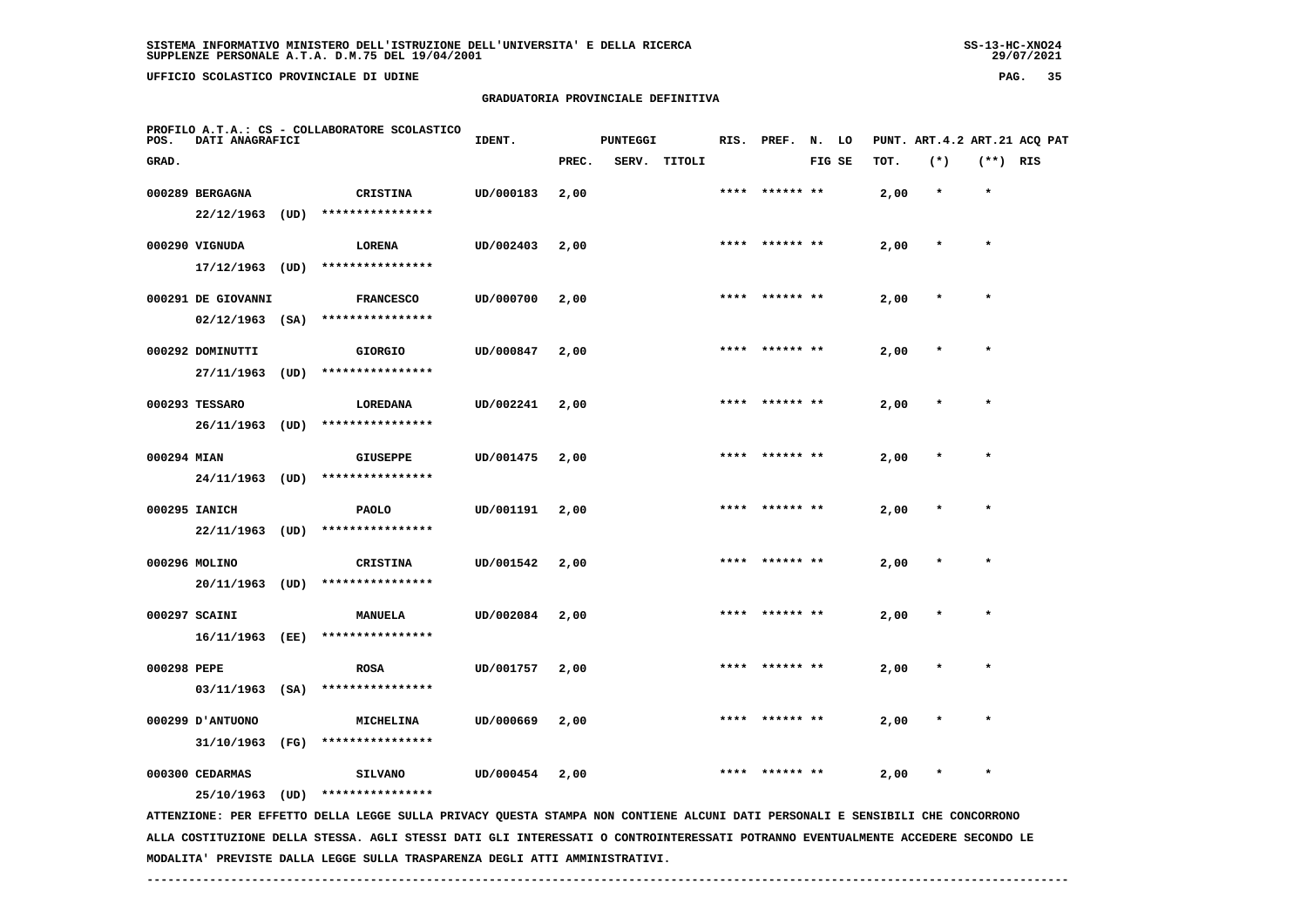**UFFICIO SCOLASTICO PROVINCIALE DI UDINE PAG. 35**

# **GRADUATORIA PROVINCIALE DEFINITIVA**

| POS.                                                                                                                          | PROFILO A.T.A.: CS - COLLABORATORE SCOLASTICO<br>DATI ANAGRAFICI |      |                  | IDENT.    | <b>PUNTEGGI</b> |  |              |      | RIS. PREF. N. LO |        |  | PUNT. ART. 4.2 ART. 21 ACQ PAT |         |            |  |  |
|-------------------------------------------------------------------------------------------------------------------------------|------------------------------------------------------------------|------|------------------|-----------|-----------------|--|--------------|------|------------------|--------|--|--------------------------------|---------|------------|--|--|
| GRAD.                                                                                                                         |                                                                  |      |                  |           | PREC.           |  | SERV. TITOLI |      |                  | FIG SE |  | TOT.                           | $(*)$   | $(**)$ RIS |  |  |
|                                                                                                                               | 000289 BERGAGNA                                                  |      | <b>CRISTINA</b>  | UD/000183 | 2,00            |  |              |      | **** ****** **   |        |  | 2,00                           | $\star$ | $\star$    |  |  |
|                                                                                                                               | 22/12/1963                                                       | (UD) | **************** |           |                 |  |              |      |                  |        |  |                                |         |            |  |  |
|                                                                                                                               | 000290 VIGNUDA                                                   |      | <b>LORENA</b>    | UD/002403 | 2,00            |  |              |      | **** ****** **   |        |  | 2,00                           | $\ast$  | $\star$    |  |  |
|                                                                                                                               | 17/12/1963                                                       | (UD) | **************** |           |                 |  |              |      |                  |        |  |                                |         |            |  |  |
|                                                                                                                               | 000291 DE GIOVANNI                                               |      | <b>FRANCESCO</b> | UD/000700 | 2,00            |  |              | **** |                  |        |  | 2,00                           |         | $\star$    |  |  |
|                                                                                                                               | $02/12/1963$ (SA)                                                |      | **************** |           |                 |  |              |      |                  |        |  |                                |         |            |  |  |
|                                                                                                                               | 000292 DOMINUTTI                                                 |      | <b>GIORGIO</b>   | UD/000847 | 2,00            |  |              |      |                  |        |  | 2,00                           |         |            |  |  |
|                                                                                                                               | 27/11/1963                                                       | (UD) | **************** |           |                 |  |              |      |                  |        |  |                                |         |            |  |  |
|                                                                                                                               | 000293 TESSARO                                                   |      | LOREDANA         | UD/002241 | 2,00            |  |              | **** | ****** **        |        |  | 2,00                           |         | $\star$    |  |  |
|                                                                                                                               | 26/11/1963                                                       | (UD) | **************** |           |                 |  |              |      |                  |        |  |                                |         |            |  |  |
| 000294 MIAN                                                                                                                   |                                                                  |      | <b>GIUSEPPE</b>  | UD/001475 | 2,00            |  |              |      | **** ****** **   |        |  | 2,00                           |         | $\star$    |  |  |
|                                                                                                                               | 24/11/1963                                                       | (UD) | **************** |           |                 |  |              |      |                  |        |  |                                |         |            |  |  |
|                                                                                                                               | 000295 IANICH                                                    |      | <b>PAOLO</b>     | UD/001191 | 2,00            |  |              |      |                  |        |  | 2,00                           |         | $\star$    |  |  |
|                                                                                                                               | 22/11/1963 (UD)                                                  |      | **************** |           |                 |  |              |      |                  |        |  |                                |         |            |  |  |
|                                                                                                                               | 000296 MOLINO                                                    |      | <b>CRISTINA</b>  | UD/001542 | 2,00            |  |              | **** | ****** **        |        |  | 2,00                           |         | $\star$    |  |  |
|                                                                                                                               | 20/11/1963 (UD)                                                  |      | **************** |           |                 |  |              |      |                  |        |  |                                |         |            |  |  |
|                                                                                                                               | 000297 SCAINI                                                    |      | MANUELA          | UD/002084 | 2,00            |  |              | **** | ****** **        |        |  | 2,00                           |         |            |  |  |
|                                                                                                                               | 16/11/1963                                                       | (EE) | **************** |           |                 |  |              |      |                  |        |  |                                |         |            |  |  |
| 000298 PEPE                                                                                                                   |                                                                  |      | <b>ROSA</b>      | UD/001757 | 2,00            |  |              |      |                  |        |  | 2,00                           |         |            |  |  |
|                                                                                                                               | $03/11/1963$ (SA)                                                |      | **************** |           |                 |  |              |      |                  |        |  |                                |         |            |  |  |
|                                                                                                                               | 000299 JANTUONO                                                  |      | <b>MICHELINA</b> | UD/000669 | 2,00            |  |              |      |                  |        |  | 2,00                           |         |            |  |  |
|                                                                                                                               | 31/10/1963                                                       | (FG) | **************** |           |                 |  |              |      |                  |        |  |                                |         |            |  |  |
|                                                                                                                               | 000300 CEDARMAS                                                  |      | <b>SILVANO</b>   | UD/000454 | 2,00            |  |              | **** |                  |        |  | 2,00                           | $\ast$  | $\star$    |  |  |
|                                                                                                                               | 25/10/1963                                                       | (UD) | **************** |           |                 |  |              |      |                  |        |  |                                |         |            |  |  |
| ATTENZIONE: PER EFFETTO DELLA LEGGE SULLA PRIVACY QUESTA STAMPA NON CONTIENE ALCUNI DATI PERSONALI E SENSIBILI CHE CONCORRONO |                                                                  |      |                  |           |                 |  |              |      |                  |        |  |                                |         |            |  |  |

 **ALLA COSTITUZIONE DELLA STESSA. AGLI STESSI DATI GLI INTERESSATI O CONTROINTERESSATI POTRANNO EVENTUALMENTE ACCEDERE SECONDO LE MODALITA' PREVISTE DALLA LEGGE SULLA TRASPARENZA DEGLI ATTI AMMINISTRATIVI.**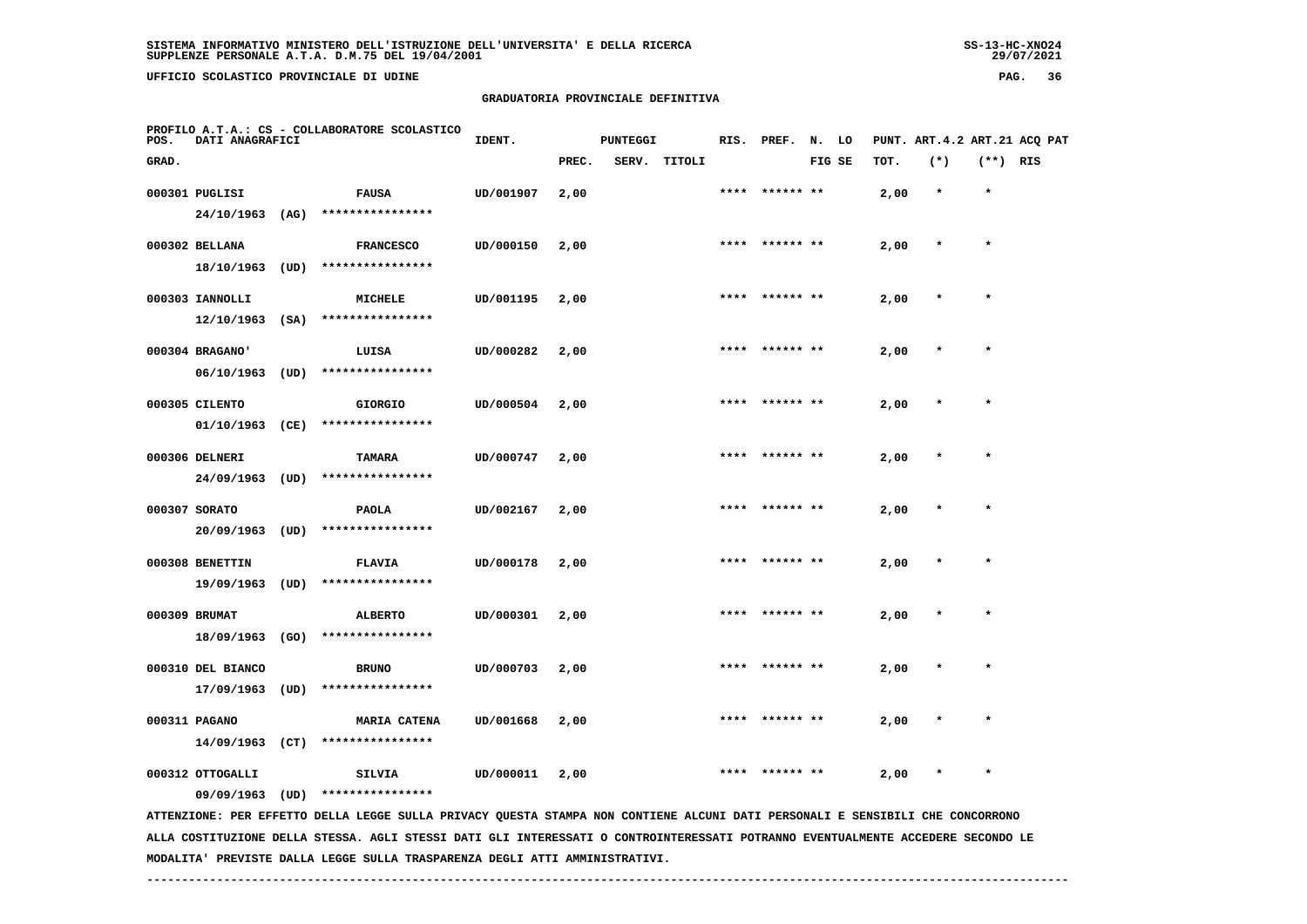**UFFICIO SCOLASTICO PROVINCIALE DI UDINE PAG. 36**

## **GRADUATORIA PROVINCIALE DEFINITIVA**

| POS.  | DATI ANAGRAFICI   |      | PROFILO A.T.A.: CS - COLLABORATORE SCOLASTICO                                                                                                                                                                                                                    | IDENT.    |       | <b>PUNTEGGI</b> |        |      | RIS. PREF. | N.     | LO |      |         |            | PUNT. ART. 4.2 ART. 21 ACQ PAT |
|-------|-------------------|------|------------------------------------------------------------------------------------------------------------------------------------------------------------------------------------------------------------------------------------------------------------------|-----------|-------|-----------------|--------|------|------------|--------|----|------|---------|------------|--------------------------------|
| GRAD. |                   |      |                                                                                                                                                                                                                                                                  |           | PREC. | SERV.           | TITOLI |      |            | FIG SE |    | TOT. | $(*)$   | $(**)$ RIS |                                |
|       | 000301 PUGLISI    |      | <b>FAUSA</b>                                                                                                                                                                                                                                                     | UD/001907 | 2,00  |                 |        | **** | ****** **  |        |    | 2,00 | $\star$ | $\star$    |                                |
|       | 24/10/1963        | (AG) | ****************                                                                                                                                                                                                                                                 |           |       |                 |        |      |            |        |    |      |         |            |                                |
|       | 000302 BELLANA    |      | <b>FRANCESCO</b>                                                                                                                                                                                                                                                 | UD/000150 | 2,00  |                 |        |      |            |        |    | 2,00 |         | $\star$    |                                |
|       | 18/10/1963        | (UD) | ****************                                                                                                                                                                                                                                                 |           |       |                 |        |      |            |        |    |      |         |            |                                |
|       | 000303 IANNOLLI   |      | <b>MICHELE</b>                                                                                                                                                                                                                                                   | UD/001195 | 2,00  |                 |        |      |            |        |    | 2,00 |         |            |                                |
|       | 12/10/1963        | (SA) | ****************                                                                                                                                                                                                                                                 |           |       |                 |        |      |            |        |    |      |         |            |                                |
|       | 000304 BRAGANO'   |      | LUISA                                                                                                                                                                                                                                                            | UD/000282 | 2,00  |                 |        |      | ****** **  |        |    | 2,00 |         | $\star$    |                                |
|       | 06/10/1963        | (UD) | ****************                                                                                                                                                                                                                                                 |           |       |                 |        |      |            |        |    |      |         |            |                                |
|       | 000305 CILENTO    |      | <b>GIORGIO</b>                                                                                                                                                                                                                                                   | UD/000504 | 2,00  |                 |        |      | ****** **  |        |    | 2,00 |         |            |                                |
|       | 01/10/1963        | (CE) | ****************                                                                                                                                                                                                                                                 |           |       |                 |        |      |            |        |    |      |         |            |                                |
|       | 000306 DELNERI    |      | TAMARA                                                                                                                                                                                                                                                           | UD/000747 | 2,00  |                 |        |      |            |        |    | 2,00 |         | $\star$    |                                |
|       | 24/09/1963        | (UD) | ****************                                                                                                                                                                                                                                                 |           |       |                 |        |      |            |        |    |      |         |            |                                |
|       | 000307 SORATO     |      | <b>PAOLA</b>                                                                                                                                                                                                                                                     | UD/002167 | 2,00  |                 |        |      |            |        |    | 2,00 |         |            |                                |
|       | 20/09/1963        | (UD) | ****************                                                                                                                                                                                                                                                 |           |       |                 |        |      |            |        |    |      |         |            |                                |
|       | 000308 BENETTIN   |      | <b>FLAVIA</b>                                                                                                                                                                                                                                                    | UD/000178 | 2,00  |                 |        |      |            |        |    | 2,00 |         | $\star$    |                                |
|       | 19/09/1963        | (UD) | ****************                                                                                                                                                                                                                                                 |           |       |                 |        |      |            |        |    |      |         |            |                                |
|       | 000309 BRUMAT     |      | <b>ALBERTO</b>                                                                                                                                                                                                                                                   | UD/000301 | 2,00  |                 |        |      | ****** **  |        |    | 2,00 |         |            |                                |
|       | 18/09/1963        | (GO) | ****************                                                                                                                                                                                                                                                 |           |       |                 |        |      |            |        |    |      |         |            |                                |
|       | 000310 DEL BIANCO |      | <b>BRUNO</b>                                                                                                                                                                                                                                                     | UD/000703 | 2,00  |                 |        | **** | ****** **  |        |    | 2,00 |         | $\star$    |                                |
|       | 17/09/1963        | (UD) | ****************                                                                                                                                                                                                                                                 |           |       |                 |        |      |            |        |    |      |         |            |                                |
|       | 000311 PAGANO     |      | <b>MARIA CATENA</b>                                                                                                                                                                                                                                              | UD/001668 | 2,00  |                 |        |      |            |        |    | 2,00 |         |            |                                |
|       | $14/09/1963$ (CT) |      | ****************                                                                                                                                                                                                                                                 |           |       |                 |        |      |            |        |    |      |         |            |                                |
|       | 000312 OTTOGALLI  |      | SILVIA                                                                                                                                                                                                                                                           | UD/000011 | 2,00  |                 |        |      |            |        |    | 2,00 |         |            |                                |
|       | 09/09/1963        | (UD) | ****************                                                                                                                                                                                                                                                 |           |       |                 |        |      |            |        |    |      |         |            |                                |
|       |                   |      | ATTENZIONE: PER EFFETTO DELLA LEGGE SULLA PRIVACY QUESTA STAMPA NON CONTIENE ALCUNI DATI PERSONALI E SENSIBILI CHE CONCORRONO<br>ALLA COSTITUZIONE DELLA STESSA. AGLI STESSI DATI GLI INTERESSATI O CONTROINTERESSATI POTRANNO EVENTUALMENTE ACCEDERE SECONDO LE |           |       |                 |        |      |            |        |    |      |         |            |                                |

 **MODALITA' PREVISTE DALLA LEGGE SULLA TRASPARENZA DEGLI ATTI AMMINISTRATIVI.**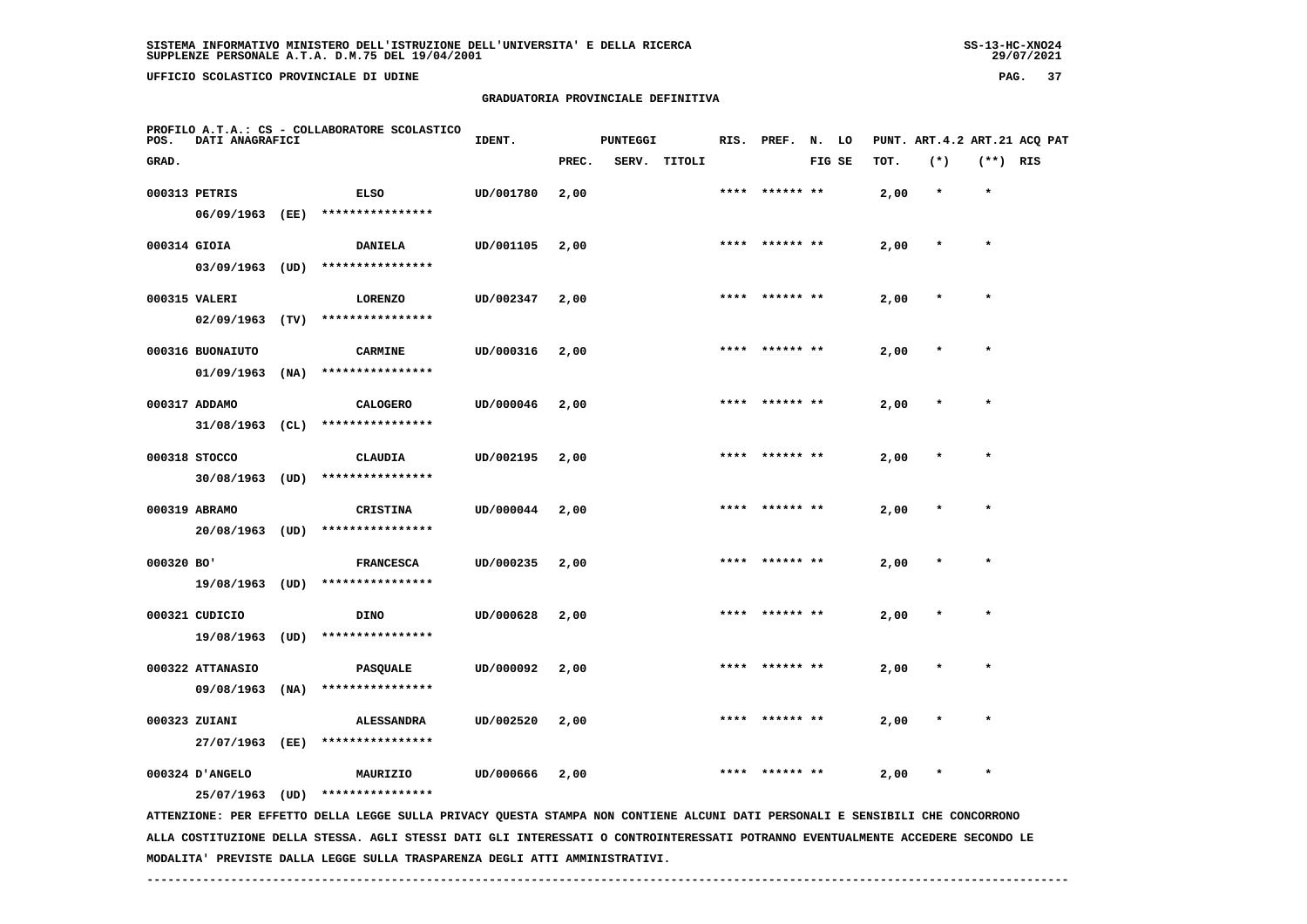**UFFICIO SCOLASTICO PROVINCIALE DI UDINE PAG. 37**

#### **GRADUATORIA PROVINCIALE DEFINITIVA**

| POS.         | DATI ANAGRAFICI   |      | PROFILO A.T.A.: CS - COLLABORATORE SCOLASTICO                                                                                 | IDENT.    |       | <b>PUNTEGGI</b> |        | RIS. | PREF.           | N. LO  |      |        |            | PUNT. ART.4.2 ART.21 ACQ PAT |
|--------------|-------------------|------|-------------------------------------------------------------------------------------------------------------------------------|-----------|-------|-----------------|--------|------|-----------------|--------|------|--------|------------|------------------------------|
| GRAD.        |                   |      |                                                                                                                               |           | PREC. | SERV.           | TITOLI |      |                 | FIG SE | тот. | $(*)$  | $(**)$ RIS |                              |
|              | 000313 PETRIS     |      | <b>ELSO</b>                                                                                                                   | UD/001780 | 2,00  |                 |        | **** | ****** **       |        | 2,00 | $\ast$ | $\star$    |                              |
|              | 06/09/1963 (EE)   |      | ****************                                                                                                              |           |       |                 |        |      |                 |        |      |        |            |                              |
| 000314 GIOIA |                   |      | <b>DANIELA</b>                                                                                                                | UD/001105 | 2,00  |                 |        |      |                 |        | 2,00 |        |            |                              |
|              | 03/09/1963        | (UD) | ****************                                                                                                              |           |       |                 |        |      |                 |        |      |        |            |                              |
|              | 000315 VALERI     |      | <b>LORENZO</b>                                                                                                                | UD/002347 | 2,00  |                 |        |      | ****  ****** ** |        | 2,00 |        | $\star$    |                              |
|              | 02/09/1963        | (TV) | ****************                                                                                                              |           |       |                 |        |      |                 |        |      |        |            |                              |
|              | 000316 BUONAIUTO  |      | <b>CARMINE</b>                                                                                                                | UD/000316 | 2,00  |                 |        |      |                 |        | 2,00 |        |            |                              |
|              | 01/09/1963        | (NA) | ****************                                                                                                              |           |       |                 |        |      |                 |        |      |        |            |                              |
|              | 000317 ADDAMO     |      | <b>CALOGERO</b>                                                                                                               | UD/000046 | 2,00  |                 |        |      |                 |        | 2,00 |        |            |                              |
|              | $31/08/1963$ (CL) |      | ****************                                                                                                              |           |       |                 |        |      |                 |        |      |        |            |                              |
|              | 000318 STOCCO     |      | CLAUDIA                                                                                                                       | UD/002195 | 2,00  |                 |        |      | **** ****** **  |        | 2,00 |        |            |                              |
|              | $30/08/1963$ (UD) |      | ****************                                                                                                              |           |       |                 |        |      |                 |        |      |        |            |                              |
|              | 000319 ABRAMO     |      | <b>CRISTINA</b>                                                                                                               | UD/000044 | 2,00  |                 |        |      | **** ****** **  |        | 2,00 |        | $\star$    |                              |
|              | 20/08/1963 (UD)   |      | ****************                                                                                                              |           |       |                 |        |      |                 |        |      |        |            |                              |
| 000320 BO'   |                   |      | <b>FRANCESCA</b>                                                                                                              | UD/000235 | 2,00  |                 |        |      |                 |        | 2,00 |        | $\star$    |                              |
|              | 19/08/1963 (UD)   |      | ****************                                                                                                              |           |       |                 |        |      |                 |        |      |        |            |                              |
|              | 000321 CUDICIO    |      | <b>DINO</b>                                                                                                                   | UD/000628 | 2,00  |                 |        |      |                 |        | 2,00 |        |            |                              |
|              | 19/08/1963        | (UD) | ****************                                                                                                              |           |       |                 |        |      |                 |        |      |        |            |                              |
|              | 000322 ATTANASIO  |      | PASQUALE                                                                                                                      | UD/000092 | 2,00  |                 |        |      |                 |        | 2,00 |        | $\star$    |                              |
|              | 09/08/1963        | (NA) | ****************                                                                                                              |           |       |                 |        |      |                 |        |      |        |            |                              |
|              | 000323 ZUIANI     |      | <b>ALESSANDRA</b>                                                                                                             | UD/002520 | 2,00  |                 |        |      | ****** **       |        | 2,00 |        |            |                              |
|              | 27/07/1963        | (EE) | ****************                                                                                                              |           |       |                 |        |      |                 |        |      |        |            |                              |
|              | 000324 D'ANGELO   |      | MAURIZIO                                                                                                                      | UD/000666 | 2,00  |                 |        |      |                 |        | 2,00 |        | $\star$    |                              |
|              | 25/07/1963 (UD)   |      | ****************                                                                                                              |           |       |                 |        |      |                 |        |      |        |            |                              |
|              |                   |      | ATTENZIONE: PER EFFETTO DELLA LEGGE SULLA PRIVACY QUESTA STAMPA NON CONTIENE ALCUNI DATI PERSONALI E SENSIBILI CHE CONCORRONO |           |       |                 |        |      |                 |        |      |        |            |                              |

 **ALLA COSTITUZIONE DELLA STESSA. AGLI STESSI DATI GLI INTERESSATI O CONTROINTERESSATI POTRANNO EVENTUALMENTE ACCEDERE SECONDO LE MODALITA' PREVISTE DALLA LEGGE SULLA TRASPARENZA DEGLI ATTI AMMINISTRATIVI.**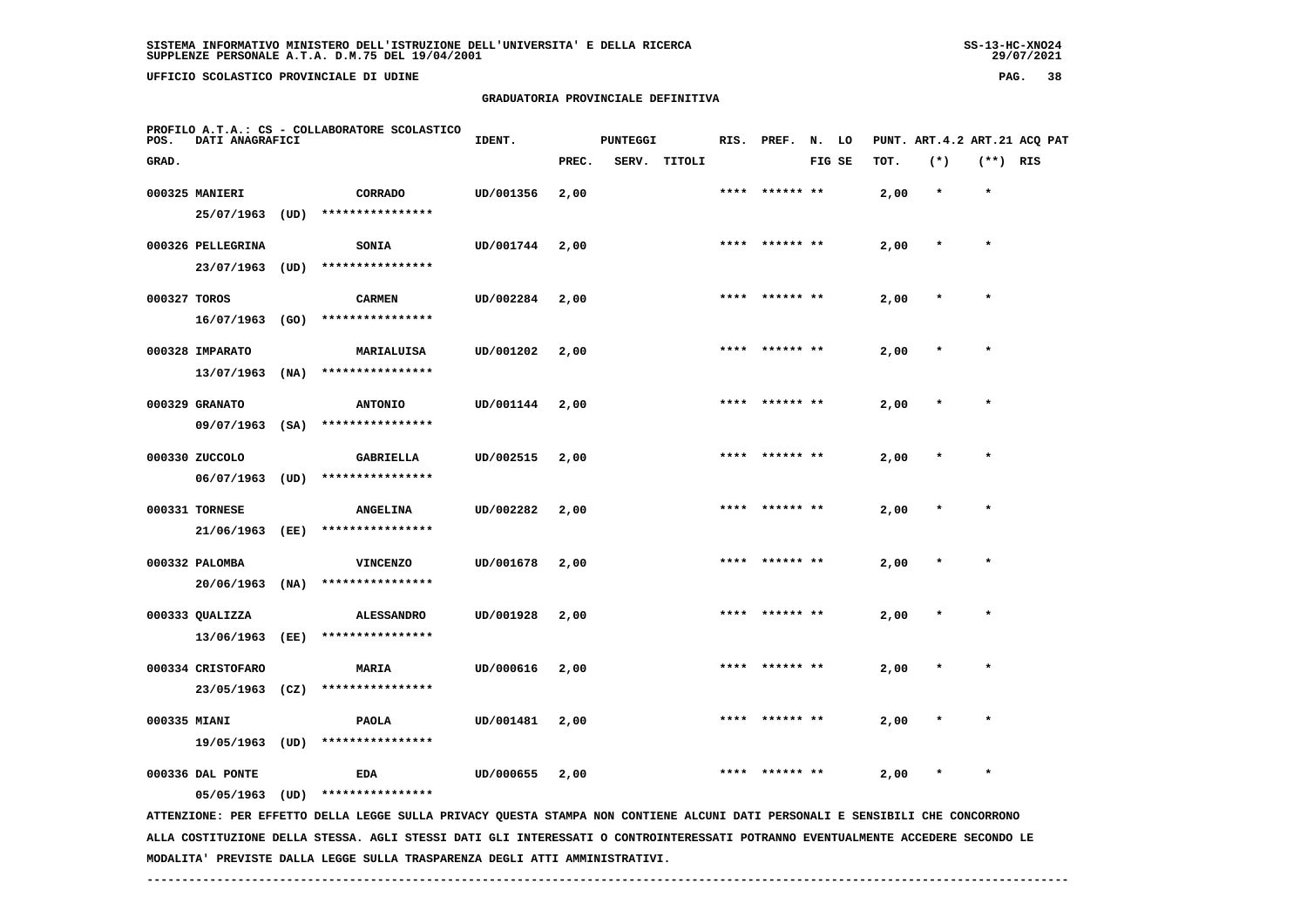**UFFICIO SCOLASTICO PROVINCIALE DI UDINE PAG. 38**

## **GRADUATORIA PROVINCIALE DEFINITIVA**

| POS.         | DATI ANAGRAFICI                   |      | PROFILO A.T.A.: CS - COLLABORATORE SCOLASTICO                                                                                 | IDENT.    |       | <b>PUNTEGGI</b> |        | RIS. | PREF.          | N. LO  |      |         |            | PUNT. ART.4.2 ART.21 ACQ PAT |
|--------------|-----------------------------------|------|-------------------------------------------------------------------------------------------------------------------------------|-----------|-------|-----------------|--------|------|----------------|--------|------|---------|------------|------------------------------|
| GRAD.        |                                   |      |                                                                                                                               |           | PREC. | SERV.           | TITOLI |      |                | FIG SE | тот. | $(*)$   | $(**)$ RIS |                              |
|              | 000325 MANIERI<br>25/07/1963      | (UD) | CORRADO<br>****************                                                                                                   | UD/001356 | 2,00  |                 |        | **** | ****** **      |        | 2,00 | $\star$ | $\star$    |                              |
|              | 000326 PELLEGRINA                 |      | SONIA                                                                                                                         | UD/001744 | 2,00  |                 |        |      |                |        | 2,00 |         | $\star$    |                              |
|              | 23/07/1963                        | (UD) | ****************                                                                                                              |           |       |                 |        |      |                |        |      |         |            |                              |
| 000327 TOROS | 16/07/1963                        | (GO) | <b>CARMEN</b><br>****************                                                                                             | UD/002284 | 2,00  |                 |        | **** | ****** **      |        | 2,00 | $\ast$  | $\star$    |                              |
|              | 000328 IMPARATO<br>13/07/1963     | (NA) | MARIALUISA<br>****************                                                                                                | UD/001202 | 2,00  |                 |        |      |                |        | 2,00 |         |            |                              |
|              | 000329 GRANATO<br>09/07/1963 (SA) |      | <b>ANTONIO</b><br>****************                                                                                            | UD/001144 | 2,00  |                 |        |      |                |        | 2,00 |         |            |                              |
|              | 000330 ZUCCOLO                    |      | GABRIELLA                                                                                                                     | UD/002515 | 2,00  |                 |        |      | **** ****** ** |        | 2,00 |         | $\star$    |                              |
|              | 06/07/1963<br>000331 TORNESE      | (UD) | ****************<br><b>ANGELINA</b>                                                                                           | UD/002282 | 2,00  |                 |        |      | **** ****** ** |        | 2,00 |         | $\star$    |                              |
|              | 21/06/1963<br>000332 PALOMBA      | (EE) | ****************<br><b>VINCENZO</b>                                                                                           | UD/001678 | 2,00  |                 |        |      |                |        | 2,00 |         | $\star$    |                              |
|              | 20/06/1963                        | (NA) | ****************                                                                                                              |           |       |                 |        |      |                |        |      |         |            |                              |
|              | 000333 QUALIZZA<br>13/06/1963     | (EE) | <b>ALESSANDRO</b><br>****************                                                                                         | UD/001928 | 2,00  |                 |        |      |                |        | 2,00 |         |            |                              |
|              | 000334 CRISTOFARO<br>23/05/1963   | (CZ) | MARIA<br>****************                                                                                                     | UD/000616 | 2,00  |                 |        |      |                |        | 2,00 |         | $\star$    |                              |
| 000335 MIANI |                                   |      | <b>PAOLA</b>                                                                                                                  | UD/001481 | 2,00  |                 |        |      |                |        | 2,00 |         |            |                              |
|              | 19/05/1963<br>000336 DAL PONTE    | (UD) | ****************<br>EDA                                                                                                       | UD/000655 | 2,00  |                 |        |      |                |        | 2,00 |         |            |                              |
|              | 05/05/1963                        | (UD) | ****************                                                                                                              |           |       |                 |        |      |                |        |      |         |            |                              |
|              |                                   |      | ATTENZIONE: PER EFFETTO DELLA LEGGE SULLA PRIVACY QUESTA STAMPA NON CONTIENE ALCUNI DATI PERSONALI E SENSIBILI CHE CONCORRONO |           |       |                 |        |      |                |        |      |         |            |                              |

 **ALLA COSTITUZIONE DELLA STESSA. AGLI STESSI DATI GLI INTERESSATI O CONTROINTERESSATI POTRANNO EVENTUALMENTE ACCEDERE SECONDO LE MODALITA' PREVISTE DALLA LEGGE SULLA TRASPARENZA DEGLI ATTI AMMINISTRATIVI.**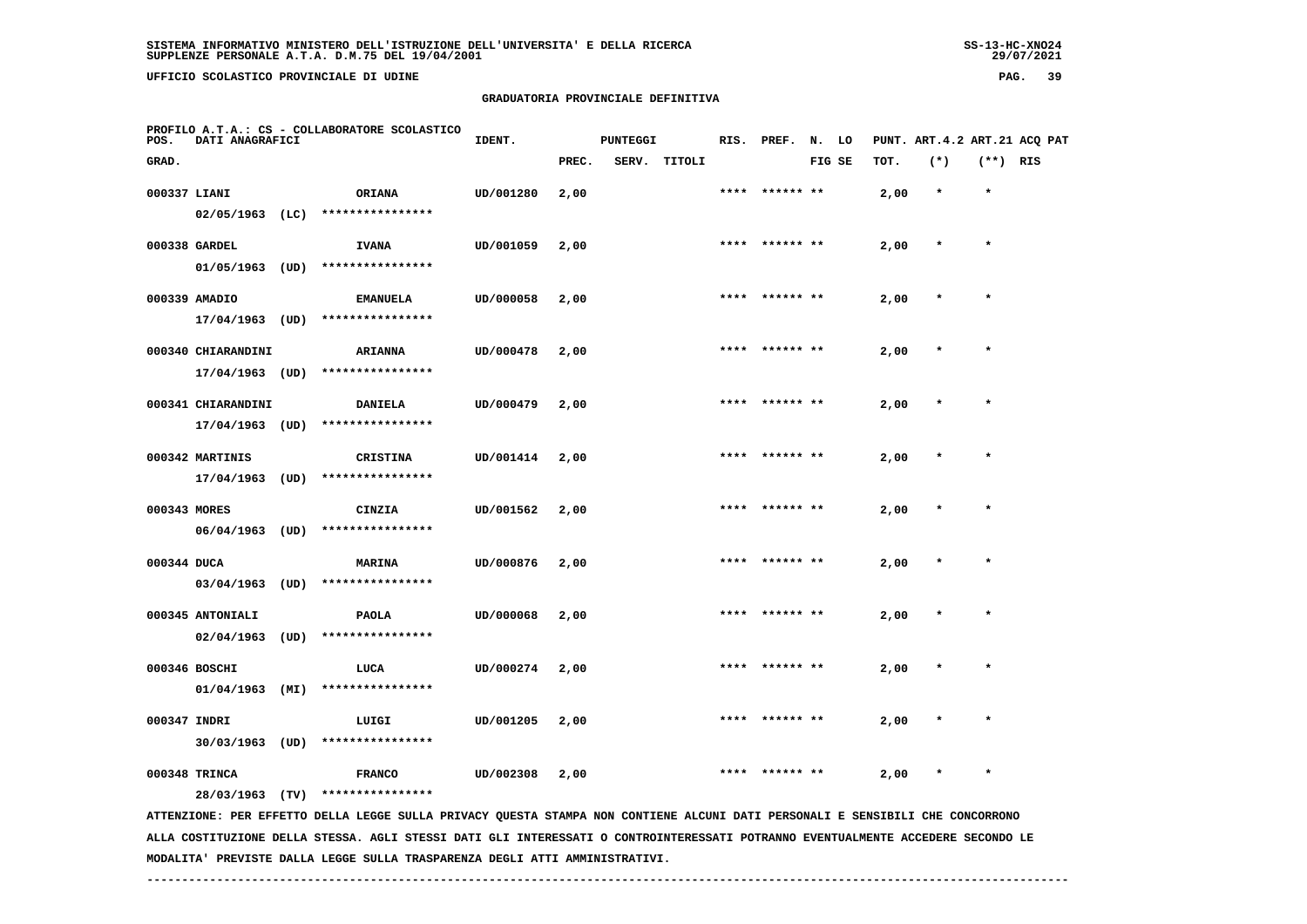**UFFICIO SCOLASTICO PROVINCIALE DI UDINE PAG. 39**

## **GRADUATORIA PROVINCIALE DEFINITIVA**

| POS.         | DATI ANAGRAFICI    |      | PROFILO A.T.A.: CS - COLLABORATORE SCOLASTICO                                                                                 | IDENT.    |       | <b>PUNTEGGI</b> |              |      | RIS. PREF. N. LO |        |      | PUNT. ART.4.2 ART.21 ACQ PAT |            |  |
|--------------|--------------------|------|-------------------------------------------------------------------------------------------------------------------------------|-----------|-------|-----------------|--------------|------|------------------|--------|------|------------------------------|------------|--|
| GRAD.        |                    |      |                                                                                                                               |           | PREC. |                 | SERV. TITOLI |      |                  | FIG SE | TOT. | $(*)$                        | $(**)$ RIS |  |
| 000337 LIANI |                    |      | <b>ORIANA</b>                                                                                                                 | UD/001280 | 2,00  |                 |              |      | **** ****** **   |        | 2,00 | $\star$                      | $\star$    |  |
|              | $02/05/1963$ (LC)  |      | ****************                                                                                                              |           |       |                 |              |      |                  |        |      |                              |            |  |
|              | 000338 GARDEL      |      | <b>IVANA</b>                                                                                                                  | UD/001059 | 2,00  |                 |              | **** | ****** **        |        | 2,00 |                              | $\star$    |  |
|              | $01/05/1963$ (UD)  |      | ****************                                                                                                              |           |       |                 |              |      |                  |        |      |                              |            |  |
|              | 000339 AMADIO      |      | <b>EMANUELA</b>                                                                                                               | UD/000058 | 2,00  |                 |              |      | **** ****** **   |        | 2,00 | $\star$                      | $\star$    |  |
|              | 17/04/1963 (UD)    |      | ****************                                                                                                              |           |       |                 |              |      |                  |        |      |                              |            |  |
|              | 000340 CHIARANDINI |      | <b>ARIANNA</b>                                                                                                                | UD/000478 | 2,00  |                 |              |      |                  |        | 2,00 |                              |            |  |
|              | 17/04/1963 (UD)    |      | ****************                                                                                                              |           |       |                 |              |      |                  |        |      |                              |            |  |
|              | 000341 CHIARANDINI |      | <b>DANIELA</b>                                                                                                                | UD/000479 | 2,00  |                 |              |      | **** ****** **   |        | 2,00 |                              |            |  |
|              | 17/04/1963 (UD)    |      | ****************                                                                                                              |           |       |                 |              |      |                  |        |      |                              |            |  |
|              | 000342 MARTINIS    |      | <b>CRISTINA</b>                                                                                                               | UD/001414 | 2,00  |                 |              | **** | ****** **        |        | 2,00 |                              | $\star$    |  |
|              | $17/04/1963$ (UD)  |      | ****************                                                                                                              |           |       |                 |              |      |                  |        |      |                              |            |  |
|              |                    |      |                                                                                                                               |           |       |                 |              |      | ****** **        |        |      |                              |            |  |
| 000343 MORES | 06/04/1963         | (UD) | CINZIA<br>****************                                                                                                    | UD/001562 | 2,00  |                 |              |      |                  |        | 2,00 |                              |            |  |
|              |                    |      |                                                                                                                               |           |       |                 |              |      |                  |        |      |                              |            |  |
| 000344 DUCA  |                    |      | <b>MARINA</b>                                                                                                                 | UD/000876 | 2,00  |                 |              | **** | ****** **        |        | 2,00 | $\star$                      | $\star$    |  |
|              | $03/04/1963$ (UD)  |      | ****************                                                                                                              |           |       |                 |              |      |                  |        |      |                              |            |  |
|              | 000345 ANTONIALI   |      | <b>PAOLA</b>                                                                                                                  | UD/000068 | 2,00  |                 |              |      |                  |        | 2,00 |                              |            |  |
|              | $02/04/1963$ (UD)  |      | ****************                                                                                                              |           |       |                 |              |      |                  |        |      |                              |            |  |
|              | 000346 BOSCHI      |      | LUCA                                                                                                                          | UD/000274 | 2,00  |                 |              | **** | ****** **        |        | 2,00 |                              |            |  |
|              | $01/04/1963$ (MI)  |      | ****************                                                                                                              |           |       |                 |              |      |                  |        |      |                              |            |  |
| 000347 INDRI |                    |      | LUIGI                                                                                                                         | UD/001205 | 2,00  |                 |              |      |                  |        | 2,00 |                              |            |  |
|              | $30/03/1963$ (UD)  |      | ****************                                                                                                              |           |       |                 |              |      |                  |        |      |                              |            |  |
|              | 000348 TRINCA      |      | <b>FRANCO</b>                                                                                                                 | UD/002308 | 2,00  |                 |              |      |                  |        | 2,00 |                              | $\star$    |  |
|              | 28/03/1963 (TV)    |      | ****************                                                                                                              |           |       |                 |              |      |                  |        |      |                              |            |  |
|              |                    |      | ATTENZIONE: PER EFFETTO DELLA LEGGE SULLA PRIVACY QUESTA STAMPA NON CONTIENE ALCUNI DATI PERSONALI E SENSIBILI CHE CONCORRONO |           |       |                 |              |      |                  |        |      |                              |            |  |

 **ALLA COSTITUZIONE DELLA STESSA. AGLI STESSI DATI GLI INTERESSATI O CONTROINTERESSATI POTRANNO EVENTUALMENTE ACCEDERE SECONDO LE MODALITA' PREVISTE DALLA LEGGE SULLA TRASPARENZA DEGLI ATTI AMMINISTRATIVI.**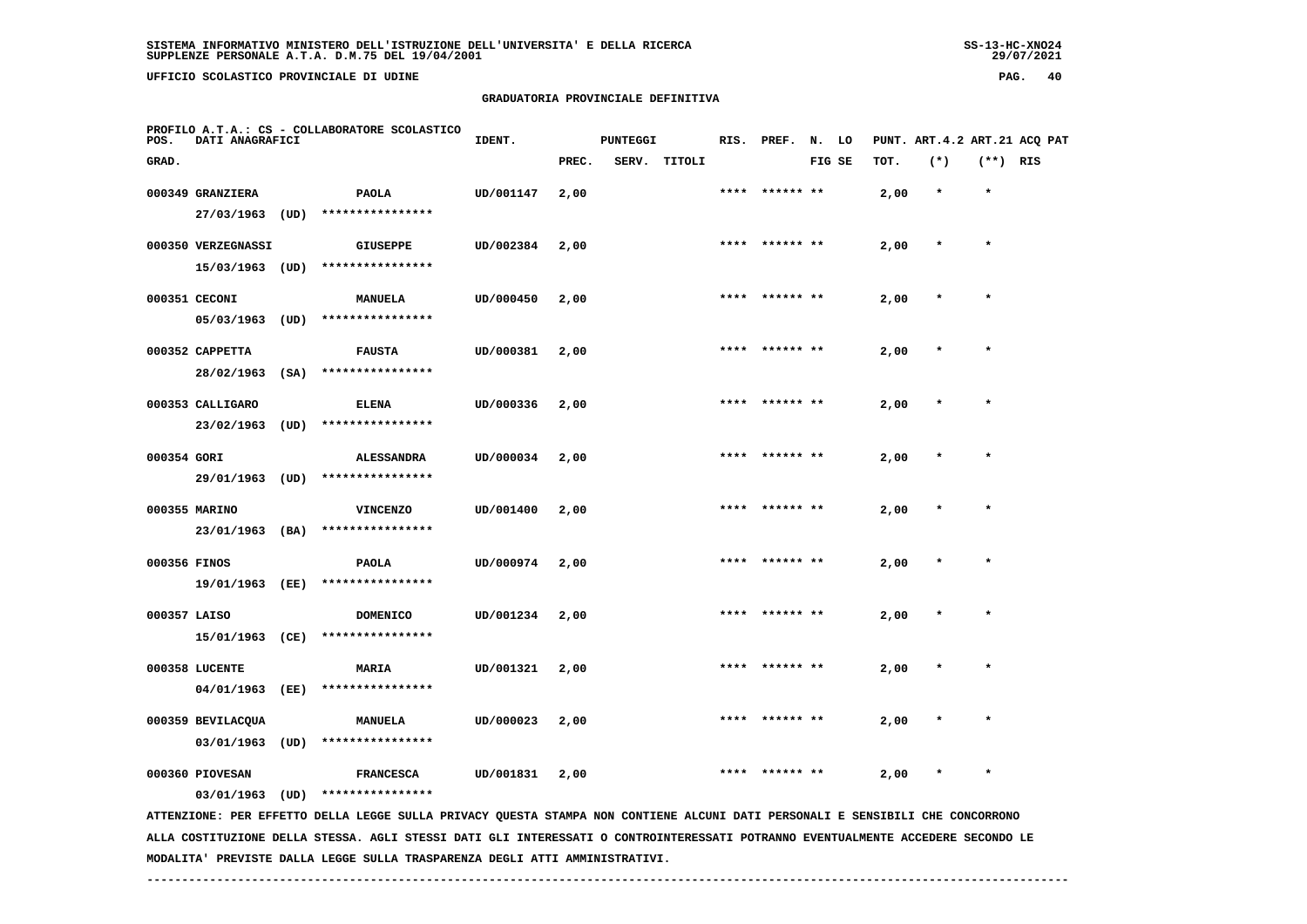**UFFICIO SCOLASTICO PROVINCIALE DI UDINE PAG. 40**

## **GRADUATORIA PROVINCIALE DEFINITIVA**

| POS.         | DATI ANAGRAFICI    |      | PROFILO A.T.A.: CS - COLLABORATORE SCOLASTICO                                                                                   | IDENT.    |       | <b>PUNTEGGI</b> |              | RIS. | PREF.          | N. LO  |      |         |            | PUNT. ART. 4.2 ART. 21 ACQ PAT |
|--------------|--------------------|------|---------------------------------------------------------------------------------------------------------------------------------|-----------|-------|-----------------|--------------|------|----------------|--------|------|---------|------------|--------------------------------|
| GRAD.        |                    |      |                                                                                                                                 |           | PREC. |                 | SERV. TITOLI |      |                | FIG SE | TOT. | $(*)$   | $(**)$ RIS |                                |
|              | 000349 GRANZIERA   |      | <b>PAOLA</b>                                                                                                                    | UD/001147 | 2,00  |                 |              |      | **** ****** ** |        | 2,00 | $\star$ | $\star$    |                                |
|              | 27/03/1963         | (UD) | ****************                                                                                                                |           |       |                 |              |      |                |        |      |         |            |                                |
|              | 000350 VERZEGNASSI |      | <b>GIUSEPPE</b>                                                                                                                 | UD/002384 | 2,00  |                 |              |      | **** ****** ** |        | 2,00 | $\star$ | $\star$    |                                |
|              | 15/03/1963 (UD)    |      | ****************                                                                                                                |           |       |                 |              |      |                |        |      |         |            |                                |
|              | 000351 CECONI      |      | MANUELA                                                                                                                         | UD/000450 | 2,00  |                 |              |      |                |        | 2,00 |         |            |                                |
|              | $05/03/1963$ (UD)  |      | ****************                                                                                                                |           |       |                 |              |      |                |        |      |         |            |                                |
|              | 000352 CAPPETTA    |      | <b>FAUSTA</b>                                                                                                                   | UD/000381 | 2,00  |                 |              |      |                |        | 2,00 |         |            |                                |
|              | 28/02/1963 (SA)    |      | ****************                                                                                                                |           |       |                 |              |      |                |        |      |         |            |                                |
|              | 000353 CALLIGARO   |      | <b>ELENA</b>                                                                                                                    | UD/000336 | 2,00  |                 |              | **** | ****** **      |        | 2,00 |         |            |                                |
|              | 23/02/1963         | (UD) | ****************                                                                                                                |           |       |                 |              |      |                |        |      |         |            |                                |
| 000354 GORI  |                    |      | <b>ALESSANDRA</b>                                                                                                               | UD/000034 | 2,00  |                 |              | **** |                |        | 2,00 |         | $\star$    |                                |
|              | 29/01/1963 (UD)    |      | ****************                                                                                                                |           |       |                 |              |      |                |        |      |         |            |                                |
|              | 000355 MARINO      |      | <b>VINCENZO</b>                                                                                                                 | UD/001400 | 2,00  |                 |              |      |                |        | 2,00 |         |            |                                |
|              | 23/01/1963 (BA)    |      | ****************                                                                                                                |           |       |                 |              |      |                |        |      |         |            |                                |
| 000356 FINOS |                    |      | <b>PAOLA</b>                                                                                                                    | UD/000974 | 2,00  |                 |              |      |                |        | 2,00 |         |            |                                |
|              | 19/01/1963 (EE)    |      | ****************                                                                                                                |           |       |                 |              |      |                |        |      |         |            |                                |
| 000357 LAISO |                    |      | DOMENICO                                                                                                                        | UD/001234 | 2,00  |                 |              | **** | ****** **      |        | 2,00 |         |            |                                |
|              | 15/01/1963 (CE)    |      | ****************                                                                                                                |           |       |                 |              |      |                |        |      |         |            |                                |
|              | 000358 LUCENTE     |      | MARIA                                                                                                                           | UD/001321 | 2,00  |                 |              | **** | ****** **      |        | 2,00 |         | $\star$    |                                |
|              | 04/01/1963         | (EE) | ****************                                                                                                                |           |       |                 |              |      |                |        |      |         |            |                                |
|              | 000359 BEVILACQUA  |      | MANUELA                                                                                                                         | UD/000023 | 2,00  |                 |              |      |                |        | 2,00 |         |            |                                |
|              | 03/01/1963         | (UD) | ****************                                                                                                                |           |       |                 |              |      |                |        |      |         |            |                                |
|              | 000360 PIOVESAN    |      | <b>FRANCESCA</b>                                                                                                                | UD/001831 | 2,00  |                 |              |      |                |        | 2,00 |         | $\star$    |                                |
|              | $03/01/1963$ (UD)  |      | ****************                                                                                                                |           |       |                 |              |      |                |        |      |         |            |                                |
|              |                    |      | ATTENZIONE: PER EFFETTO DELLA LEGGE SULLA PRIVACY QUESTA STAMPA NON CONTIENE ALCUNI DATI PERSONALI E SENSIBILI CHE CONCORRONO   |           |       |                 |              |      |                |        |      |         |            |                                |
|              |                    |      | ALLA COSTITUZIONE DELLA STESSA. AGLI STESSI DATI GLI INTERESSATI O CONTROINTERESSATI POTRANNO EVENTUALMENTE ACCEDERE SECONDO LE |           |       |                 |              |      |                |        |      |         |            |                                |

 **------------------------------------------------------------------------------------------------------------------------------------**

 **MODALITA' PREVISTE DALLA LEGGE SULLA TRASPARENZA DEGLI ATTI AMMINISTRATIVI.**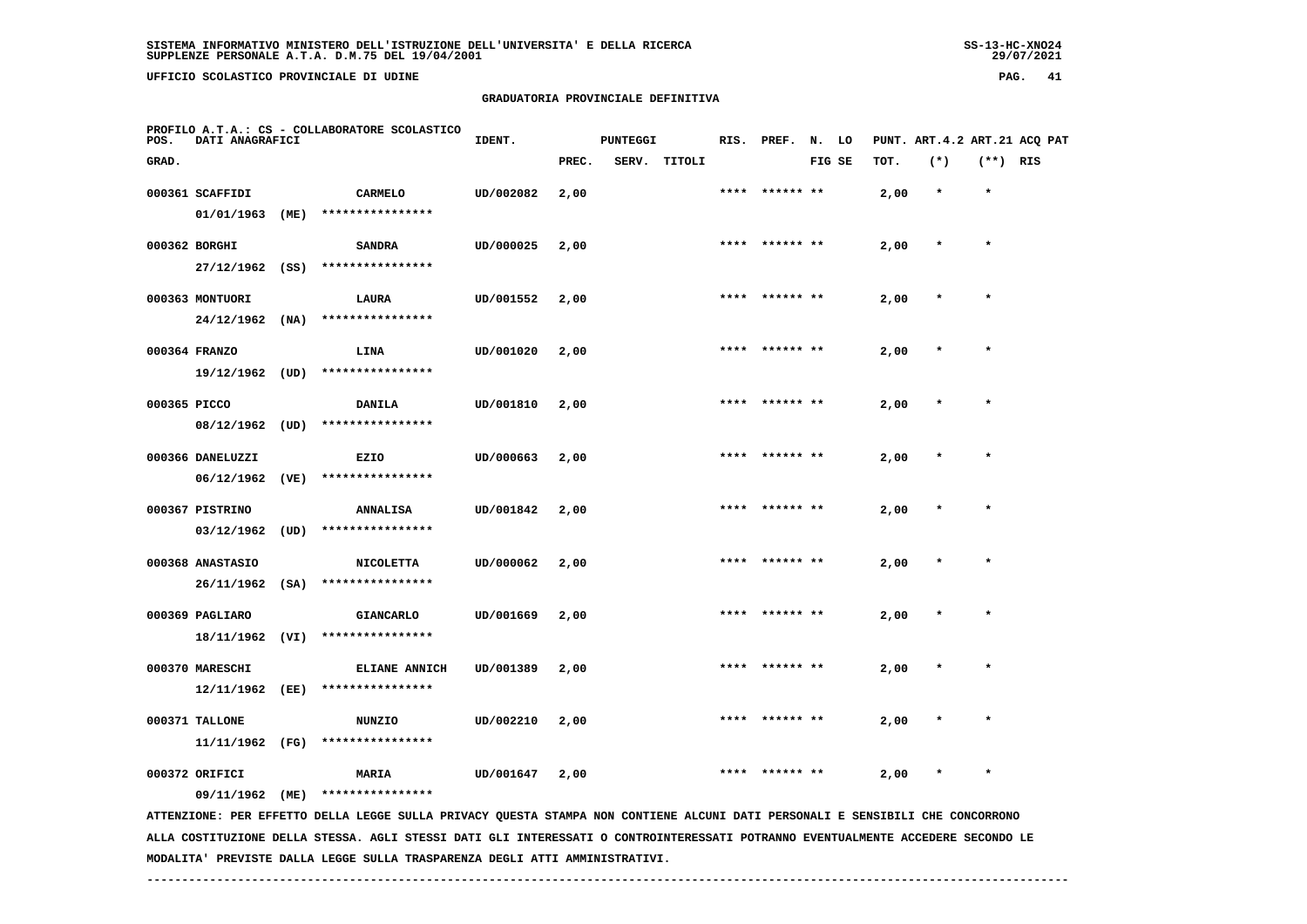**UFFICIO SCOLASTICO PROVINCIALE DI UDINE PAG. 41**

#### **GRADUATORIA PROVINCIALE DEFINITIVA**

| POS.         | DATI ANAGRAFICI   |      | PROFILO A.T.A.: CS - COLLABORATORE SCOLASTICO                                                                                 | IDENT.    |       | <b>PUNTEGGI</b> |              |      | RIS. PREF. N. LO |        |      |         |            | PUNT. ART.4.2 ART.21 ACQ PAT |
|--------------|-------------------|------|-------------------------------------------------------------------------------------------------------------------------------|-----------|-------|-----------------|--------------|------|------------------|--------|------|---------|------------|------------------------------|
| GRAD.        |                   |      |                                                                                                                               |           | PREC. |                 | SERV. TITOLI |      |                  | FIG SE | TOT. | $(*)$   | $(**)$ RIS |                              |
|              | 000361 SCAFFIDI   |      | <b>CARMELO</b>                                                                                                                | UD/002082 | 2,00  |                 |              |      | ****** **        |        | 2,00 | $\star$ | $\star$    |                              |
|              | 01/01/1963        | (ME) | ****************                                                                                                              |           |       |                 |              |      |                  |        |      |         |            |                              |
|              | 000362 BORGHI     |      | <b>SANDRA</b>                                                                                                                 | UD/000025 | 2,00  |                 |              |      | **** ****** **   |        | 2,00 | $\star$ | $\star$    |                              |
|              | $27/12/1962$ (SS) |      | ****************                                                                                                              |           |       |                 |              |      |                  |        |      |         |            |                              |
|              | 000363 MONTUORI   |      | LAURA                                                                                                                         | UD/001552 | 2,00  |                 |              |      |                  |        | 2,00 |         | $\star$    |                              |
|              | 24/12/1962        | (NA) | ****************                                                                                                              |           |       |                 |              |      |                  |        |      |         |            |                              |
|              | 000364 FRANZO     |      | LINA                                                                                                                          | UD/001020 | 2,00  |                 |              |      |                  |        | 2,00 |         |            |                              |
|              | 19/12/1962 (UD)   |      | ****************                                                                                                              |           |       |                 |              |      |                  |        |      |         |            |                              |
| 000365 PICCO |                   |      | DANILA                                                                                                                        | UD/001810 | 2,00  |                 |              |      |                  |        | 2,00 |         | $\star$    |                              |
|              | 08/12/1962 (UD)   |      | ****************                                                                                                              |           |       |                 |              |      |                  |        |      |         |            |                              |
|              | 000366 DANELUZZI  |      | EZIO                                                                                                                          | UD/000663 | 2,00  |                 |              |      | ****  ****** **  |        | 2,00 |         | $\star$    |                              |
|              | 06/12/1962        | (VE) | ****************                                                                                                              |           |       |                 |              |      |                  |        |      |         |            |                              |
|              | 000367 PISTRINO   |      | <b>ANNALISA</b>                                                                                                               | UD/001842 | 2,00  |                 |              |      |                  |        | 2,00 |         |            |                              |
|              | 03/12/1962        | (UD) | ****************                                                                                                              |           |       |                 |              |      |                  |        |      |         |            |                              |
|              | 000368 ANASTASIO  |      | <b>NICOLETTA</b>                                                                                                              | UD/000062 | 2,00  |                 |              | **** | ****** **        |        | 2,00 | $\star$ | $\star$    |                              |
|              | 26/11/1962        | (SA) | ****************                                                                                                              |           |       |                 |              |      |                  |        |      |         |            |                              |
|              | 000369 PAGLIARO   |      | GIANCARLO                                                                                                                     | UD/001669 | 2,00  |                 |              |      |                  |        | 2,00 |         |            |                              |
|              | 18/11/1962 (VI)   |      | ****************                                                                                                              |           |       |                 |              |      |                  |        |      |         |            |                              |
|              | 000370 MARESCHI   |      | <b>ELIANE ANNICH</b>                                                                                                          | UD/001389 | 2,00  |                 |              | **** |                  |        | 2,00 |         | $\star$    |                              |
|              | 12/11/1962        | (EE) | ****************                                                                                                              |           |       |                 |              |      |                  |        |      |         |            |                              |
|              | 000371 TALLONE    |      | <b>NUNZIO</b>                                                                                                                 | UD/002210 | 2,00  |                 |              |      |                  |        | 2,00 |         |            |                              |
|              | 11/11/1962 (FG)   |      | ****************                                                                                                              |           |       |                 |              |      |                  |        |      |         |            |                              |
|              | 000372 ORIFICI    |      | <b>MARIA</b>                                                                                                                  | UD/001647 | 2,00  |                 |              |      |                  |        | 2,00 |         | $\star$    |                              |
|              | 09/11/1962 (ME)   |      | ****************                                                                                                              |           |       |                 |              |      |                  |        |      |         |            |                              |
|              |                   |      | ATTENZIONE: PER EFFETTO DELLA LEGGE SULLA PRIVACY QUESTA STAMPA NON CONTIENE ALCUNI DATI PERSONALI E SENSIBILI CHE CONCORRONO |           |       |                 |              |      |                  |        |      |         |            |                              |

 **ALLA COSTITUZIONE DELLA STESSA. AGLI STESSI DATI GLI INTERESSATI O CONTROINTERESSATI POTRANNO EVENTUALMENTE ACCEDERE SECONDO LE MODALITA' PREVISTE DALLA LEGGE SULLA TRASPARENZA DEGLI ATTI AMMINISTRATIVI.**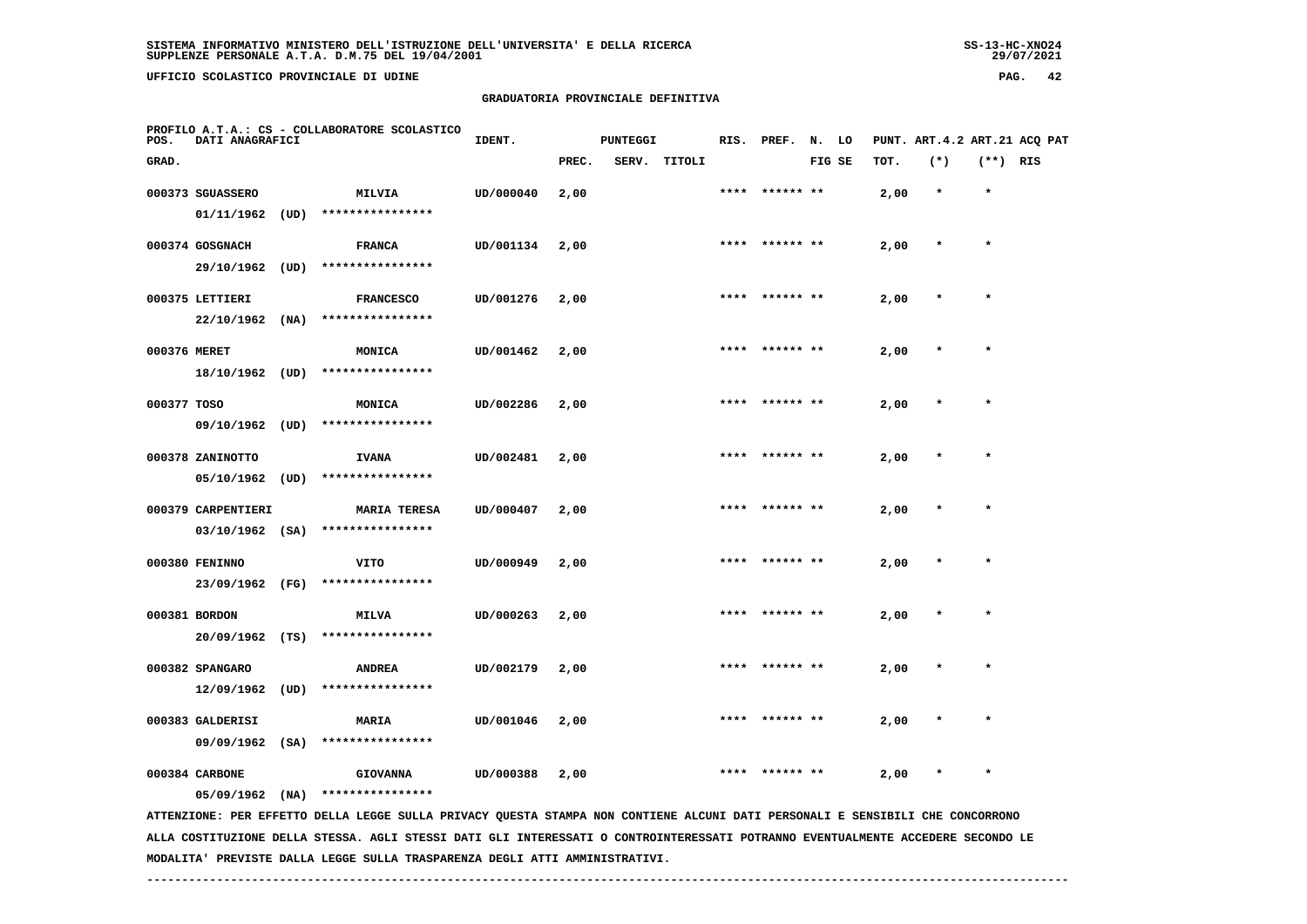**UFFICIO SCOLASTICO PROVINCIALE DI UDINE PAG. 42**

#### **GRADUATORIA PROVINCIALE DEFINITIVA**

| POS.         | DATI ANAGRAFICI    |      | PROFILO A.T.A.: CS - COLLABORATORE SCOLASTICO                                                                                   | IDENT.    |       | PUNTEGGI |              |      | RIS. PREF. N. LO |        |      |         |            | PUNT. ART. 4.2 ART. 21 ACQ PAT |
|--------------|--------------------|------|---------------------------------------------------------------------------------------------------------------------------------|-----------|-------|----------|--------------|------|------------------|--------|------|---------|------------|--------------------------------|
| GRAD.        |                    |      |                                                                                                                                 |           | PREC. |          | SERV. TITOLI |      |                  | FIG SE | TOT. | $(*)$   | $(**)$ RIS |                                |
|              | 000373 SGUASSERO   |      | MILVIA                                                                                                                          | UD/000040 | 2,00  |          |              |      | ****** **        |        | 2,00 | $\star$ | $\star$    |                                |
|              | 01/11/1962         | (UD) | ****************                                                                                                                |           |       |          |              |      |                  |        |      |         |            |                                |
|              | 000374 GOSGNACH    |      | <b>FRANCA</b>                                                                                                                   | UD/001134 | 2,00  |          |              | **** |                  |        | 2,00 | $\ast$  | $\star$    |                                |
|              | 29/10/1962         | (UD) | ****************                                                                                                                |           |       |          |              |      |                  |        |      |         |            |                                |
|              | 000375 LETTIERI    |      | <b>FRANCESCO</b>                                                                                                                | UD/001276 | 2,00  |          |              |      |                  |        | 2,00 |         |            |                                |
|              | 22/10/1962         | (NA) | ****************                                                                                                                |           |       |          |              |      |                  |        |      |         |            |                                |
| 000376 MERET |                    |      | MONICA                                                                                                                          | UD/001462 | 2,00  |          |              |      |                  |        | 2,00 |         |            |                                |
|              | 18/10/1962 (UD)    |      | ****************                                                                                                                |           |       |          |              |      |                  |        |      |         |            |                                |
| 000377 TOSO  |                    |      | MONICA                                                                                                                          | UD/002286 | 2,00  |          |              | **** | ****** **        |        | 2,00 |         |            |                                |
|              | 09/10/1962         | (UD) | ****************                                                                                                                |           |       |          |              |      |                  |        |      |         |            |                                |
|              | 000378 ZANINOTTO   |      | <b>IVANA</b>                                                                                                                    | UD/002481 | 2,00  |          |              | **** |                  |        | 2,00 |         | $\star$    |                                |
|              | 05/10/1962         | (UD) | ****************                                                                                                                |           |       |          |              |      |                  |        |      |         |            |                                |
|              | 000379 CARPENTIERI |      | <b>MARIA TERESA</b>                                                                                                             | UD/000407 | 2,00  |          |              |      |                  |        | 2,00 |         |            |                                |
|              | $03/10/1962$ (SA)  |      | ****************                                                                                                                |           |       |          |              |      |                  |        |      |         |            |                                |
|              | 000380 FENINNO     |      | <b>VITO</b>                                                                                                                     | UD/000949 | 2,00  |          |              |      |                  |        | 2,00 |         | $\star$    |                                |
|              | 23/09/1962 (FG)    |      | ****************                                                                                                                |           |       |          |              |      |                  |        |      |         |            |                                |
|              | 000381 BORDON      |      | <b>MILVA</b>                                                                                                                    | UD/000263 | 2,00  |          |              |      | ****** **        |        | 2,00 |         |            |                                |
|              | 20/09/1962 (TS)    |      | ****************                                                                                                                |           |       |          |              |      |                  |        |      |         |            |                                |
|              | 000382 SPANGARO    |      | <b>ANDREA</b>                                                                                                                   | UD/002179 | 2,00  |          |              | **** | ****** **        |        | 2,00 | $\star$ | $\star$    |                                |
|              | 12/09/1962         | (UD) | ****************                                                                                                                |           |       |          |              |      |                  |        |      |         |            |                                |
|              | 000383 GALDERISI   |      | <b>MARIA</b>                                                                                                                    | UD/001046 | 2,00  |          |              |      |                  |        | 2,00 |         |            |                                |
|              | $09/09/1962$ (SA)  |      | ****************                                                                                                                |           |       |          |              |      |                  |        |      |         |            |                                |
|              |                    |      |                                                                                                                                 |           |       |          |              |      |                  |        |      |         | $\star$    |                                |
|              | 000384 CARBONE     |      | <b>GIOVANNA</b><br>****************                                                                                             | UD/000388 | 2,00  |          |              |      |                  |        | 2,00 |         |            |                                |
|              | $05/09/1962$ (NA)  |      | ATTENZIONE: PER EFFETTO DELLA LEGGE SULLA PRIVACY QUESTA STAMPA NON CONTIENE ALCUNI DATI PERSONALI E SENSIBILI CHE CONCORRONO   |           |       |          |              |      |                  |        |      |         |            |                                |
|              |                    |      | ALLA COSTITUZIONE DELLA STESSA. AGLI STESSI DATI GLI INTERESSATI O CONTROINTERESSATI POTRANNO EVENTUALMENTE ACCEDERE SECONDO LE |           |       |          |              |      |                  |        |      |         |            |                                |

 **MODALITA' PREVISTE DALLA LEGGE SULLA TRASPARENZA DEGLI ATTI AMMINISTRATIVI.**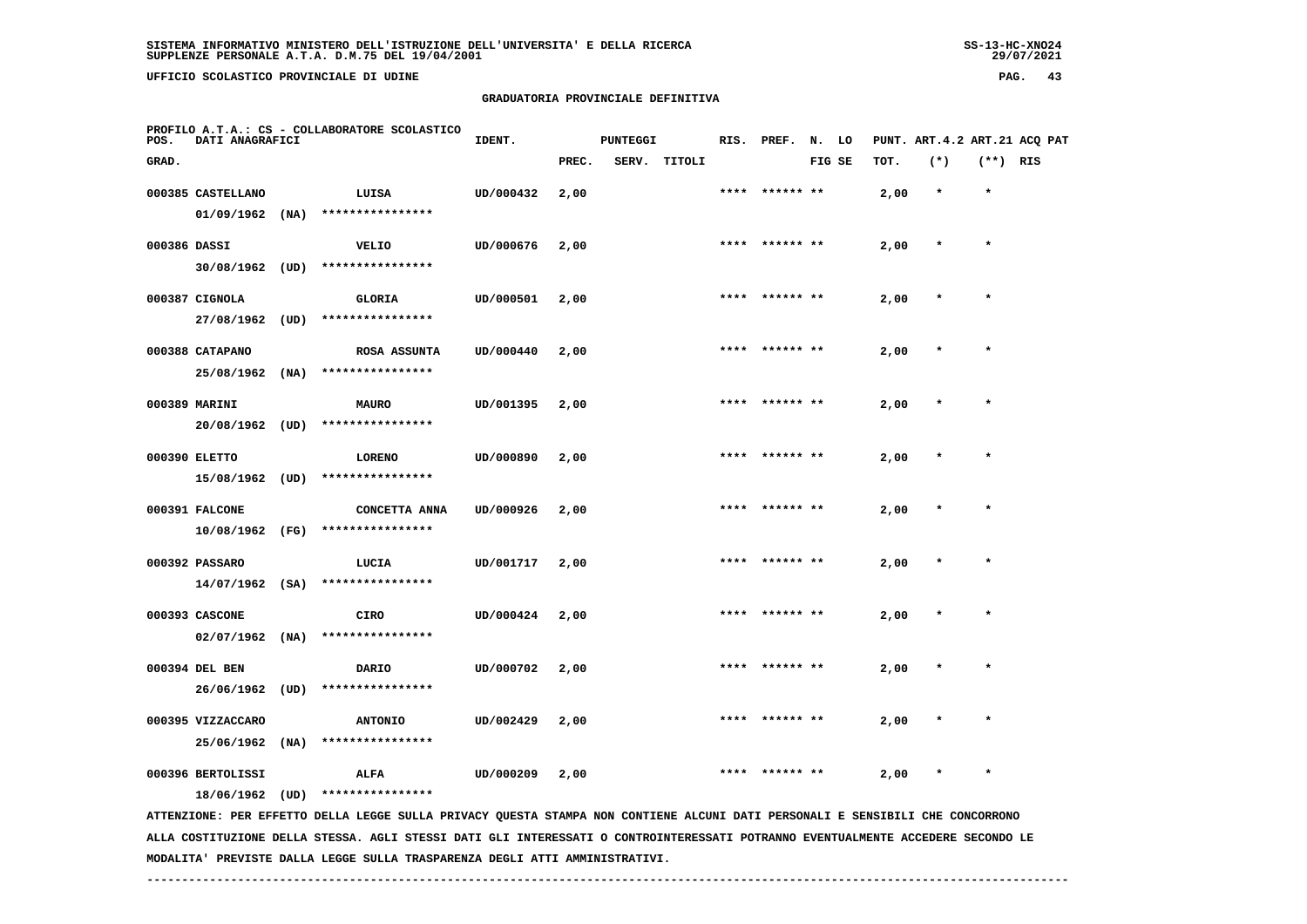**UFFICIO SCOLASTICO PROVINCIALE DI UDINE PAG. 43**

#### **GRADUATORIA PROVINCIALE DEFINITIVA**

| POS.         | DATI ANAGRAFICI   |      | PROFILO A.T.A.: CS - COLLABORATORE SCOLASTICO                                                                                 | IDENT.    |       | <b>PUNTEGGI</b> |        |      | RIS. PREF. | N. LO  |      |         |            | PUNT. ART.4.2 ART.21 ACQ PAT |
|--------------|-------------------|------|-------------------------------------------------------------------------------------------------------------------------------|-----------|-------|-----------------|--------|------|------------|--------|------|---------|------------|------------------------------|
| GRAD.        |                   |      |                                                                                                                               |           | PREC. | SERV.           | TITOLI |      |            | FIG SE | TOT. | $(*)$   | $(**)$ RIS |                              |
|              | 000385 CASTELLANO |      | LUISA                                                                                                                         | UD/000432 | 2,00  |                 |        | **** | ****** **  |        | 2,00 | $\star$ | $\star$    |                              |
|              | 01/09/1962        | (NA) | ****************                                                                                                              |           |       |                 |        |      |            |        |      |         |            |                              |
| 000386 DASSI |                   |      | <b>VELIO</b>                                                                                                                  | UD/000676 | 2,00  |                 |        | **** |            |        | 2,00 | $\star$ | $\star$    |                              |
|              | 30/08/1962 (UD)   |      | ****************                                                                                                              |           |       |                 |        |      |            |        |      |         |            |                              |
|              | 000387 CIGNOLA    |      | <b>GLORIA</b>                                                                                                                 | UD/000501 | 2,00  |                 |        | **** | ****** **  |        | 2,00 |         | $\star$    |                              |
|              | 27/08/1962        | (UD) | ****************                                                                                                              |           |       |                 |        |      |            |        |      |         |            |                              |
|              | 000388 CATAPANO   |      | <b>ROSA ASSUNTA</b>                                                                                                           | UD/000440 | 2,00  |                 |        |      |            |        | 2,00 |         |            |                              |
|              | 25/08/1962        | (NA) | ****************                                                                                                              |           |       |                 |        |      |            |        |      |         |            |                              |
|              | 000389 MARINI     |      | <b>MAURO</b>                                                                                                                  | UD/001395 | 2,00  |                 |        |      |            |        | 2,00 |         |            |                              |
|              | 20/08/1962 (UD)   |      | ****************                                                                                                              |           |       |                 |        |      |            |        |      |         |            |                              |
|              | 000390 ELETTO     |      | <b>LORENO</b>                                                                                                                 | UD/000890 | 2,00  |                 |        | **** | ****** **  |        | 2,00 |         | $\star$    |                              |
|              | 15/08/1962 (UD)   |      | ****************                                                                                                              |           |       |                 |        |      |            |        |      |         |            |                              |
|              | 000391 FALCONE    |      | CONCETTA ANNA                                                                                                                 | UD/000926 | 2,00  |                 |        | **** | ****** **  |        | 2,00 |         | $\star$    |                              |
|              | 10/08/1962 (FG)   |      | ****************                                                                                                              |           |       |                 |        |      |            |        |      |         |            |                              |
|              | 000392 PASSARO    |      | LUCIA                                                                                                                         | UD/001717 | 2,00  |                 |        |      |            |        | 2,00 |         |            |                              |
|              | $14/07/1962$ (SA) |      | ****************                                                                                                              |           |       |                 |        |      |            |        |      |         |            |                              |
|              | 000393 CASCONE    |      | CIRO                                                                                                                          | UD/000424 | 2,00  |                 |        | **** | ****** **  |        | 2,00 |         | $\star$    |                              |
|              | $02/07/1962$ (NA) |      | ****************                                                                                                              |           |       |                 |        |      |            |        |      |         |            |                              |
|              | 000394 DEL BEN    |      | DARIO                                                                                                                         | UD/000702 | 2,00  |                 |        |      |            |        | 2,00 |         |            |                              |
|              | 26/06/1962        | (UD) | ****************                                                                                                              |           |       |                 |        |      |            |        |      |         |            |                              |
|              | 000395 VIZZACCARO |      | <b>ANTONIO</b>                                                                                                                | UD/002429 | 2,00  |                 |        |      |            |        | 2,00 |         |            |                              |
|              | 25/06/1962        | (MA) | ****************                                                                                                              |           |       |                 |        |      |            |        |      |         |            |                              |
|              | 000396 BERTOLISSI |      | ALFA                                                                                                                          | UD/000209 | 2,00  |                 |        |      |            |        | 2,00 |         | $\star$    |                              |
|              | 18/06/1962        | (UD) | ****************                                                                                                              |           |       |                 |        |      |            |        |      |         |            |                              |
|              |                   |      | ATTENZIONE: PER EFFETTO DELLA LEGGE SULLA PRIVACY QUESTA STAMPA NON CONTIENE ALCUNI DATI PERSONALI E SENSIBILI CHE CONCORRONO |           |       |                 |        |      |            |        |      |         |            |                              |

 **ALLA COSTITUZIONE DELLA STESSA. AGLI STESSI DATI GLI INTERESSATI O CONTROINTERESSATI POTRANNO EVENTUALMENTE ACCEDERE SECONDO LE MODALITA' PREVISTE DALLA LEGGE SULLA TRASPARENZA DEGLI ATTI AMMINISTRATIVI.**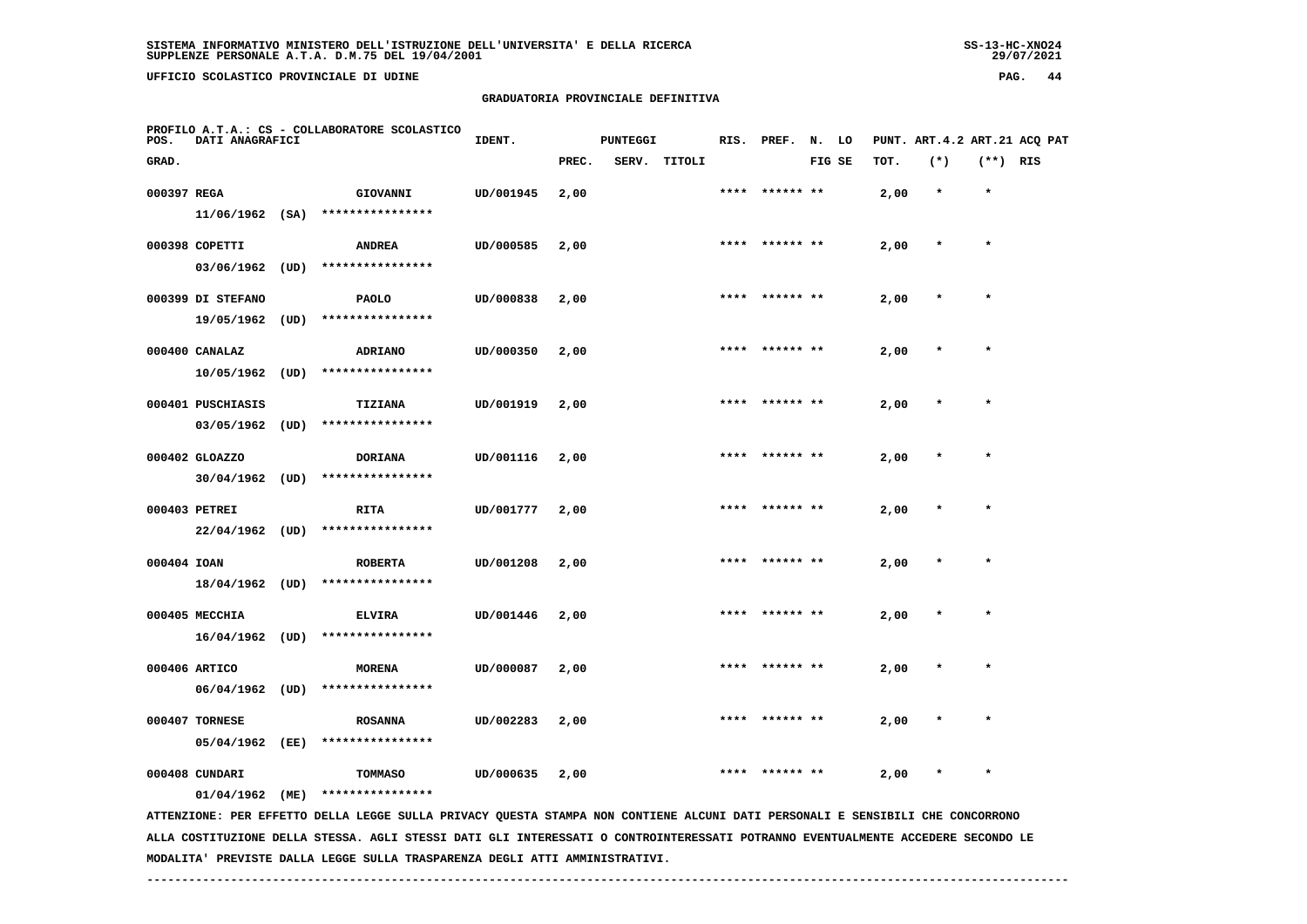**UFFICIO SCOLASTICO PROVINCIALE DI UDINE PAG. 44**

## **GRADUATORIA PROVINCIALE DEFINITIVA**

| POS.        | DATI ANAGRAFICI   | PROFILO A.T.A.: CS - COLLABORATORE SCOLASTICO                                                                                   | IDENT.    |       | <b>PUNTEGGI</b> |              | RIS. | PREF.          | N. LO  |      |         |            | PUNT. ART.4.2 ART.21 ACQ PAT |
|-------------|-------------------|---------------------------------------------------------------------------------------------------------------------------------|-----------|-------|-----------------|--------------|------|----------------|--------|------|---------|------------|------------------------------|
| GRAD.       |                   |                                                                                                                                 |           | PREC. |                 | SERV. TITOLI |      |                | FIG SE | TOT. | $(*)$   | $(**)$ RIS |                              |
| 000397 REGA |                   | GIOVANNI                                                                                                                        | UD/001945 | 2,00  |                 |              |      | **** ****** ** |        | 2,00 | $\star$ | $\star$    |                              |
|             | $11/06/1962$ (SA) | ****************                                                                                                                |           |       |                 |              |      |                |        |      |         |            |                              |
|             | 000398 COPETTI    | <b>ANDREA</b>                                                                                                                   | UD/000585 | 2,00  |                 |              |      | **** ****** ** |        | 2,00 | $\star$ | $\star$    |                              |
|             | $03/06/1962$ (UD) | ****************                                                                                                                |           |       |                 |              |      |                |        |      |         |            |                              |
|             | 000399 DI STEFANO | <b>PAOLO</b>                                                                                                                    | UD/000838 | 2,00  |                 |              |      |                |        | 2,00 |         |            |                              |
|             | 19/05/1962 (UD)   | ****************                                                                                                                |           |       |                 |              |      |                |        |      |         |            |                              |
|             | 000400 CANALAZ    | <b>ADRIANO</b>                                                                                                                  | UD/000350 | 2,00  |                 |              |      |                |        | 2,00 |         |            |                              |
|             | $10/05/1962$ (UD) | ****************                                                                                                                |           |       |                 |              |      |                |        |      |         |            |                              |
|             | 000401 PUSCHIASIS | <b>TIZIANA</b>                                                                                                                  | UD/001919 | 2,00  |                 |              | **** | ****** **      |        | 2,00 |         |            |                              |
|             | $03/05/1962$ (UD) | ****************                                                                                                                |           |       |                 |              |      |                |        |      |         |            |                              |
|             | 000402 GLOAZZO    | <b>DORIANA</b>                                                                                                                  | UD/001116 | 2,00  |                 |              | **** |                |        | 2,00 |         | $\star$    |                              |
|             | $30/04/1962$ (UD) | ****************                                                                                                                |           |       |                 |              |      |                |        |      |         |            |                              |
|             | 000403 PETREI     | <b>RITA</b>                                                                                                                     | UD/001777 | 2,00  |                 |              |      |                |        | 2,00 |         |            |                              |
|             | $22/04/1962$ (UD) | ****************                                                                                                                |           |       |                 |              |      |                |        |      |         |            |                              |
| 000404 IOAN |                   | <b>ROBERTA</b>                                                                                                                  | UD/001208 | 2,00  |                 |              |      |                |        | 2,00 |         |            |                              |
|             | 18/04/1962 (UD)   | ****************                                                                                                                |           |       |                 |              |      |                |        |      |         |            |                              |
|             | 000405 MECCHIA    | <b>ELVIRA</b>                                                                                                                   | UD/001446 | 2,00  |                 |              | **** | ****** **      |        | 2,00 |         |            |                              |
|             | $16/04/1962$ (UD) | ****************                                                                                                                |           |       |                 |              |      |                |        |      |         |            |                              |
|             | 000406 ARTICO     | <b>MORENA</b>                                                                                                                   | UD/000087 | 2,00  |                 |              | **** | ****** **      |        | 2,00 |         | $\star$    |                              |
|             |                   | 06/04/1962 (UD) ****************                                                                                                |           |       |                 |              |      |                |        |      |         |            |                              |
|             | 000407 TORNESE    | <b>ROSANNA</b>                                                                                                                  | UD/002283 | 2,00  |                 |              |      |                |        | 2,00 |         |            |                              |
|             | 05/04/1962 (EE)   | ****************                                                                                                                |           |       |                 |              |      |                |        |      |         |            |                              |
|             | 000408 CUNDARI    | TOMMASO                                                                                                                         | UD/000635 | 2,00  |                 |              |      |                |        | 2,00 |         | $\star$    |                              |
|             | 01/04/1962 (ME)   | ****************                                                                                                                |           |       |                 |              |      |                |        |      |         |            |                              |
|             |                   | ATTENZIONE: PER EFFETTO DELLA LEGGE SULLA PRIVACY QUESTA STAMPA NON CONTIENE ALCUNI DATI PERSONALI E SENSIBILI CHE CONCORRONO   |           |       |                 |              |      |                |        |      |         |            |                              |
|             |                   | ALLA COSTITUZIONE DELLA STESSA. AGLI STESSI DATI GLI INTERESSATI O CONTROINTERESSATI POTRANNO EVENTUALMENTE ACCEDERE SECONDO LE |           |       |                 |              |      |                |        |      |         |            |                              |

 **MODALITA' PREVISTE DALLA LEGGE SULLA TRASPARENZA DEGLI ATTI AMMINISTRATIVI.**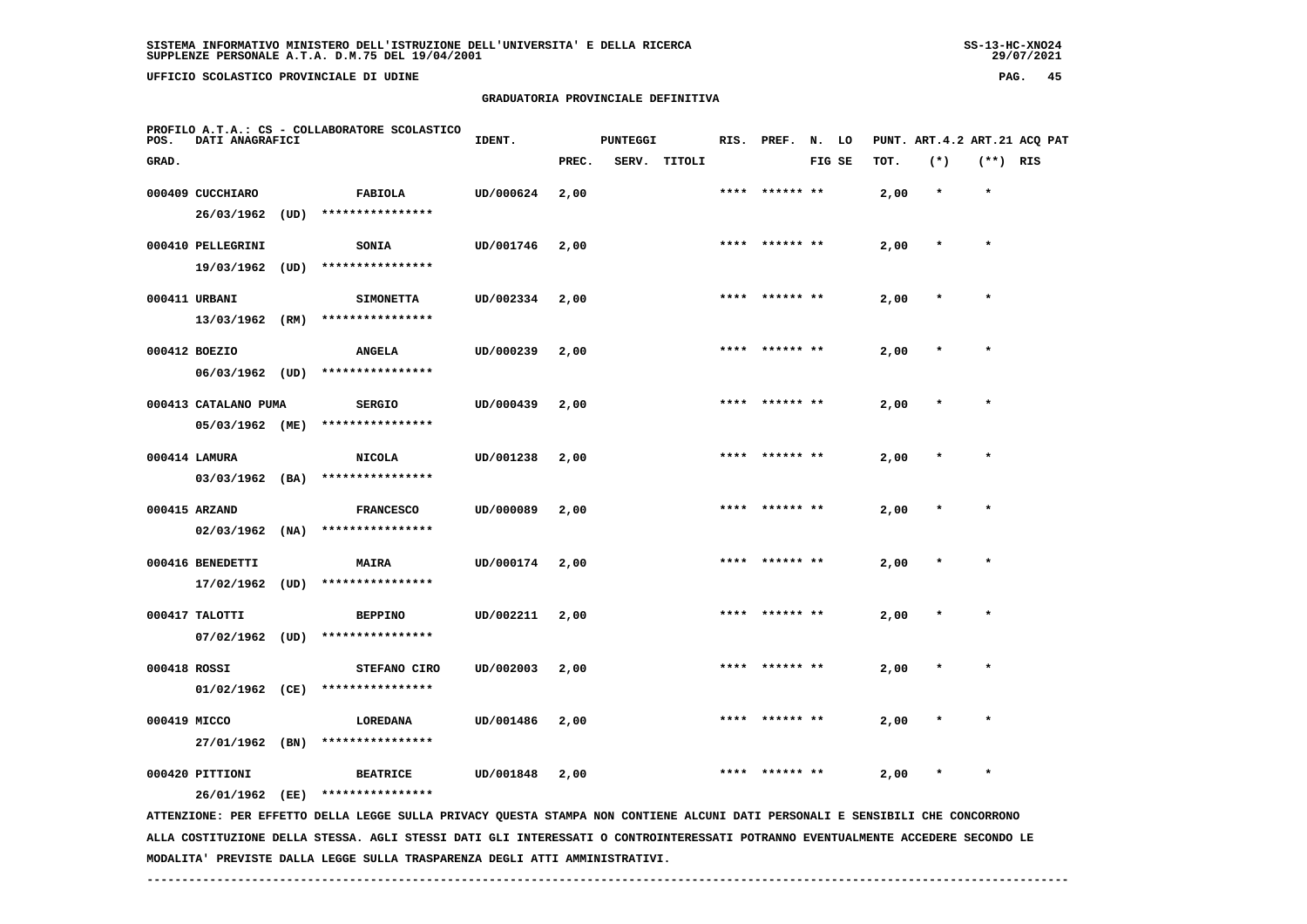**UFFICIO SCOLASTICO PROVINCIALE DI UDINE PAG. 45**

#### **GRADUATORIA PROVINCIALE DEFINITIVA**

| POS.         | DATI ANAGRAFICI                     |      | PROFILO A.T.A.: CS - COLLABORATORE SCOLASTICO                                                                                                                                                                                                                    | IDENT.    |       | <b>PUNTEGGI</b> |              |      | RIS. PREF. N. LO |        |      |         |            | PUNT. ART. 4.2 ART. 21 ACO PAT |
|--------------|-------------------------------------|------|------------------------------------------------------------------------------------------------------------------------------------------------------------------------------------------------------------------------------------------------------------------|-----------|-------|-----------------|--------------|------|------------------|--------|------|---------|------------|--------------------------------|
| GRAD.        |                                     |      |                                                                                                                                                                                                                                                                  |           | PREC. |                 | SERV. TITOLI |      |                  | FIG SE | TOT. | $(*)$   | $(**)$ RIS |                                |
|              | 000409 CUCCHIARO                    |      | FABIOLA                                                                                                                                                                                                                                                          | UD/000624 | 2,00  |                 |              |      |                  |        | 2,00 | $\star$ | $\star$    |                                |
|              | 26/03/1962                          | (UD) | ****************                                                                                                                                                                                                                                                 |           |       |                 |              |      |                  |        |      |         |            |                                |
|              | 000410 PELLEGRINI                   |      | SONIA                                                                                                                                                                                                                                                            | UD/001746 | 2,00  |                 |              |      |                  |        | 2,00 |         |            |                                |
|              | 19/03/1962 (UD)                     |      | ****************                                                                                                                                                                                                                                                 |           |       |                 |              |      |                  |        |      |         |            |                                |
|              | 000411 URBANI                       |      | <b>SIMONETTA</b>                                                                                                                                                                                                                                                 | UD/002334 | 2,00  |                 |              |      | **** ****** **   |        | 2,00 |         |            |                                |
|              | 13/03/1962 (RM)                     |      | ****************                                                                                                                                                                                                                                                 |           |       |                 |              |      |                  |        |      |         |            |                                |
|              | 000412 BOEZIO                       |      | <b>ANGELA</b>                                                                                                                                                                                                                                                    | UD/000239 | 2,00  |                 |              |      | ****  ****** **  |        | 2,00 |         | $\star$    |                                |
|              | $06/03/1962$ (UD)                   |      | ****************                                                                                                                                                                                                                                                 |           |       |                 |              |      |                  |        |      |         |            |                                |
|              | 000413 CATALANO PUMA                |      | <b>SERGIO</b>                                                                                                                                                                                                                                                    | UD/000439 | 2,00  |                 |              |      | **** ****** **   |        | 2,00 |         | $\star$    |                                |
|              | 05/03/1962 (ME)                     |      | ****************                                                                                                                                                                                                                                                 |           |       |                 |              |      |                  |        |      |         |            |                                |
|              | 000414 LAMURA                       |      | <b>NICOLA</b>                                                                                                                                                                                                                                                    | UD/001238 | 2,00  |                 |              | **** | ****** **        |        | 2,00 |         | $\star$    |                                |
|              | $03/03/1962$ (BA)                   |      | ****************                                                                                                                                                                                                                                                 |           |       |                 |              |      |                  |        |      |         |            |                                |
|              | 000415 ARZAND                       |      | <b>FRANCESCO</b>                                                                                                                                                                                                                                                 | UD/000089 | 2,00  |                 |              |      |                  |        | 2,00 |         |            |                                |
|              | 02/03/1962                          | (NA) | ****************                                                                                                                                                                                                                                                 |           |       |                 |              |      |                  |        |      |         |            |                                |
|              | 000416 BENEDETTI                    |      | <b>MAIRA</b>                                                                                                                                                                                                                                                     | UD/000174 | 2,00  |                 |              |      |                  |        | 2,00 |         |            |                                |
|              | 17/02/1962 (UD)                     |      | ****************                                                                                                                                                                                                                                                 |           |       |                 |              |      |                  |        |      |         |            |                                |
|              |                                     |      |                                                                                                                                                                                                                                                                  |           |       |                 |              | **** | ****** **        |        |      |         |            |                                |
|              | 000417 TALOTTI<br>$07/02/1962$ (UD) |      | <b>BEPPINO</b><br>****************                                                                                                                                                                                                                               | UD/002211 | 2,00  |                 |              |      |                  |        | 2,00 |         |            |                                |
|              |                                     |      |                                                                                                                                                                                                                                                                  |           |       |                 |              |      |                  |        |      |         |            |                                |
| 000418 ROSSI | $01/02/1962$ (CE)                   |      | STEFANO CIRO<br>****************                                                                                                                                                                                                                                 | UD/002003 | 2,00  |                 |              |      |                  |        | 2,00 |         |            |                                |
|              |                                     |      |                                                                                                                                                                                                                                                                  |           |       |                 |              |      |                  |        |      |         |            |                                |
| 000419 MICCO | 27/01/1962 (BN)                     |      | <b>LOREDANA</b><br>****************                                                                                                                                                                                                                              | UD/001486 | 2,00  |                 |              |      |                  |        | 2,00 |         |            |                                |
|              |                                     |      |                                                                                                                                                                                                                                                                  |           |       |                 |              |      |                  |        |      |         |            |                                |
|              | 000420 PITTIONI                     |      | <b>BEATRICE</b>                                                                                                                                                                                                                                                  | UD/001848 | 2,00  |                 |              |      |                  |        | 2,00 |         |            |                                |
|              | 26/01/1962 (EE)                     |      | ****************                                                                                                                                                                                                                                                 |           |       |                 |              |      |                  |        |      |         |            |                                |
|              |                                     |      | ATTENZIONE: PER EFFETTO DELLA LEGGE SULLA PRIVACY QUESTA STAMPA NON CONTIENE ALCUNI DATI PERSONALI E SENSIBILI CHE CONCORRONO<br>ALLA COSTITUZIONE DELLA STESSA. AGLI STESSI DATI GLI INTERESSATI O CONTROINTERESSATI POTRANNO EVENTUALMENTE ACCEDERE SECONDO LE |           |       |                 |              |      |                  |        |      |         |            |                                |
|              |                                     |      |                                                                                                                                                                                                                                                                  |           |       |                 |              |      |                  |        |      |         |            |                                |

 **MODALITA' PREVISTE DALLA LEGGE SULLA TRASPARENZA DEGLI ATTI AMMINISTRATIVI.**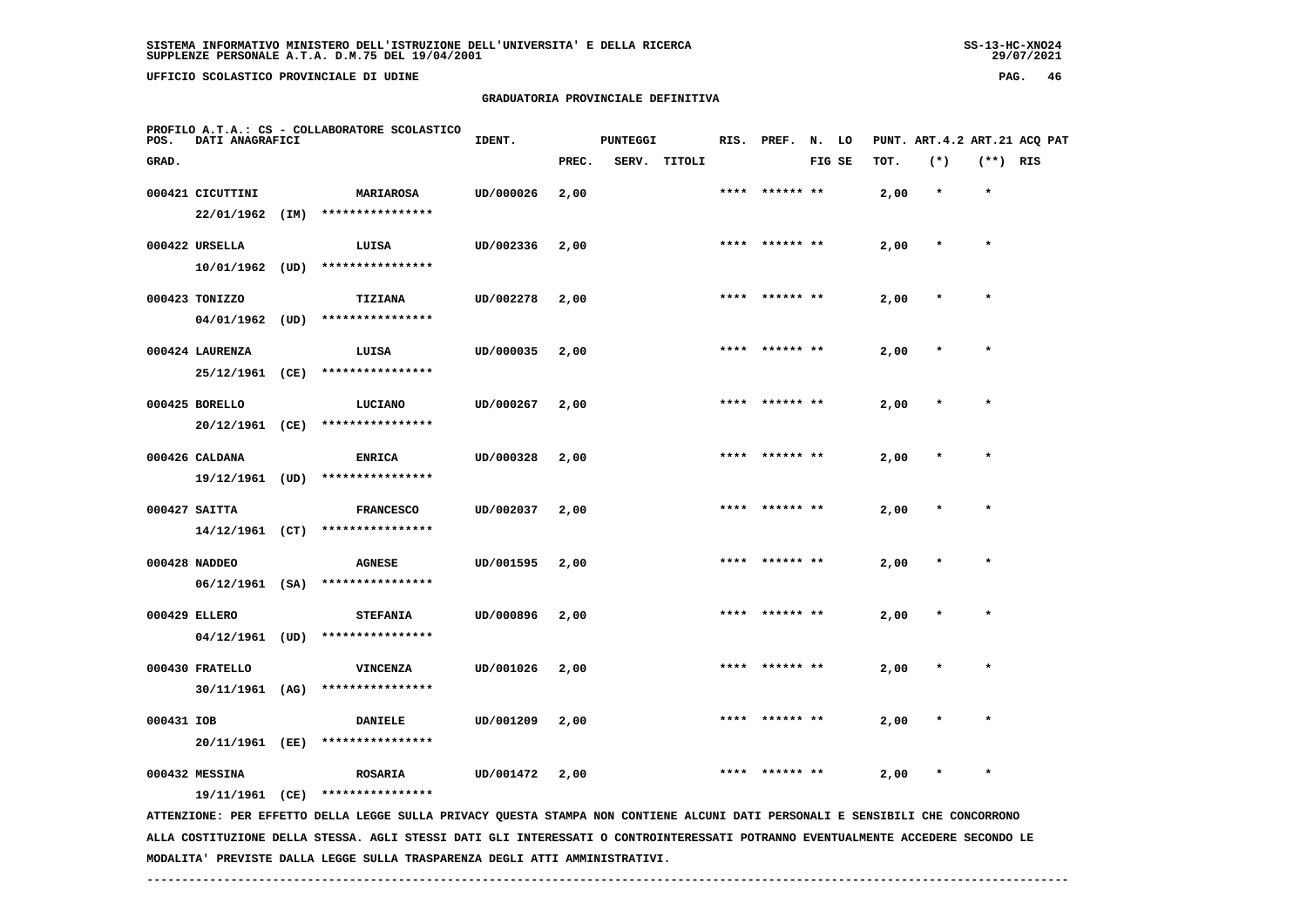**UFFICIO SCOLASTICO PROVINCIALE DI UDINE PAG. 46**

#### **GRADUATORIA PROVINCIALE DEFINITIVA**

| rag.<br>__<br>$\sim$ |  |
|----------------------|--|
|                      |  |
|                      |  |
|                      |  |

| POS.       | DATI ANAGRAFICI                    | PROFILO A.T.A.: CS - COLLABORATORE SCOLASTICO                                                                              | IDENT.    |       | <b>PUNTEGGI</b> |              |      | RIS. PREF. N. LO |        |      | PUNT. ART. 4.2 ART. 21 ACQ PAT |            |  |
|------------|------------------------------------|----------------------------------------------------------------------------------------------------------------------------|-----------|-------|-----------------|--------------|------|------------------|--------|------|--------------------------------|------------|--|
| GRAD.      |                                    |                                                                                                                            |           | PREC. |                 | SERV. TITOLI |      |                  | FIG SE | TOT. | $(*)$                          | $(**)$ RIS |  |
|            | 000421 CICUTTINI                   | <b>MARIAROSA</b>                                                                                                           | UD/000026 | 2,00  |                 |              |      | ****  ****** **  |        | 2,00 | $\star$                        | $\star$    |  |
|            | 22/01/1962 (IM)                    | ****************                                                                                                           |           |       |                 |              |      |                  |        |      |                                |            |  |
|            | 000422 URSELLA                     | LUISA                                                                                                                      | UD/002336 | 2,00  |                 |              | **** |                  |        | 2,00 |                                |            |  |
|            | 10/01/1962 (UD)                    | ****************                                                                                                           |           |       |                 |              |      |                  |        |      |                                |            |  |
|            | 000423 TONIZZO                     | TIZIANA                                                                                                                    | UD/002278 | 2,00  |                 |              |      |                  |        | 2,00 | $\star$                        | $\star$    |  |
|            | $04/01/1962$ (UD)                  | ****************                                                                                                           |           |       |                 |              |      |                  |        |      |                                |            |  |
|            | 000424 LAURENZA                    | LUISA                                                                                                                      | UD/000035 | 2,00  |                 |              | **** |                  |        | 2,00 |                                | $\star$    |  |
|            | 25/12/1961 (CE)                    | ****************                                                                                                           |           |       |                 |              |      |                  |        |      |                                |            |  |
|            | 000425 BORELLO                     | LUCIANO                                                                                                                    | UD/000267 | 2,00  |                 |              | **** |                  |        | 2,00 |                                |            |  |
|            | 20/12/1961 (CE)                    | ****************                                                                                                           |           |       |                 |              |      |                  |        |      |                                |            |  |
|            | 000426 CALDANA                     | <b>ENRICA</b>                                                                                                              | UD/000328 | 2,00  |                 |              |      | **** ****** **   |        | 2,00 |                                | $\star$    |  |
|            | 19/12/1961 (UD)                    | ****************                                                                                                           |           |       |                 |              |      |                  |        |      |                                |            |  |
|            | 000427 SAITTA                      | <b>FRANCESCO</b>                                                                                                           | UD/002037 | 2,00  |                 |              |      |                  |        | 2,00 |                                | $\star$    |  |
|            | $14/12/1961$ (CT)                  | ****************                                                                                                           |           |       |                 |              |      |                  |        |      |                                |            |  |
|            |                                    |                                                                                                                            |           |       |                 |              |      |                  |        |      |                                |            |  |
|            | 000428 NADDEO<br>$06/12/1961$ (SA) | <b>AGNESE</b><br>****************                                                                                          | UD/001595 | 2,00  |                 |              |      |                  |        | 2,00 |                                |            |  |
|            |                                    |                                                                                                                            |           |       |                 |              |      |                  |        |      |                                |            |  |
|            | 000429 ELLERO                      | <b>STEFANIA</b>                                                                                                            | UD/000896 | 2,00  |                 |              | **** | ****** **        |        | 2,00 |                                | $\star$    |  |
|            | $04/12/1961$ (UD)                  | ****************                                                                                                           |           |       |                 |              |      |                  |        |      |                                |            |  |
|            | 000430 FRATELLO                    | <b>VINCENZA</b>                                                                                                            | UD/001026 | 2,00  |                 |              |      | **** ****** **   |        | 2,00 | $\ast$                         | $\star$    |  |
|            | 30/11/1961 (AG)                    | ****************                                                                                                           |           |       |                 |              |      |                  |        |      |                                |            |  |
| 000431 IOB |                                    | <b>DANIELE</b>                                                                                                             | UD/001209 | 2,00  |                 |              |      | **** ****** **   |        | 2,00 | $\star$                        | $\star$    |  |
|            | 20/11/1961 (EE)                    | ****************                                                                                                           |           |       |                 |              |      |                  |        |      |                                |            |  |
|            | 000432 MESSINA                     | <b>ROSARIA</b>                                                                                                             | UD/001472 | 2,00  |                 |              |      |                  |        | 2,00 |                                |            |  |
|            | 19/11/1961 (CE)                    | ****************                                                                                                           |           |       |                 |              |      |                  |        |      |                                |            |  |
|            |                                    | ATTRODUCTONE. DED EEETT A LECCE CULLA DOTUACY OUECTA CTAMDA NON CONTIENT ALCUNIT DATE DEDCONALI E CENCIDITY CUE CONCOODONO |           |       |                 |              |      |                  |        |      |                                |            |  |

 **ATTENZIONE: PER EFFETTO DELLA LEGGE SULLA PRIVACY QUESTA STAMPA NON CONTIENE ALCUNI DATI PERSONALI E SENSIBILI CHE CONCORRONO ALLA COSTITUZIONE DELLA STESSA. AGLI STESSI DATI GLI INTERESSATI O CONTROINTERESSATI POTRANNO EVENTUALMENTE ACCEDERE SECONDO LE MODALITA' PREVISTE DALLA LEGGE SULLA TRASPARENZA DEGLI ATTI AMMINISTRATIVI.**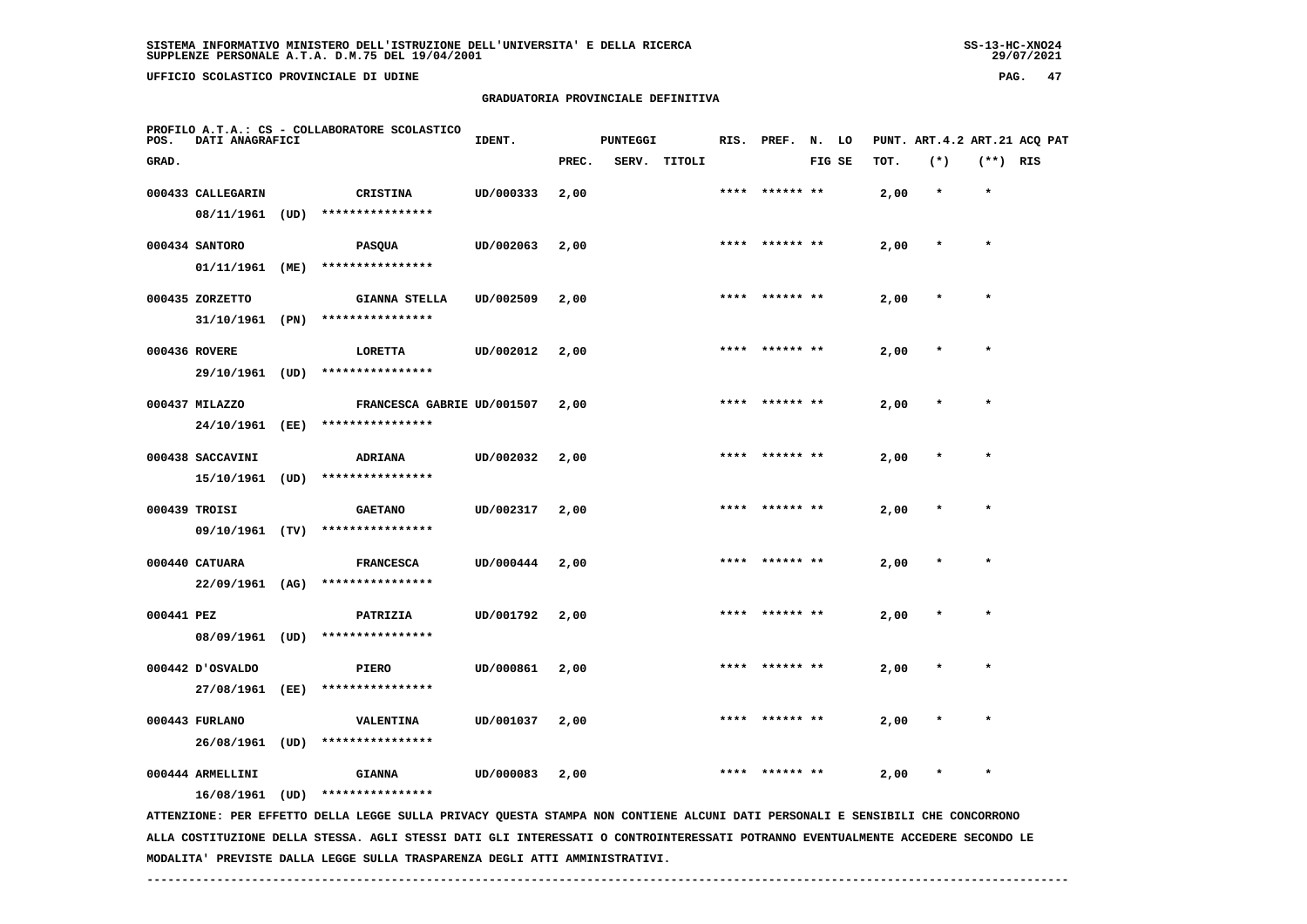**UFFICIO SCOLASTICO PROVINCIALE DI UDINE PAG. 47**

#### **GRADUATORIA PROVINCIALE DEFINITIVA**

| <br>__ |  |
|--------|--|
|        |  |
|        |  |
|        |  |
|        |  |

| POS.       | DATI ANAGRAFICI   |      | PROFILO A.T.A.: CS - COLLABORATORE SCOLASTICO                                                                                 | IDENT.    |       | <b>PUNTEGGI</b> |              |      | RIS. PREF. N. LO |        |      | PUNT. ART.4.2 ART.21 ACQ PAT |            |  |
|------------|-------------------|------|-------------------------------------------------------------------------------------------------------------------------------|-----------|-------|-----------------|--------------|------|------------------|--------|------|------------------------------|------------|--|
| GRAD.      |                   |      |                                                                                                                               |           | PREC. |                 | SERV. TITOLI |      |                  | FIG SE | TOT. | $(*)$                        | $(**)$ RIS |  |
|            | 000433 CALLEGARIN |      | <b>CRISTINA</b>                                                                                                               | UD/000333 | 2,00  |                 |              |      | **** ****** **   |        | 2,00 | $\star$                      | $\star$    |  |
|            | 08/11/1961 (UD)   |      | ****************                                                                                                              |           |       |                 |              |      |                  |        |      |                              |            |  |
|            | 000434 SANTORO    |      | <b>PASQUA</b>                                                                                                                 | UD/002063 | 2,00  |                 |              |      | **** ****** **   |        | 2,00 |                              | $\star$    |  |
|            | 01/11/1961 (ME)   |      | ****************                                                                                                              |           |       |                 |              |      |                  |        |      |                              |            |  |
|            | 000435 ZORZETTO   |      | <b>GIANNA STELLA</b>                                                                                                          | UD/002509 | 2,00  |                 |              |      | **** ****** **   |        | 2,00 | $\star$                      | $\star$    |  |
|            | 31/10/1961 (PN)   |      | ****************                                                                                                              |           |       |                 |              |      |                  |        |      |                              |            |  |
|            | 000436 ROVERE     |      | LORETTA                                                                                                                       | UD/002012 | 2,00  |                 |              |      |                  |        | 2,00 |                              |            |  |
|            | 29/10/1961 (UD)   |      | ****************                                                                                                              |           |       |                 |              |      |                  |        |      |                              |            |  |
|            | 000437 MILAZZO    |      | FRANCESCA GABRIE UD/001507                                                                                                    |           | 2,00  |                 |              | **** | ****** **        |        | 2,00 |                              | $\star$    |  |
|            | 24/10/1961        | (EE) | ****************                                                                                                              |           |       |                 |              |      |                  |        |      |                              |            |  |
|            | 000438 SACCAVINI  |      | <b>ADRIANA</b>                                                                                                                | UD/002032 | 2,00  |                 |              |      |                  |        | 2,00 |                              |            |  |
|            | 15/10/1961        | (UD) | ****************                                                                                                              |           |       |                 |              |      |                  |        |      |                              |            |  |
|            | 000439 TROISI     |      | <b>GAETANO</b>                                                                                                                | UD/002317 | 2,00  |                 |              | **** | ****** **        |        | 2,00 |                              |            |  |
|            | 09/10/1961 (TV)   |      | ****************                                                                                                              |           |       |                 |              |      |                  |        |      |                              |            |  |
|            | 000440 CATUARA    |      | <b>FRANCESCA</b>                                                                                                              | UD/000444 | 2,00  |                 |              |      | ****  ****** **  |        | 2,00 |                              | $\star$    |  |
|            | 22/09/1961 (AG)   |      | ****************                                                                                                              |           |       |                 |              |      |                  |        |      |                              |            |  |
| 000441 PEZ |                   |      | PATRIZIA                                                                                                                      | UD/001792 | 2,00  |                 |              |      |                  |        | 2,00 |                              | $\star$    |  |
|            | 08/09/1961 (UD)   |      | ****************                                                                                                              |           |       |                 |              |      |                  |        |      |                              |            |  |
|            | 000442 JOSVALDO   |      | <b>PIERO</b>                                                                                                                  | UD/000861 | 2,00  |                 |              |      |                  |        | 2,00 |                              |            |  |
|            | 27/08/1961 (EE)   |      | ****************                                                                                                              |           |       |                 |              |      |                  |        |      |                              |            |  |
|            | 000443 FURLANO    |      | <b>VALENTINA</b>                                                                                                              | UD/001037 | 2,00  |                 |              | **** |                  |        | 2,00 |                              |            |  |
|            | 26/08/1961        | (UD) | ****************                                                                                                              |           |       |                 |              |      |                  |        |      |                              |            |  |
|            | 000444 ARMELLINI  |      | <b>GIANNA</b>                                                                                                                 | UD/000083 | 2,00  |                 |              |      |                  |        | 2,00 |                              |            |  |
|            | 16/08/1961 (UD)   |      | ****************                                                                                                              |           |       |                 |              |      |                  |        |      |                              |            |  |
|            |                   |      | ATTENZIONE: PER EFFETTO DELLA LEGGE SULLA PRIVACY QUESTA STAMPA NON CONTIENE ALCUNI DATI PERSONALI E SENSIBILI CHE CONCORRONO |           |       |                 |              |      |                  |        |      |                              |            |  |

 **ALLA COSTITUZIONE DELLA STESSA. AGLI STESSI DATI GLI INTERESSATI O CONTROINTERESSATI POTRANNO EVENTUALMENTE ACCEDERE SECONDO LE MODALITA' PREVISTE DALLA LEGGE SULLA TRASPARENZA DEGLI ATTI AMMINISTRATIVI.**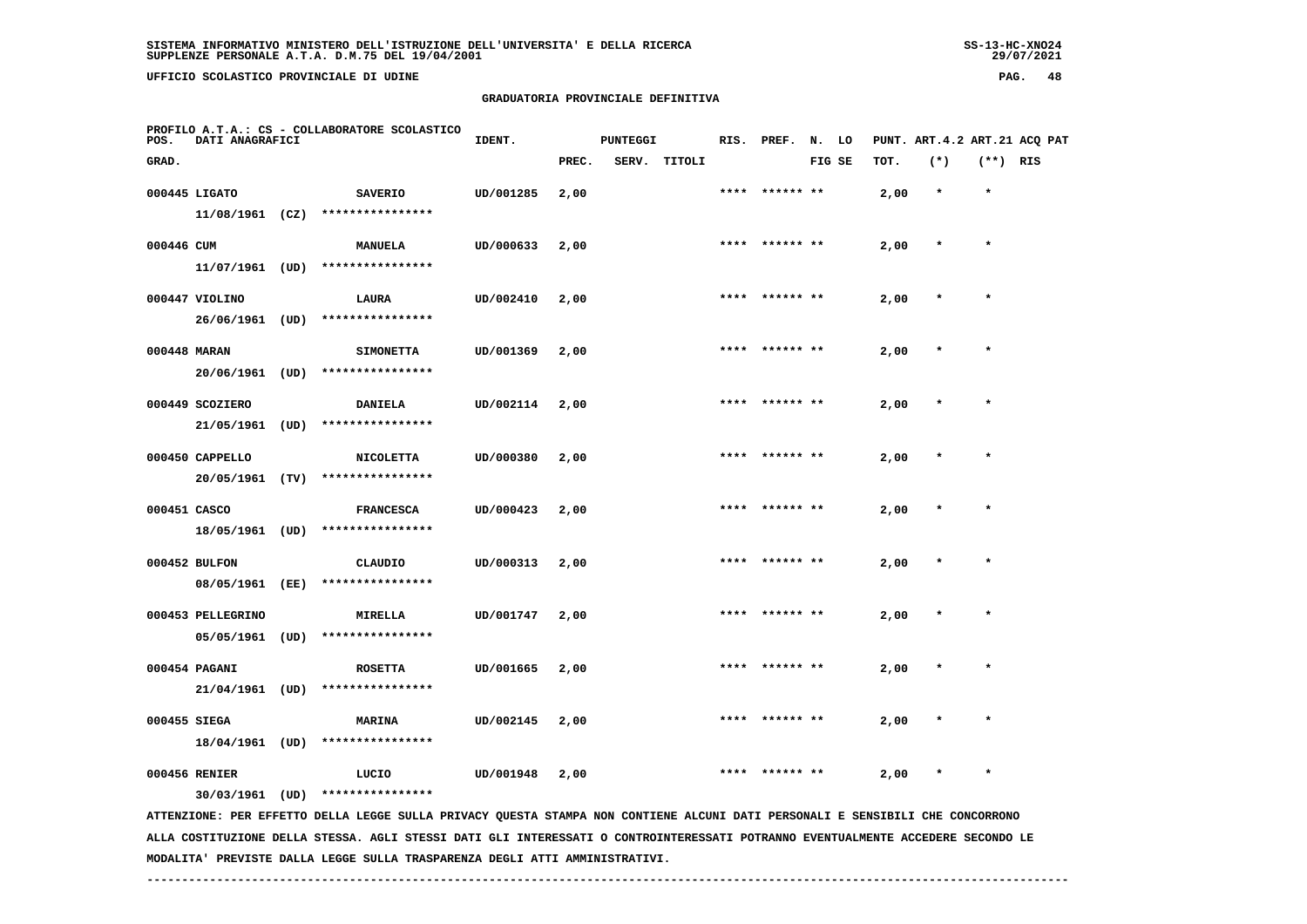**UFFICIO SCOLASTICO PROVINCIALE DI UDINE PAG. 48**

## **GRADUATORIA PROVINCIALE DEFINITIVA**

| POS.         | DATI ANAGRAFICI                      | PROFILO A.T.A.: CS - COLLABORATORE SCOLASTICO                                                                                 | IDENT.    |       | <b>PUNTEGGI</b> |        | RIS. | PREF.           | N. LO  |      | PUNT. ART.4.2 ART.21 ACQ PAT |            |  |
|--------------|--------------------------------------|-------------------------------------------------------------------------------------------------------------------------------|-----------|-------|-----------------|--------|------|-----------------|--------|------|------------------------------|------------|--|
| GRAD.        |                                      |                                                                                                                               |           | PREC. | SERV.           | TITOLI |      |                 | FIG SE | TOT. | $(*)$                        | $(**)$ RIS |  |
|              | 000445 LIGATO<br>$11/08/1961$ (CZ)   | <b>SAVERIO</b><br>****************                                                                                            | UD/001285 | 2,00  |                 |        |      |                 |        | 2,00 | $\star$                      | $\star$    |  |
| 000446 CUM   | 11/07/1961 (UD)                      | <b>MANUELA</b><br>****************                                                                                            | UD/000633 | 2,00  |                 |        |      |                 |        | 2,00 |                              |            |  |
|              | 000447 VIOLINO<br>26/06/1961 (UD)    | LAURA<br>****************                                                                                                     | UD/002410 | 2,00  |                 |        |      | **** ****** **  |        | 2,00 | $\ast$                       | $\star$    |  |
| 000448 MARAN | 20/06/1961 (UD)                      | <b>SIMONETTA</b><br>****************                                                                                          | UD/001369 | 2,00  |                 |        |      |                 |        | 2,00 |                              |            |  |
|              | 000449 SCOZIERO<br>21/05/1961 (UD)   | <b>DANIELA</b><br>****************                                                                                            | UD/002114 | 2,00  |                 |        |      |                 |        | 2,00 |                              |            |  |
|              | 000450 CAPPELLO<br>20/05/1961 (TV)   | <b>NICOLETTA</b><br>****************                                                                                          | UD/000380 | 2,00  |                 |        |      | ****  ****** ** |        | 2,00 |                              | $\star$    |  |
| 000451 CASCO | 18/05/1961 (UD)                      | <b>FRANCESCA</b><br>****************                                                                                          | UD/000423 | 2,00  |                 |        | **** | ****** **       |        | 2,00 |                              |            |  |
|              | 000452 BULFON<br>08/05/1961 (EE)     | CLAUDIO<br>****************                                                                                                   | UD/000313 | 2,00  |                 |        |      | **** ****** **  |        | 2,00 |                              | $\star$    |  |
|              | 000453 PELLEGRINO<br>05/05/1961 (UD) | <b>MIRELLA</b><br>****************                                                                                            | UD/001747 | 2,00  |                 |        |      |                 |        | 2,00 |                              |            |  |
|              | 000454 PAGANI<br>$21/04/1961$ (UD)   | <b>ROSETTA</b><br>****************                                                                                            | UD/001665 | 2,00  |                 |        |      |                 |        | 2,00 |                              |            |  |
| 000455 SIEGA | 18/04/1961 (UD)                      | <b>MARINA</b><br>****************                                                                                             | UD/002145 | 2,00  |                 |        |      | **** ****** **  |        | 2,00 |                              | $\star$    |  |
|              | 000456 RENIER                        | LUCIO<br>****************                                                                                                     | UD/001948 | 2,00  |                 |        | **** | ****** **       |        | 2,00 |                              | $\star$    |  |
|              | $30/03/1961$ (UD)                    | ATTENZIONE: PER EFFETTO DELLA LEGGE SULLA PRIVACY QUESTA STAMPA NON CONTIENE ALCUNI DATI PERSONALI E SENSIBILI CHE CONCORRONO |           |       |                 |        |      |                 |        |      |                              |            |  |

 **ALLA COSTITUZIONE DELLA STESSA. AGLI STESSI DATI GLI INTERESSATI O CONTROINTERESSATI POTRANNO EVENTUALMENTE ACCEDERE SECONDO LE MODALITA' PREVISTE DALLA LEGGE SULLA TRASPARENZA DEGLI ATTI AMMINISTRATIVI.**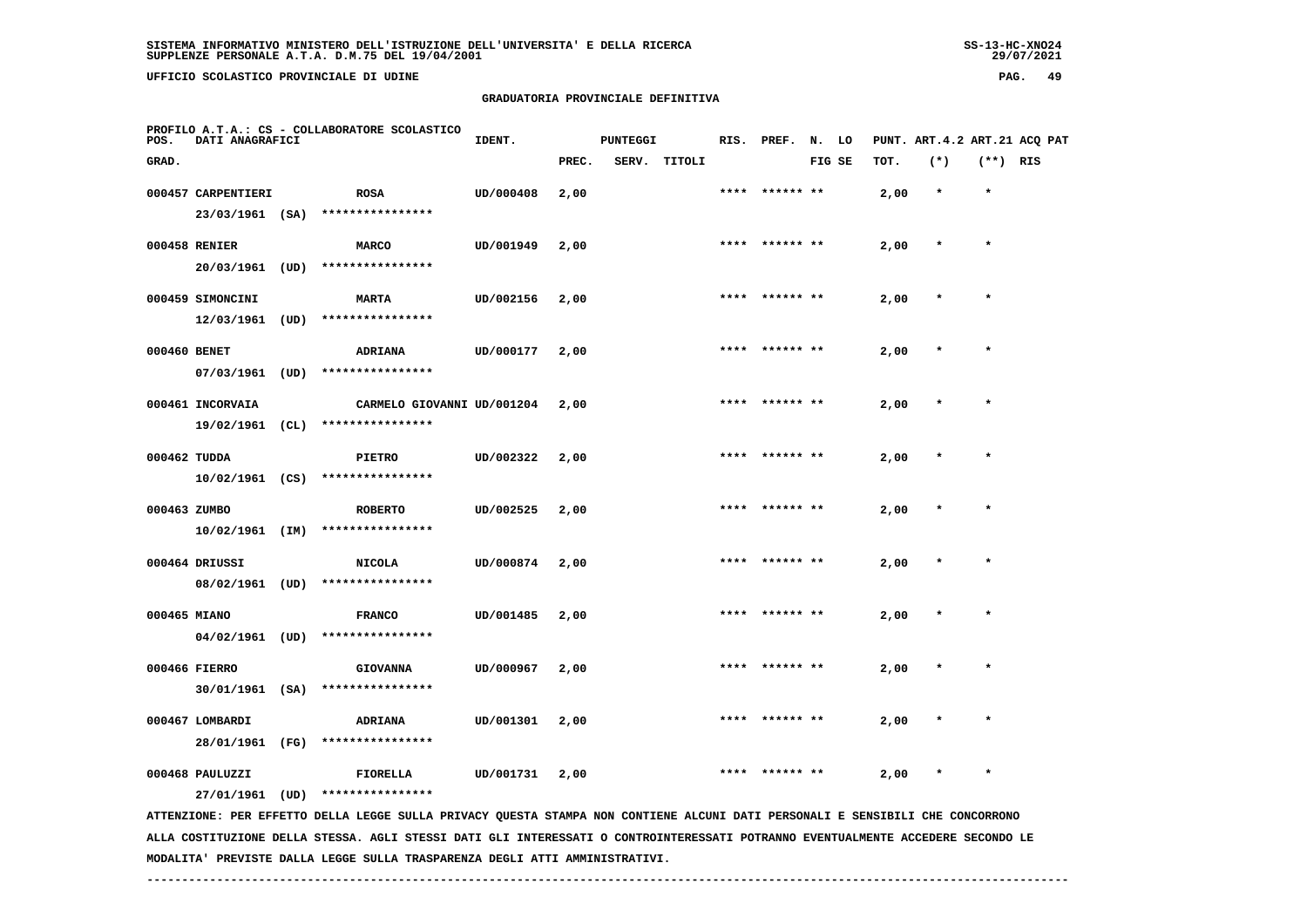UFFICIO SCOLASTICO PROVINCIALE DI UDINE

## **GRADUATORIA PROVINCIALE DEFINITIVA**

| POS.         | DATI ANAGRAFICI                       | PROFILO A.T.A.: CS - COLLABORATORE SCOLASTICO                                                                                                     | IDENT.    |       | <b>PUNTEGGI</b> |        |      | RIS. PREF.      | N. LO  |      |         |          | PUNT. ART.4.2 ART.21 ACQ PAT |
|--------------|---------------------------------------|---------------------------------------------------------------------------------------------------------------------------------------------------|-----------|-------|-----------------|--------|------|-----------------|--------|------|---------|----------|------------------------------|
| GRAD.        |                                       |                                                                                                                                                   |           | PREC. | SERV.           | TITOLI |      |                 | FIG SE | TOT. | $(*)$   | (**) RIS |                              |
|              | 000457 CARPENTIERI<br>23/03/1961 (SA) | <b>ROSA</b><br>****************                                                                                                                   | UD/000408 | 2,00  |                 |        |      | ****** **       |        | 2,00 | $\star$ | $\star$  |                              |
|              | 000458 RENIER                         | <b>MARCO</b><br>****************                                                                                                                  | UD/001949 | 2,00  |                 |        |      | **** ****** **  |        | 2,00 | $\star$ | $\star$  |                              |
|              | 20/03/1961 (UD)<br>000459 SIMONCINI   | <b>MARTA</b><br>****************                                                                                                                  | UD/002156 | 2,00  |                 |        |      | **** ****** **  |        | 2,00 | $\star$ | $\star$  |                              |
| 000460 BENET | 12/03/1961 (UD)                       | ADRIANA                                                                                                                                           | UD/000177 | 2,00  |                 |        | **** |                 |        | 2,00 |         | $\star$  |                              |
|              | 07/03/1961 (UD)<br>000461 INCORVAIA   | ****************<br>CARMELO GIOVANNI UD/001204                                                                                                    |           | 2,00  |                 |        |      |                 |        | 2,00 |         |          |                              |
| 000462 TUDDA | 19/02/1961 (CL)                       | ****************<br><b>PIETRO</b>                                                                                                                 | UD/002322 | 2,00  |                 |        |      |                 |        | 2,00 |         |          |                              |
| 000463 ZUMBO | $10/02/1961$ (CS)                     | ****************<br><b>ROBERTO</b>                                                                                                                | UD/002525 | 2,00  |                 |        |      | ****  ****** ** |        | 2,00 |         | $\star$  |                              |
|              | $10/02/1961$ (IM)<br>000464 DRIUSSI   | ****************<br><b>NICOLA</b>                                                                                                                 | UD/000874 | 2,00  |                 |        |      |                 |        | 2,00 |         |          |                              |
| 000465 MIANO | 08/02/1961 (UD)                       | ****************<br><b>FRANCO</b>                                                                                                                 | UD/001485 | 2,00  |                 |        |      | **** ****** **  |        | 2,00 | $\star$ | $\star$  |                              |
|              | $04/02/1961$ (UD)<br>000466 FIERRO    | ****************<br><b>GIOVANNA</b>                                                                                                               | UD/000967 | 2,00  |                 |        |      | ****  ****** ** |        | 2,00 |         |          |                              |
|              | 000467 LOMBARDI                       | 30/01/1961 (SA) ****************<br>ADRIANA                                                                                                       | UD/001301 | 2,00  |                 |        |      |                 |        | 2,00 |         |          |                              |
|              | 28/01/1961 (FG)<br>000468 PAULUZZI    | ****************<br>FIORELLA                                                                                                                      | UD/001731 | 2,00  |                 |        |      |                 |        | 2,00 |         | $\star$  |                              |
|              | 27/01/1961 (UD)                       | ****************<br>ATTENZIONE: PER EFFETTO DELLA LEGGE SULLA PRIVACY QUESTA STAMPA NON CONTIENE ALCUNI DATI PERSONALI E SENSIBILI CHE CONCORRONO |           |       |                 |        |      |                 |        |      |         |          |                              |

 **ALLA COSTITUZIONE DELLA STESSA. AGLI STESSI DATI GLI INTERESSATI O CONTROINTERESSATI POTRANNO EVENTUALMENTE ACCEDERE SECONDO LE MODALITA' PREVISTE DALLA LEGGE SULLA TRASPARENZA DEGLI ATTI AMMINISTRATIVI.**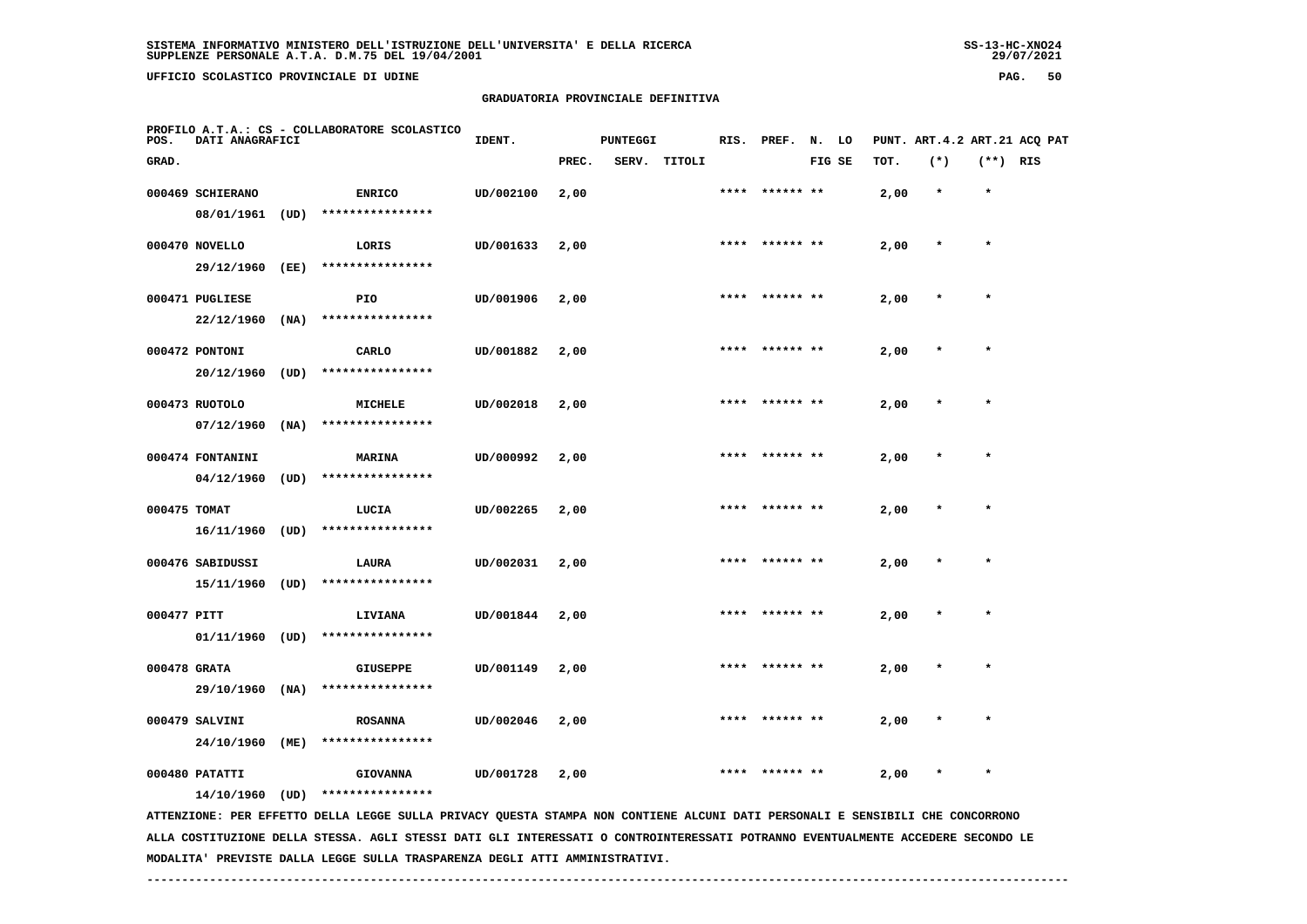**UFFICIO SCOLASTICO PROVINCIALE DI UDINE PAG. 50**

 **PROFILO A.T.A.: CS - COLLABORATORE SCOLASTICO**

#### **GRADUATORIA PROVINCIALE DEFINITIVA**

 **GRAD. PREC. SERV. TITOLI FIG SE TOT. (\*) (\*\*) RIS**

 **000469 SCHIERANO ENRICO UD/002100 2,00 \*\*\*\* \*\*\*\*\*\* \*\* 2,00 \* \***

|              | 08/01/1961       | (UD) | **************** |           |      |      |           |      |         |   |
|--------------|------------------|------|------------------|-----------|------|------|-----------|------|---------|---|
|              | 000470 NOVELLO   |      | LORIS            | UD/001633 | 2,00 | **** | ****** ** | 2,00 | $\star$ |   |
|              | 29/12/1960       | (EE) | **************** |           |      |      |           |      |         |   |
|              | 000471 PUGLIESE  |      | PIO              | UD/001906 | 2,00 | **** | ****** ** | 2,00 | $\star$ |   |
|              | 22/12/1960       | (NA) | **************** |           |      |      |           |      |         |   |
|              | 000472 PONTONI   |      | CARLO            | UD/001882 | 2,00 | **** | ****** ** | 2,00 | $\star$ |   |
|              | 20/12/1960       | (UD) | **************** |           |      |      |           |      |         |   |
|              | 000473 RUOTOLO   |      | <b>MICHELE</b>   | UD/002018 | 2,00 | **** | ****** ** | 2,00 | $\star$ |   |
|              | 07/12/1960       | (NA) | **************** |           |      |      |           |      |         |   |
|              | 000474 FONTANINI |      | MARINA           | UD/000992 | 2,00 | **** | ****** ** | 2,00 | $\star$ | ÷ |
|              | 04/12/1960       | (UD) | **************** |           |      |      |           |      |         |   |
| 000475 TOMAT |                  |      | LUCIA            | UD/002265 | 2,00 | **** | ****** ** | 2,00 | $\star$ | ÷ |
|              | 16/11/1960       | (UD) | **************** |           |      |      |           |      |         |   |

**IDENT.** PUNTEGGI RIS. PREF. N. LO PUNT. ART.4.2 ART.21 ACQ PAT

 **000476 SABIDUSSI LAURA UD/002031 2,00 \*\*\*\* \*\*\*\*\*\* \*\* 2,00 \* \* 15/11/1960 (UD) \*\*\*\*\*\*\*\*\*\*\*\*\*\*\*\* 000477 PITT LIVIANA UD/001844 2,00 \*\*\*\* \*\*\*\*\*\* \*\* 2,00 \* \* 01/11/1960 (UD) \*\*\*\*\*\*\*\*\*\*\*\*\*\*\*\***

 **000478 GRATA GIUSEPPE UD/001149 2,00 \*\*\*\* \*\*\*\*\*\* \*\* 2,00 \* \* 29/10/1960 (NA) \*\*\*\*\*\*\*\*\*\*\*\*\*\*\*\* 000479 SALVINI ROSANNA UD/002046 2,00 \*\*\*\* \*\*\*\*\*\* \*\* 2,00 \* \* 24/10/1960 (ME) \*\*\*\*\*\*\*\*\*\*\*\*\*\*\*\***

 **000480 PATATTI GIOVANNA UD/001728 2,00 \*\*\*\* \*\*\*\*\*\* \*\* 2,00 \* \***

 **14/10/1960 (UD) \*\*\*\*\*\*\*\*\*\*\*\*\*\*\*\***

 **ATTENZIONE: PER EFFETTO DELLA LEGGE SULLA PRIVACY QUESTA STAMPA NON CONTIENE ALCUNI DATI PERSONALI E SENSIBILI CHE CONCORRONO ALLA COSTITUZIONE DELLA STESSA. AGLI STESSI DATI GLI INTERESSATI O CONTROINTERESSATI POTRANNO EVENTUALMENTE ACCEDERE SECONDO LE MODALITA' PREVISTE DALLA LEGGE SULLA TRASPARENZA DEGLI ATTI AMMINISTRATIVI.**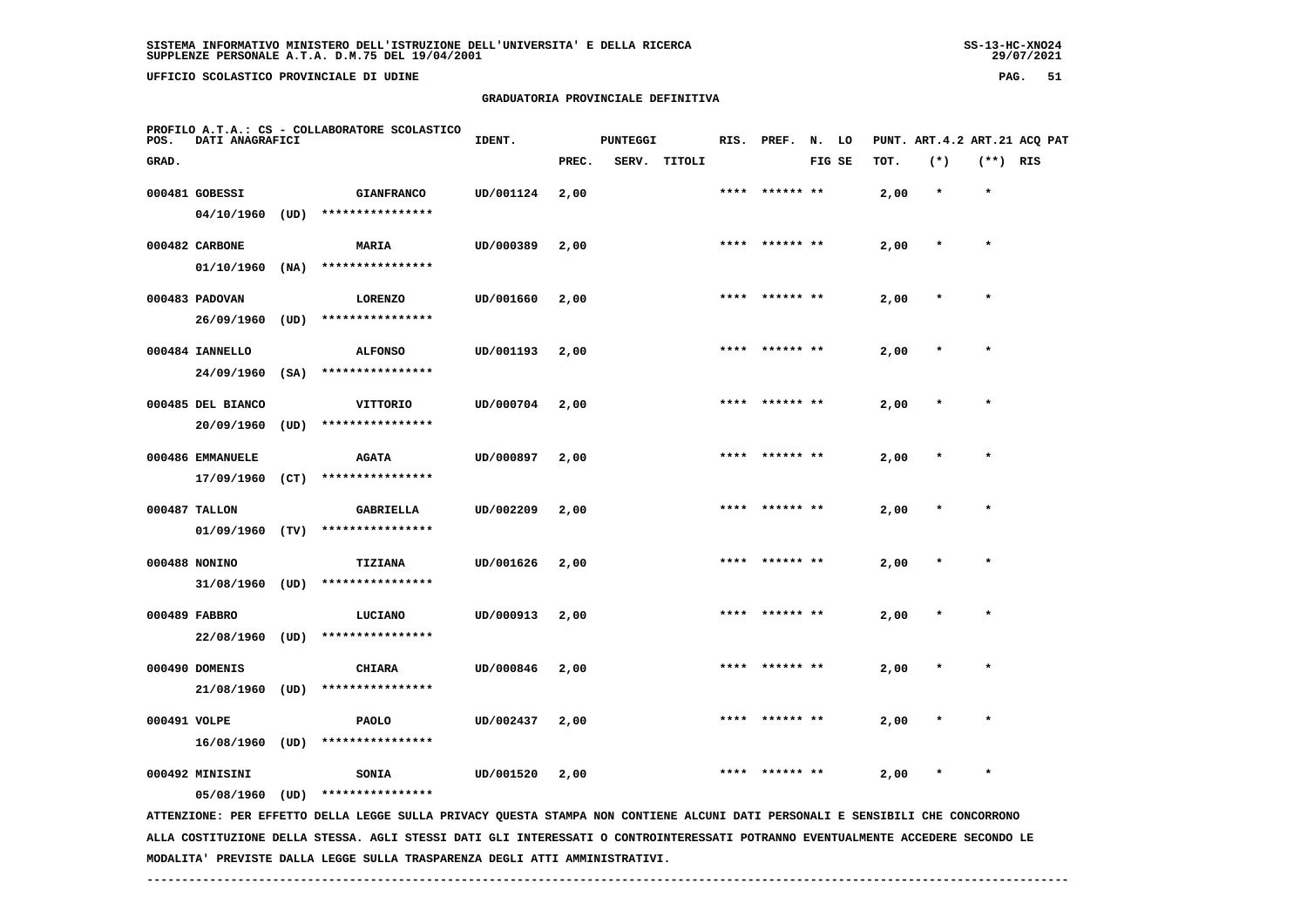**UFFICIO SCOLASTICO PROVINCIALE DI UDINE PAG. 51**

## **GRADUATORIA PROVINCIALE DEFINITIVA**

| POS.         | DATI ANAGRAFICI                     |      | PROFILO A.T.A.: CS - COLLABORATORE SCOLASTICO                                                                                 | IDENT.    |       | <b>PUNTEGGI</b> |        | RIS. | PREF.          | N. LO  |      |         |            | PUNT. ART. 4.2 ART. 21 ACO PAT |
|--------------|-------------------------------------|------|-------------------------------------------------------------------------------------------------------------------------------|-----------|-------|-----------------|--------|------|----------------|--------|------|---------|------------|--------------------------------|
| GRAD.        |                                     |      |                                                                                                                               |           | PREC. | SERV.           | TITOLI |      |                | FIG SE | TOT. | $(*)$   | $(**)$ RIS |                                |
|              | 000481 GOBESSI<br>04/10/1960        | (UD) | <b>GIANFRANCO</b><br>****************                                                                                         | UD/001124 | 2,00  |                 |        | **** | ****** **      |        | 2,00 | $\star$ | $\star$    |                                |
|              | 000482 CARBONE                      |      | MARIA<br>****************                                                                                                     | UD/000389 | 2,00  |                 |        |      | **** ****** ** |        | 2,00 |         | $\star$    |                                |
|              | 01/10/1960<br>000483 PADOVAN        | (NA) | <b>LORENZO</b>                                                                                                                | UD/001660 | 2,00  |                 |        |      |                |        | 2,00 |         | $\star$    |                                |
|              | 26/09/1960<br>000484 IANNELLO       | (UD) | ****************<br><b>ALFONSO</b>                                                                                            | UD/001193 | 2,00  |                 |        |      |                |        | 2,00 |         |            |                                |
|              | 24/09/1960<br>000485 DEL BIANCO     | (SA) | ****************<br>VITTORIO                                                                                                  | UD/000704 | 2,00  |                 |        | **** | ****** **      |        | 2,00 |         | $\star$    |                                |
|              | 20/09/1960                          | (UD) | ****************                                                                                                              |           |       |                 |        |      |                |        |      |         |            |                                |
|              | 000486 EMMANUELE<br>17/09/1960      | (CT) | <b>AGATA</b><br>****************                                                                                              | UD/000897 | 2,00  |                 |        |      | **** ****** ** |        | 2,00 |         |            |                                |
|              | 000487 TALLON<br>01/09/1960         | (TV) | GABRIELLA<br>****************                                                                                                 | UD/002209 | 2,00  |                 |        | **** | ****** **      |        | 2,00 |         | $\star$    |                                |
|              | 000488 NONINO<br>31/08/1960 (UD)    |      | TIZIANA<br>****************                                                                                                   | UD/001626 | 2,00  |                 |        |      |                |        | 2,00 |         |            |                                |
|              | 000489 FABBRO<br>22/08/1960 (UD)    |      | LUCIANO<br>****************                                                                                                   | UD/000913 | 2,00  |                 |        |      |                |        | 2,00 |         |            |                                |
|              | 000490 DOMENIS<br>$21/08/1960$ (UD) |      | <b>CHIARA</b><br>****************                                                                                             | UD/000846 | 2,00  |                 |        |      | **** ****** ** |        | 2,00 |         | $\star$    |                                |
| 000491 VOLPE | 16/08/1960                          | (UD) | <b>PAOLO</b><br>****************                                                                                              | UD/002437 | 2,00  |                 |        | **** | ****** **      |        | 2,00 |         | $\star$    |                                |
|              | 000492 MINISINI                     | (UD) | SONIA<br>****************                                                                                                     | UD/001520 | 2,00  |                 |        |      |                |        | 2,00 |         |            |                                |
|              | 05/08/1960                          |      | ATTENZIONE: PER EFFETTO DELLA LEGGE SULLA PRIVACY QUESTA STAMPA NON CONTIENE ALCUNI DATI PERSONALI E SENSIBILI CHE CONCORRONO |           |       |                 |        |      |                |        |      |         |            |                                |

 **ALLA COSTITUZIONE DELLA STESSA. AGLI STESSI DATI GLI INTERESSATI O CONTROINTERESSATI POTRANNO EVENTUALMENTE ACCEDERE SECONDO LE MODALITA' PREVISTE DALLA LEGGE SULLA TRASPARENZA DEGLI ATTI AMMINISTRATIVI.**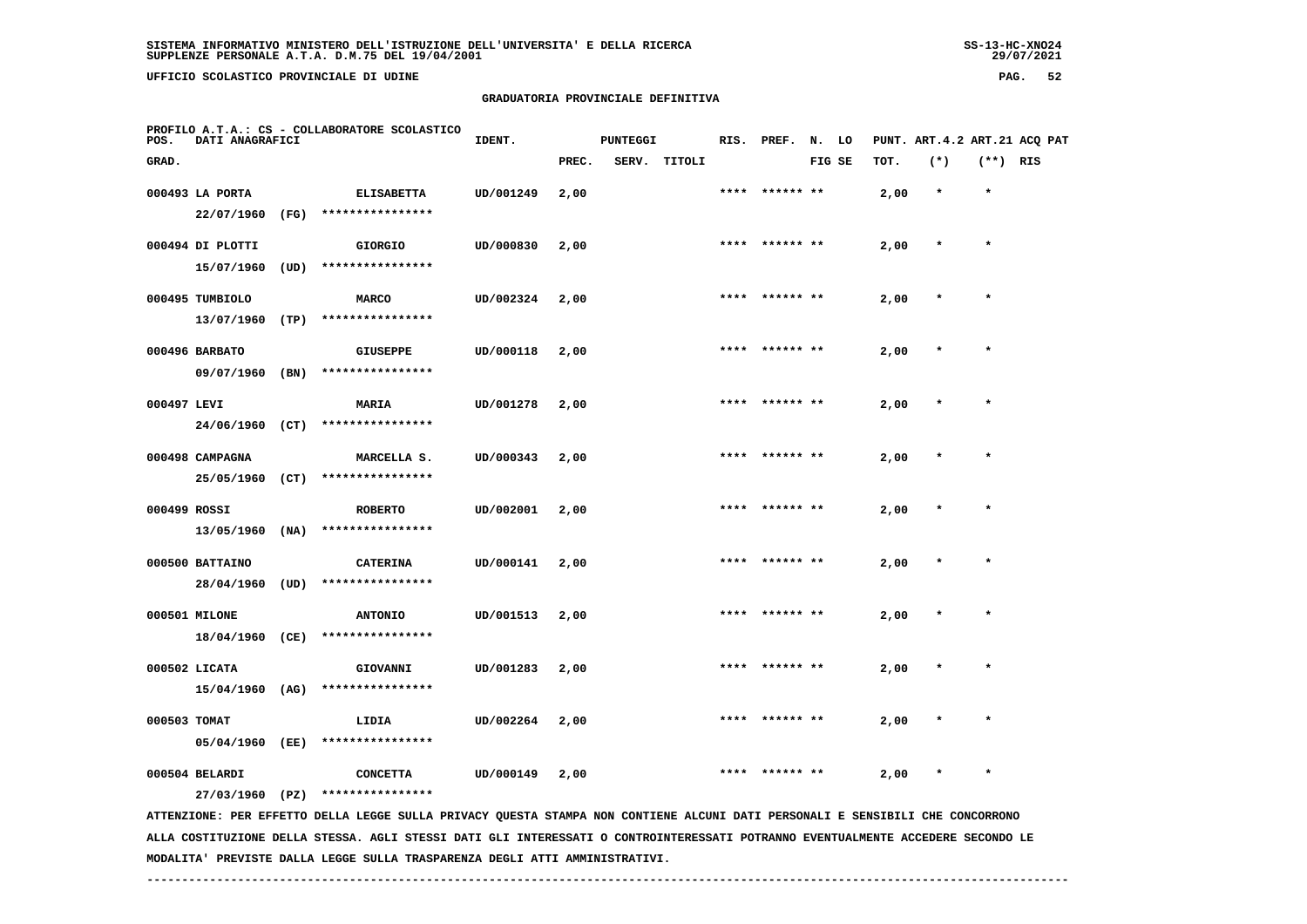**UFFICIO SCOLASTICO PROVINCIALE DI UDINE PAG. 52**

#### **GRADUATORIA PROVINCIALE DEFINITIVA**

| POS.         | DATI ANAGRAFICI  |      | PROFILO A.T.A.: CS - COLLABORATORE SCOLASTICO                                                                                 | IDENT.    |       | <b>PUNTEGGI</b> |        |      | RIS. PREF. N. LO |        |      |         |            | PUNT. ART.4.2 ART.21 ACQ PAT |
|--------------|------------------|------|-------------------------------------------------------------------------------------------------------------------------------|-----------|-------|-----------------|--------|------|------------------|--------|------|---------|------------|------------------------------|
| GRAD.        |                  |      |                                                                                                                               |           | PREC. | SERV.           | TITOLI |      |                  | FIG SE | TOT. | $(*)$   | $(**)$ RIS |                              |
|              | 000493 LA PORTA  |      | <b>ELISABETTA</b>                                                                                                             | UD/001249 | 2,00  |                 |        |      |                  |        | 2,00 | $\star$ | $\star$    |                              |
|              | 22/07/1960       | (FG) | ****************                                                                                                              |           |       |                 |        |      |                  |        |      |         |            |                              |
|              | 000494 DI PLOTTI |      | <b>GIORGIO</b>                                                                                                                | UD/000830 | 2,00  |                 |        |      | **** ****** **   |        | 2,00 | $\star$ | $\star$    |                              |
|              | 15/07/1960       | (UD) | ****************                                                                                                              |           |       |                 |        |      |                  |        |      |         |            |                              |
|              | 000495 TUMBIOLO  |      | <b>MARCO</b>                                                                                                                  | UD/002324 | 2,00  |                 |        | **** |                  |        | 2,00 |         | $\star$    |                              |
|              | 13/07/1960       | (TP) | ****************                                                                                                              |           |       |                 |        |      |                  |        |      |         |            |                              |
|              | 000496 BARBATO   |      | <b>GIUSEPPE</b>                                                                                                               | UD/000118 | 2,00  |                 |        |      |                  |        | 2,00 |         |            |                              |
|              | 09/07/1960       | (BN) | ****************                                                                                                              |           |       |                 |        |      |                  |        |      |         |            |                              |
| 000497 LEVI  |                  |      | <b>MARIA</b>                                                                                                                  | UD/001278 | 2,00  |                 |        | **** | ****** **        |        | 2,00 |         | $\star$    |                              |
|              | 24/06/1960 (CT)  |      | ****************                                                                                                              |           |       |                 |        |      |                  |        |      |         |            |                              |
|              | 000498 CAMPAGNA  |      | MARCELLA S.                                                                                                                   | UD/000343 | 2,00  |                 |        | **** | ****** **        |        | 2,00 |         |            |                              |
|              | 25/05/1960 (CT)  |      | ****************                                                                                                              |           |       |                 |        |      |                  |        |      |         |            |                              |
| 000499 ROSSI |                  |      | <b>ROBERTO</b>                                                                                                                | UD/002001 | 2,00  |                 |        |      | **** ****** **   |        | 2,00 |         | $\star$    |                              |
|              | 13/05/1960       | (NA) | ****************                                                                                                              |           |       |                 |        |      |                  |        |      |         |            |                              |
|              | 000500 BATTAINO  |      | <b>CATERINA</b>                                                                                                               | UD/000141 | 2,00  |                 |        |      |                  |        | 2,00 |         | $\star$    |                              |
|              | 28/04/1960       | (UD) | ****************                                                                                                              |           |       |                 |        |      |                  |        |      |         |            |                              |
|              | 000501 MILONE    |      | <b>ANTONIO</b>                                                                                                                | UD/001513 | 2,00  |                 |        |      |                  |        | 2,00 |         |            |                              |
|              | 18/04/1960 (CE)  |      | ****************                                                                                                              |           |       |                 |        |      |                  |        |      |         |            |                              |
|              | 000502 LICATA    |      | GIOVANNI                                                                                                                      | UD/001283 | 2,00  |                 |        |      |                  |        | 2,00 |         | $\star$    |                              |
|              | 15/04/1960       | (AG) | ****************                                                                                                              |           |       |                 |        |      |                  |        |      |         |            |                              |
| 000503 TOMAT |                  |      | LIDIA                                                                                                                         | UD/002264 | 2,00  |                 |        |      |                  |        | 2,00 |         |            |                              |
|              | 05/04/1960 (EE)  |      | ****************                                                                                                              |           |       |                 |        |      |                  |        |      |         |            |                              |
|              | 000504 BELARDI   |      | <b>CONCETTA</b>                                                                                                               | UD/000149 | 2,00  |                 |        | **** | ****** **        |        | 2,00 | $\star$ | $\star$    |                              |
|              | 27/03/1960 (PZ)  |      | ****************                                                                                                              |           |       |                 |        |      |                  |        |      |         |            |                              |
|              |                  |      | ATTENZIONE: PER EFFETTO DELLA LEGGE SULLA PRIVACY QUESTA STAMPA NON CONTIENE ALCUNI DATI PERSONALI E SENSIBILI CHE CONCORRONO |           |       |                 |        |      |                  |        |      |         |            |                              |

 **ALLA COSTITUZIONE DELLA STESSA. AGLI STESSI DATI GLI INTERESSATI O CONTROINTERESSATI POTRANNO EVENTUALMENTE ACCEDERE SECONDO LE MODALITA' PREVISTE DALLA LEGGE SULLA TRASPARENZA DEGLI ATTI AMMINISTRATIVI.**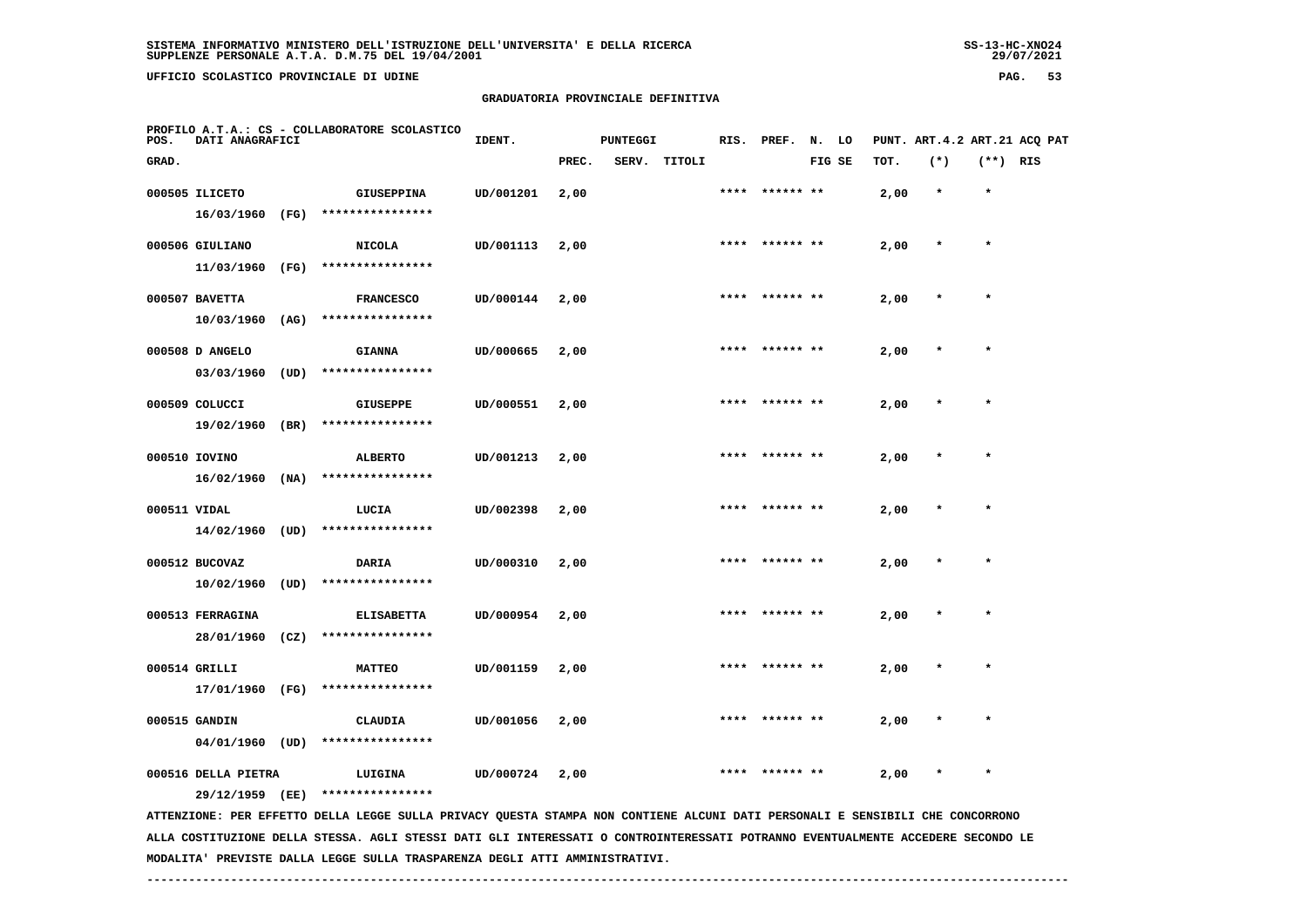**UFFICIO SCOLASTICO PROVINCIALE DI UDINE PAG. 53**

## **GRADUATORIA PROVINCIALE DEFINITIVA**

| POS.  | DATI ANAGRAFICI                        |      | PROFILO A.T.A.: CS - COLLABORATORE SCOLASTICO                                                                                 | IDENT.    |       | <b>PUNTEGGI</b> |        |      | RIS. PREF. N. LO |        |      |         |            | PUNT. ART. 4.2 ART. 21 ACQ PAT |
|-------|----------------------------------------|------|-------------------------------------------------------------------------------------------------------------------------------|-----------|-------|-----------------|--------|------|------------------|--------|------|---------|------------|--------------------------------|
| GRAD. |                                        |      |                                                                                                                               |           | PREC. | SERV.           | TITOLI |      |                  | FIG SE | TOT. | $(*)$   | $(**)$ RIS |                                |
|       | 000505 ILICETO                         |      | <b>GIUSEPPINA</b>                                                                                                             | UD/001201 | 2,00  |                 |        | **** | ****** **        |        | 2,00 | $\star$ | $\star$    |                                |
|       |                                        |      | 16/03/1960 (FG) ****************                                                                                              |           |       |                 |        |      |                  |        |      |         |            |                                |
|       | 000506 GIULIANO                        |      | <b>NICOLA</b>                                                                                                                 | UD/001113 | 2,00  |                 |        |      | **** ****** **   |        | 2,00 |         | $\star$    |                                |
|       | 11/03/1960 (FG)                        |      | ****************                                                                                                              |           |       |                 |        |      |                  |        |      |         |            |                                |
|       | 000507 BAVETTA                         |      | <b>FRANCESCO</b>                                                                                                              | UD/000144 | 2,00  |                 |        |      |                  |        | 2,00 |         |            |                                |
|       | 10/03/1960                             | (AG) | ****************                                                                                                              |           |       |                 |        |      |                  |        |      |         |            |                                |
|       |                                        |      |                                                                                                                               |           |       |                 |        |      |                  |        |      |         |            |                                |
|       | 000508 D ANGELO                        |      | <b>GIANNA</b>                                                                                                                 | UD/000665 | 2,00  |                 |        | **** | ****** **        |        | 2,00 |         |            |                                |
|       | 03/03/1960                             | (UD) | ****************                                                                                                              |           |       |                 |        |      |                  |        |      |         |            |                                |
|       | 000509 COLUCCI                         |      | <b>GIUSEPPE</b>                                                                                                               | UD/000551 | 2,00  |                 |        |      | **** ****** **   |        | 2,00 |         |            |                                |
|       | 19/02/1960 (BR)                        |      | ****************                                                                                                              |           |       |                 |        |      |                  |        |      |         |            |                                |
|       | 000510 IOVINO                          |      | <b>ALBERTO</b>                                                                                                                | UD/001213 | 2,00  |                 |        |      | **** ****** **   |        | 2,00 |         | $\star$    |                                |
|       | 16/02/1960                             | (NA) | ****************                                                                                                              |           |       |                 |        |      |                  |        |      |         |            |                                |
|       | 000511 VIDAL                           |      | LUCIA                                                                                                                         | UD/002398 | 2,00  |                 |        |      | **** ****** **   |        | 2,00 |         | $\star$    |                                |
|       | 14/02/1960 (UD)                        |      | ****************                                                                                                              |           |       |                 |        |      |                  |        |      |         |            |                                |
|       |                                        |      |                                                                                                                               |           |       |                 |        |      |                  |        |      |         |            |                                |
|       | 000512 BUCOVAZ                         |      | <b>DARIA</b><br>****************                                                                                              | UD/000310 | 2,00  |                 |        |      |                  |        | 2,00 |         |            |                                |
|       | $10/02/1960$ (UD)                      |      |                                                                                                                               |           |       |                 |        |      |                  |        |      |         |            |                                |
|       | 000513 FERRAGINA                       |      | <b>ELISABETTA</b>                                                                                                             | UD/000954 | 2,00  |                 |        | **** |                  |        | 2,00 |         |            |                                |
|       | 28/01/1960 (CZ)                        |      | ****************                                                                                                              |           |       |                 |        |      |                  |        |      |         |            |                                |
|       | 000514 GRILLI                          |      | <b>MATTEO</b>                                                                                                                 | UD/001159 | 2,00  |                 |        |      |                  |        | 2,00 |         |            |                                |
|       | 17/01/1960 (FG)                        |      | ****************                                                                                                              |           |       |                 |        |      |                  |        |      |         |            |                                |
|       | 000515 GANDIN                          |      | CLAUDIA                                                                                                                       | UD/001056 | 2,00  |                 |        |      | ****  ****** **  |        | 2,00 |         |            |                                |
|       | $04/01/1960$ (UD)                      |      | ****************                                                                                                              |           |       |                 |        |      |                  |        |      |         |            |                                |
|       |                                        |      |                                                                                                                               |           |       |                 |        |      |                  |        |      |         | $\star$    |                                |
|       | 000516 DELLA PIETRA<br>29/12/1959 (EE) |      | LUIGINA<br>****************                                                                                                   | UD/000724 | 2,00  |                 |        |      |                  |        | 2,00 |         |            |                                |
|       |                                        |      | ATTENZIONE: PER EFFETTO DELLA LEGGE SULLA PRIVACY QUESTA STAMPA NON CONTIENE ALCUNI DATI PERSONALI E SENSIBILI CHE CONCORRONO |           |       |                 |        |      |                  |        |      |         |            |                                |
|       |                                        |      |                                                                                                                               |           |       |                 |        |      |                  |        |      |         |            |                                |

 **ALLA COSTITUZIONE DELLA STESSA. AGLI STESSI DATI GLI INTERESSATI O CONTROINTERESSATI POTRANNO EVENTUALMENTE ACCEDERE SECONDO LE MODALITA' PREVISTE DALLA LEGGE SULLA TRASPARENZA DEGLI ATTI AMMINISTRATIVI.**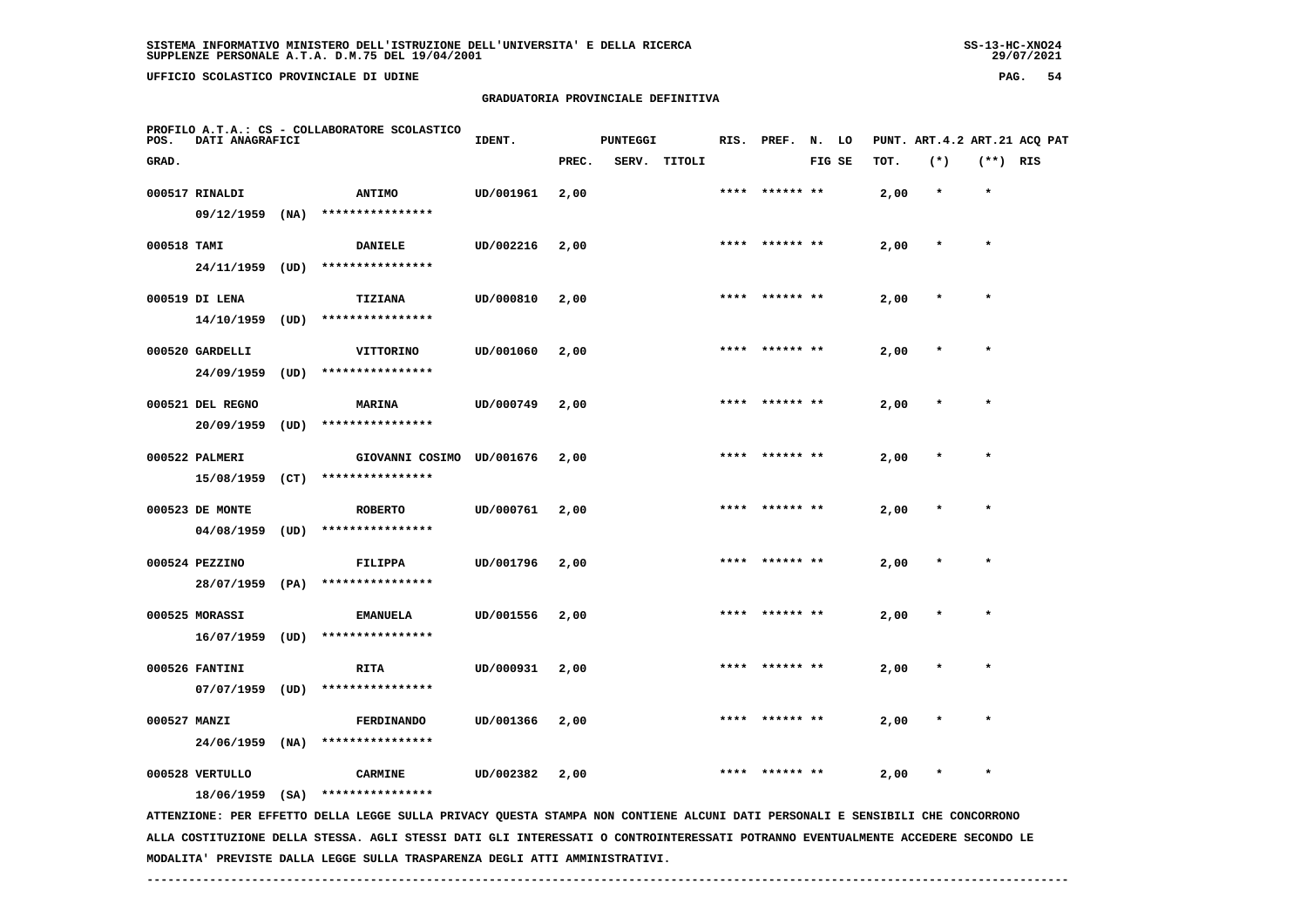**UFFICIO SCOLASTICO PROVINCIALE DI UDINE PAG. 54**

#### **GRADUATORIA PROVINCIALE DEFINITIVA**

| POS.         | DATI ANAGRAFICI  |      | PROFILO A.T.A.: CS - COLLABORATORE SCOLASTICO                                                                                   | IDENT.    |       | <b>PUNTEGGI</b> |        |      | RIS. PREF. | N. LO |        |      | PUNT. ART. 4.2 ART. 21 ACO PAT |            |  |
|--------------|------------------|------|---------------------------------------------------------------------------------------------------------------------------------|-----------|-------|-----------------|--------|------|------------|-------|--------|------|--------------------------------|------------|--|
| GRAD.        |                  |      |                                                                                                                                 |           | PREC. | SERV.           | TITOLI |      |            |       | FIG SE | TOT. | $(*)$                          | $(**)$ RIS |  |
|              | 000517 RINALDI   |      | <b>ANTIMO</b>                                                                                                                   | UD/001961 | 2,00  |                 |        |      |            |       |        | 2,00 | $\star$                        | $\star$    |  |
|              | 09/12/1959       | (NA) | ****************                                                                                                                |           |       |                 |        |      |            |       |        |      |                                |            |  |
| 000518 TAMI  |                  |      | <b>DANIELE</b>                                                                                                                  | UD/002216 | 2,00  |                 |        |      |            |       |        | 2,00 |                                |            |  |
|              | 24/11/1959 (UD)  |      | ****************                                                                                                                |           |       |                 |        |      |            |       |        |      |                                |            |  |
|              | 000519 DI LENA   |      | TIZIANA                                                                                                                         | UD/000810 | 2,00  |                 |        |      |            |       |        | 2,00 |                                |            |  |
|              | 14/10/1959       | (UD) | ****************                                                                                                                |           |       |                 |        |      |            |       |        |      |                                |            |  |
|              | 000520 GARDELLI  |      | VITTORINO                                                                                                                       | UD/001060 | 2,00  |                 |        |      | ****** **  |       |        | 2,00 |                                |            |  |
|              | 24/09/1959       | (UD) | ****************                                                                                                                |           |       |                 |        |      |            |       |        |      |                                |            |  |
|              | 000521 DEL REGNO |      | <b>MARINA</b>                                                                                                                   | UD/000749 | 2,00  |                 |        |      |            |       |        | 2,00 |                                | $\star$    |  |
|              | 20/09/1959       |      | $(UD)$ *****************                                                                                                        |           |       |                 |        |      |            |       |        |      |                                |            |  |
|              | 000522 PALMERI   |      | GIOVANNI COSIMO UD/001676                                                                                                       |           | 2,00  |                 |        | **** |            |       |        | 2,00 |                                | $\star$    |  |
|              | 15/08/1959       |      | $(CT)$ *****************                                                                                                        |           |       |                 |        |      |            |       |        |      |                                |            |  |
|              | 000523 DE MONTE  |      | <b>ROBERTO</b>                                                                                                                  | UD/000761 | 2,00  |                 |        | **** | ****** **  |       |        | 2,00 |                                |            |  |
|              | 04/08/1959       | (UD) | ****************                                                                                                                |           |       |                 |        |      |            |       |        |      |                                |            |  |
|              | 000524 PEZZINO   |      | <b>FILIPPA</b>                                                                                                                  | UD/001796 | 2,00  |                 |        |      |            |       |        | 2,00 |                                |            |  |
|              | 28/07/1959       | (PA) | ****************                                                                                                                |           |       |                 |        |      |            |       |        |      |                                |            |  |
|              | 000525 MORASSI   |      | <b>EMANUELA</b>                                                                                                                 | UD/001556 | 2,00  |                 |        | **** | ****** **  |       |        | 2,00 |                                |            |  |
|              | 16/07/1959       | (UD) | ****************                                                                                                                |           |       |                 |        |      |            |       |        |      |                                |            |  |
|              | 000526 FANTINI   |      | RITA                                                                                                                            | UD/000931 | 2,00  |                 |        |      |            |       |        | 2,00 |                                |            |  |
|              | 07/07/1959       | (UD) | ****************                                                                                                                |           |       |                 |        |      |            |       |        |      |                                |            |  |
| 000527 MANZI |                  |      | FERDINANDO                                                                                                                      | UD/001366 | 2,00  |                 |        |      |            |       |        | 2,00 |                                |            |  |
|              | 24/06/1959       | (NA) | ****************                                                                                                                |           |       |                 |        |      |            |       |        |      |                                |            |  |
|              | 000528 VERTULLO  |      | <b>CARMINE</b>                                                                                                                  | UD/002382 | 2,00  |                 |        |      |            |       |        | 2,00 |                                |            |  |
|              | 18/06/1959 (SA)  |      | ****************                                                                                                                |           |       |                 |        |      |            |       |        |      |                                |            |  |
|              |                  |      | ATTENZIONE: PER EFFETTO DELLA LEGGE SULLA PRIVACY QUESTA STAMPA NON CONTIENE ALCUNI DATI PERSONALI E SENSIBILI CHE CONCORRONO   |           |       |                 |        |      |            |       |        |      |                                |            |  |
|              |                  |      | ALLA COSTITUZIONE DELLA STESSA. AGLI STESSI DATI GLI INTERESSATI O CONTROINTERESSATI POTRANNO EVENTUALMENTE ACCEDERE SECONDO LE |           |       |                 |        |      |            |       |        |      |                                |            |  |

 **MODALITA' PREVISTE DALLA LEGGE SULLA TRASPARENZA DEGLI ATTI AMMINISTRATIVI.**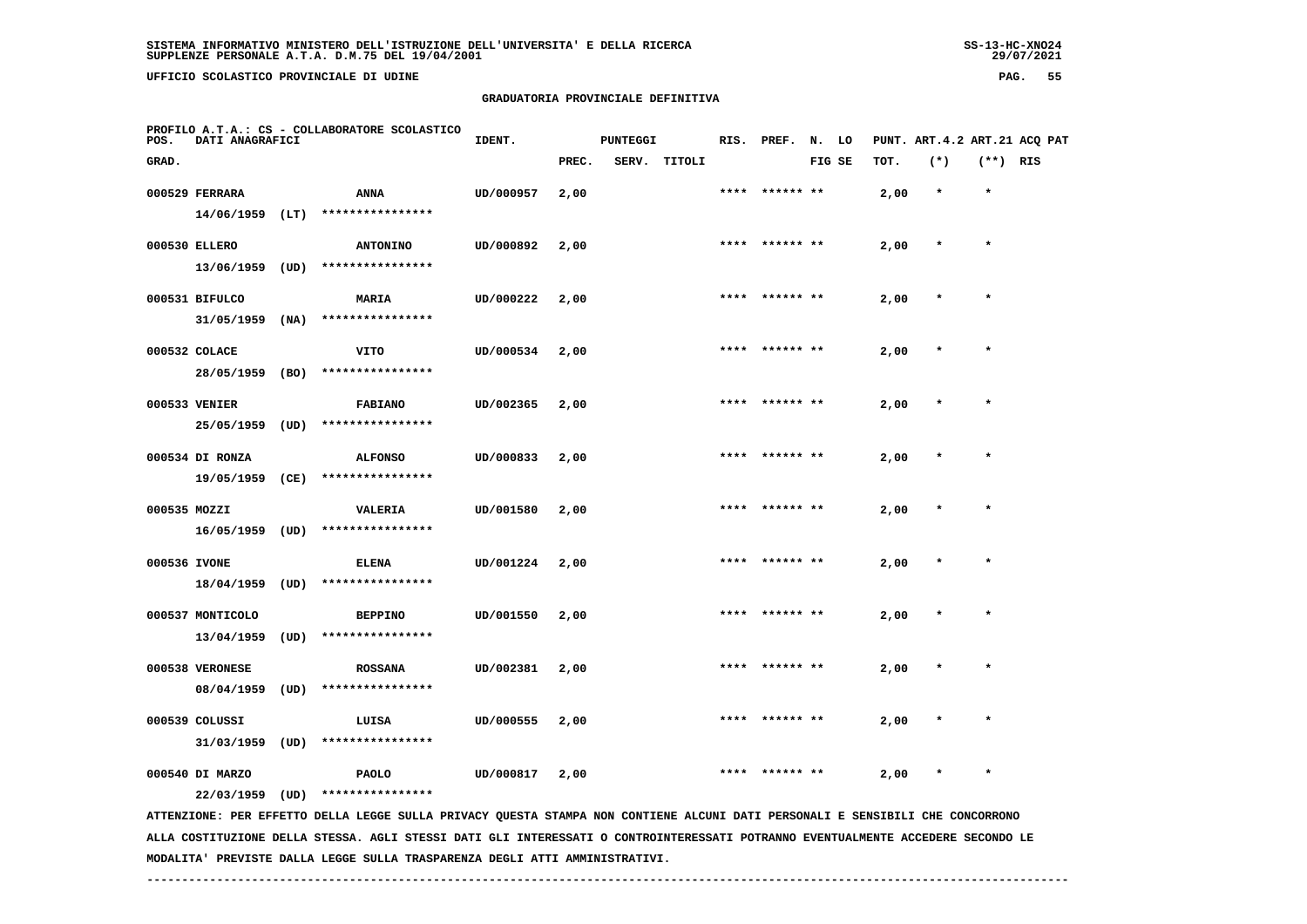**UFFICIO SCOLASTICO PROVINCIALE DI UDINE PAG. 55**

## **GRADUATORIA PROVINCIALE DEFINITIVA**

| POS.         | DATI ANAGRAFICI   |      | PROFILO A.T.A.: CS - COLLABORATORE SCOLASTICO                                                                                 | IDENT.    |       | <b>PUNTEGGI</b> |              |      | RIS. PREF. N. LO |        |      | PUNT. ART.4.2 ART.21 ACQ PAT |            |  |
|--------------|-------------------|------|-------------------------------------------------------------------------------------------------------------------------------|-----------|-------|-----------------|--------------|------|------------------|--------|------|------------------------------|------------|--|
| GRAD.        |                   |      |                                                                                                                               |           | PREC. |                 | SERV. TITOLI |      |                  | FIG SE | TOT. | $(*)$                        | $(**)$ RIS |  |
|              | 000529 FERRARA    |      | ANNA                                                                                                                          | UD/000957 | 2,00  |                 |              |      | **** ****** **   |        | 2,00 | $\star$                      | $\star$    |  |
|              | $14/06/1959$ (LT) |      | ****************                                                                                                              |           |       |                 |              |      |                  |        |      |                              |            |  |
|              | 000530 ELLERO     |      | <b>ANTONINO</b>                                                                                                               | UD/000892 | 2,00  |                 |              |      | **** ****** **   |        | 2,00 | $\ast$                       | $\star$    |  |
|              | 13/06/1959        | (UD) | ****************                                                                                                              |           |       |                 |              |      |                  |        |      |                              |            |  |
|              | 000531 BIFULCO    |      | MARIA                                                                                                                         | UD/000222 | 2,00  |                 |              | **** |                  |        | 2,00 | $\star$                      | $\star$    |  |
|              | 31/05/1959        | (NA) | ****************                                                                                                              |           |       |                 |              |      |                  |        |      |                              |            |  |
|              | 000532 COLACE     |      | <b>VITO</b>                                                                                                                   | UD/000534 | 2,00  |                 |              |      |                  |        | 2,00 |                              |            |  |
|              | 28/05/1959 (BO)   |      | ****************                                                                                                              |           |       |                 |              |      |                  |        |      |                              |            |  |
|              | 000533 VENIER     |      | <b>FABIANO</b>                                                                                                                | UD/002365 | 2,00  |                 |              |      | **** ****** **   |        | 2,00 |                              |            |  |
|              | 25/05/1959        | (UD) | ****************                                                                                                              |           |       |                 |              |      |                  |        |      |                              |            |  |
|              | 000534 DI RONZA   |      | <b>ALFONSO</b>                                                                                                                | UD/000833 | 2,00  |                 |              | **** | ****** **        |        | 2,00 |                              | $\star$    |  |
|              | 19/05/1959        | (CE) | ****************                                                                                                              |           |       |                 |              |      |                  |        |      |                              |            |  |
| 000535 MOZZI |                   |      | VALERIA                                                                                                                       | UD/001580 | 2,00  |                 |              |      | **** ****** **   |        | 2,00 |                              | $\star$    |  |
|              | 16/05/1959        | (UD) | ****************                                                                                                              |           |       |                 |              |      |                  |        |      |                              |            |  |
| 000536 IVONE |                   |      | <b>ELENA</b>                                                                                                                  | UD/001224 | 2,00  |                 |              | **** | ****** **        |        | 2,00 | $\star$                      | $\star$    |  |
|              | 18/04/1959        | (UD) | ****************                                                                                                              |           |       |                 |              |      |                  |        |      |                              |            |  |
|              | 000537 MONTICOLO  |      | <b>BEPPINO</b>                                                                                                                | UD/001550 | 2,00  |                 |              |      | ****  ****** **  |        | 2,00 |                              | $\star$    |  |
|              | 13/04/1959        | (UD) | ****************                                                                                                              |           |       |                 |              |      |                  |        |      |                              |            |  |
|              | 000538 VERONESE   |      | <b>ROSSANA</b>                                                                                                                | UD/002381 | 2,00  |                 |              |      |                  |        | 2,00 |                              |            |  |
|              | 08/04/1959        | (UD) | ****************                                                                                                              |           |       |                 |              |      |                  |        |      |                              |            |  |
|              | 000539 COLUSSI    |      | LUISA                                                                                                                         | UD/000555 | 2,00  |                 |              |      |                  |        | 2,00 |                              |            |  |
|              | 31/03/1959        | (UD) | ****************                                                                                                              |           |       |                 |              |      |                  |        |      |                              |            |  |
|              | 000540 DI MARZO   |      | <b>PAOLO</b>                                                                                                                  | UD/000817 | 2,00  |                 |              |      |                  |        | 2,00 |                              |            |  |
|              | 22/03/1959 (UD)   |      | ****************                                                                                                              |           |       |                 |              |      |                  |        |      |                              |            |  |
|              |                   |      | ATTENZIONE: PER EFFETTO DELLA LEGGE SULLA PRIVACY QUESTA STAMPA NON CONTIENE ALCUNI DATI PERSONALI E SENSIBILI CHE CONCORRONO |           |       |                 |              |      |                  |        |      |                              |            |  |

 **ALLA COSTITUZIONE DELLA STESSA. AGLI STESSI DATI GLI INTERESSATI O CONTROINTERESSATI POTRANNO EVENTUALMENTE ACCEDERE SECONDO LE MODALITA' PREVISTE DALLA LEGGE SULLA TRASPARENZA DEGLI ATTI AMMINISTRATIVI.**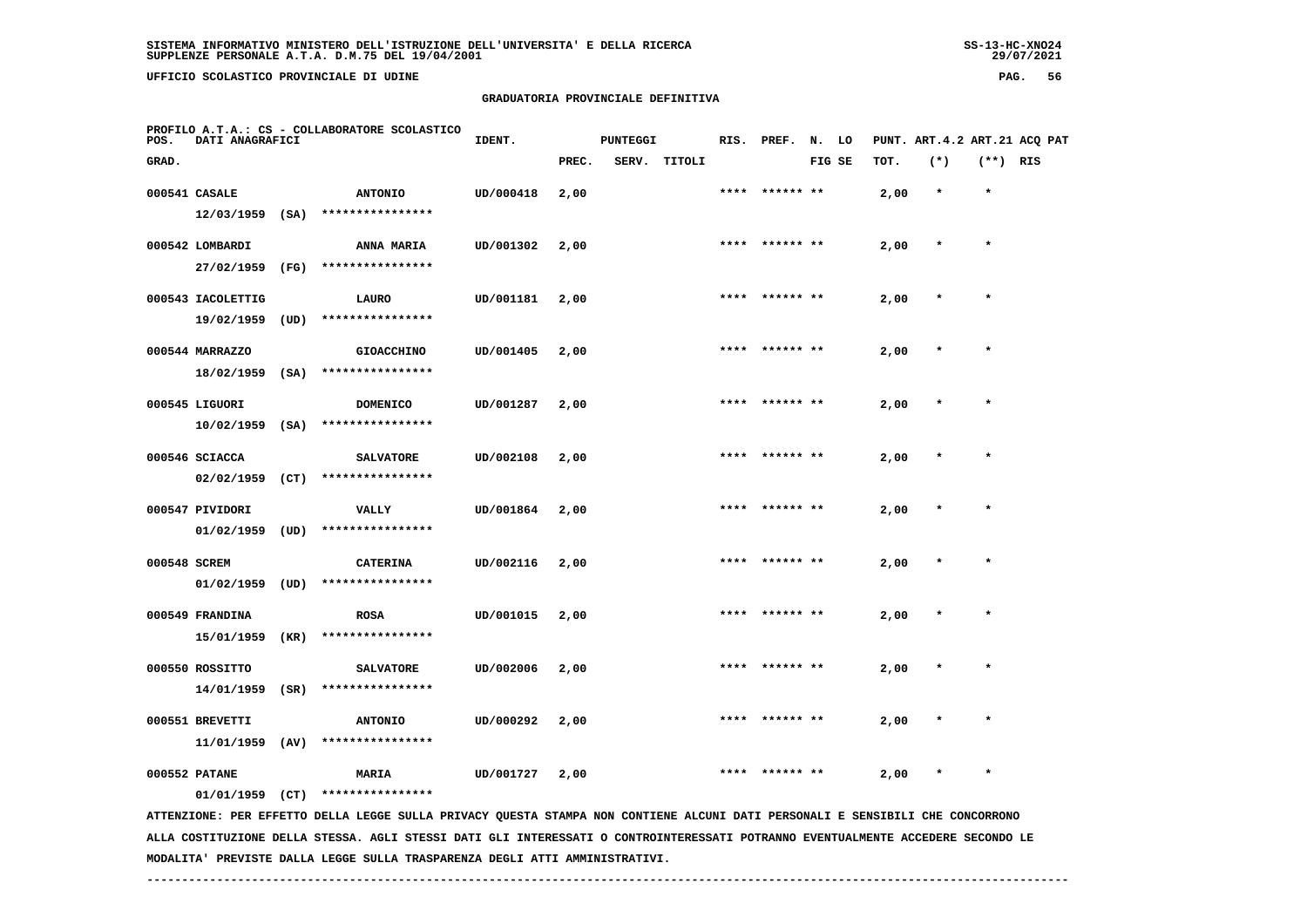**UFFICIO SCOLASTICO PROVINCIALE DI UDINE PAG. 56**

## **GRADUATORIA PROVINCIALE DEFINITIVA**

| POS.         | DATI ANAGRAFICI                    |      | PROFILO A.T.A.: CS - COLLABORATORE SCOLASTICO                                                                                 | IDENT.    |       | <b>PUNTEGGI</b> |              |      | RIS. PREF. N. LO |        |      |         |            | PUNT. ART.4.2 ART.21 ACQ PAT |
|--------------|------------------------------------|------|-------------------------------------------------------------------------------------------------------------------------------|-----------|-------|-----------------|--------------|------|------------------|--------|------|---------|------------|------------------------------|
| GRAD.        |                                    |      |                                                                                                                               |           | PREC. |                 | SERV. TITOLI |      |                  | FIG SE | TOT. | $(*)$   | $(**)$ RIS |                              |
|              | 000541 CASALE                      |      | <b>ANTONIO</b>                                                                                                                | UD/000418 | 2,00  |                 |              | **** | ****** **        |        | 2,00 | $\star$ | $\star$    |                              |
|              | 12/03/1959                         | (SA) | ****************                                                                                                              |           |       |                 |              |      |                  |        |      |         |            |                              |
|              | 000542 LOMBARDI                    |      | <b>ANNA MARIA</b>                                                                                                             | UD/001302 | 2,00  |                 |              |      | **** ****** **   |        | 2,00 | $\ast$  | $\star$    |                              |
|              | 27/02/1959                         | (FG) | ****************                                                                                                              |           |       |                 |              |      |                  |        |      |         |            |                              |
|              | 000543 IACOLETTIG                  |      | LAURO                                                                                                                         | UD/001181 | 2,00  |                 |              | **** |                  |        | 2,00 | $\star$ | $\star$    |                              |
|              | 19/02/1959                         | (UD) | ****************                                                                                                              |           |       |                 |              |      |                  |        |      |         |            |                              |
|              | 000544 MARRAZZO                    |      | <b>GIOACCHINO</b>                                                                                                             | UD/001405 | 2,00  |                 |              |      |                  |        | 2,00 |         |            |                              |
|              | $18/02/1959$ (SA)                  |      | ****************                                                                                                              |           |       |                 |              |      |                  |        |      |         |            |                              |
|              | 000545 LIGUORI                     |      | <b>DOMENICO</b>                                                                                                               | UD/001287 | 2,00  |                 |              | **** |                  |        | 2,00 |         |            |                              |
|              | 10/02/1959                         | (SA) | ****************                                                                                                              |           |       |                 |              |      |                  |        |      |         |            |                              |
|              | 000546 SCIACCA                     |      | <b>SALVATORE</b>                                                                                                              | UD/002108 | 2,00  |                 |              | **** | ****** **        |        | 2,00 |         | $\star$    |                              |
|              | 02/02/1959                         | (CT) | ****************                                                                                                              |           |       |                 |              |      |                  |        |      |         |            |                              |
|              | 000547 PIVIDORI                    |      | <b>VALLY</b>                                                                                                                  | UD/001864 | 2,00  |                 |              | **** | ****** **        |        | 2,00 |         | $\star$    |                              |
|              | 01/02/1959                         | (UD) | ****************                                                                                                              |           |       |                 |              |      |                  |        |      |         |            |                              |
| 000548 SCREM |                                    |      | <b>CATERINA</b>                                                                                                               | UD/002116 | 2,00  |                 |              |      |                  |        | 2,00 | $\star$ | $\star$    |                              |
|              | 01/02/1959                         | (UD) | ****************                                                                                                              |           |       |                 |              |      |                  |        |      |         |            |                              |
|              | 000549 FRANDINA                    |      | <b>ROSA</b>                                                                                                                   | UD/001015 | 2,00  |                 |              | **** | ****** **        |        | 2,00 | $\star$ | $\star$    |                              |
|              | 15/01/1959                         | (KR) | ****************                                                                                                              |           |       |                 |              |      |                  |        |      |         |            |                              |
|              | 000550 ROSSITTO                    |      | <b>SALVATORE</b>                                                                                                              | UD/002006 | 2,00  |                 |              |      |                  |        | 2,00 |         |            |                              |
|              | 14/01/1959                         | (SR) | ****************                                                                                                              |           |       |                 |              |      |                  |        |      |         |            |                              |
|              |                                    |      |                                                                                                                               |           |       |                 |              |      |                  |        |      |         | $\star$    |                              |
|              | 000551 BREVETTI<br>11/01/1959      | (AV) | <b>ANTONIO</b><br>****************                                                                                            | UD/000292 | 2,00  |                 |              |      |                  |        | 2,00 |         |            |                              |
|              |                                    |      |                                                                                                                               |           |       |                 |              |      |                  |        |      |         |            |                              |
|              | 000552 PATANE<br>$01/01/1959$ (CT) |      | MARIA<br>****************                                                                                                     | UD/001727 | 2,00  |                 |              |      |                  |        | 2,00 |         |            |                              |
|              |                                    |      | ATTENZIONE: PER EFFETTO DELLA LEGGE SULLA PRIVACY QUESTA STAMPA NON CONTIENE ALCUNI DATI PERSONALI E SENSIBILI CHE CONCORRONO |           |       |                 |              |      |                  |        |      |         |            |                              |

 **ALLA COSTITUZIONE DELLA STESSA. AGLI STESSI DATI GLI INTERESSATI O CONTROINTERESSATI POTRANNO EVENTUALMENTE ACCEDERE SECONDO LE MODALITA' PREVISTE DALLA LEGGE SULLA TRASPARENZA DEGLI ATTI AMMINISTRATIVI.**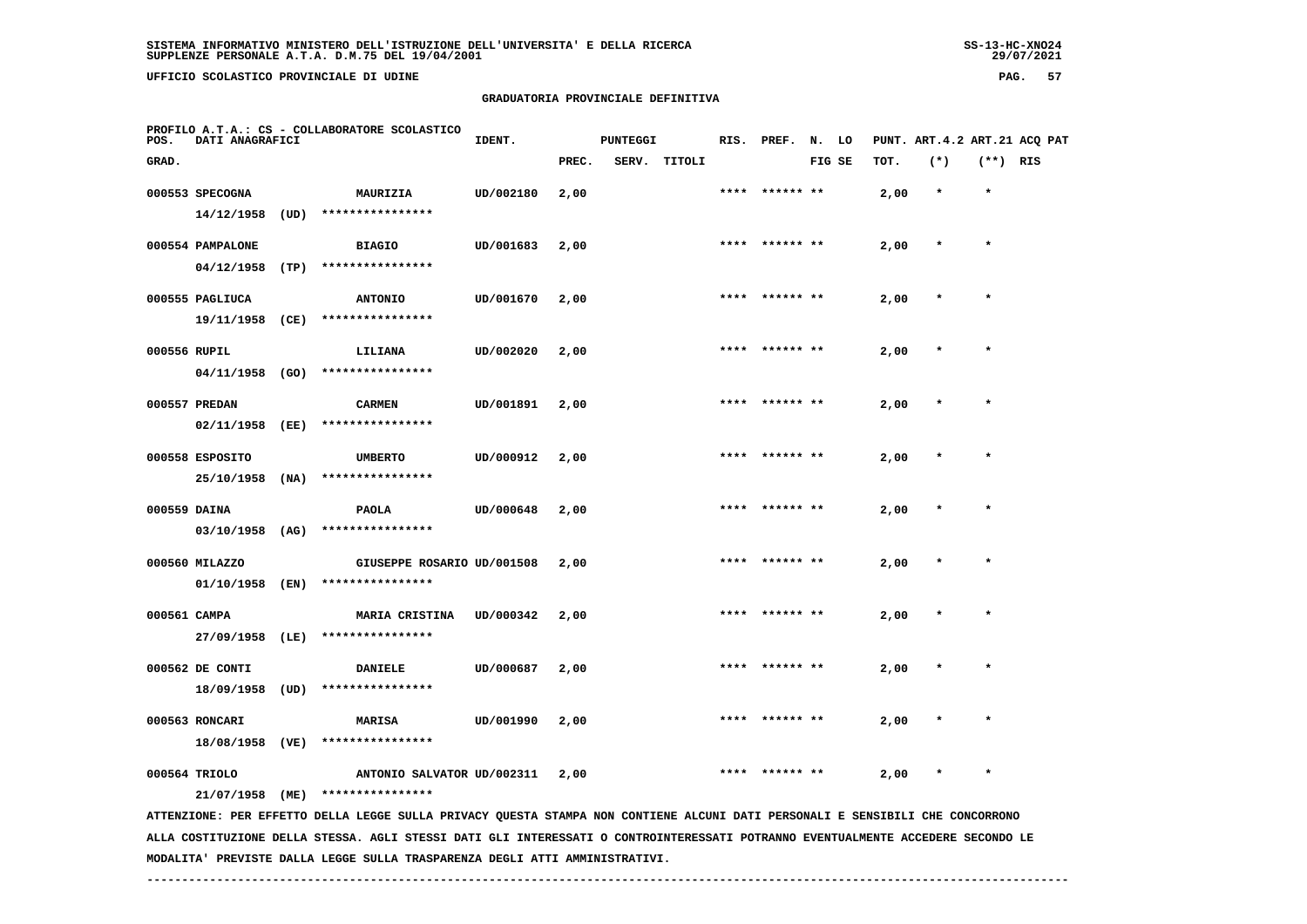**UFFICIO SCOLASTICO PROVINCIALE DI UDINE PAG. 57**

## **GRADUATORIA PROVINCIALE DEFINITIVA**

| POS.         | DATI ANAGRAFICI   |        | PROFILO A.T.A.: CS - COLLABORATORE SCOLASTICO                                                                                   | IDENT.    |       | <b>PUNTEGGI</b> |              | RIS. | PREF.          | N.     | LO |      | PUNT. ART. 4.2 ART. 21 ACO PAT |            |  |
|--------------|-------------------|--------|---------------------------------------------------------------------------------------------------------------------------------|-----------|-------|-----------------|--------------|------|----------------|--------|----|------|--------------------------------|------------|--|
| GRAD.        |                   |        |                                                                                                                                 |           | PREC. |                 | SERV. TITOLI |      |                | FIG SE |    | TOT. | $(*)$                          | $(**)$ RIS |  |
|              | 000553 SPECOGNA   |        | MAURIZIA                                                                                                                        | UD/002180 | 2,00  |                 |              |      |                |        |    | 2,00 | $\star$                        | $\star$    |  |
|              | 14/12/1958        | (UD)   | ****************                                                                                                                |           |       |                 |              |      |                |        |    |      |                                |            |  |
|              | 000554 PAMPALONE  |        | <b>BIAGIO</b>                                                                                                                   | UD/001683 | 2,00  |                 |              |      |                |        |    | 2,00 |                                | $\star$    |  |
|              | 04/12/1958        | (TP)   | ****************                                                                                                                |           |       |                 |              |      |                |        |    |      |                                |            |  |
|              | 000555 PAGLIUCA   |        | <b>ANTONIO</b>                                                                                                                  | UD/001670 | 2,00  |                 |              |      |                |        |    | 2,00 |                                |            |  |
|              | 19/11/1958        | (CE)   | ****************                                                                                                                |           |       |                 |              |      |                |        |    |      |                                |            |  |
| 000556 RUPIL |                   |        | LILIANA                                                                                                                         | UD/002020 | 2,00  |                 |              | **** | ****** **      |        |    | 2,00 |                                |            |  |
|              | 04/11/1958        | (GO)   | ****************                                                                                                                |           |       |                 |              |      |                |        |    |      |                                |            |  |
|              | 000557 PREDAN     |        | <b>CARMEN</b>                                                                                                                   | UD/001891 | 2,00  |                 |              |      | **** ****** ** |        |    | 2,00 |                                | $\star$    |  |
|              | 02/11/1958        | (EE)   | ****************                                                                                                                |           |       |                 |              |      |                |        |    |      |                                |            |  |
|              | 000558 ESPOSITO   |        | <b>UMBERTO</b>                                                                                                                  | UD/000912 | 2,00  |                 |              |      | ****** **      |        |    | 2,00 |                                |            |  |
|              | 25/10/1958        | (NA)   | ****************                                                                                                                |           |       |                 |              |      |                |        |    |      |                                |            |  |
| 000559 DAINA |                   |        | <b>PAOLA</b>                                                                                                                    | UD/000648 | 2,00  |                 |              |      |                |        |    | 2,00 |                                |            |  |
|              | $03/10/1958$ (AG) |        | ****************                                                                                                                |           |       |                 |              |      |                |        |    |      |                                |            |  |
|              | 000560 MILAZZO    |        | GIUSEPPE ROSARIO UD/001508                                                                                                      |           | 2,00  |                 |              |      |                |        |    | 2,00 |                                |            |  |
|              | 01/10/1958 (EN)   |        | ****************                                                                                                                |           |       |                 |              |      |                |        |    |      |                                |            |  |
| 000561 CAMPA |                   |        | <b>MARIA CRISTINA</b>                                                                                                           | UD/000342 | 2,00  |                 |              | **** | ****** **      |        |    | 2,00 |                                | $\star$    |  |
|              | 27/09/1958        | (LE)   | ****************                                                                                                                |           |       |                 |              |      |                |        |    |      |                                |            |  |
|              | 000562 DE CONTI   |        | <b>DANIELE</b>                                                                                                                  | UD/000687 | 2,00  |                 |              |      |                |        |    | 2,00 |                                |            |  |
|              | 18/09/1958        | (UD)   | ****************                                                                                                                |           |       |                 |              |      |                |        |    |      |                                |            |  |
|              | 000563 RONCARI    |        | <b>MARISA</b>                                                                                                                   | UD/001990 | 2,00  |                 |              |      |                |        |    | 2,00 |                                | $\star$    |  |
|              | 18/08/1958        | ( VE ) | ****************                                                                                                                |           |       |                 |              |      |                |        |    |      |                                |            |  |
|              | 000564 TRIOLO     |        | ANTONIO SALVATOR UD/002311                                                                                                      |           | 2,00  |                 |              |      |                |        |    | 2,00 |                                |            |  |
|              | 21/07/1958        | (ME)   | ****************                                                                                                                |           |       |                 |              |      |                |        |    |      |                                |            |  |
|              |                   |        | ATTENZIONE: PER EFFETTO DELLA LEGGE SULLA PRIVACY QUESTA STAMPA NON CONTIENE ALCUNI DATI PERSONALI E SENSIBILI CHE CONCORRONO   |           |       |                 |              |      |                |        |    |      |                                |            |  |
|              |                   |        | ALLA COSTITUZIONE DELLA STESSA. AGLI STESSI DATI GLI INTERESSATI O CONTROINTERESSATI POTRANNO EVENTUALMENTE ACCEDERE SECONDO LE |           |       |                 |              |      |                |        |    |      |                                |            |  |

 **MODALITA' PREVISTE DALLA LEGGE SULLA TRASPARENZA DEGLI ATTI AMMINISTRATIVI.**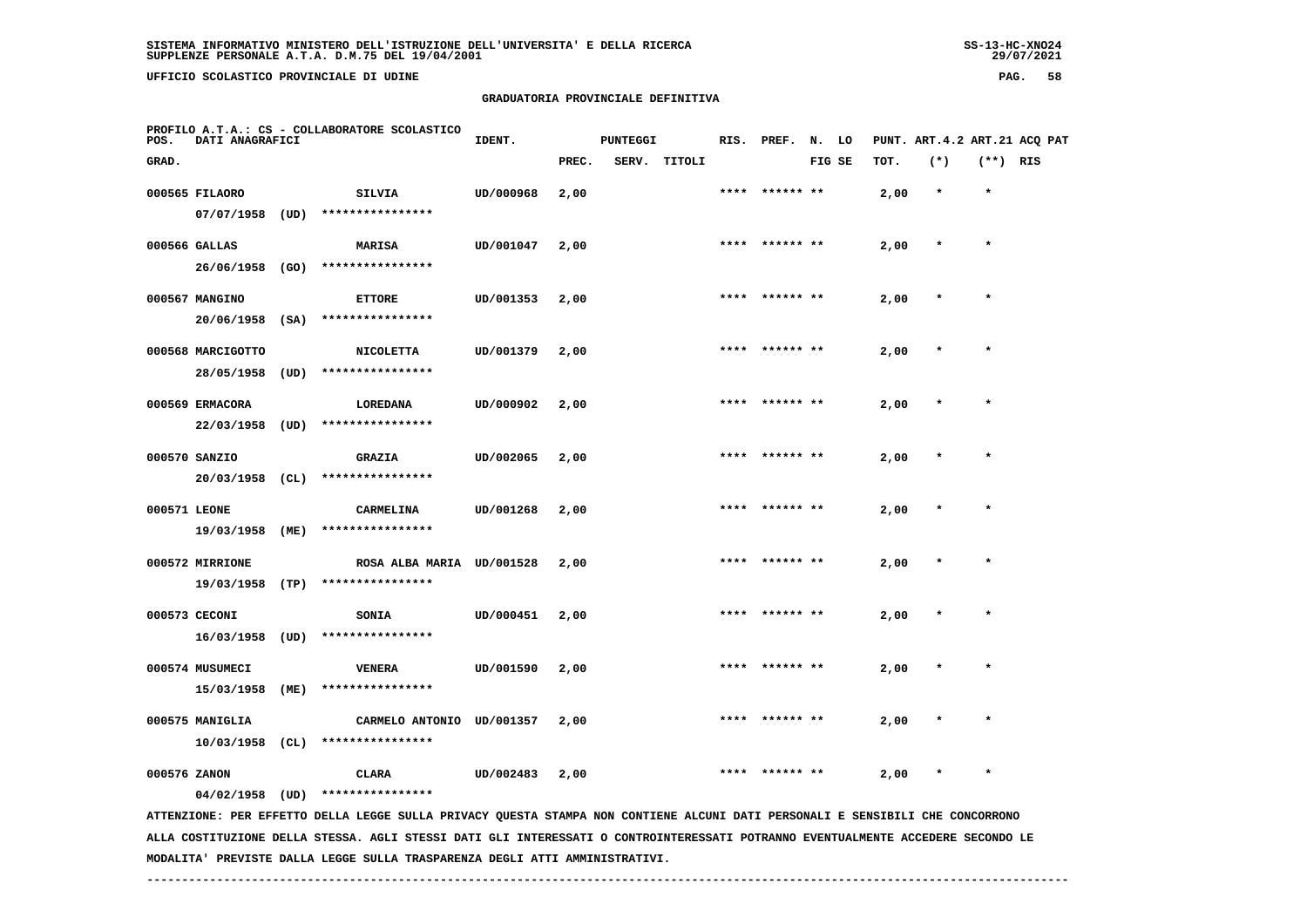**UFFICIO SCOLASTICO PROVINCIALE DI UDINE PAG. 58**

#### **GRADUATORIA PROVINCIALE DEFINITIVA**

| POS.  | DATI ANAGRAFICI   |      | PROFILO A.T.A.: CS - COLLABORATORE SCOLASTICO                                                                                   | IDENT.    |       | <b>PUNTEGGI</b> |        |      | RIS. PREF. | N.     | LO |      | PUNT. ART. 4.2 ART. 21 ACQ PAT |            |  |
|-------|-------------------|------|---------------------------------------------------------------------------------------------------------------------------------|-----------|-------|-----------------|--------|------|------------|--------|----|------|--------------------------------|------------|--|
| GRAD. |                   |      |                                                                                                                                 |           | PREC. | SERV.           | TITOLI |      |            | FIG SE |    | TOT. | $(*)$                          | $(**)$ RIS |  |
|       | 000565 FILAORO    |      | SILVIA                                                                                                                          | UD/000968 | 2,00  |                 |        | **** | ****** **  |        |    | 2,00 | $\star$                        | $\star$    |  |
|       | 07/07/1958        | (UD) | ****************                                                                                                                |           |       |                 |        |      |            |        |    |      |                                |            |  |
|       | 000566 GALLAS     |      | <b>MARISA</b>                                                                                                                   | UD/001047 | 2,00  |                 |        | **** |            |        |    | 2,00 |                                | $\star$    |  |
|       | 26/06/1958        | (GO) | ****************                                                                                                                |           |       |                 |        |      |            |        |    |      |                                |            |  |
|       | 000567 MANGINO    |      | <b>ETTORE</b>                                                                                                                   | UD/001353 | 2,00  |                 |        |      |            |        |    | 2,00 |                                |            |  |
|       | 20/06/1958        | (SA) | ****************                                                                                                                |           |       |                 |        |      |            |        |    |      |                                |            |  |
|       | 000568 MARCIGOTTO |      | <b>NICOLETTA</b>                                                                                                                | UD/001379 | 2,00  |                 |        |      | ****** **  |        |    | 2,00 |                                | $\star$    |  |
|       | 28/05/1958        | (UD) | ****************                                                                                                                |           |       |                 |        |      |            |        |    |      |                                |            |  |
|       | 000569 ERMACORA   |      | LOREDANA                                                                                                                        | UD/000902 | 2,00  |                 |        |      | ****** **  |        |    | 2,00 |                                |            |  |
|       | 22/03/1958        | (UD) | ****************                                                                                                                |           |       |                 |        |      |            |        |    |      |                                |            |  |
|       | 000570 SANZIO     |      | <b>GRAZIA</b>                                                                                                                   | UD/002065 | 2,00  |                 |        | **** |            |        |    | 2,00 |                                | $\star$    |  |
|       | 20/03/1958        | (CL) | ****************                                                                                                                |           |       |                 |        |      |            |        |    |      |                                |            |  |
|       | 000571 LEONE      |      | CARMELINA                                                                                                                       | UD/001268 | 2,00  |                 |        |      |            |        |    | 2,00 |                                |            |  |
|       | 19/03/1958        | (ME) | ****************                                                                                                                |           |       |                 |        |      |            |        |    |      |                                |            |  |
|       | 000572 MIRRIONE   |      | ROSA ALBA MARIA UD/001528                                                                                                       |           | 2,00  |                 |        |      |            |        |    | 2,00 |                                | $\star$    |  |
|       | 19/03/1958        | (TP) | ****************                                                                                                                |           |       |                 |        |      |            |        |    |      |                                |            |  |
|       | 000573 CECONI     |      | <b>SONIA</b>                                                                                                                    | UD/000451 | 2,00  |                 |        |      | ****** **  |        |    | 2,00 |                                |            |  |
|       | 16/03/1958        | (UD) | ****************                                                                                                                |           |       |                 |        |      |            |        |    |      |                                |            |  |
|       | 000574 MUSUMECI   |      | <b>VENERA</b>                                                                                                                   | UD/001590 | 2,00  |                 |        | **** | ****** **  |        |    | 2,00 |                                | $\star$    |  |
|       | 15/03/1958        | (ME) | ****************                                                                                                                |           |       |                 |        |      |            |        |    |      |                                |            |  |
|       | 000575 MANIGLIA   |      | CARMELO ANTONIO UD/001357                                                                                                       |           | 2,00  |                 |        |      |            |        |    | 2,00 |                                |            |  |
|       | 10/03/1958        | (CL) | ****************                                                                                                                |           |       |                 |        |      |            |        |    |      |                                |            |  |
|       | 000576 ZANON      |      | CLARA                                                                                                                           | UD/002483 | 2,00  |                 |        |      |            |        |    | 2,00 |                                |            |  |
|       | $04/02/1958$ (UD) |      | ****************                                                                                                                |           |       |                 |        |      |            |        |    |      |                                |            |  |
|       |                   |      | ATTENZIONE: PER EFFETTO DELLA LEGGE SULLA PRIVACY QUESTA STAMPA NON CONTIENE ALCUNI DATI PERSONALI E SENSIBILI CHE CONCORRONO   |           |       |                 |        |      |            |        |    |      |                                |            |  |
|       |                   |      | ALLA COSTITUZIONE DELLA STESSA. AGLI STESSI DATI GLI INTERESSATI O CONTROINTERESSATI POTRANNO EVENTUALMENTE ACCEDERE SECONDO LE |           |       |                 |        |      |            |        |    |      |                                |            |  |

 **MODALITA' PREVISTE DALLA LEGGE SULLA TRASPARENZA DEGLI ATTI AMMINISTRATIVI.**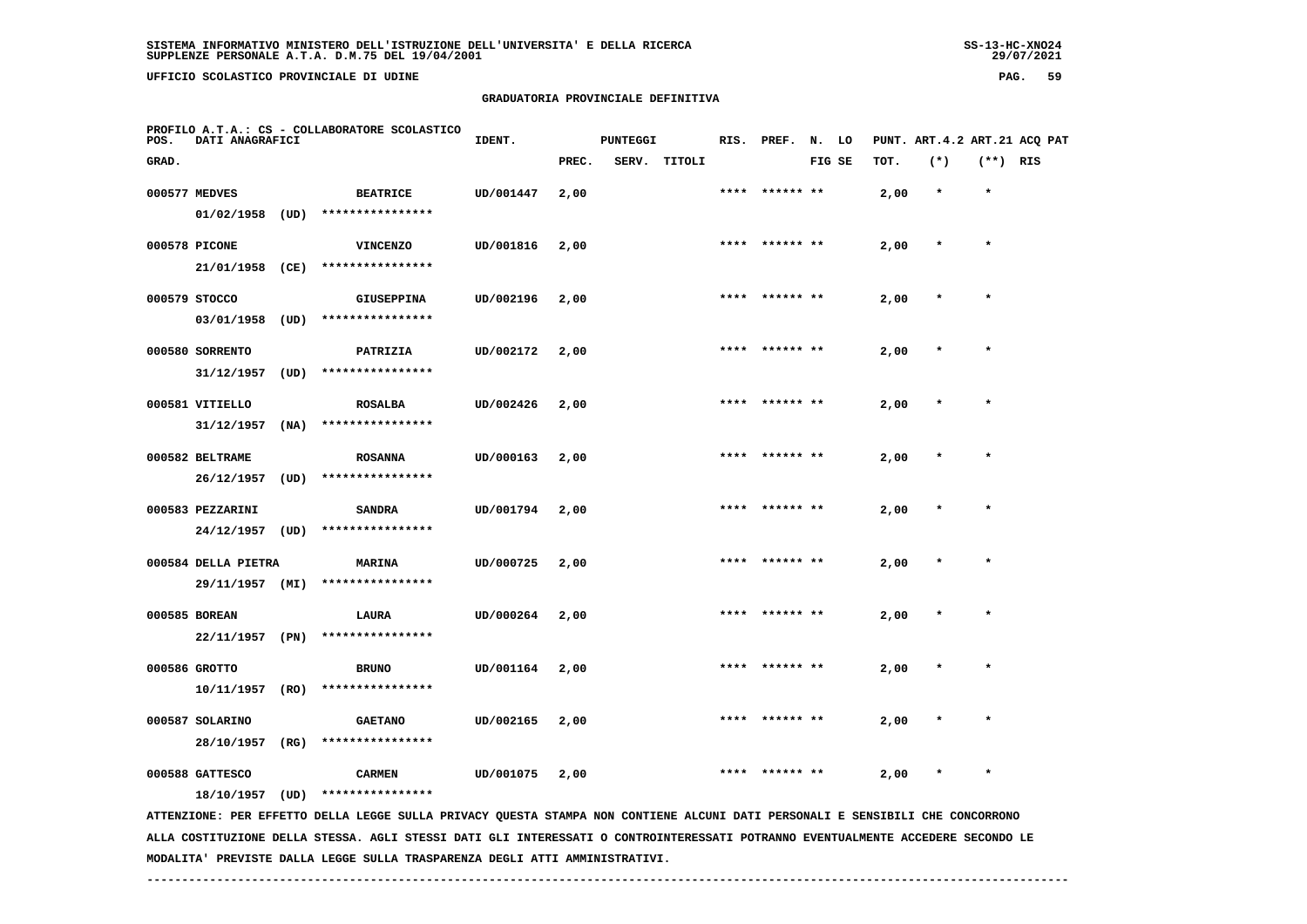**UFFICIO SCOLASTICO PROVINCIALE DI UDINE PAG. 59**

#### **GRADUATORIA PROVINCIALE DEFINITIVA**

| POS.  | DATI ANAGRAFICI     |      | PROFILO A.T.A.: CS - COLLABORATORE SCOLASTICO                                                                                 | IDENT.    |       | <b>PUNTEGGI</b> |              |      | RIS. PREF.     | N. LO  |      | PUNT. ART. 4.2 ART. 21 ACQ PAT |            |  |
|-------|---------------------|------|-------------------------------------------------------------------------------------------------------------------------------|-----------|-------|-----------------|--------------|------|----------------|--------|------|--------------------------------|------------|--|
| GRAD. |                     |      |                                                                                                                               |           | PREC. |                 | SERV. TITOLI |      |                | FIG SE | TOT. | $(*)$                          | $(**)$ RIS |  |
|       | 000577 MEDVES       |      | <b>BEATRICE</b>                                                                                                               | UD/001447 | 2,00  |                 |              |      | **** ****** ** |        | 2,00 | $\star$                        | $\star$    |  |
|       | 01/02/1958          | (UD) | ****************                                                                                                              |           |       |                 |              |      |                |        |      |                                |            |  |
|       | 000578 PICONE       |      | <b>VINCENZO</b>                                                                                                               | UD/001816 | 2,00  |                 |              |      | **** ****** ** |        | 2,00 |                                | $\star$    |  |
|       | 21/01/1958 (CE)     |      | ****************                                                                                                              |           |       |                 |              |      |                |        |      |                                |            |  |
|       | 000579 STOCCO       |      | GIUSEPPINA                                                                                                                    | UD/002196 | 2,00  |                 |              |      |                |        | 2,00 |                                | $\star$    |  |
|       | 03/01/1958          | (UD) | ****************                                                                                                              |           |       |                 |              |      |                |        |      |                                |            |  |
|       | 000580 SORRENTO     |      | PATRIZIA                                                                                                                      | UD/002172 | 2,00  |                 |              |      |                |        | 2,00 |                                |            |  |
|       | 31/12/1957          | (UD) | ****************                                                                                                              |           |       |                 |              |      |                |        |      |                                |            |  |
|       |                     |      |                                                                                                                               |           |       |                 |              |      |                |        |      |                                | $\star$    |  |
|       | 000581 VITIELLO     |      | <b>ROSALBA</b><br>****************                                                                                            | UD/002426 | 2,00  |                 |              |      |                |        | 2,00 |                                |            |  |
|       | 31/12/1957          | (NA) |                                                                                                                               |           |       |                 |              |      |                |        |      |                                |            |  |
|       | 000582 BELTRAME     |      | <b>ROSANNA</b>                                                                                                                | UD/000163 | 2,00  |                 |              |      | **** ****** ** |        | 2,00 |                                | $\star$    |  |
|       | 26/12/1957          | (UD) | ****************                                                                                                              |           |       |                 |              |      |                |        |      |                                |            |  |
|       | 000583 PEZZARINI    |      | <b>SANDRA</b>                                                                                                                 | UD/001794 | 2,00  |                 |              |      | **** ****** ** |        | 2,00 |                                | $\star$    |  |
|       | 24/12/1957          | (UD) | ****************                                                                                                              |           |       |                 |              |      |                |        |      |                                |            |  |
|       | 000584 DELLA PIETRA |      | MARINA                                                                                                                        | UD/000725 | 2,00  |                 |              |      |                |        | 2,00 |                                | $\star$    |  |
|       | 29/11/1957 (MI)     |      | ****************                                                                                                              |           |       |                 |              |      |                |        |      |                                |            |  |
|       | 000585 BOREAN       |      | LAURA                                                                                                                         | UD/000264 | 2,00  |                 |              |      |                |        | 2,00 |                                |            |  |
|       | 22/11/1957 (PN)     |      | ****************                                                                                                              |           |       |                 |              |      |                |        |      |                                |            |  |
|       |                     |      |                                                                                                                               |           |       |                 |              |      |                |        |      |                                |            |  |
|       | 000586 GROTTO       |      | <b>BRUNO</b>                                                                                                                  | UD/001164 | 2,00  |                 |              |      |                |        | 2,00 |                                |            |  |
|       | 10/11/1957          | (RO) | ****************                                                                                                              |           |       |                 |              |      |                |        |      |                                |            |  |
|       | 000587 SOLARINO     |      | <b>GAETANO</b>                                                                                                                | UD/002165 | 2,00  |                 |              | **** | ****** **      |        | 2,00 |                                | $\star$    |  |
|       | 28/10/1957 (RG)     |      | ****************                                                                                                              |           |       |                 |              |      |                |        |      |                                |            |  |
|       | 000588 GATTESCO     |      | <b>CARMEN</b>                                                                                                                 | UD/001075 | 2,00  |                 |              | **** | ****** **      |        | 2,00 | $\star$                        | $\star$    |  |
|       | 18/10/1957          | (UD) | ****************                                                                                                              |           |       |                 |              |      |                |        |      |                                |            |  |
|       |                     |      | ATTENZIONE: PER EFFETTO DELLA LEGGE SULLA PRIVACY QUESTA STAMPA NON CONTIENE ALCUNI DATI PERSONALI E SENSIBILI CHE CONCORRONO |           |       |                 |              |      |                |        |      |                                |            |  |

 **ALLA COSTITUZIONE DELLA STESSA. AGLI STESSI DATI GLI INTERESSATI O CONTROINTERESSATI POTRANNO EVENTUALMENTE ACCEDERE SECONDO LE MODALITA' PREVISTE DALLA LEGGE SULLA TRASPARENZA DEGLI ATTI AMMINISTRATIVI.**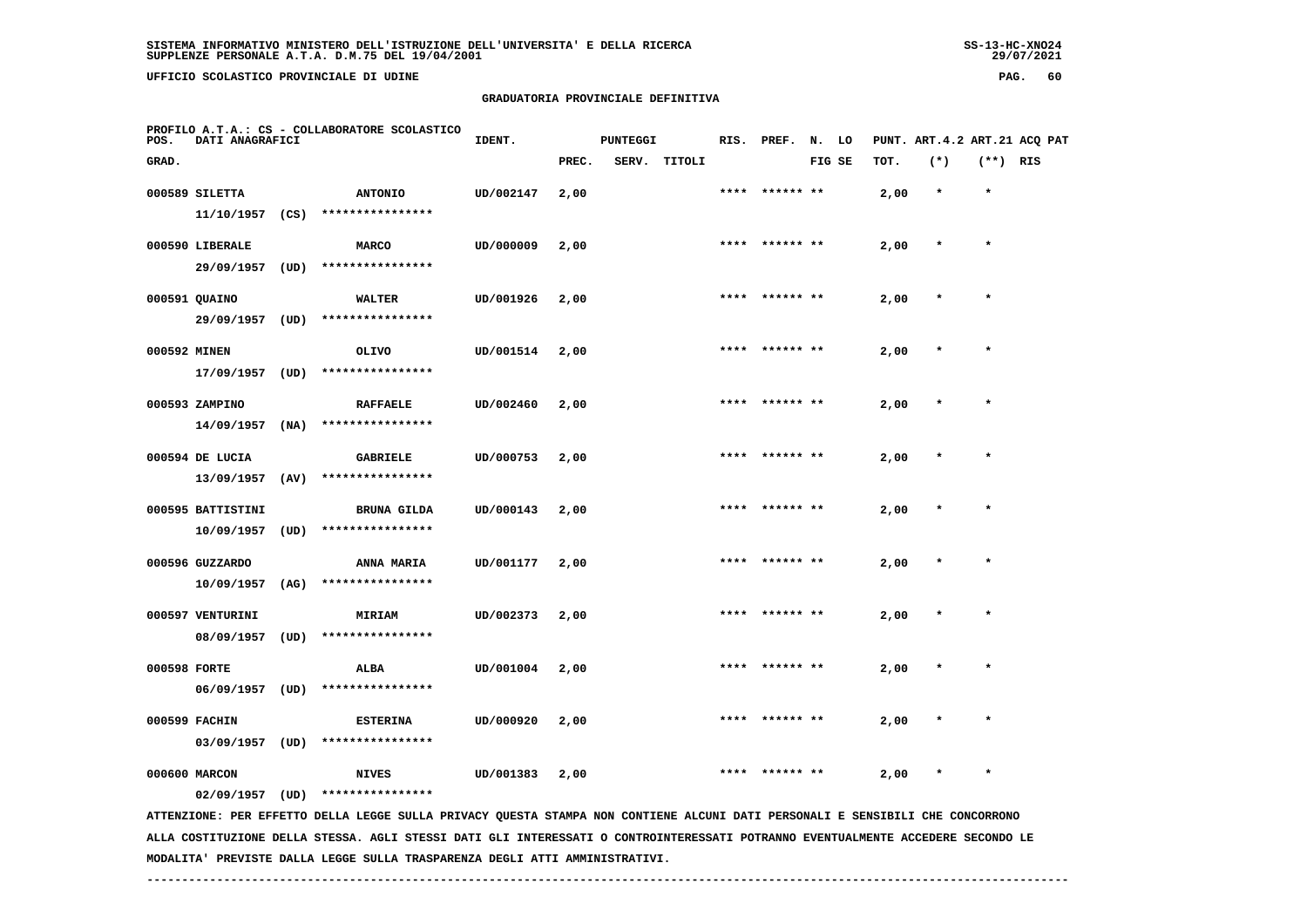**UFFICIO SCOLASTICO PROVINCIALE DI UDINE PAG. 60**

## **GRADUATORIA PROVINCIALE DEFINITIVA**

| POS.         | DATI ANAGRAFICI   |      | PROFILO A.T.A.: CS - COLLABORATORE SCOLASTICO                                                                                 | IDENT.    |       | <b>PUNTEGGI</b> |              |      | RIS. PREF. N. LO |        |      |         |            | PUNT. ART. 4.2 ART. 21 ACQ PAT |
|--------------|-------------------|------|-------------------------------------------------------------------------------------------------------------------------------|-----------|-------|-----------------|--------------|------|------------------|--------|------|---------|------------|--------------------------------|
| GRAD.        |                   |      |                                                                                                                               |           | PREC. |                 | SERV. TITOLI |      |                  | FIG SE | TOT. | $(*)$   | $(**)$ RIS |                                |
|              | 000589 SILETTA    |      | <b>ANTONIO</b>                                                                                                                | UD/002147 | 2,00  |                 |              | **** | ****** **        |        | 2,00 | $\star$ | $\star$    |                                |
|              | $11/10/1957$ (CS) |      | ****************                                                                                                              |           |       |                 |              |      |                  |        |      |         |            |                                |
|              | 000590 LIBERALE   |      | <b>MARCO</b>                                                                                                                  | UD/000009 | 2,00  |                 |              |      | **** ****** **   |        | 2,00 | $\star$ | $\star$    |                                |
|              | 29/09/1957 (UD)   |      | ****************                                                                                                              |           |       |                 |              |      |                  |        |      |         |            |                                |
|              | 000591 QUAINO     |      | <b>WALTER</b>                                                                                                                 | UD/001926 | 2,00  |                 |              | **** |                  |        | 2,00 |         | $\star$    |                                |
|              | 29/09/1957        | (UD) | ****************                                                                                                              |           |       |                 |              |      |                  |        |      |         |            |                                |
| 000592 MINEN |                   |      | <b>OLIVO</b>                                                                                                                  | UD/001514 | 2,00  |                 |              | **** | ****** **        |        | 2,00 |         |            |                                |
|              | 17/09/1957 (UD)   |      | ****************                                                                                                              |           |       |                 |              |      |                  |        |      |         |            |                                |
|              | 000593 ZAMPINO    |      | <b>RAFFAELE</b>                                                                                                               | UD/002460 | 2,00  |                 |              |      | ****** **        |        | 2,00 |         | $\star$    |                                |
|              | 14/09/1957        | (NA) | ****************                                                                                                              |           |       |                 |              |      |                  |        |      |         |            |                                |
|              | 000594 DE LUCIA   |      | <b>GABRIELE</b>                                                                                                               | UD/000753 | 2,00  |                 |              |      | **** ****** **   |        | 2,00 | $\star$ | $\star$    |                                |
|              | 13/09/1957        | (AV) | ****************                                                                                                              |           |       |                 |              |      |                  |        |      |         |            |                                |
|              | 000595 BATTISTINI |      | <b>BRUNA GILDA</b>                                                                                                            | UD/000143 | 2,00  |                 |              |      |                  |        | 2,00 |         |            |                                |
|              | 10/09/1957        | (UD) | ****************                                                                                                              |           |       |                 |              |      |                  |        |      |         |            |                                |
|              | 000596 GUZZARDO   |      | <b>ANNA MARIA</b>                                                                                                             | UD/001177 | 2,00  |                 |              |      | **** ****** **   |        | 2,00 | $\star$ | $\star$    |                                |
|              | $10/09/1957$ (AG) |      | ****************                                                                                                              |           |       |                 |              |      |                  |        |      |         |            |                                |
|              | 000597 VENTURINI  |      | MIRIAM                                                                                                                        | UD/002373 | 2,00  |                 |              |      |                  |        | 2,00 |         |            |                                |
|              | 08/09/1957        | (UD) | ****************                                                                                                              |           |       |                 |              |      |                  |        |      |         |            |                                |
| 000598 FORTE |                   |      | ALBA                                                                                                                          | UD/001004 | 2,00  |                 |              |      |                  |        | 2,00 |         |            |                                |
|              | $06/09/1957$ (UD) |      | ****************                                                                                                              |           |       |                 |              |      |                  |        |      |         |            |                                |
|              | 000599 FACHIN     |      | <b>ESTERINA</b>                                                                                                               | UD/000920 | 2,00  |                 |              |      |                  |        | 2,00 |         | $\star$    |                                |
|              | $03/09/1957$ (UD) |      | ****************                                                                                                              |           |       |                 |              |      |                  |        |      |         |            |                                |
|              | 000600 MARCON     |      | <b>NIVES</b>                                                                                                                  | UD/001383 | 2,00  |                 |              |      |                  |        | 2,00 |         |            |                                |
|              | $02/09/1957$ (UD) |      | ****************                                                                                                              |           |       |                 |              |      |                  |        |      |         |            |                                |
|              |                   |      | ATTENZIONE: PER EFFETTO DELLA LEGGE SULLA PRIVACY QUESTA STAMPA NON CONTIENE ALCUNI DATI PERSONALI E SENSIBILI CHE CONCORRONO |           |       |                 |              |      |                  |        |      |         |            |                                |

 **ALLA COSTITUZIONE DELLA STESSA. AGLI STESSI DATI GLI INTERESSATI O CONTROINTERESSATI POTRANNO EVENTUALMENTE ACCEDERE SECONDO LE MODALITA' PREVISTE DALLA LEGGE SULLA TRASPARENZA DEGLI ATTI AMMINISTRATIVI.**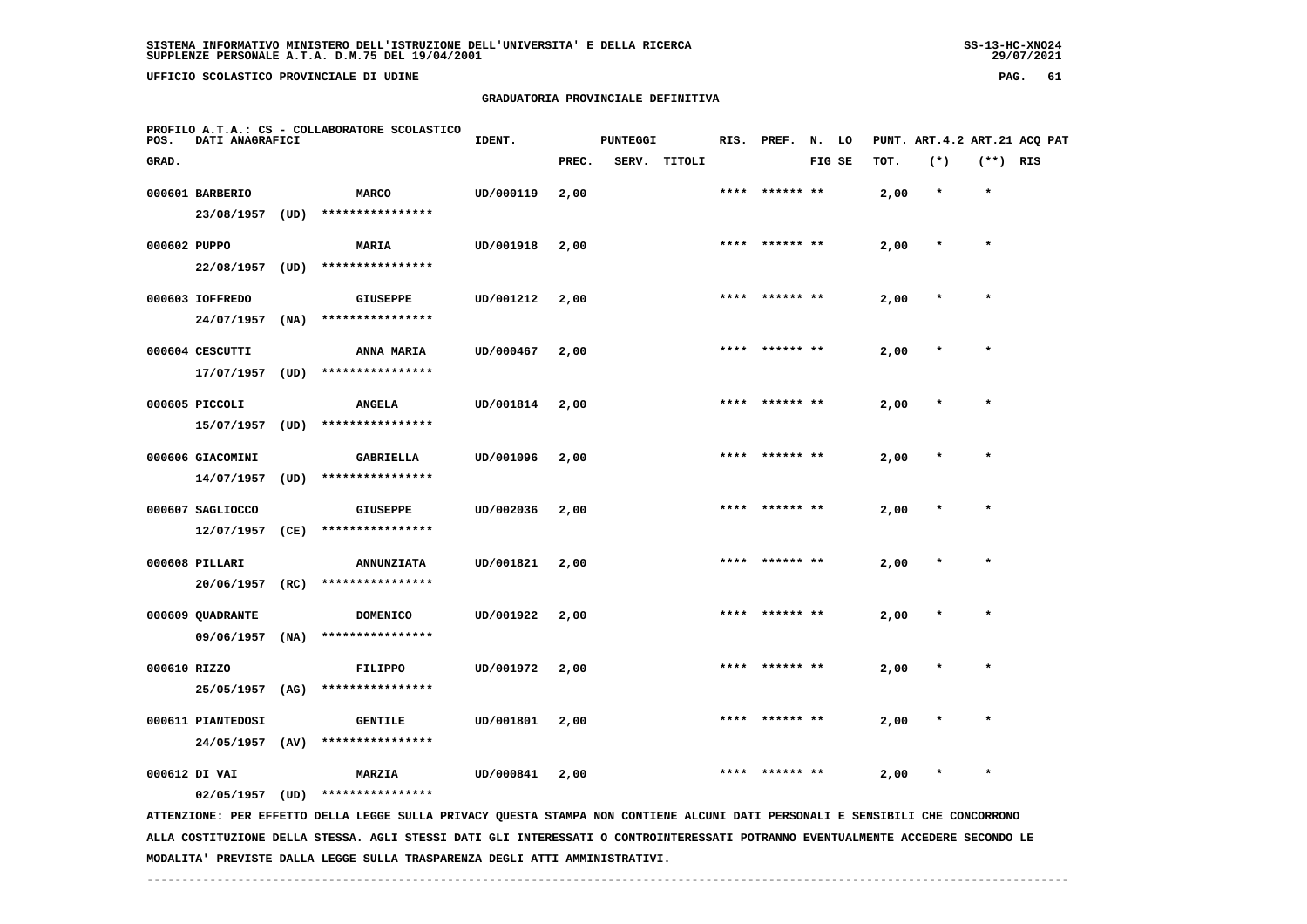**UFFICIO SCOLASTICO PROVINCIALE DI UDINE PAG. 61**

## **GRADUATORIA PROVINCIALE DEFINITIVA**

| POS.         | DATI ANAGRAFICI                 |      | PROFILO A.T.A.: CS - COLLABORATORE SCOLASTICO                                                                                                     | IDENT.    |       | <b>PUNTEGGI</b> |        | RIS. | PREF.     | N. LO |        |      |        |            | PUNT. ART.4.2 ART.21 ACQ PAT |
|--------------|---------------------------------|------|---------------------------------------------------------------------------------------------------------------------------------------------------|-----------|-------|-----------------|--------|------|-----------|-------|--------|------|--------|------------|------------------------------|
| GRAD.        |                                 |      |                                                                                                                                                   |           | PREC. | SERV.           | TITOLI |      |           |       | FIG SE | TOT. | $(*)$  | $(**)$ RIS |                              |
|              | 000601 BARBERIO<br>23/08/1957   | (UD) | <b>MARCO</b><br>****************                                                                                                                  | UD/000119 | 2,00  |                 |        |      |           |       |        | 2,00 |        | $\star$    |                              |
| 000602 PUPPO | 22/08/1957                      | (UD) | MARIA<br>****************                                                                                                                         | UD/001918 | 2,00  |                 |        | **** | ****** ** |       |        | 2,00 |        | $\star$    |                              |
|              | 000603 IOFFREDO<br>24/07/1957   | (NA) | <b>GIUSEPPE</b><br>****************                                                                                                               | UD/001212 | 2,00  |                 |        | **** |           |       |        | 2,00 | $\ast$ | $\star$    |                              |
|              | 000604 CESCUTTI<br>17/07/1957   | (UD) | ANNA MARIA<br>****************                                                                                                                    | UD/000467 | 2,00  |                 |        | **** |           |       |        | 2,00 |        | $\star$    |                              |
|              | 000605 PICCOLI<br>15/07/1957    | (UD) | <b>ANGELA</b><br>****************                                                                                                                 | UD/001814 | 2,00  |                 |        | **** | ****** ** |       |        | 2,00 |        | $\star$    |                              |
|              | 000606 GIACOMINI<br>14/07/1957  | (UD) | <b>GABRIELLA</b><br>****************                                                                                                              | UD/001096 | 2,00  |                 |        |      |           |       |        | 2,00 |        |            |                              |
|              | 000607 SAGLIOCCO<br>12/07/1957  | (CE) | <b>GIUSEPPE</b><br>****************                                                                                                               | UD/002036 | 2,00  |                 |        | **** | ****** ** |       |        | 2,00 |        | $\star$    |                              |
|              | 000608 PILLARI<br>20/06/1957    | (RC) | <b>ANNUNZIATA</b><br>****************                                                                                                             | UD/001821 | 2,00  |                 |        |      |           |       |        | 2,00 |        | $\star$    |                              |
|              | 000609 QUADRANTE<br>09/06/1957  | (NA) | <b>DOMENICO</b><br>****************                                                                                                               | UD/001922 | 2,00  |                 |        |      |           |       |        | 2,00 |        |            |                              |
| 000610 RIZZO | 25/05/1957                      | (AG) | <b>FILIPPO</b><br>****************                                                                                                                | UD/001972 | 2,00  |                 |        |      |           |       |        | 2,00 |        |            |                              |
|              | 000611 PIANTEDOSI<br>24/05/1957 | (AV) | <b>GENTILE</b><br>****************                                                                                                                | UD/001801 | 2,00  |                 |        |      |           |       |        | 2,00 |        |            |                              |
|              | 000612 DI VAI                   |      | MARZIA                                                                                                                                            | UD/000841 | 2,00  |                 |        |      |           |       |        | 2,00 |        |            |                              |
|              | 02/05/1957                      | (UD) | ****************<br>ATTENZIONE: PER EFFETTO DELLA LEGGE SULLA PRIVACY QUESTA STAMPA NON CONTIENE ALCUNI DATI PERSONALI E SENSIBILI CHE CONCORRONO |           |       |                 |        |      |           |       |        |      |        |            |                              |

 **ALLA COSTITUZIONE DELLA STESSA. AGLI STESSI DATI GLI INTERESSATI O CONTROINTERESSATI POTRANNO EVENTUALMENTE ACCEDERE SECONDO LE MODALITA' PREVISTE DALLA LEGGE SULLA TRASPARENZA DEGLI ATTI AMMINISTRATIVI.**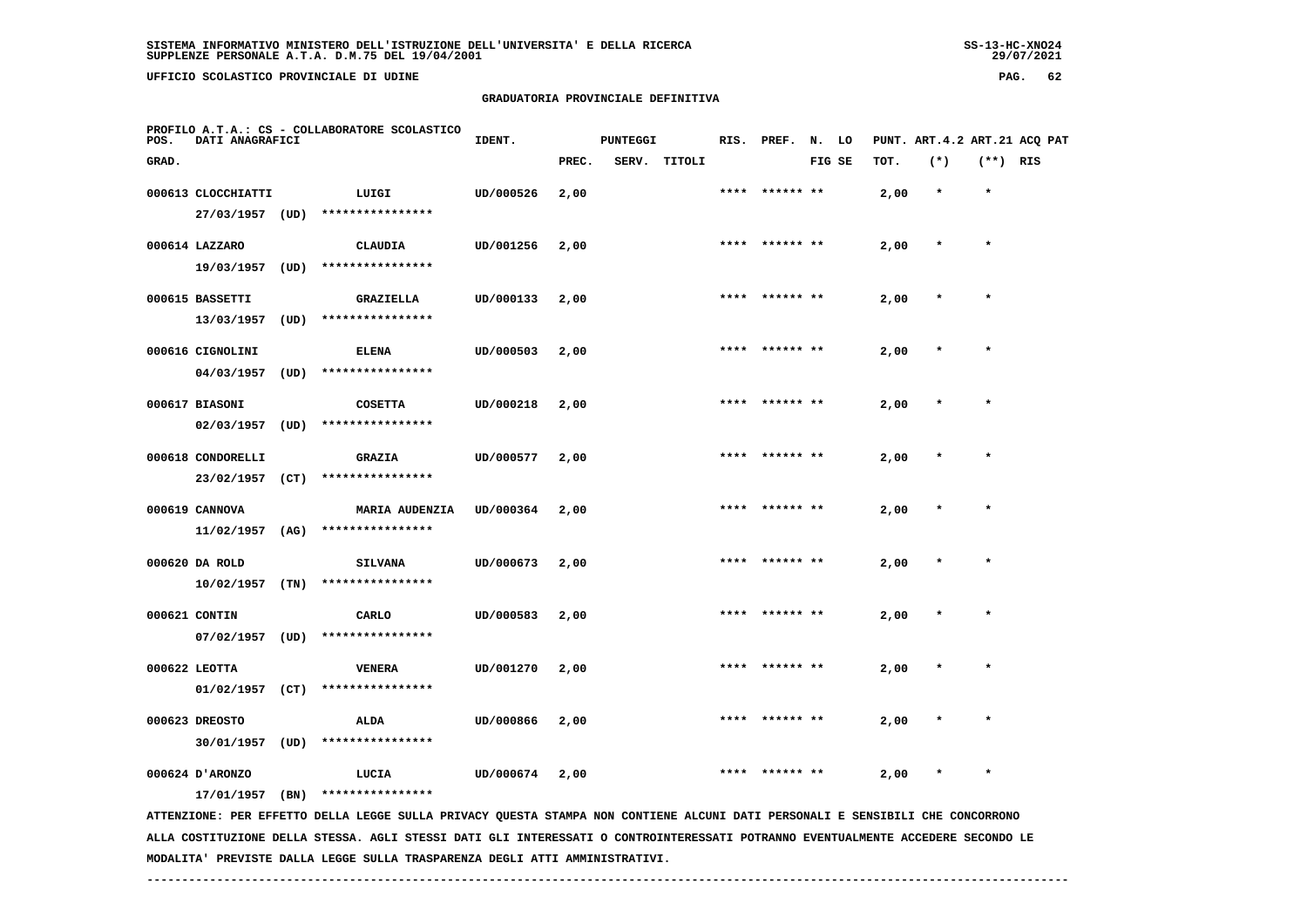**UFFICIO SCOLASTICO PROVINCIALE DI UDINE PAG. 62**

## **GRADUATORIA PROVINCIALE DEFINITIVA**

| POS.  | DATI ANAGRAFICI                    |      | PROFILO A.T.A.: CS - COLLABORATORE SCOLASTICO                                                                                 | IDENT.    |       | <b>PUNTEGGI</b> |        | RIS. | PREF.     | N. LO  |      |         |            | PUNT. ART.4.2 ART.21 ACQ PAT |
|-------|------------------------------------|------|-------------------------------------------------------------------------------------------------------------------------------|-----------|-------|-----------------|--------|------|-----------|--------|------|---------|------------|------------------------------|
| GRAD. |                                    |      |                                                                                                                               |           | PREC. | SERV.           | TITOLI |      |           | FIG SE | TOT. | $(*)$   | $(**)$ RIS |                              |
|       | 000613 CLOCCHIATTI<br>27/03/1957   | (UD) | LUIGI<br>****************                                                                                                     | UD/000526 | 2,00  |                 |        |      |           |        | 2,00 |         | $\star$    |                              |
|       | 000614 LAZZARO<br>19/03/1957       | (UD) | CLAUDIA<br>****************                                                                                                   | UD/001256 | 2,00  |                 |        |      |           |        | 2,00 |         |            |                              |
|       | 000615 BASSETTI<br>13/03/1957      | (UD) | <b>GRAZIELLA</b><br>****************                                                                                          | UD/000133 | 2,00  |                 |        | **** |           |        | 2,00 | $\star$ | $\star$    |                              |
|       | 000616 CIGNOLINI<br>04/03/1957     | (UD) | <b>ELENA</b><br>****************                                                                                              | UD/000503 | 2,00  |                 |        |      |           |        | 2,00 |         |            |                              |
|       | 000617 BIASONI<br>02/03/1957       | (UD) | <b>COSETTA</b><br>****************                                                                                            | UD/000218 | 2,00  |                 |        |      |           |        | 2,00 |         |            |                              |
|       | 000618 CONDORELLI<br>23/02/1957    | (CT) | <b>GRAZIA</b><br>****************                                                                                             | UD/000577 | 2,00  |                 |        | **** | ****** ** |        | 2,00 |         | $\star$    |                              |
|       | 000619 CANNOVA<br>11/02/1957       | (AG) | <b>MARIA AUDENZIA</b><br>****************                                                                                     | UD/000364 | 2,00  |                 |        |      |           |        | 2,00 |         |            |                              |
|       | 000620 DA ROLD<br>10/02/1957       | (TN) | <b>SILVANA</b><br>****************                                                                                            | UD/000673 | 2,00  |                 |        | **** | ****** ** |        | 2,00 |         | $\star$    |                              |
|       | 000621 CONTIN<br>$07/02/1957$ (UD) |      | CARLO<br>****************                                                                                                     | UD/000583 | 2,00  |                 |        |      |           |        | 2,00 |         |            |                              |
|       | 000622 LEOTTA<br>$01/02/1957$ (CT) |      | <b>VENERA</b><br>****************                                                                                             | UD/001270 | 2,00  |                 |        |      |           |        | 2,00 |         |            |                              |
|       | 000623 DREOSTO<br>30/01/1957       | (UD) | ALDA<br>****************                                                                                                      | UD/000866 | 2,00  |                 |        |      |           |        | 2,00 |         | $\star$    |                              |
|       | 000624 D'ARONZO<br>17/01/1957      | (BN) | LUCIA<br>****************                                                                                                     | UD/000674 | 2,00  |                 |        | **** |           |        | 2,00 |         |            |                              |
|       |                                    |      | ATTENZIONE: PER EFFETTO DELLA LEGGE SULLA PRIVACY QUESTA STAMPA NON CONTIENE ALCUNI DATI PERSONALI E SENSIBILI CHE CONCORRONO |           |       |                 |        |      |           |        |      |         |            |                              |

 **ALLA COSTITUZIONE DELLA STESSA. AGLI STESSI DATI GLI INTERESSATI O CONTROINTERESSATI POTRANNO EVENTUALMENTE ACCEDERE SECONDO LE MODALITA' PREVISTE DALLA LEGGE SULLA TRASPARENZA DEGLI ATTI AMMINISTRATIVI.**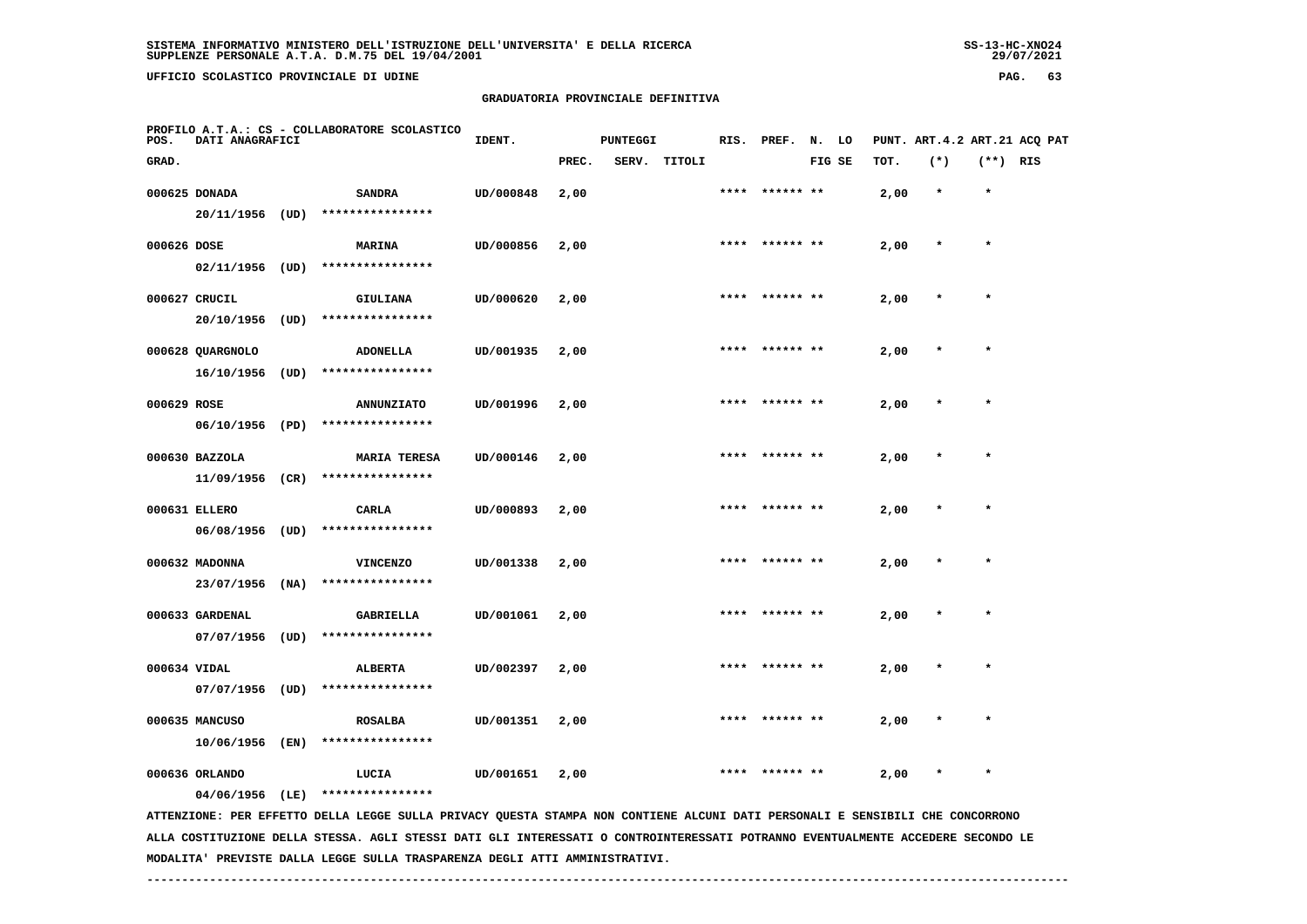**UFFICIO SCOLASTICO PROVINCIALE DI UDINE PAG. 63**

 **PROFILO A.T.A.: CS - COLLABORATORE SCOLASTICO**

 **20/11/1956 (UD) \*\*\*\*\*\*\*\*\*\*\*\*\*\*\*\***

 **10/06/1956 (EN) \*\*\*\*\*\*\*\*\*\*\*\*\*\*\*\***

#### **GRADUATORIA PROVINCIALE DEFINITIVA**

 **GRAD. PREC. SERV. TITOLI FIG SE TOT. (\*) (\*\*) RIS**

 **000625 DONADA SANDRA UD/000848 2,00 \*\*\*\* \*\*\*\*\*\* \*\* 2,00 \* \***

**IDENT.** PUNTEGGI RIS. PREF. N. LO PUNT. ART.4.2 ART.21 ACQ PAT

| 000626 DOSE  | 02/11/1956                     | (UD) | <b>MARINA</b><br>****************       | UD/000856 | 2,00 |      | **** ****** ** | 2,00 | $\star$ | $\star$ |
|--------------|--------------------------------|------|-----------------------------------------|-----------|------|------|----------------|------|---------|---------|
|              | 000627 CRUCIL<br>20/10/1956    | (UD) | <b>GIULIANA</b><br>****************     | UD/000620 | 2,00 |      | **** ****** ** | 2,00 | $\star$ | $\star$ |
|              | 000628 QUARGNOLO<br>16/10/1956 | (UD) | <b>ADONELLA</b><br>****************     | UD/001935 | 2,00 |      | **** ****** ** | 2,00 | $\star$ | $\star$ |
| 000629 ROSE  | 06/10/1956                     | (PD) | <b>ANNUNZIATO</b><br>****************   | UD/001996 | 2,00 | **** | ****** **      | 2,00 | $\star$ | $\star$ |
|              | 000630 BAZZOLA<br>11/09/1956   | (CR) | <b>MARIA TERESA</b><br>**************** | UD/000146 | 2,00 | **** | ****** **      | 2,00 | $\star$ | $\star$ |
|              | 000631 ELLERO<br>06/08/1956    | (UD) | CARLA<br>****************               | UD/000893 | 2,00 |      | **** ****** ** | 2,00 | $\star$ | $\star$ |
|              | 000632 MADONNA<br>23/07/1956   | (NA) | <b>VINCENZO</b><br>****************     | UD/001338 | 2,00 | **** | ****** **      | 2,00 | $\star$ | $\star$ |
|              | 000633 GARDENAL<br>07/07/1956  | (UD) | <b>GABRIELLA</b><br>****************    | UD/001061 | 2,00 |      | **** ****** ** | 2,00 | $\star$ | $\star$ |
| 000634 VIDAL | 07/07/1956                     | (UD) | <b>ALBERTA</b><br>****************      | UD/002397 | 2,00 | **** | ****** **      | 2,00 | $\star$ | $\star$ |

 **000636 ORLANDO LUCIA UD/001651 2,00 \*\*\*\* \*\*\*\*\*\* \*\* 2,00 \* \* 04/06/1956 (LE) \*\*\*\*\*\*\*\*\*\*\*\*\*\*\*\***

 **ATTENZIONE: PER EFFETTO DELLA LEGGE SULLA PRIVACY QUESTA STAMPA NON CONTIENE ALCUNI DATI PERSONALI E SENSIBILI CHE CONCORRONO ALLA COSTITUZIONE DELLA STESSA. AGLI STESSI DATI GLI INTERESSATI O CONTROINTERESSATI POTRANNO EVENTUALMENTE ACCEDERE SECONDO LE MODALITA' PREVISTE DALLA LEGGE SULLA TRASPARENZA DEGLI ATTI AMMINISTRATIVI.**

 **000635 MANCUSO ROSALBA UD/001351 2,00 \*\*\*\* \*\*\*\*\*\* \*\* 2,00 \* \***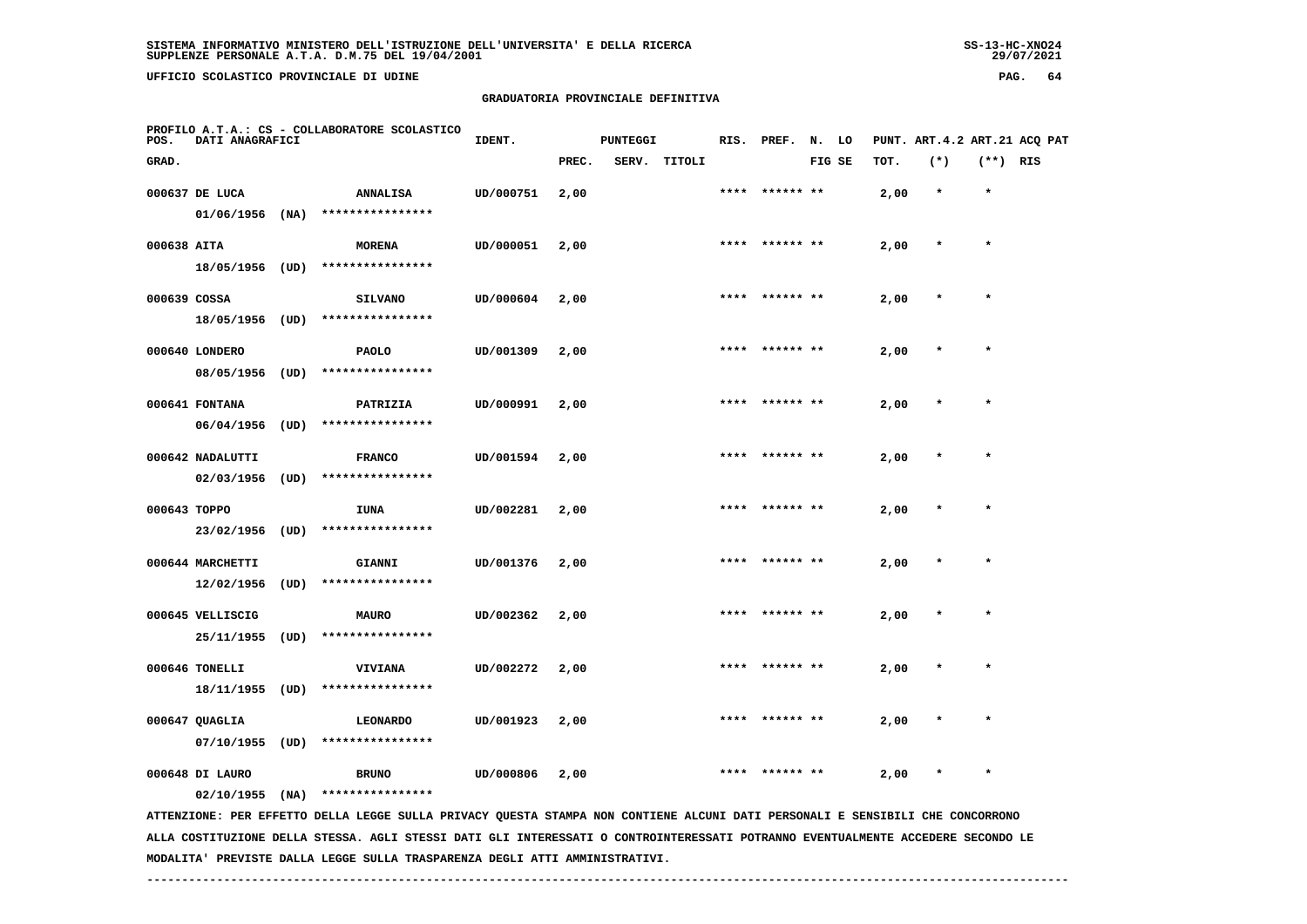**UFFICIO SCOLASTICO PROVINCIALE DI UDINE PAG. 64**

#### **GRADUATORIA PROVINCIALE DEFINITIVA**

| POS.         | DATI ANAGRAFICI   |      | PROFILO A.T.A.: CS - COLLABORATORE SCOLASTICO                                                                                 | IDENT.    |       | <b>PUNTEGGI</b> |        |      | RIS. PREF. N. LO |        |      |         |            | PUNT. ART.4.2 ART.21 ACQ PAT |
|--------------|-------------------|------|-------------------------------------------------------------------------------------------------------------------------------|-----------|-------|-----------------|--------|------|------------------|--------|------|---------|------------|------------------------------|
| GRAD.        |                   |      |                                                                                                                               |           | PREC. | SERV.           | TITOLI |      |                  | FIG SE | тот. | $(*)$   | $(**)$ RIS |                              |
|              | 000637 DE LUCA    |      | <b>ANNALISA</b>                                                                                                               | UD/000751 | 2,00  |                 |        |      |                  |        | 2,00 | $\star$ | $\star$    |                              |
|              | $01/06/1956$ (NA) |      | ****************                                                                                                              |           |       |                 |        |      |                  |        |      |         |            |                              |
| 000638 AITA  |                   |      | <b>MORENA</b>                                                                                                                 | UD/000051 | 2,00  |                 |        |      | **** ****** **   |        | 2,00 | $\star$ | $\star$    |                              |
|              | 18/05/1956 (UD)   |      | ****************                                                                                                              |           |       |                 |        |      |                  |        |      |         |            |                              |
| 000639 COSSA |                   |      | <b>SILVANO</b>                                                                                                                | UD/000604 | 2,00  |                 |        | **** |                  |        | 2,00 |         | $\star$    |                              |
|              | 18/05/1956 (UD)   |      | ****************                                                                                                              |           |       |                 |        |      |                  |        |      |         |            |                              |
|              | 000640 LONDERO    |      | <b>PAOLO</b>                                                                                                                  | UD/001309 | 2,00  |                 |        |      |                  |        | 2,00 |         |            |                              |
|              | 08/05/1956        | (UD) | ****************                                                                                                              |           |       |                 |        |      |                  |        |      |         |            |                              |
|              | 000641 FONTANA    |      | PATRIZIA                                                                                                                      | UD/000991 | 2,00  |                 |        |      |                  |        | 2,00 |         | $\star$    |                              |
|              | 06/04/1956        | (UD) | ****************                                                                                                              |           |       |                 |        |      |                  |        |      |         |            |                              |
|              | 000642 NADALUTTI  |      | <b>FRANCO</b>                                                                                                                 | UD/001594 | 2,00  |                 |        |      |                  |        | 2,00 |         |            |                              |
|              | 02/03/1956        | (UD) | ****************                                                                                                              |           |       |                 |        |      |                  |        |      |         |            |                              |
| 000643 TOPPO |                   |      | IUNA                                                                                                                          | UD/002281 | 2,00  |                 |        | **** | ****** **        |        | 2,00 |         | $\star$    |                              |
|              | 23/02/1956        | (UD) | ****************                                                                                                              |           |       |                 |        |      |                  |        |      |         |            |                              |
|              | 000644 MARCHETTI  |      | <b>GIANNI</b>                                                                                                                 | UD/001376 | 2,00  |                 |        |      |                  |        | 2,00 |         | $\star$    |                              |
|              | 12/02/1956        | (UD) | ****************                                                                                                              |           |       |                 |        |      |                  |        |      |         |            |                              |
|              | 000645 VELLISCIG  |      | <b>MAURO</b>                                                                                                                  | UD/002362 | 2,00  |                 |        |      |                  |        | 2,00 |         | $\star$    |                              |
|              | 25/11/1955        | (UD) | ****************                                                                                                              |           |       |                 |        |      |                  |        |      |         |            |                              |
|              | 000646 TONELLI    |      | VIVIANA                                                                                                                       | UD/002272 | 2,00  |                 |        |      |                  |        | 2,00 |         |            |                              |
|              | 18/11/1955 (UD)   |      | ****************                                                                                                              |           |       |                 |        |      |                  |        |      |         |            |                              |
|              | 000647 QUAGLIA    |      | <b>LEONARDO</b>                                                                                                               | UD/001923 | 2,00  |                 |        | **** | ****** **        |        | 2,00 |         | $\star$    |                              |
|              | $07/10/1955$ (UD) |      | ****************                                                                                                              |           |       |                 |        |      |                  |        |      |         |            |                              |
|              | 000648 DI LAURO   |      | <b>BRUNO</b>                                                                                                                  | UD/000806 | 2,00  |                 |        | **** | ****** **        |        | 2,00 |         | $\star$    |                              |
|              | 02/10/1955        | (NA) | ****************                                                                                                              |           |       |                 |        |      |                  |        |      |         |            |                              |
|              |                   |      | ATTENZIONE: PER EFFETTO DELLA LEGGE SULLA PRIVACY QUESTA STAMPA NON CONTIENE ALCUNI DATI PERSONALI E SENSIBILI CHE CONCORRONO |           |       |                 |        |      |                  |        |      |         |            |                              |

 **ALLA COSTITUZIONE DELLA STESSA. AGLI STESSI DATI GLI INTERESSATI O CONTROINTERESSATI POTRANNO EVENTUALMENTE ACCEDERE SECONDO LE MODALITA' PREVISTE DALLA LEGGE SULLA TRASPARENZA DEGLI ATTI AMMINISTRATIVI.**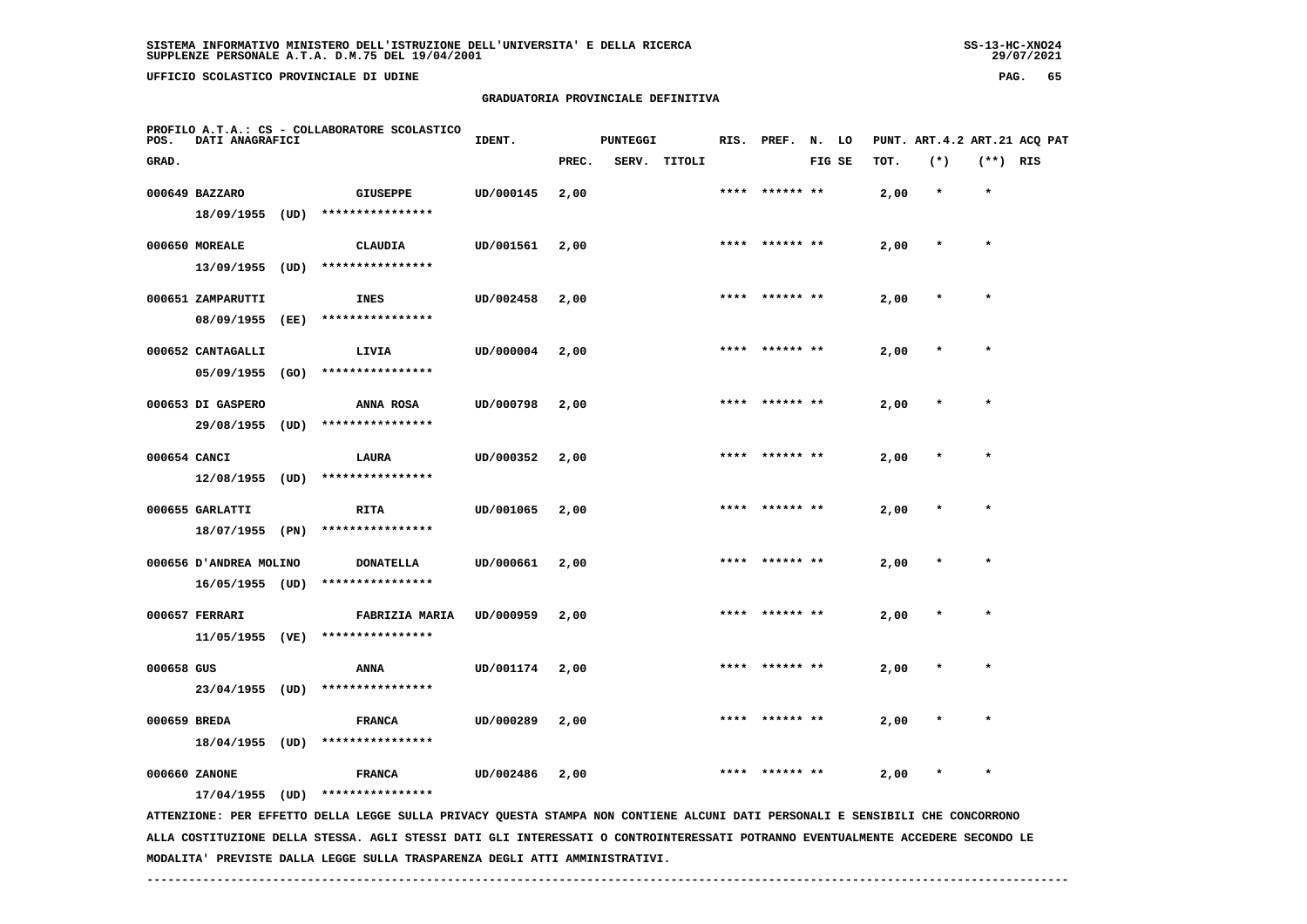**UFFICIO SCOLASTICO PROVINCIALE DI UDINE PAG. 65**

## **GRADUATORIA PROVINCIALE DEFINITIVA**

| POS.         | DATI ANAGRAFICI        |      | PROFILO A.T.A.: CS - COLLABORATORE SCOLASTICO                                                                                 | IDENT.    |       | <b>PUNTEGGI</b> |        |      | RIS. PREF.      | N. LO  |      |         |            | PUNT. ART.4.2 ART.21 ACQ PAT |
|--------------|------------------------|------|-------------------------------------------------------------------------------------------------------------------------------|-----------|-------|-----------------|--------|------|-----------------|--------|------|---------|------------|------------------------------|
| GRAD.        |                        |      |                                                                                                                               |           | PREC. | SERV.           | TITOLI |      |                 | FIG SE | тот. | $(*)$   | $(**)$ RIS |                              |
|              | 000649 BAZZARO         |      | <b>GIUSEPPE</b>                                                                                                               | UD/000145 | 2,00  |                 |        | **** | ****** **       |        | 2,00 | $\star$ | $\star$    |                              |
|              | 18/09/1955 (UD)        |      | ****************                                                                                                              |           |       |                 |        |      |                 |        |      |         |            |                              |
|              | 000650 MOREALE         |      | <b>CLAUDIA</b>                                                                                                                | UD/001561 | 2,00  |                 |        | **** |                 |        | 2,00 | $\star$ | $\star$    |                              |
|              | 13/09/1955             | (UD) | ****************                                                                                                              |           |       |                 |        |      |                 |        |      |         |            |                              |
|              | 000651 ZAMPARUTTI      |      | <b>INES</b>                                                                                                                   | UD/002458 | 2,00  |                 |        | **** | ****** **       |        | 2,00 |         | $\star$    |                              |
|              | 08/09/1955             | (EE) | ****************                                                                                                              |           |       |                 |        |      |                 |        |      |         |            |                              |
|              | 000652 CANTAGALLI      |      | LIVIA                                                                                                                         | UD/000004 | 2,00  |                 |        | **** | ****** **       |        | 2,00 |         |            |                              |
|              | 05/09/1955             | (GO) | ****************                                                                                                              |           |       |                 |        |      |                 |        |      |         |            |                              |
|              | 000653 DI GASPERO      |      | ANNA ROSA                                                                                                                     | UD/000798 | 2,00  |                 |        | **** | ****** **       |        | 2,00 |         | $\star$    |                              |
|              | 29/08/1955             | (UD) | ****************                                                                                                              |           |       |                 |        |      |                 |        |      |         |            |                              |
| 000654 CANCI |                        |      | LAURA                                                                                                                         | UD/000352 | 2,00  |                 |        |      |                 |        | 2,00 |         |            |                              |
|              | 12/08/1955             | (UD) | ****************                                                                                                              |           |       |                 |        |      |                 |        |      |         |            |                              |
|              | 000655 GARLATTI        |      | RITA                                                                                                                          | UD/001065 | 2,00  |                 |        |      | **** ****** **  |        | 2,00 | $\ast$  | $\star$    |                              |
|              | 18/07/1955 (PN)        |      | ****************                                                                                                              |           |       |                 |        |      |                 |        |      |         |            |                              |
|              | 000656 D'ANDREA MOLINO |      | <b>DONATELLA</b>                                                                                                              | UD/000661 | 2,00  |                 |        |      |                 |        | 2,00 |         |            |                              |
|              | $16/05/1955$ (UD)      |      | ****************                                                                                                              |           |       |                 |        |      |                 |        |      |         |            |                              |
|              | 000657 FERRARI         |      | <b>FABRIZIA MARIA</b>                                                                                                         | UD/000959 | 2,00  |                 |        |      |                 |        | 2,00 |         |            |                              |
|              | 11/05/1955 (VE)        |      | ****************                                                                                                              |           |       |                 |        |      |                 |        |      |         |            |                              |
| 000658 GUS   |                        |      | ANNA                                                                                                                          | UD/001174 | 2,00  |                 |        |      | ****** **       |        | 2,00 |         |            |                              |
|              | 23/04/1955 (UD)        |      | ****************                                                                                                              |           |       |                 |        |      |                 |        |      |         |            |                              |
| 000659 BREDA |                        |      | <b>FRANCA</b>                                                                                                                 | UD/000289 | 2,00  |                 |        |      | ****  ****** ** |        | 2,00 |         | $\star$    |                              |
|              | 18/04/1955 (UD)        |      | ****************                                                                                                              |           |       |                 |        |      |                 |        |      |         |            |                              |
|              | 000660 ZANONE          |      | <b>FRANCA</b>                                                                                                                 | UD/002486 | 2,00  |                 |        |      |                 |        | 2,00 |         |            |                              |
|              | 17/04/1955             | (UD) | ****************                                                                                                              |           |       |                 |        |      |                 |        |      |         |            |                              |
|              |                        |      | ATTENZIONE: PER EFFETTO DELLA LEGGE SULLA PRIVACY QUESTA STAMPA NON CONTIENE ALCUNI DATI PERSONALI E SENSIBILI CHE CONCORRONO |           |       |                 |        |      |                 |        |      |         |            |                              |

 **ALLA COSTITUZIONE DELLA STESSA. AGLI STESSI DATI GLI INTERESSATI O CONTROINTERESSATI POTRANNO EVENTUALMENTE ACCEDERE SECONDO LE MODALITA' PREVISTE DALLA LEGGE SULLA TRASPARENZA DEGLI ATTI AMMINISTRATIVI.**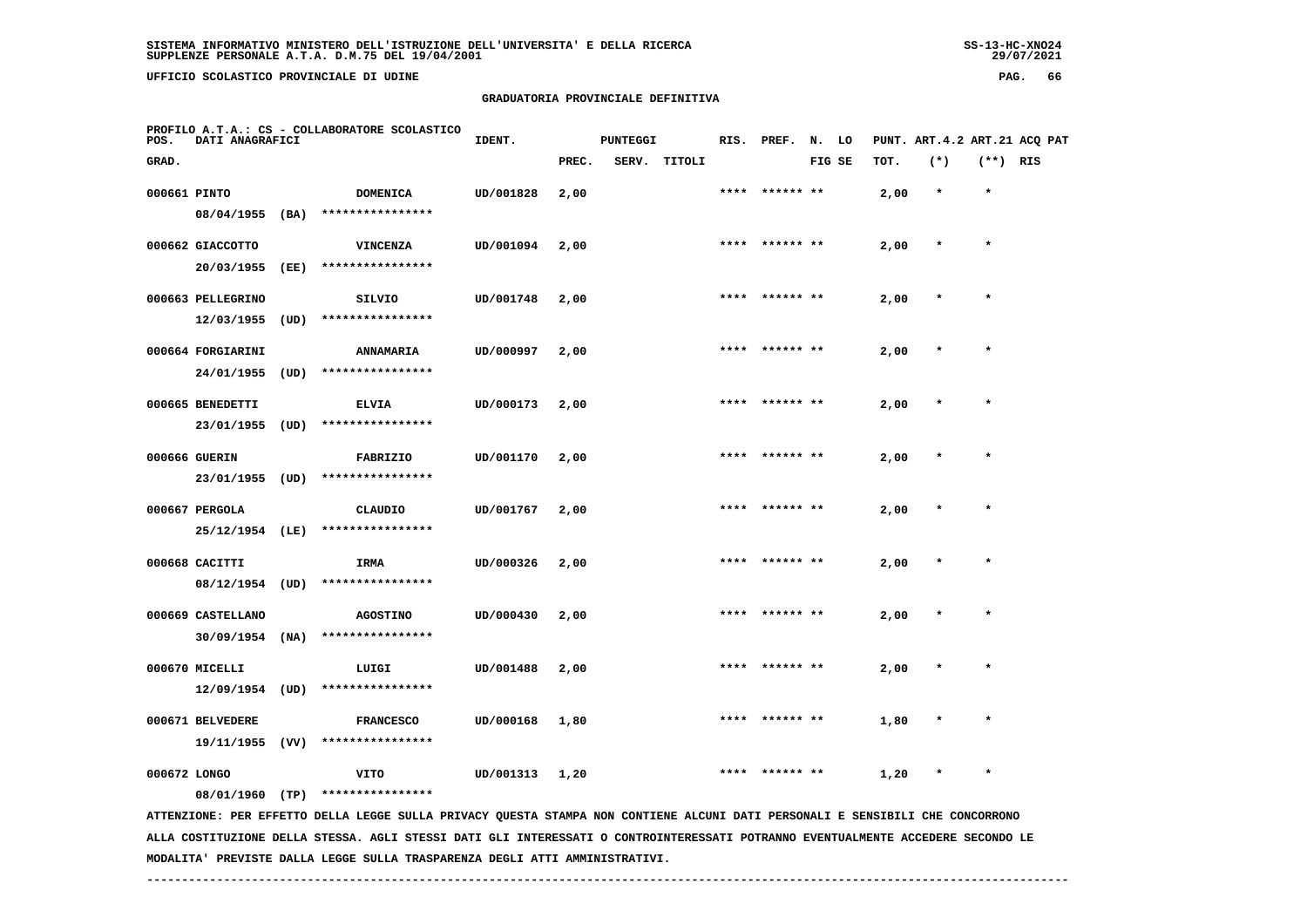**UFFICIO SCOLASTICO PROVINCIALE DI UDINE PAG. 66**

## **GRADUATORIA PROVINCIALE DEFINITIVA**

| POS.         | DATI ANAGRAFICI                        |      | PROFILO A.T.A.: CS - COLLABORATORE SCOLASTICO                                                                                 | IDENT.    |       | <b>PUNTEGGI</b> |              |      | RIS. PREF. N. LO |        |      | PUNT. ART.4.2 ART.21 ACQ PAT |            |  |
|--------------|----------------------------------------|------|-------------------------------------------------------------------------------------------------------------------------------|-----------|-------|-----------------|--------------|------|------------------|--------|------|------------------------------|------------|--|
| GRAD.        |                                        |      |                                                                                                                               |           | PREC. |                 | SERV. TITOLI |      |                  | FIG SE | TOT. | $(*)$                        | $(**)$ RIS |  |
| 000661 PINTO | 08/04/1955                             | (BA) | <b>DOMENICA</b><br>****************                                                                                           | UD/001828 | 2,00  |                 |              | **** | ****** **        |        | 2,00 | $\star$                      | $\star$    |  |
|              | 000662 GIACCOTTO<br>20/03/1955         | (EE) | VINCENZA<br>****************                                                                                                  | UD/001094 | 2,00  |                 |              | **** | ****** **        |        | 2,00 |                              | $\star$    |  |
|              | 000663 PELLEGRINO<br>12/03/1955        | (UD) | SILVIO<br>****************                                                                                                    | UD/001748 | 2,00  |                 |              | **** | ****** **        |        | 2,00 | $\star$                      | $\star$    |  |
|              | 000664 FORGIARINI<br>24/01/1955        | (UD) | <b>ANNAMARIA</b><br>****************                                                                                          | UD/000997 | 2,00  |                 |              |      |                  |        | 2,00 |                              |            |  |
|              | 000665 BENEDETTI<br>23/01/1955         | (UD) | <b>ELVIA</b><br>****************                                                                                              | UD/000173 | 2,00  |                 |              |      |                  |        | 2,00 |                              |            |  |
|              | 000666 GUERIN<br>23/01/1955            | (UD) | <b>FABRIZIO</b><br>****************                                                                                           | UD/001170 | 2,00  |                 |              | **** | ****** **        |        | 2,00 |                              | $\star$    |  |
|              | 000667 PERGOLA<br>25/12/1954 (LE)      |      | CLAUDIO<br>****************                                                                                                   | UD/001767 | 2,00  |                 |              |      |                  |        | 2,00 |                              |            |  |
|              | 000668 CACITTI<br>$08/12/1954$ (UD)    |      | IRMA<br>****************                                                                                                      | UD/000326 | 2,00  |                 |              | **** | ****** **        |        | 2,00 | $\star$                      | $\star$    |  |
|              | 000669 CASTELLANO<br>$30/09/1954$ (NA) |      | <b>AGOSTINO</b><br>****************                                                                                           | UD/000430 | 2,00  |                 |              |      |                  |        | 2,00 |                              |            |  |
|              | 000670 MICELLI<br>12/09/1954           | (UD) | LUIGI<br>****************                                                                                                     | UD/001488 | 2,00  |                 |              |      |                  |        | 2,00 |                              |            |  |
|              | 000671 BELVEDERE<br>19/11/1955         | (VV) | <b>FRANCESCO</b><br>****************                                                                                          | UD/000168 | 1,80  |                 |              |      |                  |        | 1,80 |                              |            |  |
| 000672 LONGO | 08/01/1960 (TP)                        |      | VITO<br>****************                                                                                                      | UD/001313 | 1,20  |                 |              |      |                  |        | 1,20 |                              | $\star$    |  |
|              |                                        |      | ATTENZIONE: PER EFFETTO DELLA LEGGE SULLA PRIVACY QUESTA STAMPA NON CONTIENE ALCUNI DATI PERSONALI E SENSIBILI CHE CONCORRONO |           |       |                 |              |      |                  |        |      |                              |            |  |

 **ALLA COSTITUZIONE DELLA STESSA. AGLI STESSI DATI GLI INTERESSATI O CONTROINTERESSATI POTRANNO EVENTUALMENTE ACCEDERE SECONDO LE MODALITA' PREVISTE DALLA LEGGE SULLA TRASPARENZA DEGLI ATTI AMMINISTRATIVI.**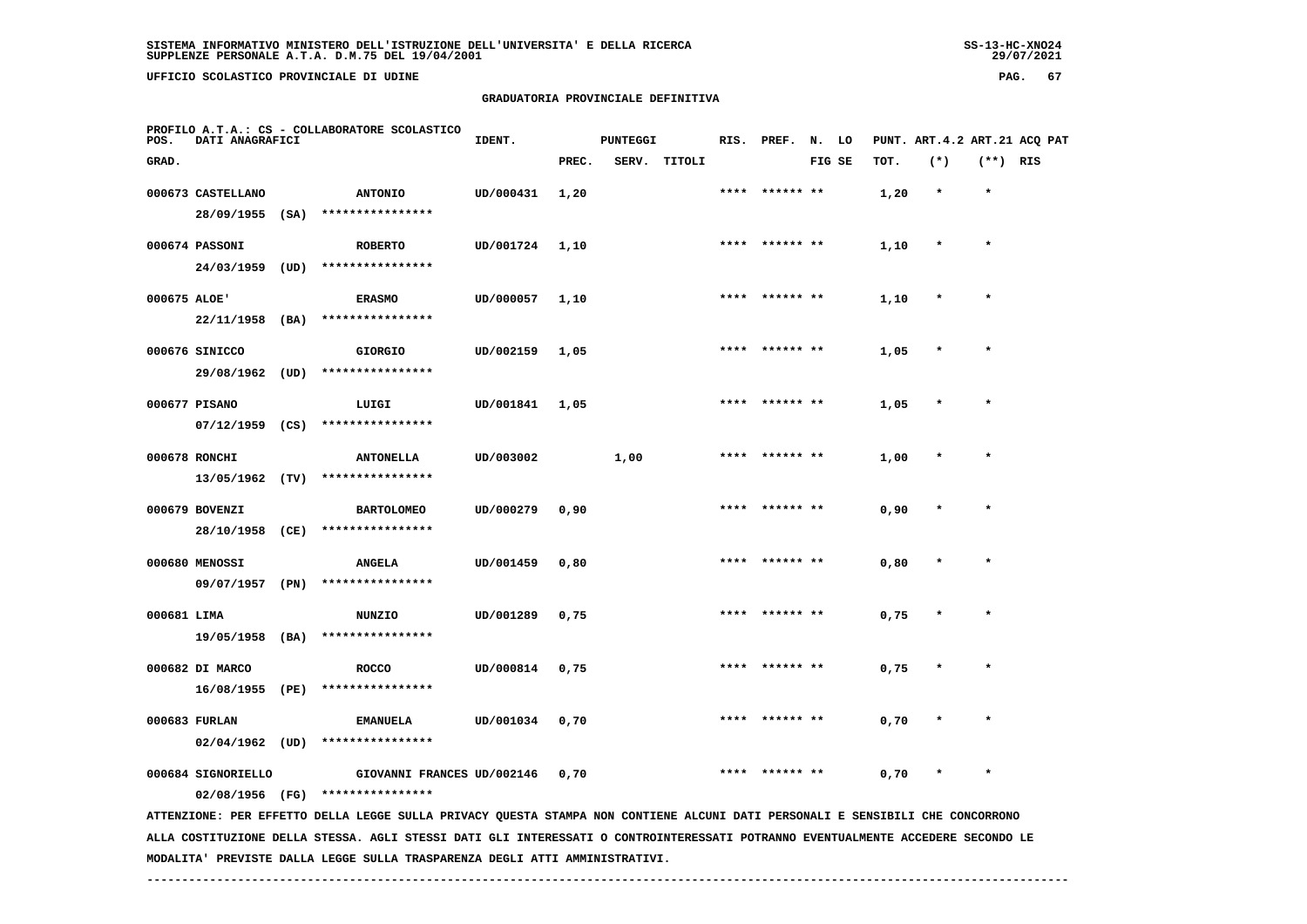**UFFICIO SCOLASTICO PROVINCIALE DI UDINE PAG. 67**

#### **GRADUATORIA PROVINCIALE DEFINITIVA**

| POS.         | DATI ANAGRAFICI               |      | PROFILO A.T.A.: CS - COLLABORATORE SCOLASTICO                                                                                   | IDENT.    |       | PUNTEGGI |        |      | RIS. PREF. | N. LO |        |      | PUNT. ART.4.2 ART.21 ACQ PAT |            |  |
|--------------|-------------------------------|------|---------------------------------------------------------------------------------------------------------------------------------|-----------|-------|----------|--------|------|------------|-------|--------|------|------------------------------|------------|--|
| GRAD.        |                               |      |                                                                                                                                 |           | PREC. | SERV.    | TITOLI |      |            |       | FIG SE | TOT. | $(*)$                        | $(**)$ RIS |  |
|              | 000673 CASTELLANO             |      | <b>ANTONIO</b>                                                                                                                  | UD/000431 | 1,20  |          |        |      | ****** **  |       |        | 1,20 | $\star$                      | $\star$    |  |
|              | 28/09/1955                    |      | $(SA)$ *****************                                                                                                        |           |       |          |        |      |            |       |        |      |                              |            |  |
|              | 000674 PASSONI                |      | <b>ROBERTO</b>                                                                                                                  | UD/001724 | 1,10  |          |        |      |            |       |        | 1,10 |                              |            |  |
|              | 24/03/1959                    | (UD) | ****************                                                                                                                |           |       |          |        |      |            |       |        |      |                              |            |  |
| 000675 ALOE' |                               |      | <b>ERASMO</b>                                                                                                                   | UD/000057 | 1,10  |          |        |      |            |       |        | 1,10 |                              |            |  |
|              | 22/11/1958                    | (BA) | ****************                                                                                                                |           |       |          |        |      |            |       |        |      |                              |            |  |
|              |                               |      |                                                                                                                                 |           |       |          |        |      |            |       |        |      |                              |            |  |
|              | 000676 SINICCO<br>29/08/1962  | (UD) | <b>GIORGIO</b><br>****************                                                                                              | UD/002159 | 1,05  |          |        | **** | ****** **  |       |        | 1,05 |                              |            |  |
|              |                               |      |                                                                                                                                 |           |       |          |        |      |            |       |        |      |                              |            |  |
|              | 000677 PISANO                 |      | LUIGI                                                                                                                           | UD/001841 | 1,05  |          |        |      |            |       |        | 1,05 |                              |            |  |
|              | 07/12/1959                    | (CS) | ****************                                                                                                                |           |       |          |        |      |            |       |        |      |                              |            |  |
|              | 000678 RONCHI                 |      | <b>ANTONELLA</b>                                                                                                                | UD/003002 |       | 1,00     |        |      |            |       |        | 1,00 |                              |            |  |
|              | 13/05/1962 (TV)               |      | ****************                                                                                                                |           |       |          |        |      |            |       |        |      |                              |            |  |
|              | 000679 BOVENZI                |      | <b>BARTOLOMEO</b>                                                                                                               | UD/000279 | 0,90  |          |        |      |            |       |        | 0,90 |                              |            |  |
|              | 28/10/1958                    | (CE) | ****************                                                                                                                |           |       |          |        |      |            |       |        |      |                              |            |  |
|              | 000680 MENOSSI                |      | <b>ANGELA</b>                                                                                                                   | UD/001459 | 0,80  |          |        |      |            |       |        | 0,80 |                              |            |  |
|              | 09/07/1957                    | (PN) | ****************                                                                                                                |           |       |          |        |      |            |       |        |      |                              |            |  |
| 000681 LIMA  |                               |      | NUNZIO                                                                                                                          | UD/001289 | 0,75  |          |        |      |            |       |        | 0,75 |                              |            |  |
|              | 19/05/1958 (BA)               |      | ****************                                                                                                                |           |       |          |        |      |            |       |        |      |                              |            |  |
|              |                               |      |                                                                                                                                 |           |       |          |        |      |            |       |        |      |                              |            |  |
|              | 000682 DI MARCO<br>16/08/1955 | (PE) | <b>ROCCO</b><br>****************                                                                                                | UD/000814 | 0,75  |          |        |      |            |       |        | 0,75 |                              |            |  |
|              |                               |      |                                                                                                                                 |           |       |          |        |      |            |       |        |      |                              |            |  |
|              | 000683 FURLAN                 |      | <b>EMANUELA</b>                                                                                                                 | UD/001034 | 0,70  |          |        |      |            |       |        | 0,70 |                              |            |  |
|              | $02/04/1962$ (UD)             |      | ****************                                                                                                                |           |       |          |        |      |            |       |        |      |                              |            |  |
|              | 000684 SIGNORIELLO            |      | GIOVANNI FRANCES UD/002146                                                                                                      |           | 0,70  |          |        | **** |            |       |        | 0,70 |                              |            |  |
|              | 02/08/1956 (FG)               |      | ****************                                                                                                                |           |       |          |        |      |            |       |        |      |                              |            |  |
|              |                               |      | ATTENZIONE: PER EFFETTO DELLA LEGGE SULLA PRIVACY QUESTA STAMPA NON CONTIENE ALCUNI DATI PERSONALI E SENSIBILI CHE CONCORRONO   |           |       |          |        |      |            |       |        |      |                              |            |  |
|              |                               |      | ALLA COSTITUZIONE DELLA STESSA. AGLI STESSI DATI GLI INTERESSATI O CONTROINTERESSATI POTRANNO EVENTUALMENTE ACCEDERE SECONDO LE |           |       |          |        |      |            |       |        |      |                              |            |  |

 **MODALITA' PREVISTE DALLA LEGGE SULLA TRASPARENZA DEGLI ATTI AMMINISTRATIVI.**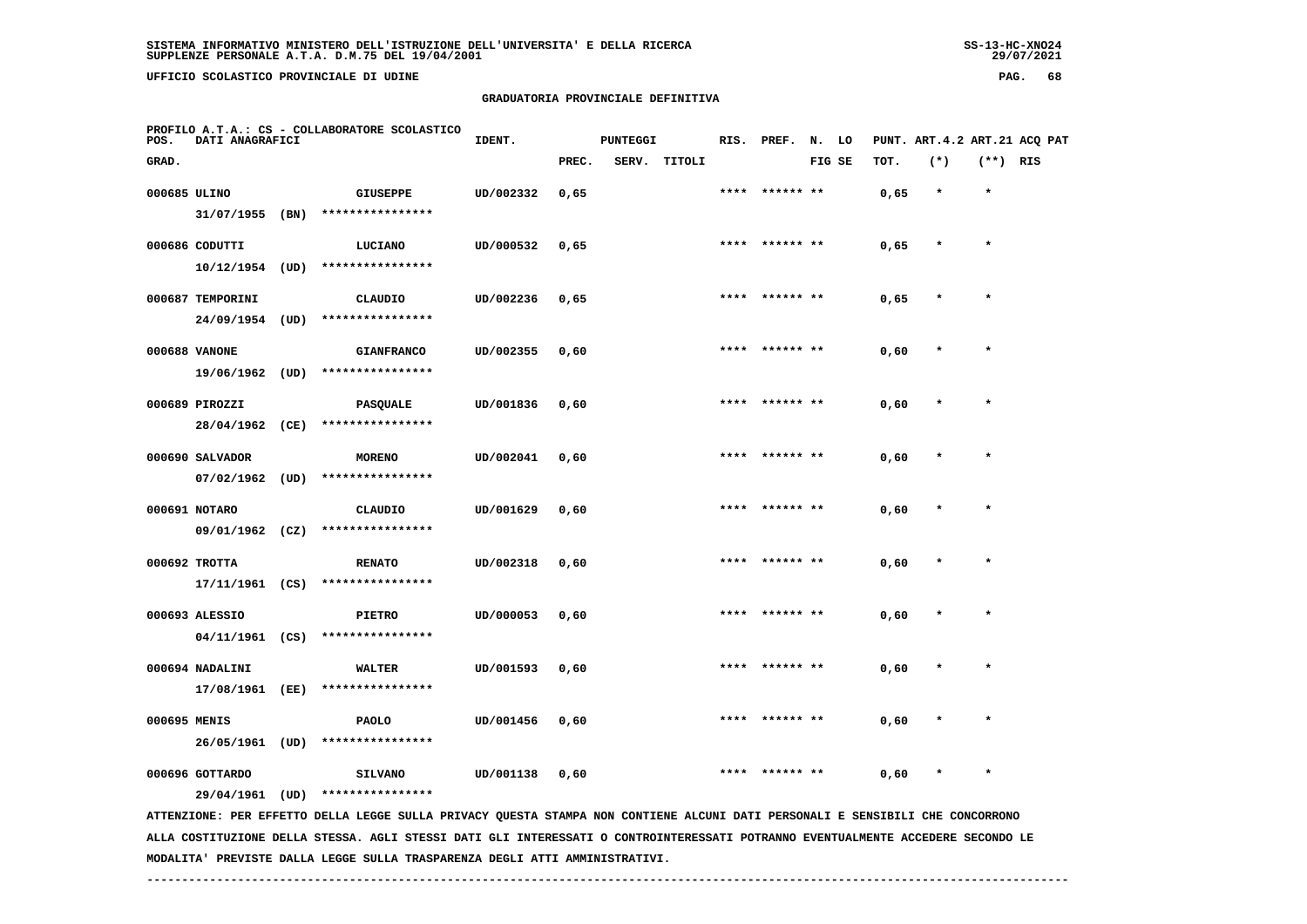**UFFICIO SCOLASTICO PROVINCIALE DI UDINE PAG. 68**

## **GRADUATORIA PROVINCIALE DEFINITIVA**

| POS.         | DATI ANAGRAFICI                      |      | PROFILO A.T.A.: CS - COLLABORATORE SCOLASTICO                                                                                 | IDENT.    | <b>PUNTEGGI</b> |       |        | RIS. | PREF.     | N. LO  |      |         |            | PUNT. ART.4.2 ART.21 ACQ PAT |
|--------------|--------------------------------------|------|-------------------------------------------------------------------------------------------------------------------------------|-----------|-----------------|-------|--------|------|-----------|--------|------|---------|------------|------------------------------|
| GRAD.        |                                      |      |                                                                                                                               |           | PREC.           | SERV. | TITOLI |      |           | FIG SE | TOT. | $(*)$   | $(**)$ RIS |                              |
| 000685 ULINO | 31/07/1955 (BN)                      |      | <b>GIUSEPPE</b><br>****************                                                                                           | UD/002332 | 0,65            |       |        |      |           |        | 0,65 |         | $\star$    |                              |
|              | 000686 CODUTTI<br>$10/12/1954$ (UD)  |      | LUCIANO<br>****************                                                                                                   | UD/000532 | 0,65            |       |        |      |           |        | 0,65 |         |            |                              |
|              | 000687 TEMPORINI<br>24/09/1954       | (UD) | CLAUDIO<br>****************                                                                                                   | UD/002236 | 0,65            |       |        | **** |           |        | 0,65 | $\star$ | $\star$    |                              |
|              | 000688 VANONE<br>19/06/1962 (UD)     |      | <b>GIANFRANCO</b><br>****************                                                                                         | UD/002355 | 0,60            |       |        |      |           |        | 0,60 |         |            |                              |
|              | 000689 PIROZZI<br>28/04/1962 (CE)    |      | <b>PASQUALE</b><br>****************                                                                                           | UD/001836 | 0,60            |       |        |      |           |        | 0,60 |         |            |                              |
|              | 000690 SALVADOR<br>$07/02/1962$ (UD) |      | <b>MORENO</b><br>****************                                                                                             | UD/002041 | 0,60            |       |        | **** | ****** ** |        | 0,60 |         | $\ast$     |                              |
|              | 000691 NOTARO<br>09/01/1962 (CZ)     |      | CLAUDIO<br>****************                                                                                                   | UD/001629 | 0,60            |       |        |      |           |        | 0,60 |         |            |                              |
|              | 000692 TROTTA                        |      | <b>RENATO</b><br>$17/11/1961$ (CS) ****************                                                                           | UD/002318 | 0,60            |       |        | **** | ****** ** |        | 0,60 |         | $\star$    |                              |
|              | 000693 ALESSIO<br>$04/11/1961$ (CS)  |      | <b>PIETRO</b><br>****************                                                                                             | UD/000053 | 0,60            |       |        |      |           |        | 0,60 |         |            |                              |
|              | 000694 NADALINI<br>17/08/1961 (EE)   |      | <b>WALTER</b><br>****************                                                                                             | UD/001593 | 0,60            |       |        |      |           |        | 0,60 |         |            |                              |
| 000695 MENIS | 26/05/1961 (UD)                      |      | <b>PAOLO</b><br>****************                                                                                              | UD/001456 | 0,60            |       |        |      |           |        | 0,60 |         | $\star$    |                              |
|              | 000696 GOTTARDO<br>29/04/1961 (UD)   |      | <b>SILVANO</b><br>****************                                                                                            | UD/001138 | 0,60            |       |        | **** |           |        | 0,60 |         |            |                              |
|              |                                      |      | ATTENZIONE: PER EFFETTO DELLA LEGGE SULLA PRIVACY QUESTA STAMPA NON CONTIENE ALCUNI DATI PERSONALI E SENSIBILI CHE CONCORRONO |           |                 |       |        |      |           |        |      |         |            |                              |

 **ALLA COSTITUZIONE DELLA STESSA. AGLI STESSI DATI GLI INTERESSATI O CONTROINTERESSATI POTRANNO EVENTUALMENTE ACCEDERE SECONDO LE MODALITA' PREVISTE DALLA LEGGE SULLA TRASPARENZA DEGLI ATTI AMMINISTRATIVI.**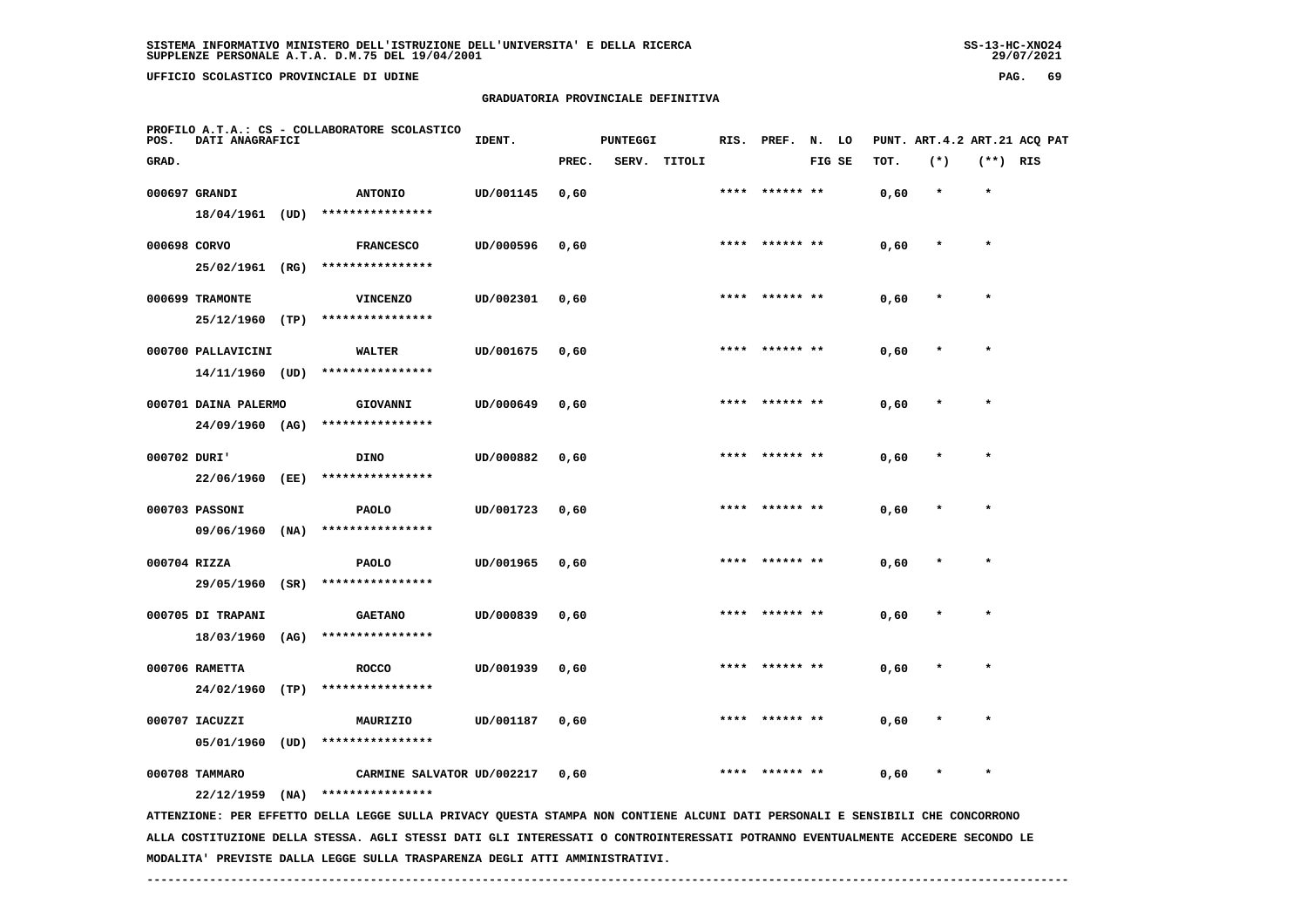**UFFICIO SCOLASTICO PROVINCIALE DI UDINE PAG. 69**

## **GRADUATORIA PROVINCIALE DEFINITIVA**

| POS.         | DATI ANAGRAFICI      |      | PROFILO A.T.A.: CS - COLLABORATORE SCOLASTICO                                                                                   | PUNTEGGI<br>IDENT. |       |       |        | RIS. PREF. | N. LO     |  |        | PUNT. ART. 4.2 ART. 21 ACO PAT |         |            |  |
|--------------|----------------------|------|---------------------------------------------------------------------------------------------------------------------------------|--------------------|-------|-------|--------|------------|-----------|--|--------|--------------------------------|---------|------------|--|
| GRAD.        |                      |      |                                                                                                                                 |                    | PREC. | SERV. | TITOLI |            |           |  | FIG SE | TOT.                           | $(*)$   | $(**)$ RIS |  |
|              | 000697 GRANDI        |      | <b>ANTONIO</b>                                                                                                                  | UD/001145          | 0,60  |       |        |            |           |  |        | 0,60                           | $\star$ | $\star$    |  |
|              |                      |      | 18/04/1961 (UD) ****************                                                                                                |                    |       |       |        |            |           |  |        |                                |         |            |  |
| 000698 CORVO |                      |      | <b>FRANCESCO</b>                                                                                                                | UD/000596          | 0,60  |       |        |            |           |  |        | 0,60                           |         |            |  |
|              | 25/02/1961 (RG)      |      | ****************                                                                                                                |                    |       |       |        |            |           |  |        |                                |         |            |  |
|              | 000699 TRAMONTE      |      | <b>VINCENZO</b>                                                                                                                 | UD/002301          | 0,60  |       |        |            |           |  |        | 0,60                           |         |            |  |
|              | 25/12/1960           | (TP) | ****************                                                                                                                |                    |       |       |        |            |           |  |        |                                |         |            |  |
|              | 000700 PALLAVICINI   |      | <b>WALTER</b>                                                                                                                   | UD/001675          | 0,60  |       |        | ****       | ****** ** |  |        | 0,60                           |         |            |  |
|              | 14/11/1960 (UD)      |      | ****************                                                                                                                |                    |       |       |        |            |           |  |        |                                |         |            |  |
|              | 000701 DAINA PALERMO |      | GIOVANNI                                                                                                                        | UD/000649          | 0,60  |       |        | ****       |           |  |        | 0,60                           |         | $\star$    |  |
|              | $24/09/1960$ (AG)    |      | ****************                                                                                                                |                    |       |       |        |            |           |  |        |                                |         |            |  |
| 000702 DURI' |                      |      | <b>DINO</b>                                                                                                                     | UD/000882          | 0,60  |       |        |            |           |  |        | 0,60                           |         |            |  |
|              | 22/06/1960 (EE)      |      | ****************                                                                                                                |                    |       |       |        |            |           |  |        |                                |         |            |  |
|              | 000703 PASSONI       |      | <b>PAOLO</b>                                                                                                                    | UD/001723          | 0,60  |       |        |            |           |  |        | 0,60                           |         |            |  |
|              | 09/06/1960           | (NA) | ****************                                                                                                                |                    |       |       |        |            |           |  |        |                                |         |            |  |
| 000704 RIZZA |                      |      | PAOLO                                                                                                                           | UD/001965          | 0,60  |       |        |            | ****** ** |  |        | 0,60                           |         |            |  |
|              | 29/05/1960 (SR)      |      | ****************                                                                                                                |                    |       |       |        |            |           |  |        |                                |         |            |  |
|              | 000705 DI TRAPANI    |      | <b>GAETANO</b>                                                                                                                  | UD/000839          | 0,60  |       |        |            |           |  |        | 0,60                           |         |            |  |
|              | 18/03/1960 (AG)      |      | ****************                                                                                                                |                    |       |       |        |            |           |  |        |                                |         |            |  |
|              | 000706 RAMETTA       |      | <b>ROCCO</b>                                                                                                                    | UD/001939          | 0,60  |       |        |            |           |  |        | 0,60                           |         |            |  |
|              |                      |      | 24/02/1960 (TP) ****************                                                                                                |                    |       |       |        |            |           |  |        |                                |         |            |  |
|              | 000707 IACUZZI       |      | MAURIZIO                                                                                                                        | UD/001187          | 0,60  |       |        | ****       |           |  |        | 0,60                           |         |            |  |
|              | 05/01/1960 (UD)      |      | ****************                                                                                                                |                    |       |       |        |            |           |  |        |                                |         |            |  |
|              | 000708 TAMMARO       |      | CARMINE SALVATOR UD/002217                                                                                                      |                    | 0,60  |       |        |            |           |  |        | 0,60                           |         |            |  |
|              | $22/12/1959$ (NA)    |      | ****************                                                                                                                |                    |       |       |        |            |           |  |        |                                |         |            |  |
|              |                      |      | ATTENZIONE: PER EFFETTO DELLA LEGGE SULLA PRIVACY QUESTA STAMPA NON CONTIENE ALCUNI DATI PERSONALI E SENSIBILI CHE CONCORRONO   |                    |       |       |        |            |           |  |        |                                |         |            |  |
|              |                      |      | ALLA COSTITUZIONE DELLA STESSA. AGLI STESSI DATI GLI INTERESSATI O CONTROINTERESSATI POTRANNO EVENTUALMENTE ACCEDERE SECONDO LE |                    |       |       |        |            |           |  |        |                                |         |            |  |

 **MODALITA' PREVISTE DALLA LEGGE SULLA TRASPARENZA DEGLI ATTI AMMINISTRATIVI.**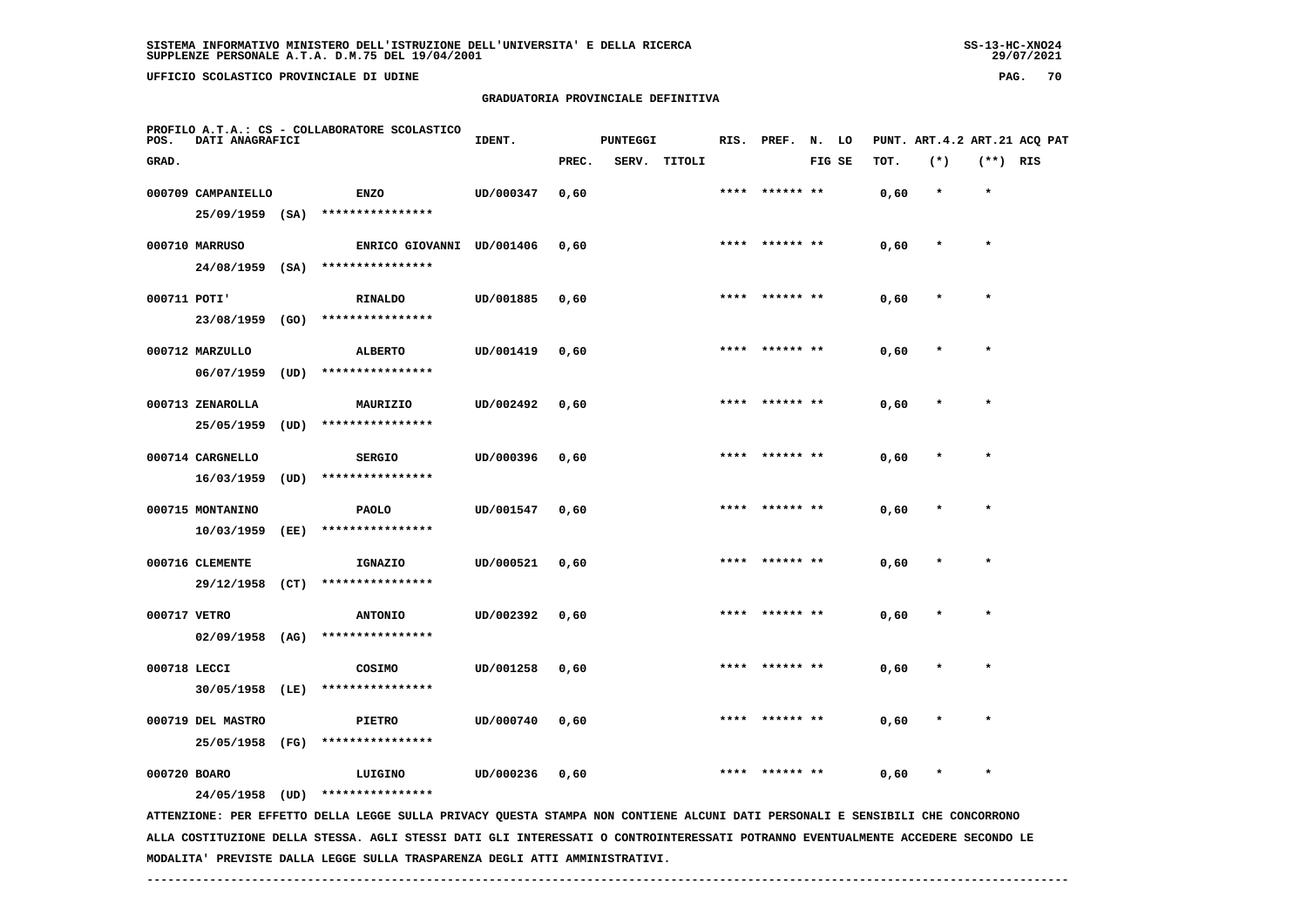UFFICIO SCOLASTICO PROVINCIALE DI UDINE

# **GRADUATORIA PROVINCIALE DEFINITIVA**

| POS.         | DATI ANAGRAFICI    |      | PROFILO A.T.A.: CS - COLLABORATORE SCOLASTICO                                                                                 | IDENT.<br><b>PUNTEGGI</b> |       |  |              | RIS. PREF. | N. LO     |        | PUNT. ART.4.2 ART.21 ACQ PAT |         |            |  |
|--------------|--------------------|------|-------------------------------------------------------------------------------------------------------------------------------|---------------------------|-------|--|--------------|------------|-----------|--------|------------------------------|---------|------------|--|
| GRAD.        |                    |      |                                                                                                                               |                           | PREC. |  | SERV. TITOLI |            |           | FIG SE | TOT.                         | $(*)$   | $(**)$ RIS |  |
|              | 000709 CAMPANIELLO |      | <b>ENZO</b>                                                                                                                   | UD/000347                 | 0,60  |  |              | ****       | ****** ** |        | 0,60                         | $\star$ | $\star$    |  |
|              | 25/09/1959 (SA)    |      | ****************                                                                                                              |                           |       |  |              |            |           |        |                              |         |            |  |
|              | 000710 MARRUSO     |      | ENRICO GIOVANNI UD/001406                                                                                                     |                           | 0,60  |  |              | ****       | ****** ** |        | 0,60                         |         | $\star$    |  |
|              | 24/08/1959         | (SA) | ****************                                                                                                              |                           |       |  |              |            |           |        |                              |         |            |  |
| 000711 POTI' |                    |      | <b>RINALDO</b>                                                                                                                | UD/001885                 | 0,60  |  |              | ****       | ****** ** |        | 0,60                         | $\star$ | $\star$    |  |
|              | 23/08/1959         | (GO) | ****************                                                                                                              |                           |       |  |              |            |           |        |                              |         |            |  |
|              | 000712 MARZULLO    |      | <b>ALBERTO</b>                                                                                                                | UD/001419                 | 0,60  |  |              | ****       |           |        | 0,60                         |         | $\star$    |  |
|              | 06/07/1959         | (UD) | ****************                                                                                                              |                           |       |  |              |            |           |        |                              |         |            |  |
|              | 000713 ZENAROLLA   |      | MAURIZIO                                                                                                                      | UD/002492                 | 0,60  |  |              | ****       | ****** ** |        | 0,60                         |         |            |  |
|              | 25/05/1959         | (UD) | ****************                                                                                                              |                           |       |  |              |            |           |        |                              |         |            |  |
|              | 000714 CARGNELLO   |      | <b>SERGIO</b>                                                                                                                 | UD/000396                 | 0.60  |  |              |            |           |        | 0,60                         |         | $\star$    |  |
|              | 16/03/1959         | (UD) | ****************                                                                                                              |                           |       |  |              |            |           |        |                              |         |            |  |
|              | 000715 MONTANINO   |      | <b>PAOLO</b>                                                                                                                  | UD/001547                 | 0,60  |  |              |            |           |        | 0,60                         |         |            |  |
|              | 10/03/1959         | (EE) | ****************                                                                                                              |                           |       |  |              |            |           |        |                              |         |            |  |
|              | 000716 CLEMENTE    |      | IGNAZIO                                                                                                                       | UD/000521                 | 0,60  |  |              | ****       | ****** ** |        | 0,60                         |         | $\star$    |  |
|              | 29/12/1958         | (CT) | ****************                                                                                                              |                           |       |  |              |            |           |        |                              |         |            |  |
| 000717 VETRO |                    |      | <b>ANTONIO</b>                                                                                                                | UD/002392                 | 0,60  |  |              | ****       | ****** ** |        | 0,60                         | $\ast$  | $\star$    |  |
|              | 02/09/1958         | (AG) | ****************                                                                                                              |                           |       |  |              |            |           |        |                              |         |            |  |
|              |                    |      |                                                                                                                               |                           |       |  |              |            |           |        |                              |         |            |  |
| 000718 LECCI | 30/05/1958 (LE)    |      | COSIMO<br>****************                                                                                                    | UD/001258                 | 0,60  |  |              |            |           |        | 0,60                         |         |            |  |
|              |                    |      |                                                                                                                               |                           |       |  |              |            |           |        |                              |         |            |  |
|              | 000719 DEL MASTRO  |      | <b>PIETRO</b><br>****************                                                                                             | UD/000740                 | 0,60  |  |              |            |           |        | 0,60                         |         |            |  |
|              | 25/05/1958         | (FG) |                                                                                                                               |                           |       |  |              |            |           |        |                              |         |            |  |
| 000720 BOARO |                    |      | LUIGINO                                                                                                                       | UD/000236                 | 0,60  |  |              |            |           |        | 0,60                         |         | $\star$    |  |
|              | 24/05/1958         | (UD) | ****************                                                                                                              |                           |       |  |              |            |           |        |                              |         |            |  |
|              |                    |      | ATTENZIONE: PER EFFETTO DELLA LEGGE SULLA PRIVACY QUESTA STAMPA NON CONTIENE ALCUNI DATI PERSONALI E SENSIBILI CHE CONCORRONO |                           |       |  |              |            |           |        |                              |         |            |  |

 **ALLA COSTITUZIONE DELLA STESSA. AGLI STESSI DATI GLI INTERESSATI O CONTROINTERESSATI POTRANNO EVENTUALMENTE ACCEDERE SECONDO LE MODALITA' PREVISTE DALLA LEGGE SULLA TRASPARENZA DEGLI ATTI AMMINISTRATIVI.**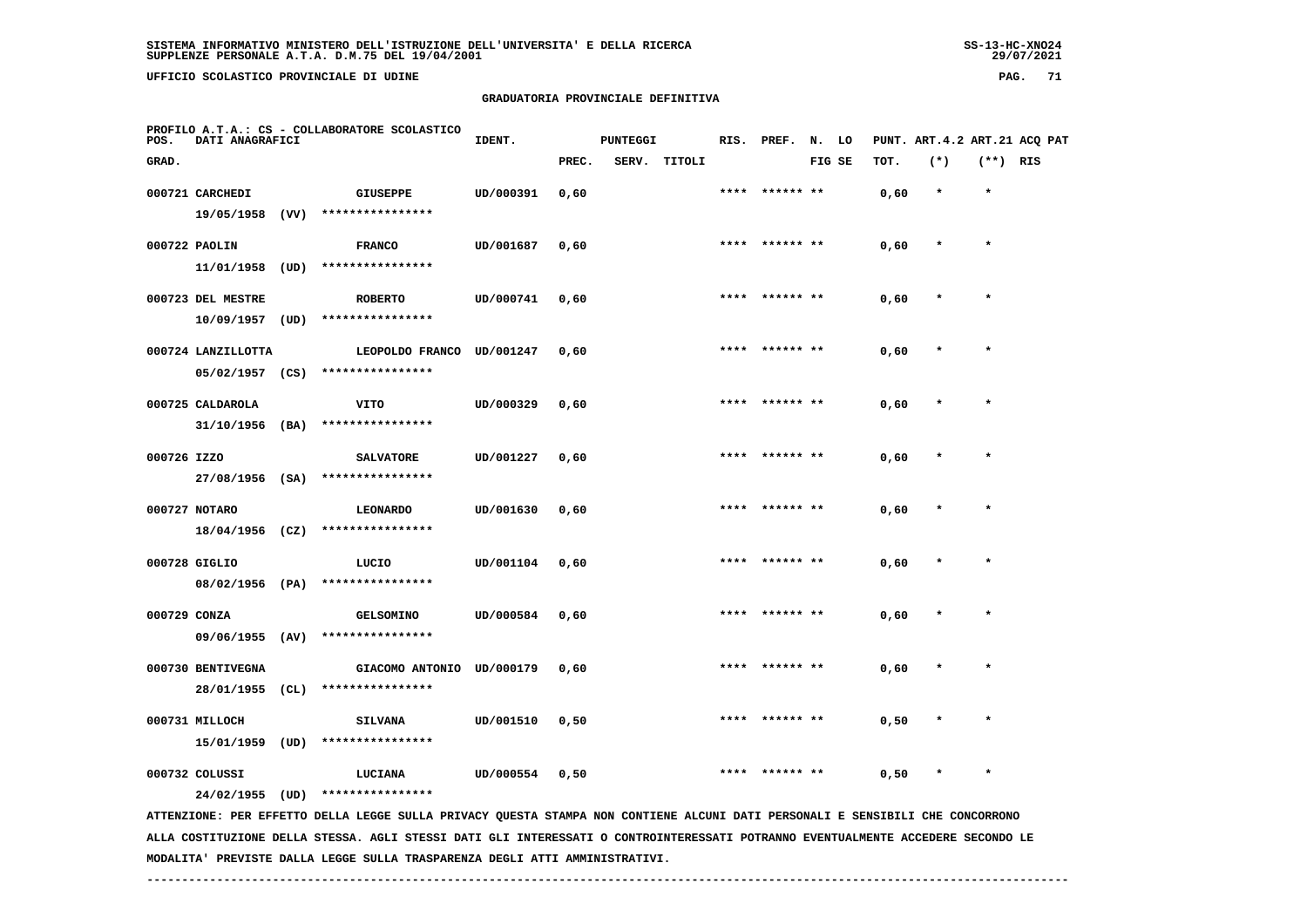**UFFICIO SCOLASTICO PROVINCIALE DI UDINE PAG. 71**

# **GRADUATORIA PROVINCIALE DEFINITIVA**

| POS.                                                                                                                          | DATI ANAGRAFICI                         |      | PROFILO A.T.A.: CS - COLLABORATORE SCOLASTICO | IDENT.    |       | <b>PUNTEGGI</b> |        | RIS. | PREF.          | N.     | LO |      |         |            | PUNT. ART. 4.2 ART. 21 ACO PAT |
|-------------------------------------------------------------------------------------------------------------------------------|-----------------------------------------|------|-----------------------------------------------|-----------|-------|-----------------|--------|------|----------------|--------|----|------|---------|------------|--------------------------------|
| GRAD.                                                                                                                         |                                         |      |                                               |           | PREC. | SERV.           | TITOLI |      |                | FIG SE |    | TOT. | $(*)$   | $(**)$ RIS |                                |
|                                                                                                                               | 000721 CARCHEDI<br>19/05/1958 (VV)      |      | <b>GIUSEPPE</b><br>****************           | UD/000391 | 0,60  |                 |        | **** | ****** **      |        |    | 0,60 | $\star$ | $\star$    |                                |
|                                                                                                                               | 000722 PAOLIN<br>11/01/1958             | (UD) | <b>FRANCO</b><br>****************             | UD/001687 | 0,60  |                 |        |      | **** ****** ** |        |    | 0,60 |         | $\star$    |                                |
|                                                                                                                               | 000723 DEL MESTRE<br>10/09/1957         | (UD) | <b>ROBERTO</b><br>****************            | UD/000741 | 0,60  |                 |        |      |                |        |    | 0,60 |         | $\star$    |                                |
|                                                                                                                               | 000724 LANZILLOTTA<br>$05/02/1957$ (CS) |      | LEOPOLDO FRANCO UD/001247<br>**************** |           | 0,60  |                 |        |      | ****** **      |        |    | 0,60 |         |            |                                |
|                                                                                                                               | 000725 CALDAROLA<br>$31/10/1956$ (BA)   |      | VITO<br>****************                      | UD/000329 | 0,60  |                 |        |      | ****** **      |        |    | 0,60 |         | $\star$    |                                |
| 000726 IZZO                                                                                                                   | $27/08/1956$ (SA)                       |      | <b>SALVATORE</b><br>****************          | UD/001227 | 0,60  |                 |        | **** | ****** **      |        |    | 0,60 |         |            |                                |
|                                                                                                                               | 000727 NOTARO<br>$18/04/1956$ (CZ)      |      | <b>LEONARDO</b><br>****************           | UD/001630 | 0,60  |                 |        | **** | ****** **      |        |    | 0,60 |         | $\star$    |                                |
|                                                                                                                               | 000728 GIGLIO                           |      | LUCIO<br>08/02/1956 (PA) ****************     | UD/001104 | 0,60  |                 |        | **** | ****** **      |        |    | 0,60 |         | $\star$    |                                |
|                                                                                                                               | 000729 CONZA<br>09/06/1955 (AV)         |      | <b>GELSOMINO</b><br>****************          | UD/000584 | 0,60  |                 |        | **** | ****** **      |        |    | 0,60 |         |            |                                |
|                                                                                                                               | 000730 BENTIVEGNA<br>28/01/1955 (CL)    |      | GIACOMO ANTONIO UD/000179<br>**************** |           | 0,60  |                 |        |      |                |        |    | 0,60 |         |            |                                |
|                                                                                                                               | 000731 MILLOCH<br>15/01/1959 (UD)       |      | <b>SILVANA</b><br>****************            | UD/001510 | 0,50  |                 |        |      |                |        |    | 0,50 |         |            |                                |
|                                                                                                                               | 000732 COLUSSI<br>24/02/1955            | (UD) | LUCIANA<br>****************                   | UD/000554 | 0,50  |                 |        |      |                |        |    | 0,50 |         |            |                                |
| ATTENZIONE: PER EFFETTO DELLA LEGGE SULLA PRIVACY QUESTA STAMPA NON CONTIENE ALCUNI DATI PERSONALI E SENSIBILI CHE CONCORRONO |                                         |      |                                               |           |       |                 |        |      |                |        |    |      |         |            |                                |

 **ALLA COSTITUZIONE DELLA STESSA. AGLI STESSI DATI GLI INTERESSATI O CONTROINTERESSATI POTRANNO EVENTUALMENTE ACCEDERE SECONDO LE MODALITA' PREVISTE DALLA LEGGE SULLA TRASPARENZA DEGLI ATTI AMMINISTRATIVI.**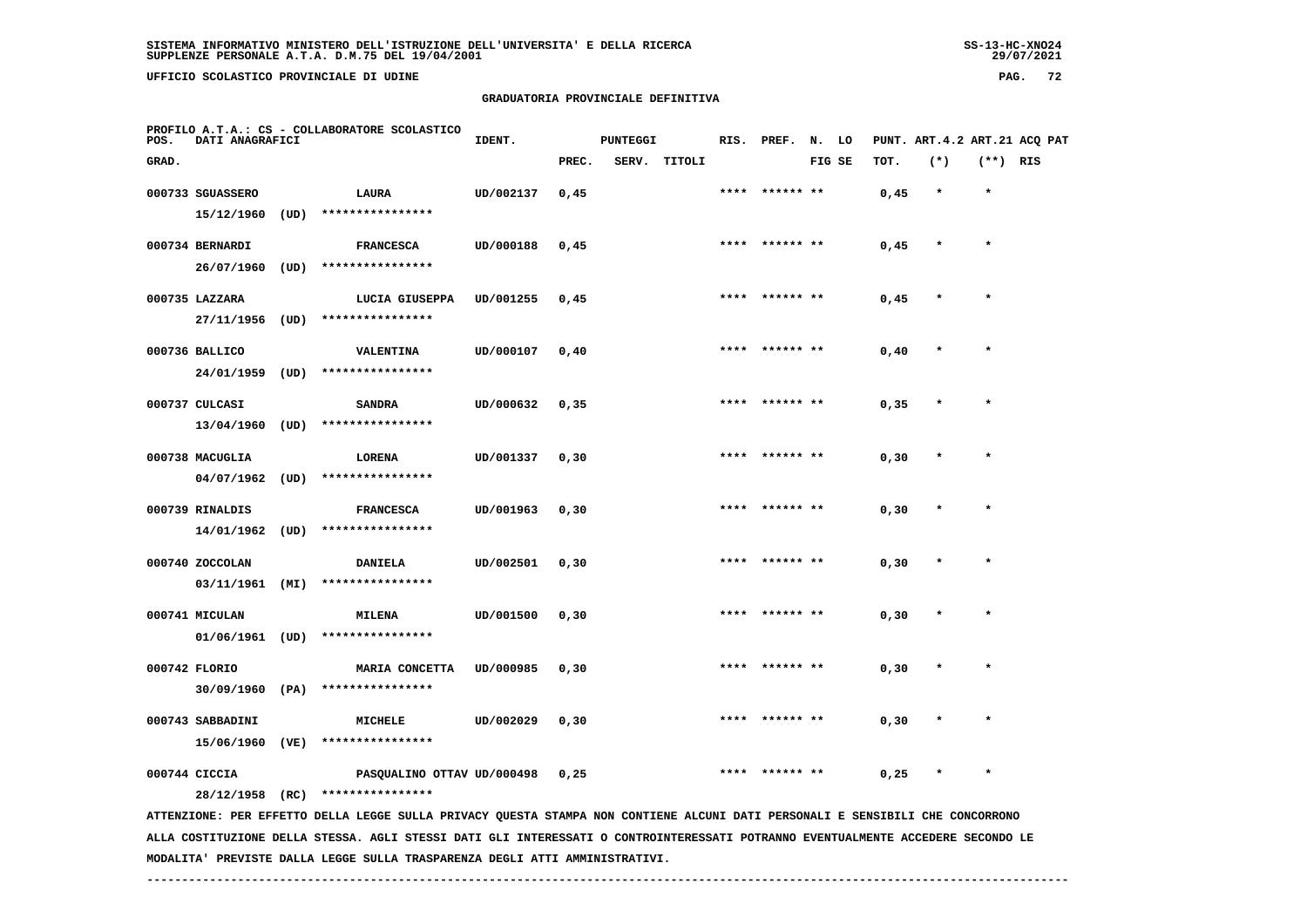**UFFICIO SCOLASTICO PROVINCIALE DI UDINE PAG. 72**

#### **GRADUATORIA PROVINCIALE DEFINITIVA**

| POS.  | DATI ANAGRAFICI   |      | PROFILO A.T.A.: CS - COLLABORATORE SCOLASTICO                                                                                                     | IDENT.    |       | <b>PUNTEGGI</b> |              |      | RIS. PREF. | N.     | LO |       |         |            | PUNT. ART. 4.2 ART. 21 ACQ PAT |
|-------|-------------------|------|---------------------------------------------------------------------------------------------------------------------------------------------------|-----------|-------|-----------------|--------------|------|------------|--------|----|-------|---------|------------|--------------------------------|
| GRAD. |                   |      |                                                                                                                                                   |           | PREC. |                 | SERV. TITOLI |      |            | FIG SE |    | TOT.  | $(*)$   | $(**)$ RIS |                                |
|       | 000733 SGUASSERO  |      | LAURA                                                                                                                                             | UD/002137 | 0,45  |                 |              | **** | ****** **  |        |    | 0,45  | $\star$ | $\star$    |                                |
|       | 15/12/1960        | (UD) | ****************                                                                                                                                  |           |       |                 |              |      |            |        |    |       |         |            |                                |
|       | 000734 BERNARDI   |      | <b>FRANCESCA</b>                                                                                                                                  | UD/000188 | 0,45  |                 |              |      |            |        |    | 0,45  |         | $\star$    |                                |
|       | 26/07/1960        | (UD) | ****************                                                                                                                                  |           |       |                 |              |      |            |        |    |       |         |            |                                |
|       | 000735 LAZZARA    |      | LUCIA GIUSEPPA                                                                                                                                    | UD/001255 | 0,45  |                 |              |      |            |        |    | 0,45  |         |            |                                |
|       | 27/11/1956        | (UD) | ****************                                                                                                                                  |           |       |                 |              |      |            |        |    |       |         |            |                                |
|       | 000736 BALLICO    |      | VALENTINA                                                                                                                                         | UD/000107 | 0,40  |                 |              |      |            |        |    | 0,40  |         |            |                                |
|       | 24/01/1959        | (UD) | ****************                                                                                                                                  |           |       |                 |              |      |            |        |    |       |         |            |                                |
|       | 000737 CULCASI    |      | <b>SANDRA</b>                                                                                                                                     | UD/000632 | 0, 35 |                 |              |      |            |        |    | 0,35  |         | $\star$    |                                |
|       | 13/04/1960        | (UD) | ****************                                                                                                                                  |           |       |                 |              |      |            |        |    |       |         |            |                                |
|       | 000738 MACUGLIA   |      | LORENA                                                                                                                                            | UD/001337 | 0, 30 |                 |              |      |            |        |    | 0, 30 |         | $\star$    |                                |
|       | 04/07/1962        | (UD) | ****************                                                                                                                                  |           |       |                 |              |      |            |        |    |       |         |            |                                |
|       | 000739 RINALDIS   |      | <b>FRANCESCA</b>                                                                                                                                  | UD/001963 | 0, 30 |                 |              |      |            |        |    | 0, 30 |         |            |                                |
|       | 14/01/1962        | (UD) | ****************                                                                                                                                  |           |       |                 |              |      |            |        |    |       |         |            |                                |
|       | 000740 ZOCCOLAN   |      | <b>DANIELA</b>                                                                                                                                    | UD/002501 | 0, 30 |                 |              |      |            |        |    | 0, 30 |         |            |                                |
|       | 03/11/1961        | (MI) | ****************                                                                                                                                  |           |       |                 |              |      |            |        |    |       |         |            |                                |
|       | 000741 MICULAN    |      | <b>MILENA</b>                                                                                                                                     | UD/001500 | 0, 30 |                 |              | **** | ****** **  |        |    | 0, 30 |         | $\star$    |                                |
|       | $01/06/1961$ (UD) |      | ****************                                                                                                                                  |           |       |                 |              |      |            |        |    |       |         |            |                                |
|       | 000742 FLORIO     |      | MARIA CONCETTA                                                                                                                                    | UD/000985 | 0, 30 |                 |              |      |            |        |    | 0, 30 |         | $\star$    |                                |
|       | $30/09/1960$ (PA) |      | ****************                                                                                                                                  |           |       |                 |              |      |            |        |    |       |         |            |                                |
|       | 000743 SABBADINI  |      | <b>MICHELE</b>                                                                                                                                    | UD/002029 | 0, 30 |                 |              |      |            |        |    | 0, 30 |         |            |                                |
|       | 15/06/1960        | (VE) | ****************                                                                                                                                  |           |       |                 |              |      |            |        |    |       |         |            |                                |
|       | 000744 CICCIA     |      | PASQUALINO OTTAV UD/000498                                                                                                                        |           | 0,25  |                 |              |      | ****** **  |        |    | 0,25  |         | $\star$    |                                |
|       | 28/12/1958 (RC)   |      | ****************<br>ATTENZIONE: PER EFFETTO DELLA LEGGE SULLA PRIVACY QUESTA STAMPA NON CONTIENE ALCUNI DATI PERSONALI E SENSIBILI CHE CONCORRONO |           |       |                 |              |      |            |        |    |       |         |            |                                |
|       |                   |      | ALLA COSTITUZIONE DELLA STESSA. AGLI STESSI DATI GLI INTERESSATI O CONTROINTERESSATI POTRANNO EVENTUALMENTE ACCEDERE SECONDO LE                   |           |       |                 |              |      |            |        |    |       |         |            |                                |

 **------------------------------------------------------------------------------------------------------------------------------------**

 **MODALITA' PREVISTE DALLA LEGGE SULLA TRASPARENZA DEGLI ATTI AMMINISTRATIVI.**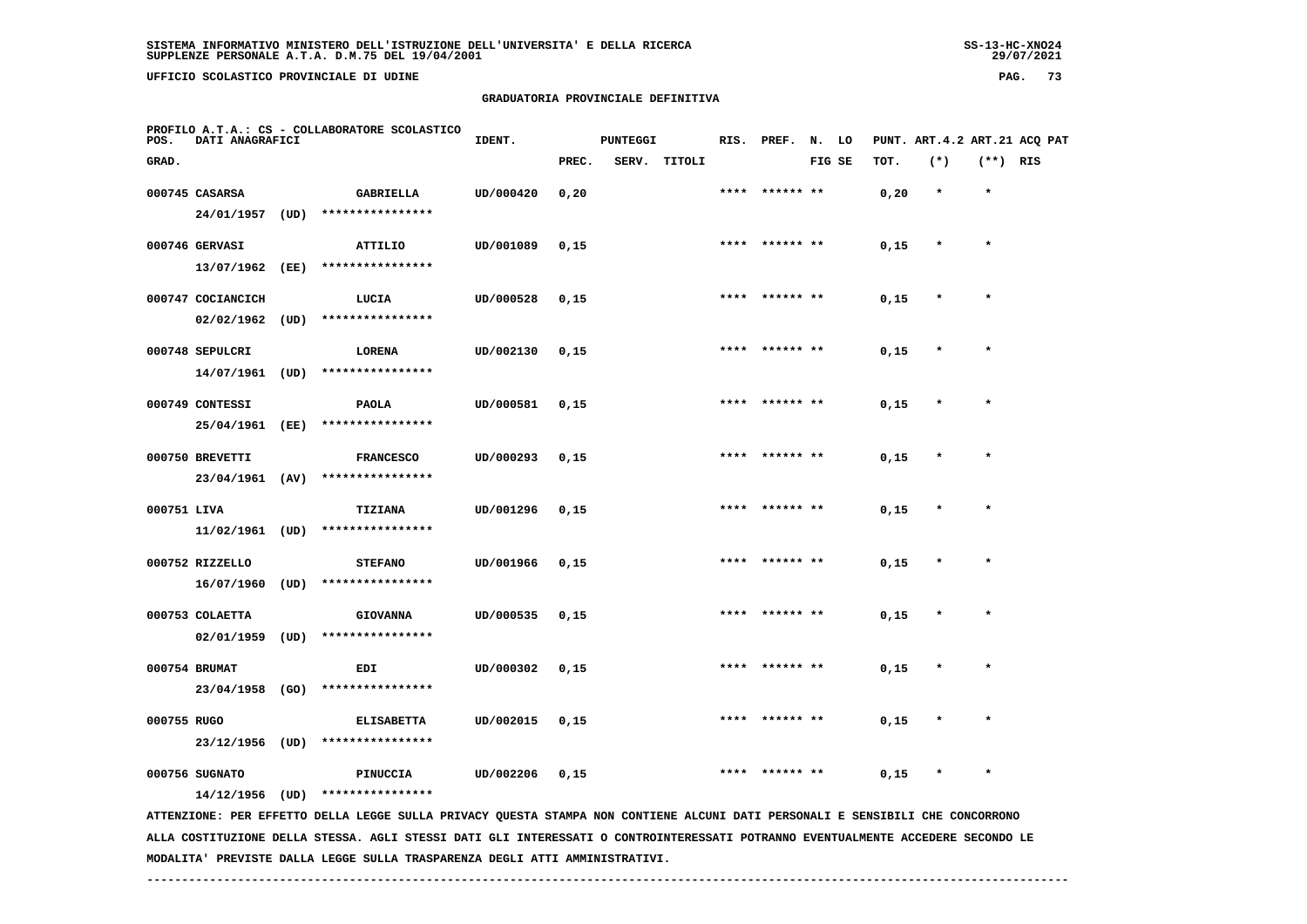**UFFICIO SCOLASTICO PROVINCIALE DI UDINE PAG. 73**

### **GRADUATORIA PROVINCIALE DEFINITIVA**

| POS.        | DATI ANAGRAFICI                    |      | PROFILO A.T.A.: CS - COLLABORATORE SCOLASTICO                                                                                   | IDENT.    |       | <b>PUNTEGGI</b> |              | RIS. | PREF.          | N. LO  |      |         |            | PUNT. ART. 4.2 ART. 21 ACQ PAT |
|-------------|------------------------------------|------|---------------------------------------------------------------------------------------------------------------------------------|-----------|-------|-----------------|--------------|------|----------------|--------|------|---------|------------|--------------------------------|
| GRAD.       |                                    |      |                                                                                                                                 |           | PREC. |                 | SERV. TITOLI |      |                | FIG SE | TOT. | $(*)$   | $(**)$ RIS |                                |
|             | 000745 CASARSA<br>24/01/1957 (UD)  |      | GABRIELLA<br>****************                                                                                                   | UD/000420 | 0, 20 |                 |              |      | **** ****** ** |        | 0,20 | $\star$ | $\star$    |                                |
|             | 000746 GERVASI<br>13/07/1962 (EE)  |      | ATTILIO<br>****************                                                                                                     | UD/001089 | 0,15  |                 |              |      |                |        | 0,15 | $\star$ | $\star$    |                                |
|             | 000747 COCIANCICH                  |      | LUCIA                                                                                                                           | UD/000528 | 0,15  |                 |              |      |                |        | 0,15 |         |            |                                |
|             | 02/02/1962<br>000748 SEPULCRI      | (UD) | ****************<br>LORENA                                                                                                      | UD/002130 | 0,15  |                 |              |      |                |        | 0,15 |         |            |                                |
|             | 14/07/1961 (UD)<br>000749 CONTESSI |      | ****************<br><b>PAOLA</b>                                                                                                | UD/000581 | 0,15  |                 |              | **** | ****** **      |        | 0,15 |         |            |                                |
|             | 25/04/1961 (EE)<br>000750 BREVETTI |      | ****************<br><b>FRANCESCO</b>                                                                                            | UD/000293 | 0,15  |                 |              | **** | ****** **      |        | 0,15 | $\ast$  | $\star$    |                                |
| 000751 LIVA | 23/04/1961 (AV)                    |      | ****************<br><b>TIZIANA</b>                                                                                              | UD/001296 | 0,15  |                 |              |      |                |        | 0,15 |         |            |                                |
|             | 11/02/1961 (UD)                    |      | ****************                                                                                                                |           |       |                 |              |      |                |        |      |         |            |                                |
|             | 000752 RIZZELLO<br>16/07/1960      | (UD) | <b>STEFANO</b><br>****************                                                                                              | UD/001966 | 0,15  |                 |              |      |                |        | 0,15 |         |            |                                |
|             | 000753 COLAETTA<br>02/01/1959      | (UD) | <b>GIOVANNA</b><br>****************                                                                                             | UD/000535 | 0,15  |                 |              |      |                |        | 0,15 |         |            |                                |
|             | 000754 BRUMAT<br>23/04/1958 (GO)   |      | EDI<br>****************                                                                                                         | UD/000302 | 0,15  |                 |              |      |                |        | 0,15 |         | $\star$    |                                |
| 000755 RUGO | 23/12/1956 (UD)                    |      | <b>ELISABETTA</b><br>****************                                                                                           | UD/002015 | 0,15  |                 |              |      |                |        | 0,15 |         |            |                                |
|             | 000756 SUGNATO<br>14/12/1956 (UD)  |      | PINUCCIA<br>****************                                                                                                    | UD/002206 | 0,15  |                 |              |      |                |        | 0,15 |         |            |                                |
|             |                                    |      | ATTENZIONE: PER EFFETTO DELLA LEGGE SULLA PRIVACY QUESTA STAMPA NON CONTIENE ALCUNI DATI PERSONALI E SENSIBILI CHE CONCORRONO   |           |       |                 |              |      |                |        |      |         |            |                                |
|             |                                    |      | ALLA COSTITUZIONE DELLA STESSA. AGLI STESSI DATI GLI INTERESSATI O CONTROINTERESSATI POTRANNO EVENTUALMENTE ACCEDERE SECONDO LE |           |       |                 |              |      |                |        |      |         |            |                                |

 **MODALITA' PREVISTE DALLA LEGGE SULLA TRASPARENZA DEGLI ATTI AMMINISTRATIVI.**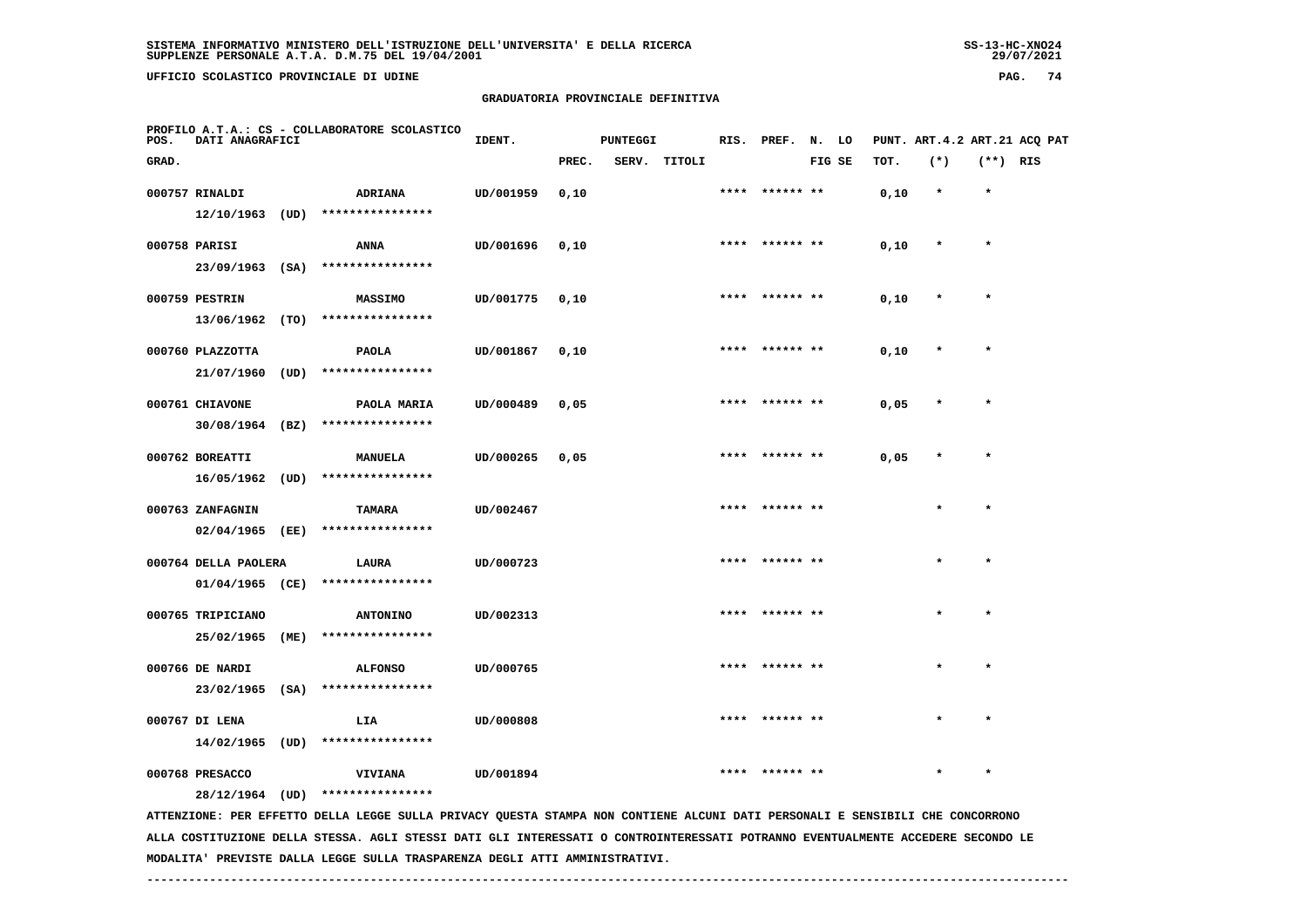**UFFICIO SCOLASTICO PROVINCIALE DI UDINE PAG. 74**

### **GRADUATORIA PROVINCIALE DEFINITIVA**

| POS.  | DATI ANAGRAFICI      |      | PROFILO A.T.A.: CS - COLLABORATORE SCOLASTICO                                                                                 | IDENT.    |       | <b>PUNTEGGI</b> |              |      | RIS. PREF. N. LO |        |      |         |            | PUNT. ART.4.2 ART.21 ACQ PAT |
|-------|----------------------|------|-------------------------------------------------------------------------------------------------------------------------------|-----------|-------|-----------------|--------------|------|------------------|--------|------|---------|------------|------------------------------|
| GRAD. |                      |      |                                                                                                                               |           | PREC. |                 | SERV. TITOLI |      |                  | FIG SE | TOT. | $(*)$   | $(**)$ RIS |                              |
|       | 000757 RINALDI       |      | ADRIANA                                                                                                                       | UD/001959 | 0,10  |                 |              |      | ****** **        |        | 0,10 | $\star$ | $\star$    |                              |
|       | $12/10/1963$ (UD)    |      | ****************                                                                                                              |           |       |                 |              |      |                  |        |      |         |            |                              |
|       | 000758 PARISI        |      | <b>ANNA</b>                                                                                                                   | UD/001696 | 0,10  |                 |              |      | **** ****** **   |        | 0,10 | $\star$ | $\star$    |                              |
|       | $23/09/1963$ (SA)    |      | ****************                                                                                                              |           |       |                 |              |      |                  |        |      |         |            |                              |
|       | 000759 PESTRIN       |      | MASSIMO                                                                                                                       | UD/001775 | 0,10  |                 |              |      |                  |        | 0,10 |         | $\star$    |                              |
|       | 13/06/1962 (TO)      |      | ****************                                                                                                              |           |       |                 |              |      |                  |        |      |         |            |                              |
|       | 000760 PLAZZOTTA     |      | <b>PAOLA</b>                                                                                                                  | UD/001867 | 0,10  |                 |              |      | **** ****** **   |        | 0,10 |         |            |                              |
|       | 21/07/1960           | (UD) | ****************                                                                                                              |           |       |                 |              |      |                  |        |      |         |            |                              |
|       | 000761 CHIAVONE      |      | PAOLA MARIA                                                                                                                   | UD/000489 | 0,05  |                 |              | **** | ****** **        |        | 0,05 |         | $\star$    |                              |
|       | $30/08/1964$ (BZ)    |      | ****************                                                                                                              |           |       |                 |              |      |                  |        |      |         |            |                              |
|       | 000762 BOREATTI      |      | MANUELA                                                                                                                       | UD/000265 | 0,05  |                 |              |      | **** ****** **   |        | 0,05 | $\ast$  | $\star$    |                              |
|       | 16/05/1962           | (UD) | ****************                                                                                                              |           |       |                 |              |      |                  |        |      |         |            |                              |
|       | 000763 ZANFAGNIN     |      | <b>TAMARA</b>                                                                                                                 | UD/002467 |       |                 |              |      |                  |        |      |         | $\star$    |                              |
|       | 02/04/1965           | (EE) | ****************                                                                                                              |           |       |                 |              |      |                  |        |      |         |            |                              |
|       | 000764 DELLA PAOLERA |      | LAURA                                                                                                                         | UD/000723 |       |                 |              |      | ****** **        |        |      | $\star$ | $\star$    |                              |
|       | $01/04/1965$ (CE)    |      | ****************                                                                                                              |           |       |                 |              |      |                  |        |      |         |            |                              |
|       | 000765 TRIPICIANO    |      | ANTONINO                                                                                                                      | UD/002313 |       |                 |              |      |                  |        |      |         | $\star$    |                              |
|       | 25/02/1965 (ME)      |      | ****************                                                                                                              |           |       |                 |              |      |                  |        |      |         |            |                              |
|       | 000766 DE NARDI      |      | <b>ALFONSO</b>                                                                                                                | UD/000765 |       |                 |              | **** | ****** **        |        |      |         |            |                              |
|       | $23/02/1965$ (SA)    |      | ****************                                                                                                              |           |       |                 |              |      |                  |        |      |         |            |                              |
|       | 000767 DI LENA       |      | LIA                                                                                                                           | UD/000808 |       |                 |              |      |                  |        |      |         |            |                              |
|       | $14/02/1965$ (UD)    |      | ****************                                                                                                              |           |       |                 |              |      |                  |        |      |         |            |                              |
|       | 000768 PRESACCO      |      | <b>VIVIANA</b>                                                                                                                | UD/001894 |       |                 |              |      |                  |        |      |         |            |                              |
|       | 28/12/1964 (UD)      |      | ****************                                                                                                              |           |       |                 |              |      |                  |        |      |         |            |                              |
|       |                      |      | ATTENZIONE: PER EFFETTO DELLA LEGGE SULLA PRIVACY QUESTA STAMPA NON CONTIENE ALCUNI DATI PERSONALI E SENSIBILI CHE CONCORRONO |           |       |                 |              |      |                  |        |      |         |            |                              |

 **ALLA COSTITUZIONE DELLA STESSA. AGLI STESSI DATI GLI INTERESSATI O CONTROINTERESSATI POTRANNO EVENTUALMENTE ACCEDERE SECONDO LE MODALITA' PREVISTE DALLA LEGGE SULLA TRASPARENZA DEGLI ATTI AMMINISTRATIVI.**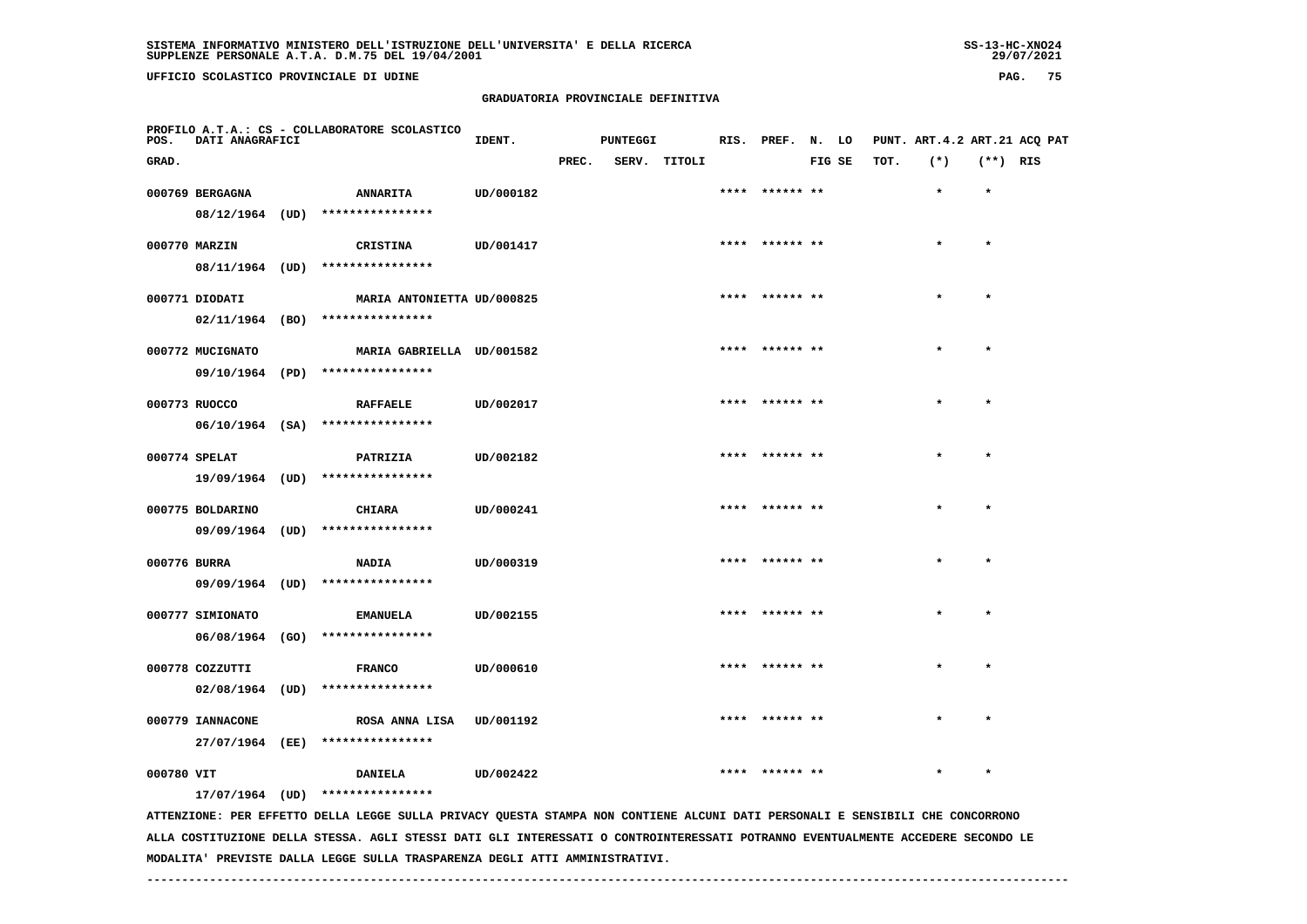# **GRADUATORIA PROVINCIALE DEFINITIVA**

| POS.         | DATI ANAGRAFICI   | PROFILO A.T.A.: CS - COLLABORATORE SCOLASTICO                                                                                   | IDENT.    |       | <b>PUNTEGGI</b> |        |      | RIS. PREF. N. LO |        |      | PUNT. ART. 4.2 ART. 21 ACQ PAT |            |  |
|--------------|-------------------|---------------------------------------------------------------------------------------------------------------------------------|-----------|-------|-----------------|--------|------|------------------|--------|------|--------------------------------|------------|--|
| GRAD.        |                   |                                                                                                                                 |           | PREC. | SERV.           | TITOLI |      |                  | FIG SE | TOT. | $(*)$                          | $(**)$ RIS |  |
|              | 000769 BERGAGNA   | <b>ANNARITA</b>                                                                                                                 | UD/000182 |       |                 |        | **** | ****** **        |        |      | $\bullet$                      | $\bullet$  |  |
|              | $08/12/1964$ (UD) | ****************                                                                                                                |           |       |                 |        |      |                  |        |      |                                |            |  |
|              | 000770 MARZIN     | CRISTINA                                                                                                                        | UD/001417 |       |                 |        |      | **** ****** **   |        |      | $\star$                        | $\star$    |  |
|              |                   | 08/11/1964 (UD) ****************                                                                                                |           |       |                 |        |      |                  |        |      |                                |            |  |
|              | 000771 DIODATI    | MARIA ANTONIETTA UD/000825                                                                                                      |           |       |                 |        |      | **** ****** **   |        |      |                                | $\star$    |  |
|              |                   | $02/11/1964$ (BO) ****************                                                                                              |           |       |                 |        |      |                  |        |      |                                |            |  |
|              | 000772 MUCIGNATO  | MARIA GABRIELLA UD/001582                                                                                                       |           |       |                 |        |      | **** ****** **   |        |      |                                |            |  |
|              |                   | 09/10/1964 (PD) ****************                                                                                                |           |       |                 |        |      |                  |        |      |                                |            |  |
|              | 000773 RUOCCO     | <b>RAFFAELE</b>                                                                                                                 | UD/002017 |       |                 |        |      |                  |        |      |                                |            |  |
|              |                   | 06/10/1964 (SA) ****************                                                                                                |           |       |                 |        |      |                  |        |      |                                |            |  |
|              | 000774 SPELAT     | PATRIZIA                                                                                                                        | UD/002182 |       |                 |        |      |                  |        |      |                                |            |  |
|              | 19/09/1964 (UD)   | ****************                                                                                                                |           |       |                 |        |      |                  |        |      |                                |            |  |
|              | 000775 BOLDARINO  | <b>CHIARA</b>                                                                                                                   | UD/000241 |       |                 |        |      |                  |        |      |                                | $\star$    |  |
|              | 09/09/1964 (UD)   | ****************                                                                                                                |           |       |                 |        |      |                  |        |      |                                |            |  |
| 000776 BURRA |                   | <b>NADIA</b>                                                                                                                    | UD/000319 |       |                 |        |      |                  |        |      |                                |            |  |
|              | 09/09/1964 (UD)   | ****************                                                                                                                |           |       |                 |        |      |                  |        |      |                                |            |  |
|              | 000777 SIMIONATO  | <b>EMANUELA</b>                                                                                                                 | UD/002155 |       |                 |        |      | **** ****** **   |        |      |                                | $\star$    |  |
|              | 06/08/1964 (GO)   | ****************                                                                                                                |           |       |                 |        |      |                  |        |      |                                |            |  |
|              | 000778 COZZUTTI   | <b>FRANCO</b>                                                                                                                   | UD/000610 |       |                 |        |      | **** ****** **   |        |      |                                | $\star$    |  |
|              |                   | 02/08/1964 (UD) ****************                                                                                                |           |       |                 |        |      |                  |        |      |                                |            |  |
|              | 000779 IANNACONE  | ROSA ANNA LISA                                                                                                                  | UD/001192 |       |                 |        |      |                  |        |      |                                |            |  |
|              |                   | 27/07/1964 (EE) ****************                                                                                                |           |       |                 |        |      |                  |        |      |                                |            |  |
| 000780 VIT   |                   | <b>DANIELA</b>                                                                                                                  | UD/002422 |       |                 |        |      | **** ****** **   |        |      |                                |            |  |
|              |                   | 17/07/1964 (UD) ****************                                                                                                |           |       |                 |        |      |                  |        |      |                                |            |  |
|              |                   | ATTENTIONE. OFD FFFFTTO OFILIA LECCE SUILLA DELUACY OUFSTA STANDA NON CONTIFNE ALCUNI DATI DEPSONALI F SENSIBILI CHE CONCOPPONO |           |       |                 |        |      |                  |        |      |                                |            |  |

 **ATTENZIONE: PER EFFETTO DELLA LEGGE SULLA PRIVACY QUESTA STAMPA NON CONTIENE ALCUNI DATI PERSONALI E SENSIBILI CHE CONCORRONO ALLA COSTITUZIONE DELLA STESSA. AGLI STESSI DATI GLI INTERESSATI O CONTROINTERESSATI POTRANNO EVENTUALMENTE ACCEDERE SECONDO LE MODALITA' PREVISTE DALLA LEGGE SULLA TRASPARENZA DEGLI ATTI AMMINISTRATIVI.**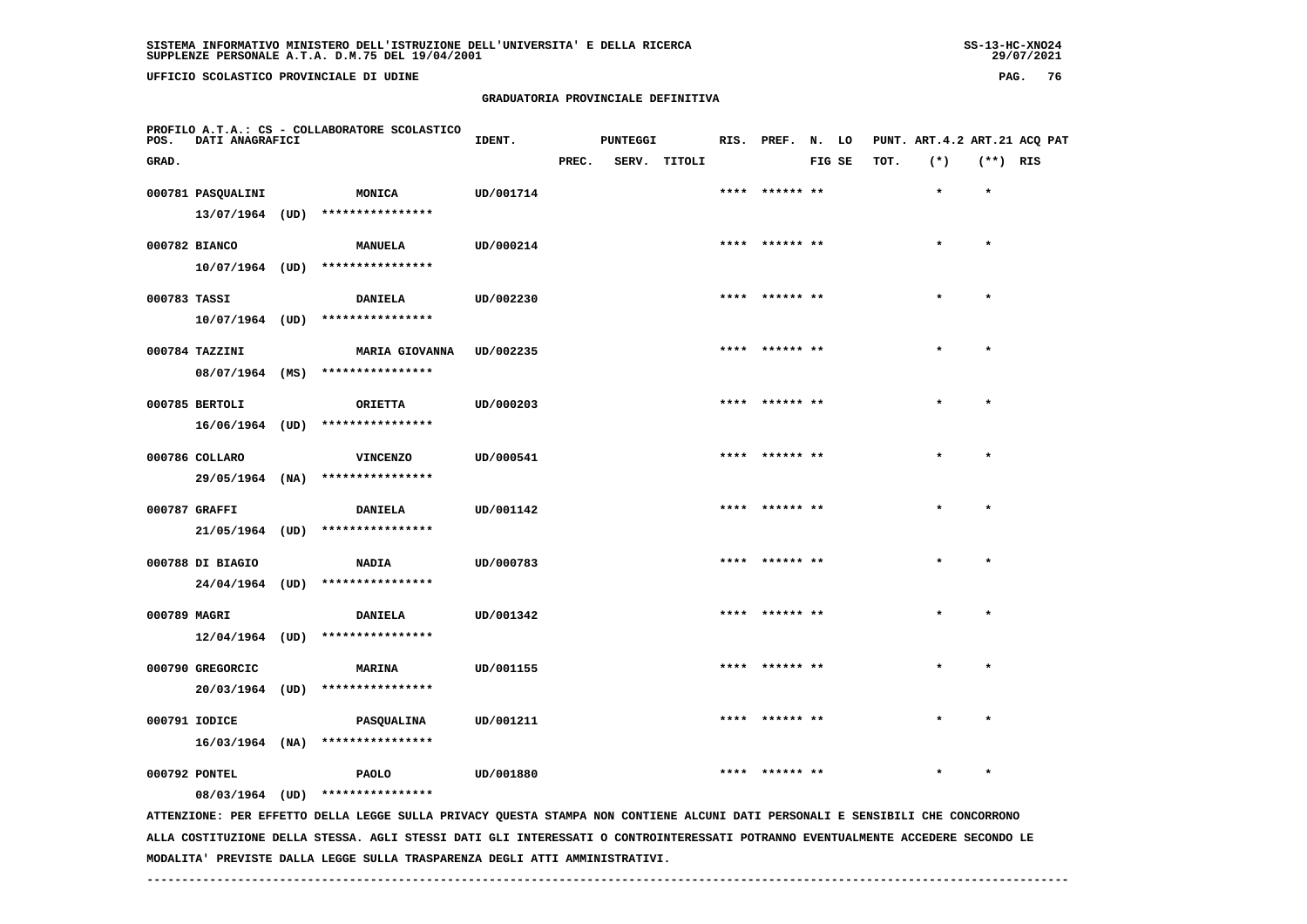# **GRADUATORIA PROVINCIALE DEFINITIVA**

| POS.         | DATI ANAGRAFICI   | PROFILO A.T.A.: CS - COLLABORATORE SCOLASTICO                                                                                 | IDENT.    |       | PUNTEGGI |              |      | RIS. PREF. N. LO |        |      |         |            | PUNT. ART. 4.2 ART. 21 ACQ PAT |
|--------------|-------------------|-------------------------------------------------------------------------------------------------------------------------------|-----------|-------|----------|--------------|------|------------------|--------|------|---------|------------|--------------------------------|
| GRAD.        |                   |                                                                                                                               |           | PREC. |          | SERV. TITOLI |      |                  | FIG SE | TOT. | $(*)$   | $(**)$ RIS |                                |
|              | 000781 PASQUALINI | <b>MONICA</b>                                                                                                                 | UD/001714 |       |          |              | **** | ****** **        |        |      | $\star$ | $\star$    |                                |
|              |                   | $13/07/1964$ (UD) ****************                                                                                            |           |       |          |              |      |                  |        |      |         |            |                                |
|              | 000782 BIANCO     | <b>MANUELA</b>                                                                                                                | UD/000214 |       |          |              |      |                  |        |      |         | $\star$    |                                |
|              |                   | 10/07/1964 (UD) ****************                                                                                              |           |       |          |              |      |                  |        |      |         |            |                                |
| 000783 TASSI |                   | <b>DANIELA</b>                                                                                                                | UD/002230 |       |          |              |      | ****  ****** **  |        |      | $\star$ | $\star$    |                                |
|              |                   | 10/07/1964 (UD) ****************                                                                                              |           |       |          |              |      |                  |        |      |         |            |                                |
|              | 000784 TAZZINI    | <b>MARIA GIOVANNA</b>                                                                                                         | UD/002235 |       |          |              |      | **** ****** **   |        |      |         | $\star$    |                                |
|              | 08/07/1964 (MS)   | ****************                                                                                                              |           |       |          |              |      |                  |        |      |         |            |                                |
|              | 000785 BERTOLI    | ORIETTA                                                                                                                       | UD/000203 |       |          |              |      |                  |        |      |         |            |                                |
|              | 16/06/1964 (UD)   | ****************                                                                                                              |           |       |          |              |      |                  |        |      |         |            |                                |
|              | 000786 COLLARO    | <b>VINCENZO</b>                                                                                                               | UD/000541 |       |          |              |      | **** ****** **   |        |      | $\star$ | $\star$    |                                |
|              | 29/05/1964 (NA)   | ****************                                                                                                              |           |       |          |              |      |                  |        |      |         |            |                                |
|              | 000787 GRAFFI     | <b>DANIELA</b>                                                                                                                | UD/001142 |       |          |              | **** | ****** **        |        |      |         | $\bullet$  |                                |
|              | 21/05/1964 (UD)   | ****************                                                                                                              |           |       |          |              |      |                  |        |      |         |            |                                |
|              | 000788 DI BIAGIO  | <b>NADIA</b>                                                                                                                  | UD/000783 |       |          |              |      | **** ****** **   |        |      |         | $\star$    |                                |
|              |                   | 24/04/1964 (UD) ****************                                                                                              |           |       |          |              |      |                  |        |      |         |            |                                |
| 000789 MAGRI |                   | <b>DANIELA</b>                                                                                                                | UD/001342 |       |          |              |      | ****  ****** **  |        |      |         | $\bullet$  |                                |
|              |                   | $12/04/1964$ (UD) ****************                                                                                            |           |       |          |              |      |                  |        |      |         |            |                                |
|              | 000790 GREGORCIC  | <b>MARINA</b>                                                                                                                 | UD/001155 |       |          |              |      |                  |        |      |         |            |                                |
|              | 20/03/1964 (UD)   | ****************                                                                                                              |           |       |          |              |      |                  |        |      |         |            |                                |
|              | 000791 IODICE     | PASQUALINA                                                                                                                    | UD/001211 |       |          |              |      | **** ****** **   |        |      | $\star$ | $\star$    |                                |
|              |                   | 16/03/1964 (NA) ****************                                                                                              |           |       |          |              |      |                  |        |      |         |            |                                |
|              | 000792 PONTEL     | <b>PAOLO</b>                                                                                                                  | UD/001880 |       |          |              | **** | ****** **        |        |      |         | $\star$    |                                |
|              | 08/03/1964 (UD)   | ****************                                                                                                              |           |       |          |              |      |                  |        |      |         |            |                                |
|              |                   | ATTENZIONE: PER EFFETTO DELLA LEGGE SULLA PRIVACY QUESTA STAMPA NON CONTIENE ALCUNI DATI PERSONALI E SENSIBILI CHE CONCORRONO |           |       |          |              |      |                  |        |      |         |            |                                |

 **ALLA COSTITUZIONE DELLA STESSA. AGLI STESSI DATI GLI INTERESSATI O CONTROINTERESSATI POTRANNO EVENTUALMENTE ACCEDERE SECONDO LE MODALITA' PREVISTE DALLA LEGGE SULLA TRASPARENZA DEGLI ATTI AMMINISTRATIVI.**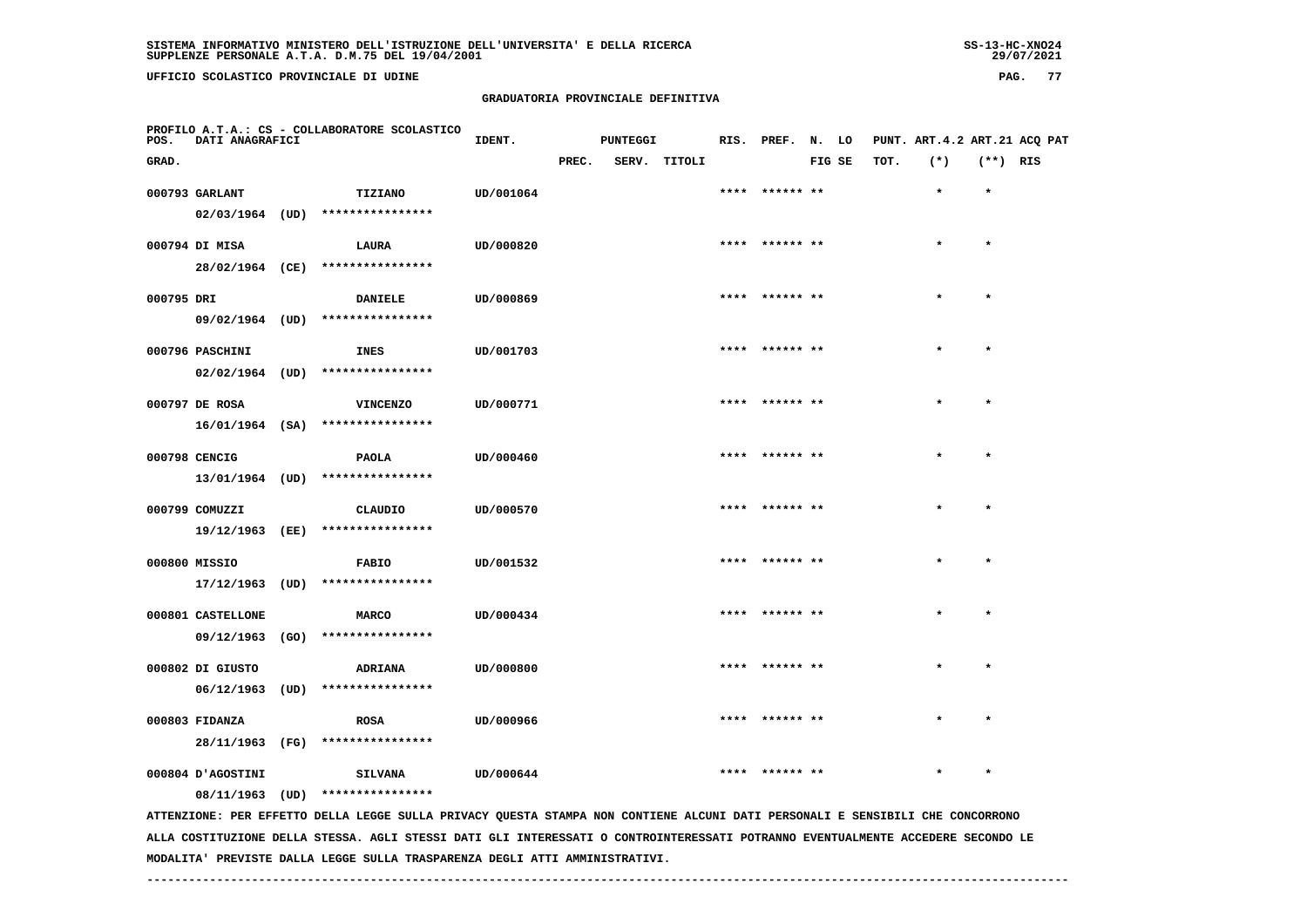# **GRADUATORIA PROVINCIALE DEFINITIVA**

| POS.       | DATI ANAGRAFICI   |      | PROFILO A.T.A.: CS - COLLABORATORE SCOLASTICO                                                                                 | IDENT.    |       | <b>PUNTEGGI</b> |              |      | RIS. PREF. N. LO |        |      | PUNT. ART. 4.2 ART. 21 ACQ PAT |            |  |
|------------|-------------------|------|-------------------------------------------------------------------------------------------------------------------------------|-----------|-------|-----------------|--------------|------|------------------|--------|------|--------------------------------|------------|--|
| GRAD.      |                   |      |                                                                                                                               |           | PREC. |                 | SERV. TITOLI |      |                  | FIG SE | TOT. | $(*)$                          | $(**)$ RIS |  |
|            | 000793 GARLANT    |      | TIZIANO                                                                                                                       | UD/001064 |       |                 |              |      | **** ****** **   |        |      | $\star$                        | $\star$    |  |
|            | $02/03/1964$ (UD) |      | ****************                                                                                                              |           |       |                 |              |      |                  |        |      |                                |            |  |
|            | 000794 DI MISA    |      | LAURA                                                                                                                         | UD/000820 |       |                 |              |      | **** ****** **   |        |      |                                | $\star$    |  |
|            |                   |      | ****************                                                                                                              |           |       |                 |              |      |                  |        |      |                                |            |  |
|            | 28/02/1964 (CE)   |      |                                                                                                                               |           |       |                 |              |      |                  |        |      |                                |            |  |
| 000795 DRI |                   |      | <b>DANIELE</b>                                                                                                                | UD/000869 |       |                 |              |      | ****  ****** **  |        |      | $\star$                        | $\star$    |  |
|            |                   |      | 09/02/1964 (UD) ****************                                                                                              |           |       |                 |              |      |                  |        |      |                                |            |  |
|            | 000796 PASCHINI   |      | <b>INES</b>                                                                                                                   | UD/001703 |       |                 |              |      |                  |        |      |                                | $\star$    |  |
|            |                   |      | $02/02/1964$ (UD) ****************                                                                                            |           |       |                 |              |      |                  |        |      |                                |            |  |
|            |                   |      |                                                                                                                               |           |       |                 |              |      | **** ****** **   |        |      |                                | $\star$    |  |
|            | 000797 DE ROSA    |      | <b>VINCENZO</b>                                                                                                               | UD/000771 |       |                 |              |      |                  |        |      |                                |            |  |
|            | $16/01/1964$ (SA) |      | ****************                                                                                                              |           |       |                 |              |      |                  |        |      |                                |            |  |
|            | 000798 CENCIG     |      | <b>PAOLA</b>                                                                                                                  | UD/000460 |       |                 |              |      | **** ****** **   |        |      |                                | $\star$    |  |
|            | 13/01/1964 (UD)   |      | ****************                                                                                                              |           |       |                 |              |      |                  |        |      |                                |            |  |
|            | 000799 COMUZZI    |      | CLAUDIO                                                                                                                       | UD/000570 |       |                 |              |      | ****  ****** **  |        |      |                                | $\star$    |  |
|            | 19/12/1963 (EE)   |      | ****************                                                                                                              |           |       |                 |              |      |                  |        |      |                                |            |  |
|            |                   |      |                                                                                                                               |           |       |                 |              |      |                  |        |      |                                |            |  |
|            | 000800 MISSIO     |      | <b>FABIO</b>                                                                                                                  | UD/001532 |       |                 |              |      |                  |        |      |                                | $\star$    |  |
|            | 17/12/1963 (UD)   |      | ****************                                                                                                              |           |       |                 |              |      |                  |        |      |                                |            |  |
|            | 000801 CASTELLONE |      | <b>MARCO</b>                                                                                                                  | UD/000434 |       |                 |              |      | **** ****** **   |        |      | $\star$                        | $\star$    |  |
|            |                   |      | 09/12/1963 (GO) ****************                                                                                              |           |       |                 |              |      |                  |        |      |                                |            |  |
|            | 000802 DI GIUSTO  |      | ADRIANA                                                                                                                       | UD/000800 |       |                 |              | **** |                  |        |      |                                |            |  |
|            | 06/12/1963        | (UD) | ****************                                                                                                              |           |       |                 |              |      |                  |        |      |                                |            |  |
|            |                   |      |                                                                                                                               |           |       |                 |              |      |                  |        |      |                                |            |  |
|            | 000803 FIDANZA    |      | <b>ROSA</b>                                                                                                                   | UD/000966 |       |                 |              |      | ****  ****** **  |        |      | $\star$                        | $\star$    |  |
|            | 28/11/1963 (FG)   |      | ****************                                                                                                              |           |       |                 |              |      |                  |        |      |                                |            |  |
|            | 000804 D'AGOSTINI |      | <b>SILVANA</b>                                                                                                                | UD/000644 |       |                 |              | **** | ****** **        |        |      |                                | $\star$    |  |
|            | 08/11/1963 (UD)   |      | ****************                                                                                                              |           |       |                 |              |      |                  |        |      |                                |            |  |
|            |                   |      | ATTENZIONE: PER EFFETTO DELLA LEGGE SULLA PRIVACY QUESTA STAMPA NON CONTIENE ALCUNI DATI PERSONALI E SENSIBILI CHE CONCORRONO |           |       |                 |              |      |                  |        |      |                                |            |  |

 **ALLA COSTITUZIONE DELLA STESSA. AGLI STESSI DATI GLI INTERESSATI O CONTROINTERESSATI POTRANNO EVENTUALMENTE ACCEDERE SECONDO LE MODALITA' PREVISTE DALLA LEGGE SULLA TRASPARENZA DEGLI ATTI AMMINISTRATIVI.**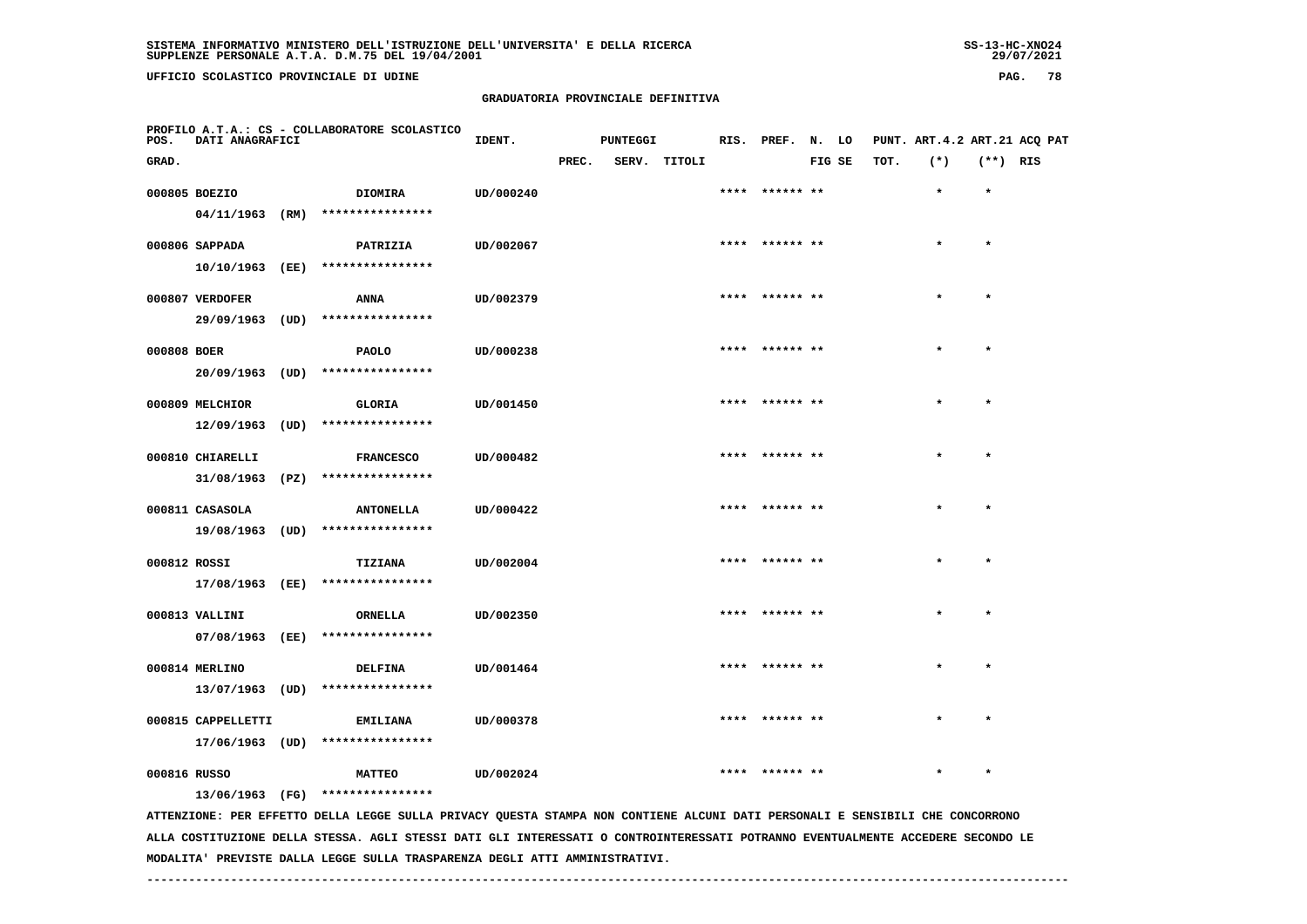# **GRADUATORIA PROVINCIALE DEFINITIVA**

| POS.         | DATI ANAGRAFICI                       |      | PROFILO A.T.A.: CS - COLLABORATORE SCOLASTICO                                                                                 | IDENT.    |       | <b>PUNTEGGI</b> |              | RIS. PREF. N. LO |        |      | PUNT. ART.4.2 ART.21 ACQ PAT |            |  |
|--------------|---------------------------------------|------|-------------------------------------------------------------------------------------------------------------------------------|-----------|-------|-----------------|--------------|------------------|--------|------|------------------------------|------------|--|
| GRAD.        |                                       |      |                                                                                                                               |           | PREC. |                 | SERV. TITOLI |                  | FIG SE | TOT. | $(*)$                        | $(**)$ RIS |  |
|              | 000805 BOEZIO<br>04/11/1963 (RM)      |      | <b>DIOMIRA</b><br>****************                                                                                            | UD/000240 |       |                 |              |                  |        |      | $\star$                      | $\star$    |  |
|              | 000806 SAPPADA<br>10/10/1963 (EE)     |      | PATRIZIA<br>****************                                                                                                  | UD/002067 |       |                 |              | **** ****** **   |        |      | $\star$                      | $\star$    |  |
|              | 000807 VERDOFER<br>29/09/1963 (UD)    |      | ANNA<br>****************                                                                                                      | UD/002379 |       |                 |              |                  |        |      |                              | $\star$    |  |
| 000808 BOER  |                                       |      | <b>PAOLO</b><br>20/09/1963 (UD) ****************                                                                              | UD/000238 |       |                 |              | **** ****** **   |        |      | $\bullet$                    | $\star$    |  |
|              | 000809 MELCHIOR<br>12/09/1963         | (UD) | <b>GLORIA</b><br>****************                                                                                             | UD/001450 |       |                 |              |                  |        |      |                              |            |  |
|              | 000810 CHIARELLI<br>31/08/1963        | (PZ) | <b>FRANCESCO</b><br>****************                                                                                          | UD/000482 |       |                 |              | ****  ****** **  |        |      | $\star$                      | $\star$    |  |
|              | 000811 CASASOLA<br>19/08/1963 (UD)    |      | <b>ANTONELLA</b><br>****************                                                                                          | UD/000422 |       |                 |              |                  |        |      |                              | $\star$    |  |
| 000812 ROSSI | 17/08/1963 (EE)                       |      | TIZIANA<br>****************                                                                                                   | UD/002004 |       |                 |              | **** ****** **   |        |      |                              | $\bullet$  |  |
|              | 000813 VALLINI<br>07/08/1963 (EE)     |      | <b>ORNELLA</b><br>****************                                                                                            | UD/002350 |       |                 |              |                  |        |      |                              | $\star$    |  |
|              | 000814 MERLINO<br>13/07/1963 (UD)     |      | <b>DELFINA</b><br>****************                                                                                            | UD/001464 |       |                 |              | **** ****** **   |        |      |                              | $\star$    |  |
|              | 000815 CAPPELLETTI<br>17/06/1963 (UD) |      | <b>EMILIANA</b><br>****************                                                                                           | UD/000378 |       |                 |              |                  |        |      |                              |            |  |
| 000816 RUSSO |                                       |      | <b>MATTEO</b><br>13/06/1963 (FG) ****************                                                                             | UD/002024 |       |                 |              | ****  ****** **  |        |      |                              | $\star$    |  |
|              |                                       |      | ATTENZIONE: PER EFFETTO DELLA LEGGE SULLA PRIVACY QUESTA STAMPA NON CONTIENE ALCUNI DATI PERSONALI E SENSIBILI CHE CONCORRONO |           |       |                 |              |                  |        |      |                              |            |  |

 **ALLA COSTITUZIONE DELLA STESSA. AGLI STESSI DATI GLI INTERESSATI O CONTROINTERESSATI POTRANNO EVENTUALMENTE ACCEDERE SECONDO LE MODALITA' PREVISTE DALLA LEGGE SULLA TRASPARENZA DEGLI ATTI AMMINISTRATIVI.**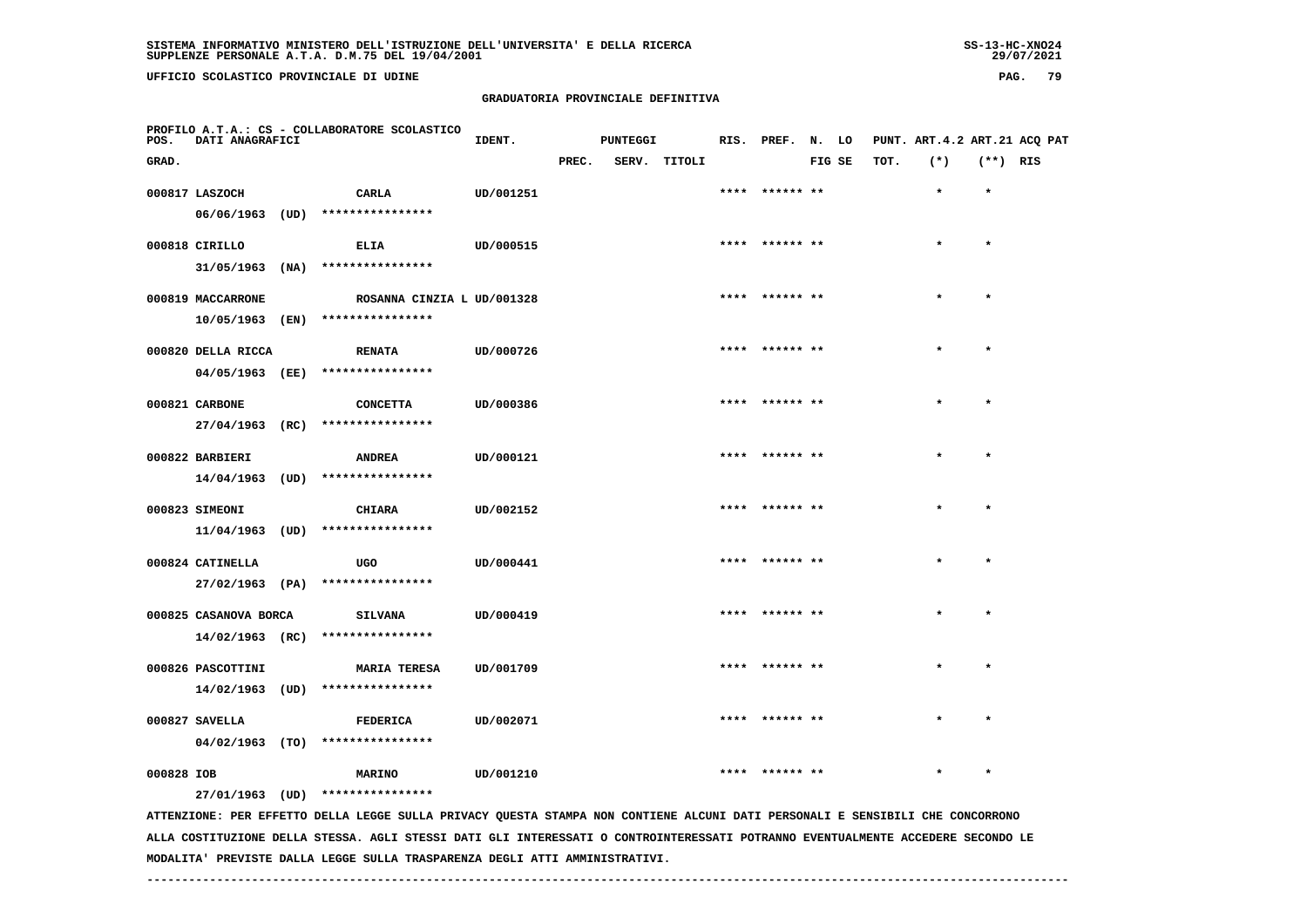# **GRADUATORIA PROVINCIALE DEFINITIVA**

| <b>PAG.</b> |  | 79 |
|-------------|--|----|
|-------------|--|----|

| POS.       | DATI ANAGRAFICI       |      | PROFILO A.T.A.: CS - COLLABORATORE SCOLASTICO | IDENT.    | <b>PUNTEGGI</b> |  | RIS. PREF. N. LO |                |        | PUNT. ART. 4.2 ART. 21 ACQ PAT |         |            |  |
|------------|-----------------------|------|-----------------------------------------------|-----------|-----------------|--|------------------|----------------|--------|--------------------------------|---------|------------|--|
| GRAD.      |                       |      |                                               |           | PREC.           |  | SERV. TITOLI     |                | FIG SE | TOT.                           | $(*)$   | $(**)$ RIS |  |
|            | 000817 LASZOCH        |      | CARLA                                         | UD/001251 |                 |  |                  | **** ****** ** |        |                                | $\star$ | $\star$    |  |
|            | 06/06/1963 (UD)       |      | ****************                              |           |                 |  |                  |                |        |                                |         |            |  |
|            | 000818 CIRILLO        |      | ELIA                                          | UD/000515 |                 |  |                  | **** ****** ** |        |                                | $\star$ | $\star$    |  |
|            | $31/05/1963$ (NA)     |      | ****************                              |           |                 |  |                  |                |        |                                |         |            |  |
|            | 000819 MACCARRONE     |      | ROSANNA CINZIA L UD/001328                    |           |                 |  |                  | **** ****** ** |        |                                |         | $\star$    |  |
|            | 10/05/1963            | (EN) | ****************                              |           |                 |  |                  |                |        |                                |         |            |  |
|            | 000820 DELLA RICCA    |      | <b>RENATA</b>                                 | UD/000726 |                 |  |                  | **** ****** ** |        |                                | $\star$ | $\star$    |  |
|            | 04/05/1963 (EE)       |      | ****************                              |           |                 |  |                  |                |        |                                |         |            |  |
|            | 000821 CARBONE        |      | <b>CONCETTA</b>                               | UD/000386 |                 |  |                  | **** ****** ** |        |                                | $\star$ | $\star$    |  |
|            | 27/04/1963 (RC)       |      | ****************                              |           |                 |  |                  |                |        |                                |         |            |  |
|            | 000822 BARBIERI       |      | <b>ANDREA</b>                                 | UD/000121 |                 |  |                  | **** ****** ** |        |                                | $\star$ | $\star$    |  |
|            | 14/04/1963 (UD)       |      | ****************                              |           |                 |  |                  |                |        |                                |         |            |  |
|            | 000823 SIMEONI        |      | <b>CHIARA</b>                                 | UD/002152 |                 |  |                  | **** ****** ** |        |                                |         | $\star$    |  |
|            | 11/04/1963            | (UD) | ****************                              |           |                 |  |                  |                |        |                                |         |            |  |
|            | 000824 CATINELLA      |      | UGO                                           | UD/000441 |                 |  |                  | **** ****** ** |        |                                | $\star$ | $\star$    |  |
|            | 27/02/1963 (PA)       |      | ****************                              |           |                 |  |                  |                |        |                                |         |            |  |
|            | 000825 CASANOVA BORCA |      | <b>SILVANA</b>                                | UD/000419 |                 |  |                  | **** ****** ** |        |                                | $\star$ | $\star$    |  |
|            | $14/02/1963$ (RC)     |      | ****************                              |           |                 |  |                  |                |        |                                |         |            |  |
|            | 000826 PASCOTTINI     |      | <b>MARIA TERESA</b>                           | UD/001709 |                 |  |                  | **** ****** ** |        |                                |         | $\star$    |  |
|            | $14/02/1963$ (UD)     |      | ****************                              |           |                 |  |                  |                |        |                                |         |            |  |
|            | 000827 SAVELLA        |      | <b>FEDERICA</b>                               | UD/002071 |                 |  |                  | **** ****** ** |        |                                |         | $\star$    |  |
|            |                       |      | 04/02/1963 (TO) ****************              |           |                 |  |                  |                |        |                                |         |            |  |
| 000828 IOB |                       |      | <b>MARINO</b>                                 | UD/001210 |                 |  |                  | **** ****** ** |        |                                | $\star$ | $\star$    |  |
|            |                       |      | 27/01/1963 (UD) ****************              |           |                 |  |                  |                |        |                                |         |            |  |

 **ATTENZIONE: PER EFFETTO DELLA LEGGE SULLA PRIVACY QUESTA STAMPA NON CONTIENE ALCUNI DATI PERSONALI E SENSIBILI CHE CONCORRONO ALLA COSTITUZIONE DELLA STESSA. AGLI STESSI DATI GLI INTERESSATI O CONTROINTERESSATI POTRANNO EVENTUALMENTE ACCEDERE SECONDO LE MODALITA' PREVISTE DALLA LEGGE SULLA TRASPARENZA DEGLI ATTI AMMINISTRATIVI.**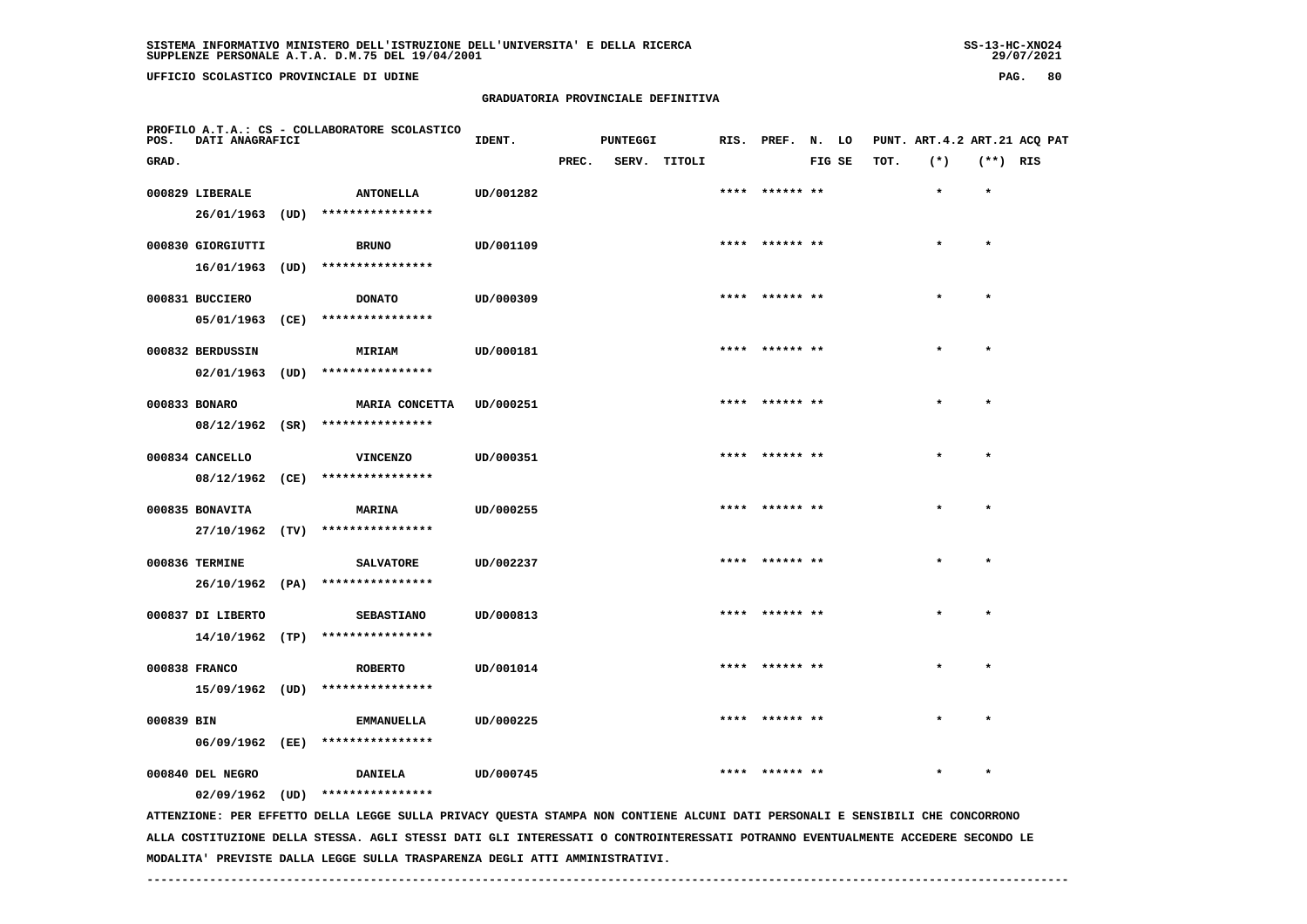# **GRADUATORIA PROVINCIALE DEFINITIVA**

| POS.       | <b>DATI ANAGRAFICI</b> |      | PROFILO A.T.A.: CS - COLLABORATORE SCOLASTICO                                                                                 | IDENT.    |       | <b>PUNTEGGI</b> |        |      | RIS. PREF. N. LO |        |      | PUNT. ART. 4.2 ART. 21 ACQ PAT |            |  |
|------------|------------------------|------|-------------------------------------------------------------------------------------------------------------------------------|-----------|-------|-----------------|--------|------|------------------|--------|------|--------------------------------|------------|--|
| GRAD.      |                        |      |                                                                                                                               |           | PREC. | SERV.           | TITOLI |      |                  | FIG SE | TOT. | $(*)$                          | $(**)$ RIS |  |
|            | 000829 LIBERALE        |      | <b>ANTONELLA</b>                                                                                                              | UD/001282 |       |                 |        | **** | ****** **        |        |      | $\star$                        | $\star$    |  |
|            | 26/01/1963             | (UD) | ****************                                                                                                              |           |       |                 |        |      |                  |        |      |                                |            |  |
|            | 000830 GIORGIUTTI      |      | <b>BRUNO</b>                                                                                                                  | UD/001109 |       |                 |        |      |                  |        |      |                                | $\star$    |  |
|            | 16/01/1963             | (UD) | ****************                                                                                                              |           |       |                 |        |      |                  |        |      |                                |            |  |
|            | 000831 BUCCIERO        |      | <b>DONATO</b>                                                                                                                 | UD/000309 |       |                 |        |      | **** ****** **   |        |      |                                |            |  |
|            | 05/01/1963 (CE)        |      | ****************                                                                                                              |           |       |                 |        |      |                  |        |      |                                |            |  |
|            | 000832 BERDUSSIN       |      | <b>MIRIAM</b>                                                                                                                 | UD/000181 |       |                 |        |      | **** ****** **   |        |      |                                |            |  |
|            | 02/01/1963             | (UD) | ****************                                                                                                              |           |       |                 |        |      |                  |        |      |                                |            |  |
|            | 000833 BONARO          |      | <b>MARIA CONCETTA</b>                                                                                                         | UD/000251 |       |                 |        |      |                  |        |      |                                |            |  |
|            | $08/12/1962$ (SR)      |      | ****************                                                                                                              |           |       |                 |        |      |                  |        |      |                                |            |  |
|            | 000834 CANCELLO        |      | <b>VINCENZO</b>                                                                                                               | UD/000351 |       |                 |        |      | **** ****** **   |        |      |                                | $\star$    |  |
|            | 08/12/1962 (CE)        |      | ****************                                                                                                              |           |       |                 |        |      |                  |        |      |                                |            |  |
|            | 000835 BONAVITA        |      | <b>MARINA</b>                                                                                                                 | UD/000255 |       |                 |        |      | ****  ****** **  |        |      |                                | $\star$    |  |
|            | 27/10/1962 (TV)        |      | ****************                                                                                                              |           |       |                 |        |      |                  |        |      |                                |            |  |
|            | 000836 TERMINE         |      | <b>SALVATORE</b>                                                                                                              | UD/002237 |       |                 |        |      | **** ****** **   |        |      | $\star$                        | $\star$    |  |
|            |                        |      | 26/10/1962 (PA) ****************                                                                                              |           |       |                 |        |      |                  |        |      |                                |            |  |
|            | 000837 DI LIBERTO      |      | <b>SEBASTIANO</b>                                                                                                             | UD/000813 |       |                 |        |      |                  |        |      |                                |            |  |
|            |                        |      | 14/10/1962 (TP) ****************                                                                                              |           |       |                 |        |      |                  |        |      |                                |            |  |
|            | 000838 FRANCO          |      | <b>ROBERTO</b>                                                                                                                | UD/001014 |       |                 |        |      | ****  ****** **  |        |      |                                |            |  |
|            | 15/09/1962 (UD)        |      | ****************                                                                                                              |           |       |                 |        |      |                  |        |      |                                |            |  |
| 000839 BIN |                        |      | <b>EMMANUELLA</b>                                                                                                             | UD/000225 |       |                 |        |      | **** ****** **   |        |      | $\star$                        | $\star$    |  |
|            | 06/09/1962 (EE)        |      | ****************                                                                                                              |           |       |                 |        |      |                  |        |      |                                |            |  |
|            | 000840 DEL NEGRO       |      | DANIELA                                                                                                                       | UD/000745 |       |                 |        |      |                  |        |      |                                | $\star$    |  |
|            | $02/09/1962$ (UD)      |      | ****************                                                                                                              |           |       |                 |        |      |                  |        |      |                                |            |  |
|            |                        |      | ATTENZIONE: PER EFFETTO DELLA LEGGE SULLA PRIVACY QUESTA STAMPA NON CONTIENE ALCUNI DATI PERSONALI E SENSIBILI CHE CONCORRONO |           |       |                 |        |      |                  |        |      |                                |            |  |

 **ALLA COSTITUZIONE DELLA STESSA. AGLI STESSI DATI GLI INTERESSATI O CONTROINTERESSATI POTRANNO EVENTUALMENTE ACCEDERE SECONDO LE MODALITA' PREVISTE DALLA LEGGE SULLA TRASPARENZA DEGLI ATTI AMMINISTRATIVI.**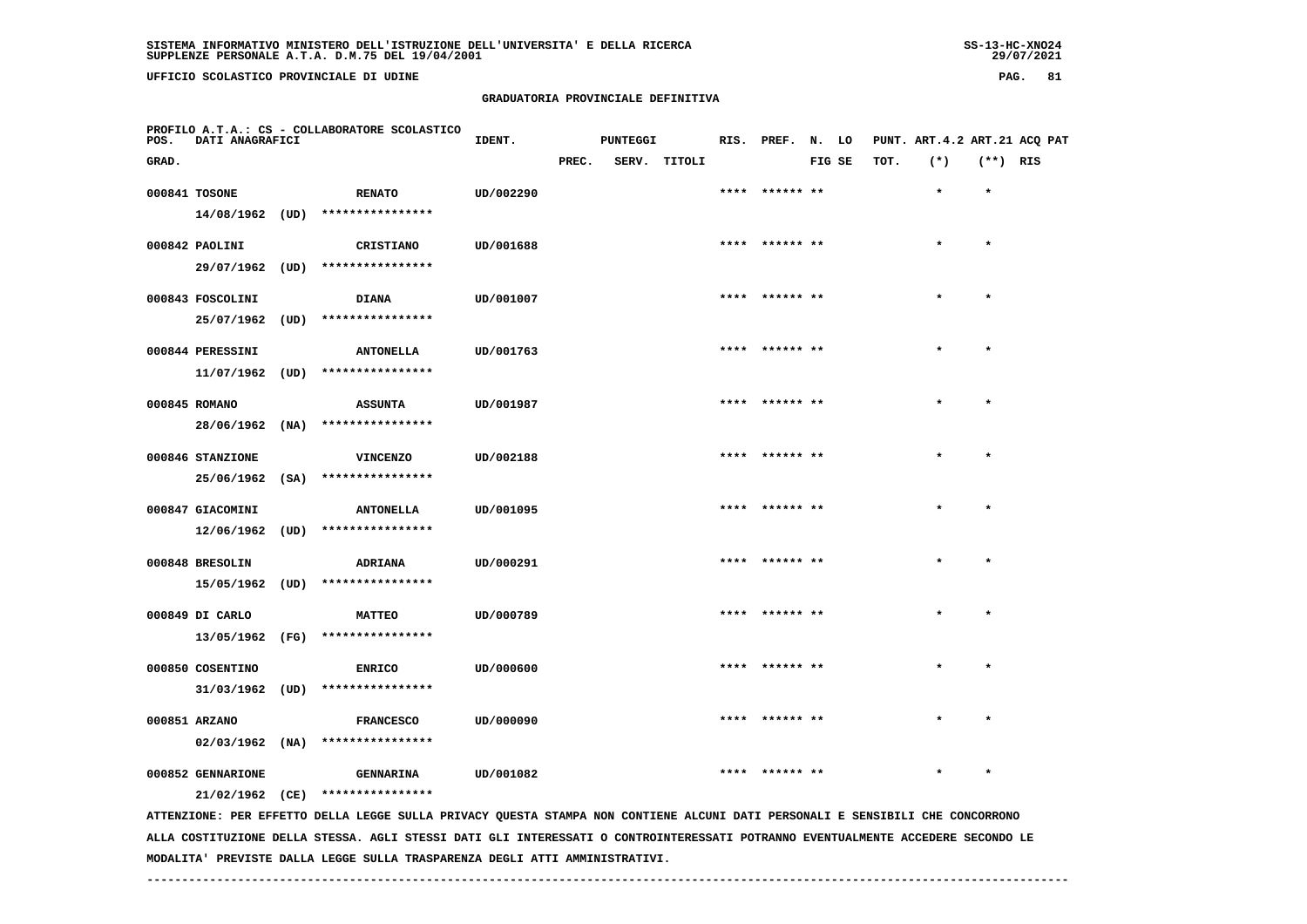# **GRADUATORIA PROVINCIALE DEFINITIVA**

| POS.  | DATI ANAGRAFICI   |      | PROFILO A.T.A.: CS - COLLABORATORE SCOLASTICO                                                                                 | IDENT.    |       | PUNTEGGI |        |      | RIS. PREF.      | N. LO  |      | PUNT. ART.4.2 ART.21 ACQ PAT |            |  |
|-------|-------------------|------|-------------------------------------------------------------------------------------------------------------------------------|-----------|-------|----------|--------|------|-----------------|--------|------|------------------------------|------------|--|
| GRAD. |                   |      |                                                                                                                               |           | PREC. | SERV.    | TITOLI |      |                 | FIG SE | TOT. | $(*)$                        | $(**)$ RIS |  |
|       | 000841 TOSONE     |      | <b>RENATO</b>                                                                                                                 | UD/002290 |       |          |        |      |                 |        |      | $\star$                      | $\star$    |  |
|       | 14/08/1962 (UD)   |      | ****************                                                                                                              |           |       |          |        |      |                 |        |      |                              |            |  |
|       | 000842 PAOLINI    |      | CRISTIANO                                                                                                                     | UD/001688 |       |          |        |      | ****** **       |        |      |                              | $\star$    |  |
|       | 29/07/1962 (UD)   |      | ****************                                                                                                              |           |       |          |        |      |                 |        |      |                              |            |  |
|       | 000843 FOSCOLINI  |      | <b>DIANA</b>                                                                                                                  | UD/001007 |       |          |        |      | ****  ****** ** |        |      | $\star$                      | $\star$    |  |
|       | 25/07/1962        | (UD) | ****************                                                                                                              |           |       |          |        |      |                 |        |      |                              |            |  |
|       | 000844 PERESSINI  |      | <b>ANTONELLA</b>                                                                                                              | UD/001763 |       |          |        |      |                 |        |      |                              | $\star$    |  |
|       | 11/07/1962        | (UD) | ****************                                                                                                              |           |       |          |        |      |                 |        |      |                              |            |  |
|       | 000845 ROMANO     |      | <b>ASSUNTA</b>                                                                                                                | UD/001987 |       |          |        |      | **** ****** **  |        |      |                              | $\bullet$  |  |
|       | 28/06/1962        | (NA) | ****************                                                                                                              |           |       |          |        |      |                 |        |      |                              |            |  |
|       | 000846 STANZIONE  |      | <b>VINCENZO</b>                                                                                                               | UD/002188 |       |          |        |      |                 |        |      |                              |            |  |
|       | 25/06/1962        | (SA) | ****************                                                                                                              |           |       |          |        |      |                 |        |      |                              |            |  |
|       | 000847 GIACOMINI  |      | <b>ANTONELLA</b>                                                                                                              | UD/001095 |       |          |        |      | ****  ****** ** |        |      |                              | $\star$    |  |
|       | 12/06/1962        | (UD) | ****************                                                                                                              |           |       |          |        |      |                 |        |      |                              |            |  |
|       | 000848 BRESOLIN   |      | ADRIANA                                                                                                                       | UD/000291 |       |          |        | **** | ****** **       |        |      |                              | $\star$    |  |
|       | 15/05/1962 (UD)   |      | ****************                                                                                                              |           |       |          |        |      |                 |        |      |                              |            |  |
|       | 000849 DI CARLO   |      | <b>MATTEO</b>                                                                                                                 | UD/000789 |       |          |        |      |                 |        |      |                              | $\star$    |  |
|       |                   |      | 13/05/1962 (FG) ****************                                                                                              |           |       |          |        |      |                 |        |      |                              |            |  |
|       | 000850 COSENTINO  |      | <b>ENRICO</b>                                                                                                                 | UD/000600 |       |          |        | **** | ****** **       |        |      |                              |            |  |
|       | 31/03/1962        | (UD) | ****************                                                                                                              |           |       |          |        |      |                 |        |      |                              |            |  |
|       | 000851 ARZANO     |      | <b>FRANCESCO</b>                                                                                                              | UD/000090 |       |          |        |      |                 |        |      |                              |            |  |
|       | $02/03/1962$ (NA) |      | ****************                                                                                                              |           |       |          |        |      |                 |        |      |                              |            |  |
|       | 000852 GENNARIONE |      | <b>GENNARINA</b>                                                                                                              | UD/001082 |       |          |        |      |                 |        |      |                              |            |  |
|       | 21/02/1962        | (CE) | ****************                                                                                                              |           |       |          |        |      |                 |        |      |                              |            |  |
|       |                   |      | ATTENZIONE: PER EFFETTO DELLA LEGGE SULLA PRIVACY QUESTA STAMPA NON CONTIENE ALCUNI DATI PERSONALI E SENSIBILI CHE CONCORRONO |           |       |          |        |      |                 |        |      |                              |            |  |

 **ALLA COSTITUZIONE DELLA STESSA. AGLI STESSI DATI GLI INTERESSATI O CONTROINTERESSATI POTRANNO EVENTUALMENTE ACCEDERE SECONDO LE MODALITA' PREVISTE DALLA LEGGE SULLA TRASPARENZA DEGLI ATTI AMMINISTRATIVI.**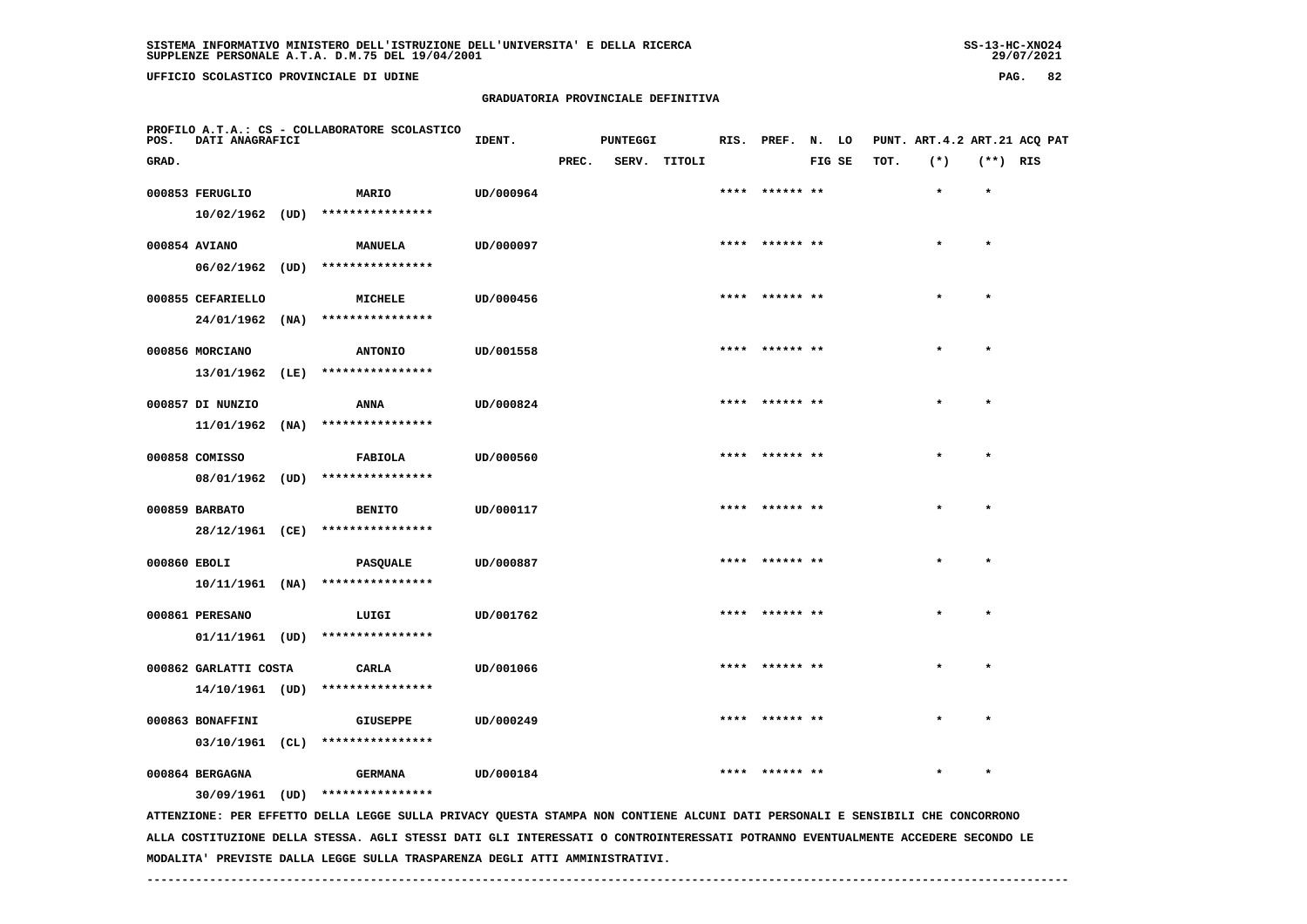# **GRADUATORIA PROVINCIALE DEFINITIVA**

| POS.         | DATI ANAGRAFICI                       |      | PROFILO A.T.A.: CS - COLLABORATORE SCOLASTICO                                                                                 | IDENT.    |       | <b>PUNTEGGI</b> |        |      | RIS. PREF.     | N. LO  |      | PUNT. ART. 4.2 ART. 21 ACQ PAT |            |  |
|--------------|---------------------------------------|------|-------------------------------------------------------------------------------------------------------------------------------|-----------|-------|-----------------|--------|------|----------------|--------|------|--------------------------------|------------|--|
| GRAD.        |                                       |      |                                                                                                                               |           | PREC. | SERV.           | TITOLI |      |                | FIG SE | TOT. | $(*)$                          | $(**)$ RIS |  |
|              | 000853 FERUGLIO                       |      | MARIO                                                                                                                         | UD/000964 |       |                 |        | **** | ****** **      |        |      | $\star$                        | $\star$    |  |
|              | 10/02/1962                            | (UD) | ****************                                                                                                              |           |       |                 |        |      |                |        |      |                                |            |  |
|              | 000854 AVIANO                         |      | <b>MANUELA</b>                                                                                                                | UD/000097 |       |                 |        |      | **** ****** ** |        |      | $\star$                        | $\star$    |  |
|              | 06/02/1962                            |      | $(UD)$ *****************                                                                                                      |           |       |                 |        |      |                |        |      |                                |            |  |
|              | 000855 CEFARIELLO                     |      | <b>MICHELE</b>                                                                                                                | UD/000456 |       |                 |        |      |                |        |      |                                |            |  |
|              | 24/01/1962                            | (NA) | ****************                                                                                                              |           |       |                 |        |      |                |        |      |                                |            |  |
|              | 000856 MORCIANO                       |      | <b>ANTONIO</b>                                                                                                                | UD/001558 |       |                 |        |      |                |        |      |                                |            |  |
|              | 13/01/1962                            | (LE) | ****************                                                                                                              |           |       |                 |        |      |                |        |      |                                |            |  |
|              | 000857 DI NUNZIO                      |      | <b>ANNA</b>                                                                                                                   | UD/000824 |       |                 |        |      | ****** **      |        |      | $\bullet$                      | $\bullet$  |  |
|              | 11/01/1962                            | (NA) | ****************                                                                                                              |           |       |                 |        |      |                |        |      |                                |            |  |
|              | 000858 COMISSO                        |      | <b>FABIOLA</b>                                                                                                                | UD/000560 |       |                 |        |      | **** ****** ** |        |      | $\star$                        | $\star$    |  |
|              | 08/01/1962                            | (UD) | ****************                                                                                                              |           |       |                 |        |      |                |        |      |                                |            |  |
|              | 000859 BARBATO                        |      | <b>BENITO</b>                                                                                                                 | UD/000117 |       |                 |        |      | ****** **      |        |      |                                | $\star$    |  |
|              | 28/12/1961 (CE)                       |      | ****************                                                                                                              |           |       |                 |        |      |                |        |      |                                |            |  |
| 000860 EBOLI |                                       |      | <b>PASQUALE</b>                                                                                                               | UD/000887 |       |                 |        |      |                |        |      |                                | $\star$    |  |
|              | $10/11/1961$ (NA)                     |      | ****************                                                                                                              |           |       |                 |        |      |                |        |      |                                |            |  |
|              | 000861 PERESANO                       |      | LUIGI                                                                                                                         | UD/001762 |       |                 |        |      | **** ****** ** |        |      |                                | $\star$    |  |
|              | 01/11/1961 (UD)                       |      | ****************                                                                                                              |           |       |                 |        |      |                |        |      |                                |            |  |
|              | 000862 GARLATTI COSTA                 |      | CARLA                                                                                                                         | UD/001066 |       |                 |        |      | ****** **      |        |      |                                |            |  |
|              | 14/10/1961 (UD)                       |      | ****************                                                                                                              |           |       |                 |        |      |                |        |      |                                |            |  |
|              |                                       |      |                                                                                                                               |           |       |                 |        | **** | ****** **      |        |      |                                | $\bullet$  |  |
|              | 000863 BONAFFINI<br>$03/10/1961$ (CL) |      | <b>GIUSEPPE</b><br>****************                                                                                           | UD/000249 |       |                 |        |      |                |        |      |                                |            |  |
|              |                                       |      |                                                                                                                               |           |       |                 |        |      |                |        |      |                                |            |  |
|              | 000864 BERGAGNA                       |      | <b>GERMANA</b><br>30/09/1961 (UD) ****************                                                                            | UD/000184 |       |                 |        |      |                |        |      |                                |            |  |
|              |                                       |      | ATTENZIONE: PER EFFETTO DELLA LEGGE SULLA PRIVACY QUESTA STAMPA NON CONTIENE ALCUNI DATI PERSONALI E SENSIBILI CHE CONCORRONO |           |       |                 |        |      |                |        |      |                                |            |  |

 **ALLA COSTITUZIONE DELLA STESSA. AGLI STESSI DATI GLI INTERESSATI O CONTROINTERESSATI POTRANNO EVENTUALMENTE ACCEDERE SECONDO LE MODALITA' PREVISTE DALLA LEGGE SULLA TRASPARENZA DEGLI ATTI AMMINISTRATIVI.**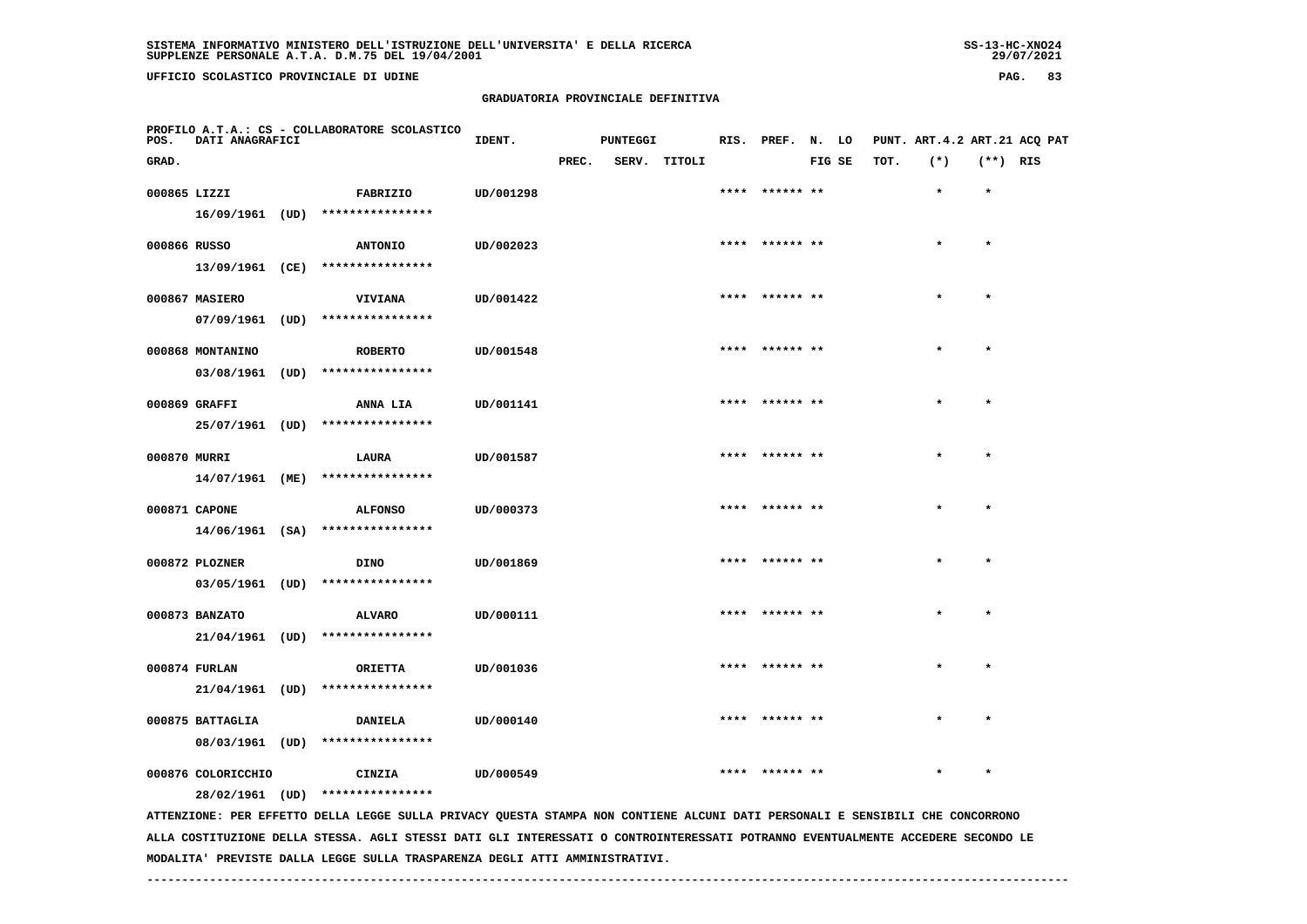# **GRADUATORIA PROVINCIALE DEFINITIVA**

| POS.         | DATI ANAGRAFICI    | PROFILO A.T.A.: CS - COLLABORATORE SCOLASTICO                                                                                 | IDENT.    |       | <b>PUNTEGGI</b> |              | RIS. PREF.      | N. LO  |      | PUNT. ART. 4.2 ART. 21 ACO PAT |            |  |
|--------------|--------------------|-------------------------------------------------------------------------------------------------------------------------------|-----------|-------|-----------------|--------------|-----------------|--------|------|--------------------------------|------------|--|
| GRAD.        |                    |                                                                                                                               |           | PREC. |                 | SERV. TITOLI |                 | FIG SE | TOT. | $(*)$                          | $(**)$ RIS |  |
| 000865 LIZZI |                    | FABRIZIO                                                                                                                      | UD/001298 |       |                 |              |                 |        |      | $\star$                        | $\star$    |  |
|              |                    | 16/09/1961 (UD) ****************                                                                                              |           |       |                 |              |                 |        |      |                                |            |  |
| 000866 RUSSO |                    | <b>ANTONIO</b>                                                                                                                | UD/002023 |       |                 |              | **** ****** **  |        |      | $\star$                        | $\star$    |  |
|              |                    | 13/09/1961 (CE) ****************                                                                                              |           |       |                 |              |                 |        |      |                                |            |  |
|              | 000867 MASIERO     | <b>VIVIANA</b>                                                                                                                | UD/001422 |       |                 |              | **** ****** **  |        |      |                                | $\star$    |  |
|              | 07/09/1961 (UD)    | ****************                                                                                                              |           |       |                 |              |                 |        |      |                                |            |  |
|              | 000868 MONTANINO   | <b>ROBERTO</b>                                                                                                                | UD/001548 |       |                 |              |                 |        |      |                                |            |  |
|              | $03/08/1961$ (UD)  | ****************                                                                                                              |           |       |                 |              |                 |        |      |                                |            |  |
|              | 000869 GRAFFI      | <b>ANNA LIA</b>                                                                                                               | UD/001141 |       |                 |              | **** ****** **  |        |      |                                | $\star$    |  |
|              |                    | 25/07/1961 (UD) ****************                                                                                              |           |       |                 |              |                 |        |      |                                |            |  |
|              |                    |                                                                                                                               |           |       |                 |              | ****  ****** ** |        |      | $\star$                        | $\star$    |  |
| 000870 MURRI | 14/07/1961 (ME)    | LAURA<br>****************                                                                                                     | UD/001587 |       |                 |              |                 |        |      |                                |            |  |
|              |                    |                                                                                                                               |           |       |                 |              |                 |        |      |                                |            |  |
|              | 000871 CAPONE      | <b>ALFONSO</b><br>****************                                                                                            | UD/000373 |       |                 |              | **** ****** **  |        |      |                                | $\star$    |  |
|              | $14/06/1961$ (SA)  |                                                                                                                               |           |       |                 |              |                 |        |      |                                |            |  |
|              | 000872 PLOZNER     | <b>DINO</b>                                                                                                                   | UD/001869 |       |                 |              | **** ****** **  |        |      |                                | $\star$    |  |
|              |                    | 03/05/1961 (UD) ****************                                                                                              |           |       |                 |              |                 |        |      |                                |            |  |
|              | 000873 BANZATO     | <b>ALVARO</b>                                                                                                                 | UD/000111 |       |                 |              | **** ****** **  |        |      |                                | $\star$    |  |
|              |                    | 21/04/1961 (UD) ****************                                                                                              |           |       |                 |              |                 |        |      |                                |            |  |
|              | 000874 FURLAN      | <b>ORIETTA</b>                                                                                                                | UD/001036 |       |                 |              | ****  ****** ** |        |      |                                |            |  |
|              | 21/04/1961 (UD)    | ****************                                                                                                              |           |       |                 |              |                 |        |      |                                |            |  |
|              | 000875 BATTAGLIA   | <b>DANIELA</b>                                                                                                                | UD/000140 |       |                 |              | **** ****** **  |        |      |                                |            |  |
|              | 08/03/1961 (UD)    | ****************                                                                                                              |           |       |                 |              |                 |        |      |                                |            |  |
|              | 000876 COLORICCHIO | CINZIA                                                                                                                        | UD/000549 |       |                 |              |                 |        |      |                                | $\star$    |  |
|              |                    | 28/02/1961 (UD) ****************                                                                                              |           |       |                 |              |                 |        |      |                                |            |  |
|              |                    | ATTENZIONE: PER EFFETTO DELLA LEGGE SULLA PRIVACY QUESTA STAMPA NON CONTIENE ALCUNI DATI PERSONALI E SENSIBILI CHE CONCORRONO |           |       |                 |              |                 |        |      |                                |            |  |

 **ALLA COSTITUZIONE DELLA STESSA. AGLI STESSI DATI GLI INTERESSATI O CONTROINTERESSATI POTRANNO EVENTUALMENTE ACCEDERE SECONDO LE MODALITA' PREVISTE DALLA LEGGE SULLA TRASPARENZA DEGLI ATTI AMMINISTRATIVI.**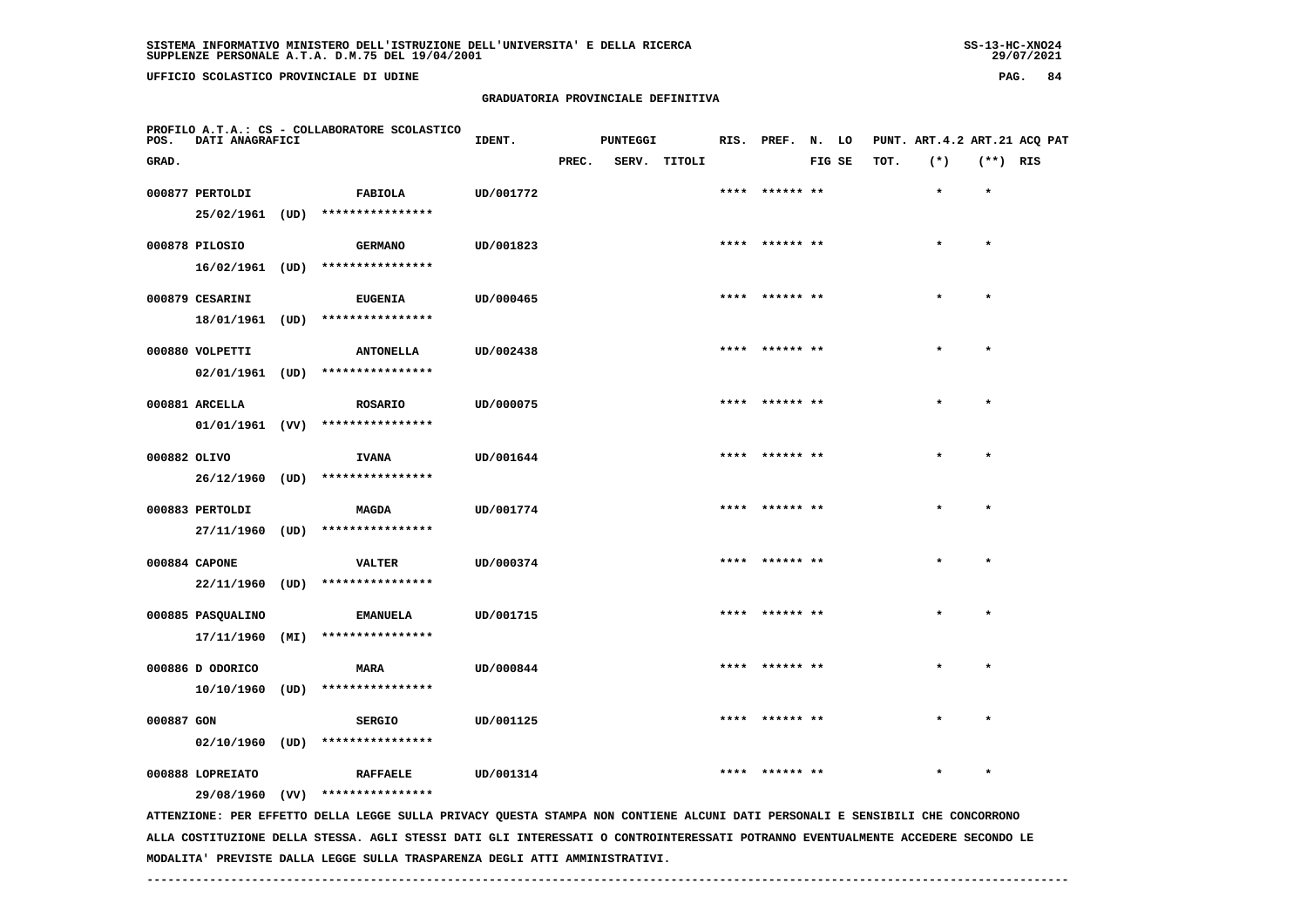**UFFICIO SCOLASTICO PROVINCIALE DI UDINE PAG. 84**

#### **GRADUATORIA PROVINCIALE DEFINITIVA**

| POS.         | <b>DATI ANAGRAFICI</b> |      | PROFILO A.T.A.: CS - COLLABORATORE SCOLASTICO                                                                                 | IDENT.    |       | <b>PUNTEGGI</b> |              |      | RIS. PREF. N. LO |        |      | PUNT. ART. 4.2 ART. 21 ACQ PAT |            |  |
|--------------|------------------------|------|-------------------------------------------------------------------------------------------------------------------------------|-----------|-------|-----------------|--------------|------|------------------|--------|------|--------------------------------|------------|--|
| GRAD.        |                        |      |                                                                                                                               |           | PREC. |                 | SERV. TITOLI |      |                  | FIG SE | TOT. | $(*)$                          | $(**)$ RIS |  |
|              | 000877 PERTOLDI        |      | FABIOLA                                                                                                                       | UD/001772 |       |                 |              | **** | ****** **        |        |      | $\star$                        | $\star$    |  |
|              | 25/02/1961 (UD)        |      | ****************                                                                                                              |           |       |                 |              |      |                  |        |      |                                |            |  |
|              | 000878 PILOSIO         |      | <b>GERMANO</b>                                                                                                                | UD/001823 |       |                 |              |      | **** ****** **   |        |      | $\star$                        | $\star$    |  |
|              |                        |      | 16/02/1961 (UD) ****************                                                                                              |           |       |                 |              |      |                  |        |      |                                |            |  |
|              |                        |      |                                                                                                                               |           |       |                 |              |      |                  |        |      |                                | $\star$    |  |
|              | 000879 CESARINI        |      | <b>EUGENIA</b><br>18/01/1961 (UD) ****************                                                                            | UD/000465 |       |                 |              |      |                  |        |      |                                |            |  |
|              |                        |      |                                                                                                                               |           |       |                 |              |      |                  |        |      |                                |            |  |
|              | 000880 VOLPETTI        |      | <b>ANTONELLA</b>                                                                                                              | UD/002438 |       |                 |              |      | **** ****** **   |        |      |                                |            |  |
|              | $02/01/1961$ (UD)      |      | ****************                                                                                                              |           |       |                 |              |      |                  |        |      |                                |            |  |
|              | 000881 ARCELLA         |      | <b>ROSARIO</b>                                                                                                                | UD/000075 |       |                 |              |      | **** ****** **   |        |      | $\star$                        | $\star$    |  |
|              |                        |      | $01/01/1961$ (VV) ****************                                                                                            |           |       |                 |              |      |                  |        |      |                                |            |  |
| 000882 OLIVO |                        |      |                                                                                                                               | UD/001644 |       |                 |              |      | ****** **        |        |      |                                | $\star$    |  |
|              | 26/12/1960 (UD)        |      | <b>IVANA</b><br>****************                                                                                              |           |       |                 |              |      |                  |        |      |                                |            |  |
|              |                        |      |                                                                                                                               |           |       |                 |              |      |                  |        |      |                                |            |  |
|              | 000883 PERTOLDI        |      | <b>MAGDA</b>                                                                                                                  | UD/001774 |       |                 |              |      | **** ****** **   |        |      |                                | $\star$    |  |
|              | 27/11/1960 (UD)        |      | ****************                                                                                                              |           |       |                 |              |      |                  |        |      |                                |            |  |
|              | 000884 CAPONE          |      | <b>VALTER</b>                                                                                                                 | UD/000374 |       |                 |              |      | ****  ****** **  |        |      | $\star$                        | $\star$    |  |
|              |                        |      | 22/11/1960 (UD) ****************                                                                                              |           |       |                 |              |      |                  |        |      |                                |            |  |
|              | 000885 PASQUALINO      |      |                                                                                                                               | UD/001715 |       |                 |              |      |                  |        |      |                                | $\star$    |  |
|              |                        |      | <b>EMANUELA</b><br>17/11/1960 (MI) ****************                                                                           |           |       |                 |              |      |                  |        |      |                                |            |  |
|              |                        |      |                                                                                                                               |           |       |                 |              |      |                  |        |      |                                |            |  |
|              | 000886 D ODORICO       |      | <b>MARA</b>                                                                                                                   | UD/000844 |       |                 |              | **** |                  |        |      |                                |            |  |
|              | 10/10/1960             | (UD) | ****************                                                                                                              |           |       |                 |              |      |                  |        |      |                                |            |  |
| 000887 GON   |                        |      | <b>SERGIO</b>                                                                                                                 | UD/001125 |       |                 |              |      | ****  ****** **  |        |      | $\star$                        | $\star$    |  |
|              | $02/10/1960$ (UD)      |      | ****************                                                                                                              |           |       |                 |              |      |                  |        |      |                                |            |  |
|              | 000888 LOPREIATO       |      |                                                                                                                               |           |       |                 |              |      |                  |        |      |                                |            |  |
|              |                        |      | <b>RAFFAELE</b><br>29/08/1960 (VV) ****************                                                                           | UD/001314 |       |                 |              |      |                  |        |      |                                |            |  |
|              |                        |      | ATTENZIONE: PER EFFETTO DELLA LEGGE SULLA PRIVACY QUESTA STAMPA NON CONTIENE ALCUNI DATI PERSONALI E SENSIBILI CHE CONCORRONO |           |       |                 |              |      |                  |        |      |                                |            |  |
|              |                        |      |                                                                                                                               |           |       |                 |              |      |                  |        |      |                                |            |  |

 **ALLA COSTITUZIONE DELLA STESSA. AGLI STESSI DATI GLI INTERESSATI O CONTROINTERESSATI POTRANNO EVENTUALMENTE ACCEDERE SECONDO LE MODALITA' PREVISTE DALLA LEGGE SULLA TRASPARENZA DEGLI ATTI AMMINISTRATIVI.**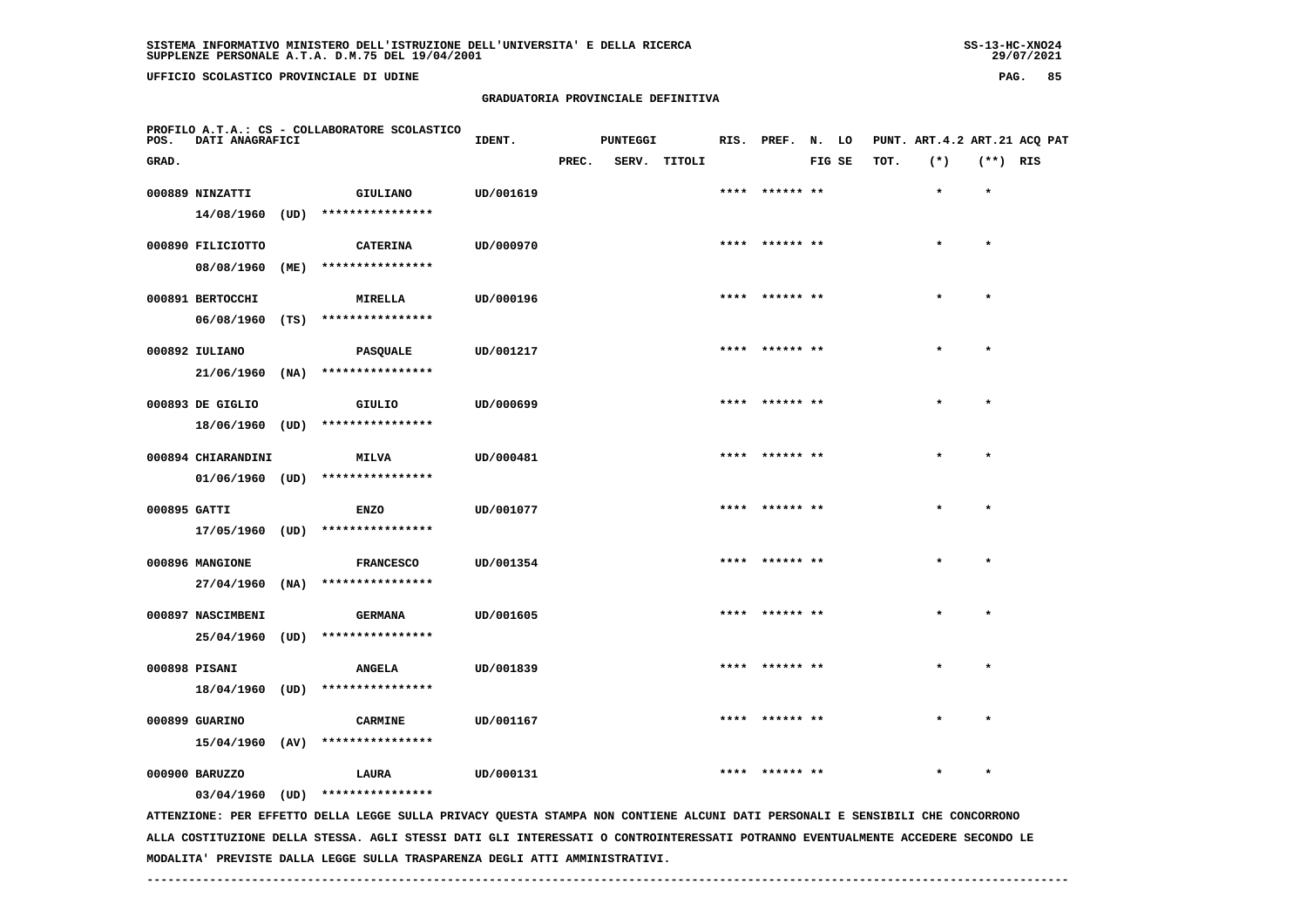**UFFICIO SCOLASTICO PROVINCIALE DI UDINE PAG. 85**

### **GRADUATORIA PROVINCIALE DEFINITIVA**

| POS.         | DATI ANAGRAFICI    |      | PROFILO A.T.A.: CS - COLLABORATORE SCOLASTICO                                                                                 | IDENT.    |       | <b>PUNTEGGI</b> |              |      | RIS. PREF. N. LO |        |      | PUNT. ART. 4.2 ART. 21 ACQ PAT |            |  |
|--------------|--------------------|------|-------------------------------------------------------------------------------------------------------------------------------|-----------|-------|-----------------|--------------|------|------------------|--------|------|--------------------------------|------------|--|
| GRAD.        |                    |      |                                                                                                                               |           | PREC. |                 | SERV. TITOLI |      |                  | FIG SE | TOT. | $(*)$                          | $(**)$ RIS |  |
|              | 000889 NINZATTI    |      | <b>GIULIANO</b>                                                                                                               | UD/001619 |       |                 |              | **** | ****** **        |        |      | $\star$                        | $\star$    |  |
|              | 14/08/1960         | (UD) | ****************                                                                                                              |           |       |                 |              |      |                  |        |      |                                |            |  |
|              | 000890 FILICIOTTO  |      | <b>CATERINA</b>                                                                                                               | UD/000970 |       |                 |              |      | **** ****** **   |        |      | $\star$                        | $\star$    |  |
|              | 08/08/1960         | (ME) | ****************                                                                                                              |           |       |                 |              |      |                  |        |      |                                |            |  |
|              | 000891 BERTOCCHI   |      | <b>MIRELLA</b>                                                                                                                | UD/000196 |       |                 |              |      | **** ****** **   |        |      |                                | $\star$    |  |
|              |                    |      | 06/08/1960 (TS) ****************                                                                                              |           |       |                 |              |      |                  |        |      |                                |            |  |
|              | 000892 IULIANO     |      | PASQUALE                                                                                                                      | UD/001217 |       |                 |              |      |                  |        |      |                                |            |  |
|              | 21/06/1960         | (NA) | ****************                                                                                                              |           |       |                 |              |      |                  |        |      |                                |            |  |
|              | 000893 DE GIGLIO   |      | GIULIO                                                                                                                        | UD/000699 |       |                 |              |      | ****  ****** **  |        |      | $\star$                        | $\star$    |  |
|              | 18/06/1960 (UD)    |      | ****************                                                                                                              |           |       |                 |              |      |                  |        |      |                                |            |  |
|              | 000894 CHIARANDINI |      | <b>MILVA</b>                                                                                                                  | UD/000481 |       |                 |              |      | **** ****** **   |        |      | $\star$                        | $\star$    |  |
|              | $01/06/1960$ (UD)  |      | ****************                                                                                                              |           |       |                 |              |      |                  |        |      |                                |            |  |
|              |                    |      |                                                                                                                               |           |       |                 |              |      |                  |        |      |                                |            |  |
| 000895 GATTI | 17/05/1960 (UD)    |      | <b>ENZO</b><br>****************                                                                                               | UD/001077 |       |                 |              |      |                  |        |      |                                | $\star$    |  |
|              |                    |      |                                                                                                                               |           |       |                 |              |      |                  |        |      |                                |            |  |
|              | 000896 MANGIONE    |      | <b>FRANCESCO</b>                                                                                                              | UD/001354 |       |                 |              |      | **** ****** **   |        |      | $\star$                        | $\star$    |  |
|              | 27/04/1960         | (NA) | ****************                                                                                                              |           |       |                 |              |      |                  |        |      |                                |            |  |
|              | 000897 NASCIMBENI  |      | <b>GERMANA</b>                                                                                                                | UD/001605 |       |                 |              |      | ****  ****** **  |        |      | $\star$                        | $\star$    |  |
|              |                    |      | 25/04/1960 (UD) ****************                                                                                              |           |       |                 |              |      |                  |        |      |                                |            |  |
|              | 000898 PISANI      |      | <b>ANGELA</b>                                                                                                                 | UD/001839 |       |                 |              |      |                  |        |      |                                |            |  |
|              | 18/04/1960 (UD)    |      | ****************                                                                                                              |           |       |                 |              |      |                  |        |      |                                |            |  |
|              | 000899 GUARINO     |      | <b>CARMINE</b>                                                                                                                | UD/001167 |       |                 |              |      | **** ****** **   |        |      |                                |            |  |
|              | 15/04/1960 (AV)    |      | ****************                                                                                                              |           |       |                 |              |      |                  |        |      |                                |            |  |
|              | 000900 BARUZZO     |      | LAURA                                                                                                                         | UD/000131 |       |                 |              |      | ****  ****** **  |        |      | $\star$                        | $\star$    |  |
|              | 03/04/1960 (UD)    |      | ****************                                                                                                              |           |       |                 |              |      |                  |        |      |                                |            |  |
|              |                    |      | ATTENZIONE: PER EFFETTO DELLA LEGGE SULLA PRIVACY QUESTA STAMPA NON CONTIENE ALCUNI DATI PERSONALI E SENSIBILI CHE CONCORRONO |           |       |                 |              |      |                  |        |      |                                |            |  |

 **ALLA COSTITUZIONE DELLA STESSA. AGLI STESSI DATI GLI INTERESSATI O CONTROINTERESSATI POTRANNO EVENTUALMENTE ACCEDERE SECONDO LE MODALITA' PREVISTE DALLA LEGGE SULLA TRASPARENZA DEGLI ATTI AMMINISTRATIVI.**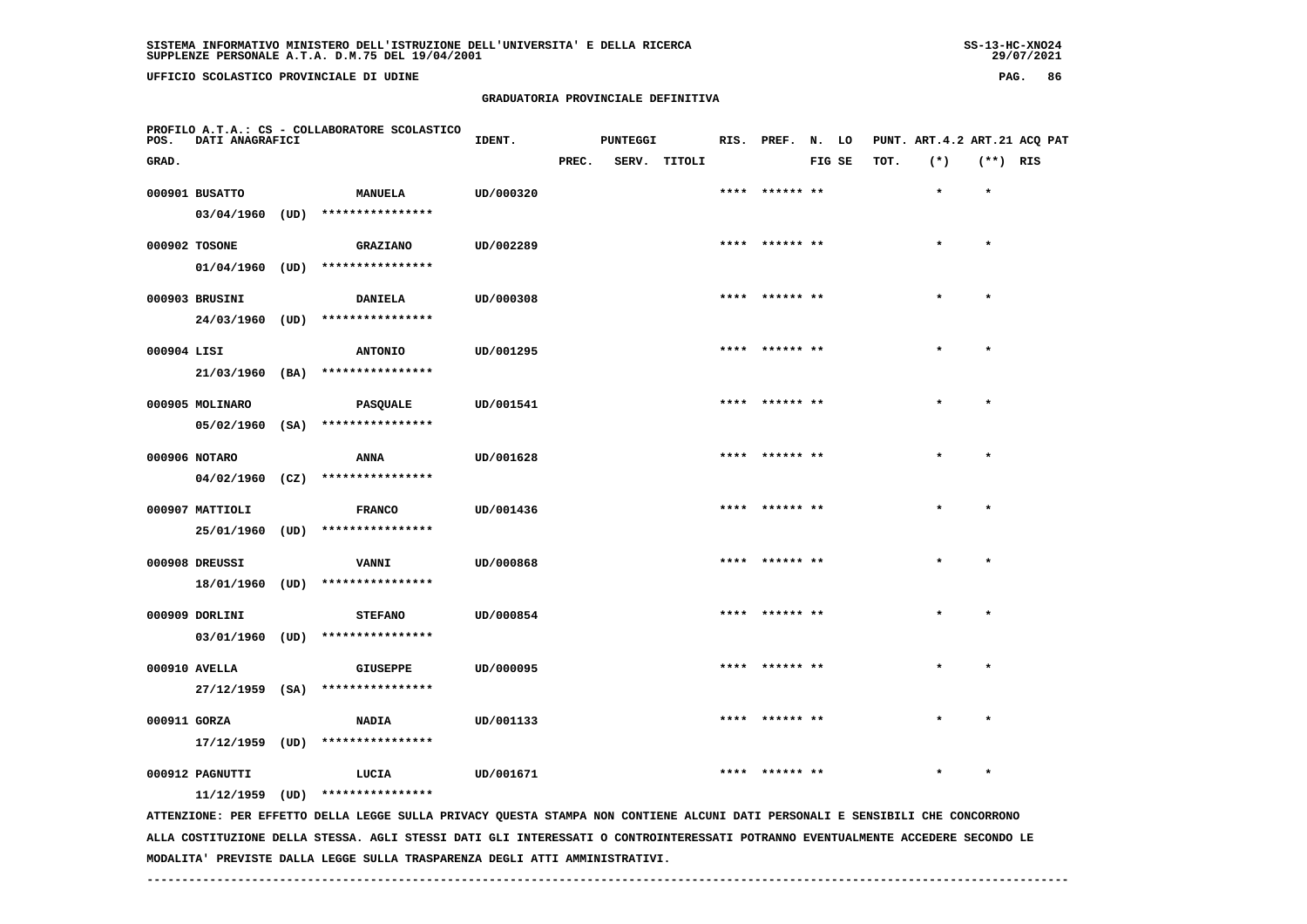**UFFICIO SCOLASTICO PROVINCIALE DI UDINE PAG. 86**

#### **GRADUATORIA PROVINCIALE DEFINITIVA**

| POS.         | DATI ANAGRAFICI   |      | PROFILO A.T.A.: CS - COLLABORATORE SCOLASTICO                                                                                 | IDENT.    |       | <b>PUNTEGGI</b> |              |      | RIS. PREF. N. LO |        |      | PUNT. ART. 4.2 ART. 21 ACQ PAT |            |  |
|--------------|-------------------|------|-------------------------------------------------------------------------------------------------------------------------------|-----------|-------|-----------------|--------------|------|------------------|--------|------|--------------------------------|------------|--|
| GRAD.        |                   |      |                                                                                                                               |           | PREC. |                 | SERV. TITOLI |      |                  | FIG SE | TOT. | $(*)$                          | $(**)$ RIS |  |
|              | 000901 BUSATTO    |      | <b>MANUELA</b>                                                                                                                | UD/000320 |       |                 |              |      | **** ****** **   |        |      | $\star$                        | $\star$    |  |
|              | $03/04/1960$ (UD) |      | ****************                                                                                                              |           |       |                 |              |      |                  |        |      |                                |            |  |
|              |                   |      |                                                                                                                               |           |       |                 |              |      | **** ****** **   |        |      |                                | $\star$    |  |
|              | 000902 TOSONE     |      | <b>GRAZIANO</b>                                                                                                               | UD/002289 |       |                 |              |      |                  |        |      |                                |            |  |
|              | $01/04/1960$ (UD) |      | ****************                                                                                                              |           |       |                 |              |      |                  |        |      |                                |            |  |
|              | 000903 BRUSINI    |      | <b>DANIELA</b>                                                                                                                | UD/000308 |       |                 |              |      | **** ****** **   |        |      |                                | $\star$    |  |
|              | 24/03/1960 (UD)   |      | ****************                                                                                                              |           |       |                 |              |      |                  |        |      |                                |            |  |
| 000904 LISI  |                   |      | <b>ANTONIO</b>                                                                                                                | UD/001295 |       |                 |              |      | **** ****** **   |        |      | $\star$                        | $\star$    |  |
|              |                   |      | $21/03/1960$ (BA) ****************                                                                                            |           |       |                 |              |      |                  |        |      |                                |            |  |
|              |                   |      |                                                                                                                               |           |       |                 |              |      |                  |        |      |                                |            |  |
|              | 000905 MOLINARO   |      | PASQUALE                                                                                                                      | UD/001541 |       |                 |              |      | **** ****** **   |        |      |                                |            |  |
|              | $05/02/1960$ (SA) |      | ****************                                                                                                              |           |       |                 |              |      |                  |        |      |                                |            |  |
|              | 000906 NOTARO     |      | ANNA                                                                                                                          | UD/001628 |       |                 |              |      | ****  ****** **  |        |      | $\star$                        | $\star$    |  |
|              | $04/02/1960$ (CZ) |      | ****************                                                                                                              |           |       |                 |              |      |                  |        |      |                                |            |  |
|              |                   |      |                                                                                                                               |           |       |                 |              |      |                  |        |      |                                |            |  |
|              | 000907 MATTIOLI   |      | <b>FRANCO</b>                                                                                                                 | UD/001436 |       |                 |              |      | **** ****** **   |        |      |                                | $\star$    |  |
|              | 25/01/1960 (UD)   |      | ****************                                                                                                              |           |       |                 |              |      |                  |        |      |                                |            |  |
|              | 000908 DREUSSI    |      | <b>VANNI</b>                                                                                                                  | UD/000868 |       |                 |              |      | **** ****** **   |        |      |                                | $\star$    |  |
|              | 18/01/1960 (UD)   |      | ****************                                                                                                              |           |       |                 |              |      |                  |        |      |                                |            |  |
|              |                   |      |                                                                                                                               |           |       |                 |              |      |                  |        |      |                                | $\star$    |  |
|              | 000909 DORLINI    |      | <b>STEFANO</b>                                                                                                                | UD/000854 |       |                 |              |      | ****  ****** **  |        |      |                                |            |  |
|              |                   |      | 03/01/1960 (UD) ****************                                                                                              |           |       |                 |              |      |                  |        |      |                                |            |  |
|              | 000910 AVELLA     |      | <b>GIUSEPPE</b>                                                                                                               | UD/000095 |       |                 |              |      |                  |        |      |                                |            |  |
|              | 27/12/1959 (SA)   |      | ****************                                                                                                              |           |       |                 |              |      |                  |        |      |                                |            |  |
|              |                   |      |                                                                                                                               |           |       |                 |              | **** |                  |        |      |                                |            |  |
| 000911 GORZA |                   |      | <b>NADIA</b>                                                                                                                  | UD/001133 |       |                 |              |      |                  |        |      |                                |            |  |
|              | 17/12/1959        | (UD) | ****************                                                                                                              |           |       |                 |              |      |                  |        |      |                                |            |  |
|              | 000912 PAGNUTTI   |      | LUCIA                                                                                                                         | UD/001671 |       |                 |              |      |                  |        |      |                                |            |  |
|              | 11/12/1959 (UD)   |      | ****************                                                                                                              |           |       |                 |              |      |                  |        |      |                                |            |  |
|              |                   |      | ATTENZIONE: PER EFFETTO DELLA LEGGE SULLA PRIVACY QUESTA STAMPA NON CONTIENE ALCUNI DATI PERSONALI E SENSIBILI CHE CONCORRONO |           |       |                 |              |      |                  |        |      |                                |            |  |

 **ALLA COSTITUZIONE DELLA STESSA. AGLI STESSI DATI GLI INTERESSATI O CONTROINTERESSATI POTRANNO EVENTUALMENTE ACCEDERE SECONDO LE MODALITA' PREVISTE DALLA LEGGE SULLA TRASPARENZA DEGLI ATTI AMMINISTRATIVI.**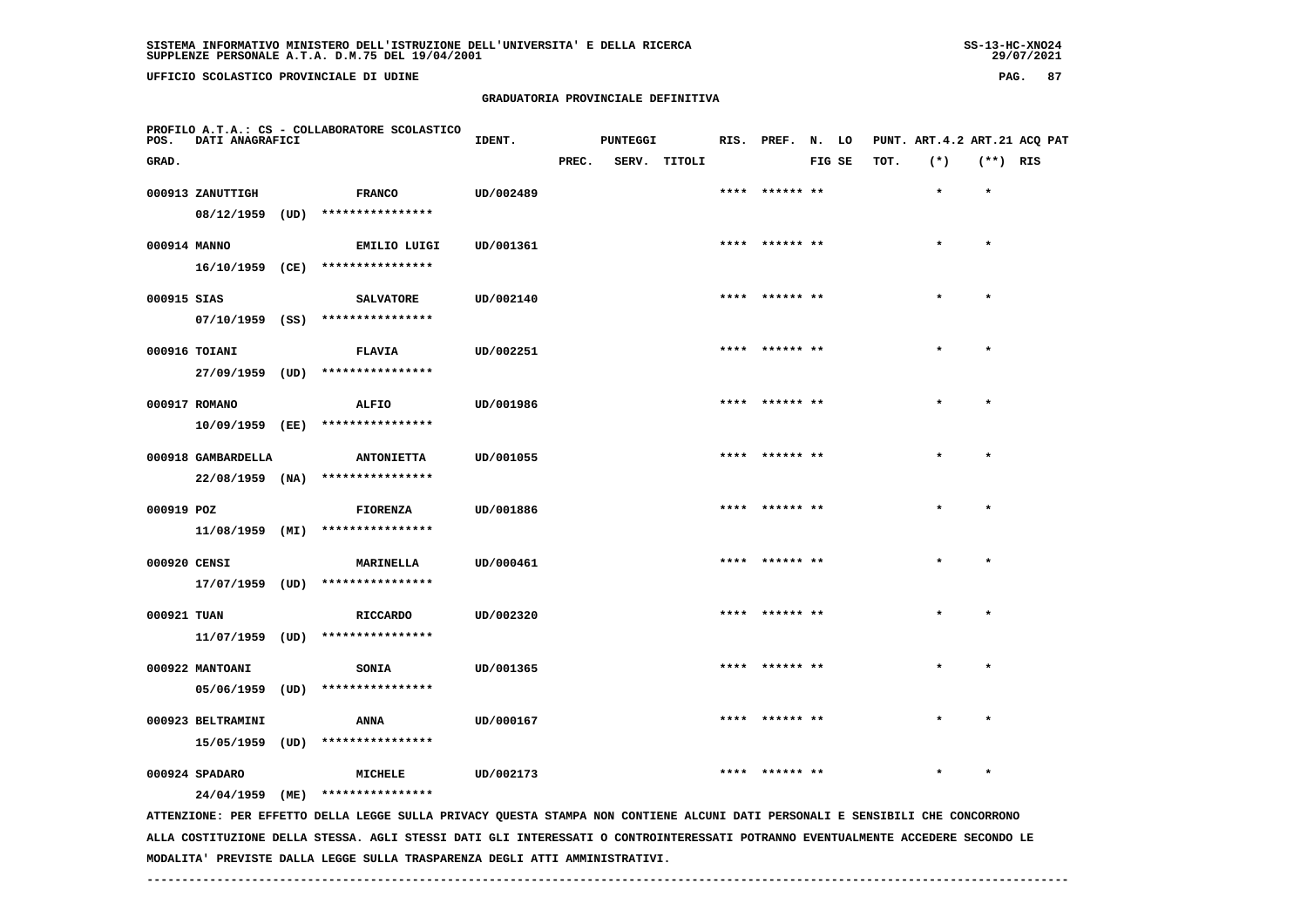# **GRADUATORIA PROVINCIALE DEFINITIVA**

| POS.         | DATI ANAGRAFICI    | PROFILO A.T.A.: CS - COLLABORATORE SCOLASTICO                                                                                 | IDENT.    |       | <b>PUNTEGGI</b> |              | RIS. PREF. N. LO |        |      | PUNT. ART. 4.2 ART. 21 ACQ PAT |            |  |
|--------------|--------------------|-------------------------------------------------------------------------------------------------------------------------------|-----------|-------|-----------------|--------------|------------------|--------|------|--------------------------------|------------|--|
| GRAD.        |                    |                                                                                                                               |           | PREC. |                 | SERV. TITOLI |                  | FIG SE | TOT. | $(*)$                          | $(**)$ RIS |  |
|              | 000913 ZANUTTIGH   | <b>FRANCO</b>                                                                                                                 | UD/002489 |       |                 |              | **** ****** **   |        |      | $\star$                        | $\star$    |  |
|              | 08/12/1959         | $(UD)$ *****************                                                                                                      |           |       |                 |              |                  |        |      |                                |            |  |
| 000914 MANNO |                    | EMILIO LUIGI                                                                                                                  | UD/001361 |       |                 |              | **** ****** **   |        |      |                                | $\star$    |  |
|              |                    | 16/10/1959 (CE) ****************                                                                                              |           |       |                 |              |                  |        |      |                                |            |  |
| 000915 SIAS  |                    | <b>SALVATORE</b>                                                                                                              | UD/002140 |       |                 |              | **** ****** **   |        |      |                                | $\star$    |  |
|              |                    | $07/10/1959$ (SS) ****************                                                                                            |           |       |                 |              |                  |        |      |                                |            |  |
|              | 000916 TOIANI      | <b>FLAVIA</b>                                                                                                                 | UD/002251 |       |                 |              | **** ****** **   |        |      |                                |            |  |
|              | 27/09/1959 (UD)    | ****************                                                                                                              |           |       |                 |              |                  |        |      |                                |            |  |
|              | 000917 ROMANO      | ALFIO                                                                                                                         | UD/001986 |       |                 |              |                  |        |      |                                |            |  |
|              | $10/09/1959$ (EE)  | ****************                                                                                                              |           |       |                 |              |                  |        |      |                                |            |  |
|              | 000918 GAMBARDELLA | <b>ANTONIETTA</b>                                                                                                             | UD/001055 |       |                 |              | **** ****** **   |        |      |                                | $\star$    |  |
|              | $22/08/1959$ (NA)  | ****************                                                                                                              |           |       |                 |              |                  |        |      |                                |            |  |
| 000919 POZ   |                    | <b>FIORENZA</b>                                                                                                               | UD/001886 |       |                 |              | **** ****** **   |        |      |                                | $\star$    |  |
|              | 11/08/1959 (MI)    | ****************                                                                                                              |           |       |                 |              |                  |        |      |                                |            |  |
| 000920 CENSI |                    | <b>MARINELLA</b>                                                                                                              | UD/000461 |       |                 |              | **** ****** **   |        |      | $\star$                        | $\star$    |  |
|              |                    | 17/07/1959 (UD) ****************                                                                                              |           |       |                 |              |                  |        |      |                                |            |  |
| 000921 TUAN  |                    | <b>RICCARDO</b>                                                                                                               | UD/002320 |       |                 |              |                  |        |      |                                | $\star$    |  |
|              |                    | 11/07/1959 (UD) ****************                                                                                              |           |       |                 |              |                  |        |      |                                |            |  |
|              | 000922 MANTOANI    | SONIA                                                                                                                         | UD/001365 |       |                 |              | **** ****** **   |        |      |                                |            |  |
|              | $05/06/1959$ (UD)  | ****************                                                                                                              |           |       |                 |              |                  |        |      |                                |            |  |
|              | 000923 BELTRAMINI  | ANNA                                                                                                                          | UD/000167 |       |                 |              | ****  ****** **  |        |      | $\star$                        | $\star$    |  |
|              | 15/05/1959 (UD)    | ****************                                                                                                              |           |       |                 |              |                  |        |      |                                |            |  |
|              | 000924 SPADARO     | MICHELE                                                                                                                       | UD/002173 |       |                 |              |                  |        |      |                                |            |  |
|              | 24/04/1959 (ME)    | ****************                                                                                                              |           |       |                 |              |                  |        |      |                                |            |  |
|              |                    | ATTENZIONE: PER EFFETTO DELLA LEGGE SULLA PRIVACY QUESTA STAMPA NON CONTIENE ALCUNI DATI PERSONALI E SENSIBILI CHE CONCORRONO |           |       |                 |              |                  |        |      |                                |            |  |

 **ALLA COSTITUZIONE DELLA STESSA. AGLI STESSI DATI GLI INTERESSATI O CONTROINTERESSATI POTRANNO EVENTUALMENTE ACCEDERE SECONDO LE MODALITA' PREVISTE DALLA LEGGE SULLA TRASPARENZA DEGLI ATTI AMMINISTRATIVI.**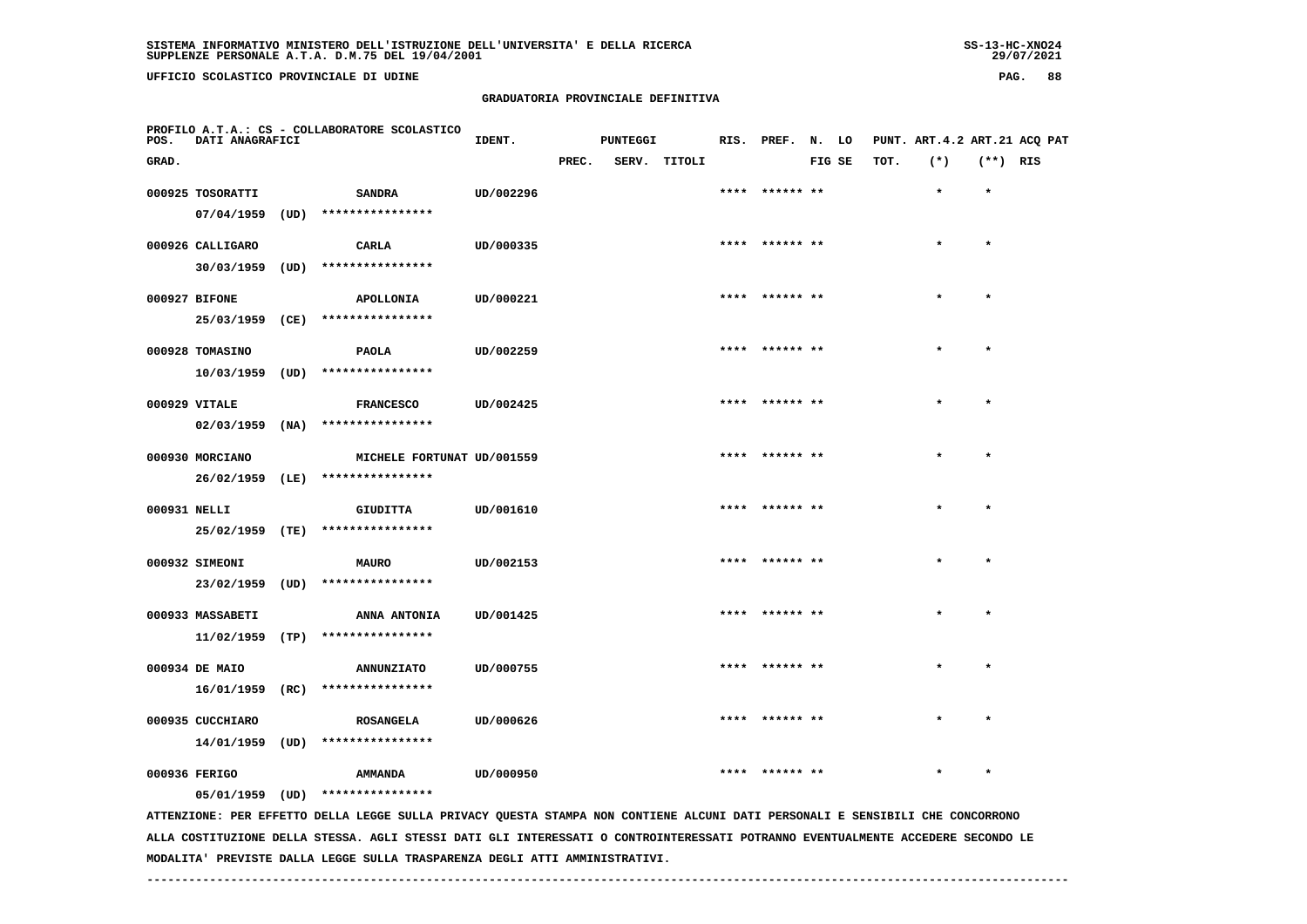# **GRADUATORIA PROVINCIALE DEFINITIVA**

| POS.          | DATI ANAGRAFICI   |      | PROFILO A.T.A.: CS - COLLABORATORE SCOLASTICO                                                                                 | IDENT.    |       | <b>PUNTEGGI</b> |        | RIS. PREF. N. LO |        |      | PUNT. ART. 4.2 ART. 21 ACQ PAT |            |  |
|---------------|-------------------|------|-------------------------------------------------------------------------------------------------------------------------------|-----------|-------|-----------------|--------|------------------|--------|------|--------------------------------|------------|--|
| GRAD.         |                   |      |                                                                                                                               |           | PREC. | SERV.           | TITOLI |                  | FIG SE | TOT. | $(*)$                          | $(**)$ RIS |  |
|               | 000925 TOSORATTI  |      | <b>SANDRA</b>                                                                                                                 | UD/002296 |       |                 |        | **** ****** **   |        |      | $\star$                        | $\star$    |  |
|               | 07/04/1959        | (UD) | ****************                                                                                                              |           |       |                 |        |                  |        |      |                                |            |  |
|               |                   |      |                                                                                                                               |           |       |                 |        | **** ****** **   |        |      |                                | $\star$    |  |
|               | 000926 CALLIGARO  |      | CARLA<br>****************                                                                                                     | UD/000335 |       |                 |        |                  |        |      |                                |            |  |
|               | 30/03/1959        | (UD) |                                                                                                                               |           |       |                 |        |                  |        |      |                                |            |  |
| 000927 BIFONE |                   |      | APOLLONIA                                                                                                                     | UD/000221 |       |                 |        | ****  ****** **  |        |      |                                |            |  |
|               | 25/03/1959 (CE)   |      | ****************                                                                                                              |           |       |                 |        |                  |        |      |                                |            |  |
|               | 000928 TOMASINO   |      | <b>PAOLA</b>                                                                                                                  | UD/002259 |       |                 |        | **** ****** **   |        |      |                                | $\star$    |  |
|               | $10/03/1959$ (UD) |      | ****************                                                                                                              |           |       |                 |        |                  |        |      |                                |            |  |
| 000929 VITALE |                   |      | <b>FRANCESCO</b>                                                                                                              | UD/002425 |       |                 |        | **** ****** **   |        |      |                                | $\star$    |  |
|               | $02/03/1959$ (NA) |      | ****************                                                                                                              |           |       |                 |        |                  |        |      |                                |            |  |
|               |                   |      |                                                                                                                               |           |       |                 |        |                  |        |      |                                |            |  |
|               | 000930 MORCIANO   |      | MICHELE FORTUNAT UD/001559                                                                                                    |           |       |                 |        | **** ****** **   |        |      |                                | $\bullet$  |  |
|               | 26/02/1959 (LE)   |      | ****************                                                                                                              |           |       |                 |        |                  |        |      |                                |            |  |
| 000931 NELLI  |                   |      | <b>GIUDITTA</b>                                                                                                               | UD/001610 |       |                 |        | ****  ****** **  |        |      |                                | $\star$    |  |
|               | 25/02/1959 (TE)   |      | ****************                                                                                                              |           |       |                 |        |                  |        |      |                                |            |  |
|               | 000932 SIMEONI    |      | <b>MAURO</b>                                                                                                                  | UD/002153 |       |                 |        | **** ****** **   |        |      |                                | $\star$    |  |
|               | 23/02/1959 (UD)   |      | ****************                                                                                                              |           |       |                 |        |                  |        |      |                                |            |  |
|               | 000933 MASSABETI  |      | ANNA ANTONIA                                                                                                                  | UD/001425 |       |                 |        |                  |        |      |                                |            |  |
|               | 11/02/1959        | (TP) | ****************                                                                                                              |           |       |                 |        |                  |        |      |                                |            |  |
|               |                   |      |                                                                                                                               |           |       |                 |        |                  |        |      |                                |            |  |
|               | 000934 DE MAIO    |      | <b>ANNUNZIATO</b>                                                                                                             | UD/000755 |       |                 |        | **** ****** **   |        |      |                                | $\star$    |  |
|               | 16/01/1959 (RC)   |      | ****************                                                                                                              |           |       |                 |        |                  |        |      |                                |            |  |
|               | 000935 CUCCHIARO  |      | <b>ROSANGELA</b>                                                                                                              | UD/000626 |       |                 |        | ****** **        |        |      |                                |            |  |
|               | 14/01/1959 (UD)   |      | ****************                                                                                                              |           |       |                 |        |                  |        |      |                                |            |  |
| 000936 FERIGO |                   |      | AMMANDA                                                                                                                       | UD/000950 |       |                 |        |                  |        |      |                                | $\star$    |  |
|               | $05/01/1959$ (UD) |      | ****************                                                                                                              |           |       |                 |        |                  |        |      |                                |            |  |
|               |                   |      | ATTENZIONE: PER EFFETTO DELLA LEGGE SULLA PRIVACY QUESTA STAMPA NON CONTIENE ALCUNI DATI PERSONALI E SENSIBILI CHE CONCORRONO |           |       |                 |        |                  |        |      |                                |            |  |
|               |                   |      |                                                                                                                               |           |       |                 |        |                  |        |      |                                |            |  |

 **ALLA COSTITUZIONE DELLA STESSA. AGLI STESSI DATI GLI INTERESSATI O CONTROINTERESSATI POTRANNO EVENTUALMENTE ACCEDERE SECONDO LE MODALITA' PREVISTE DALLA LEGGE SULLA TRASPARENZA DEGLI ATTI AMMINISTRATIVI.**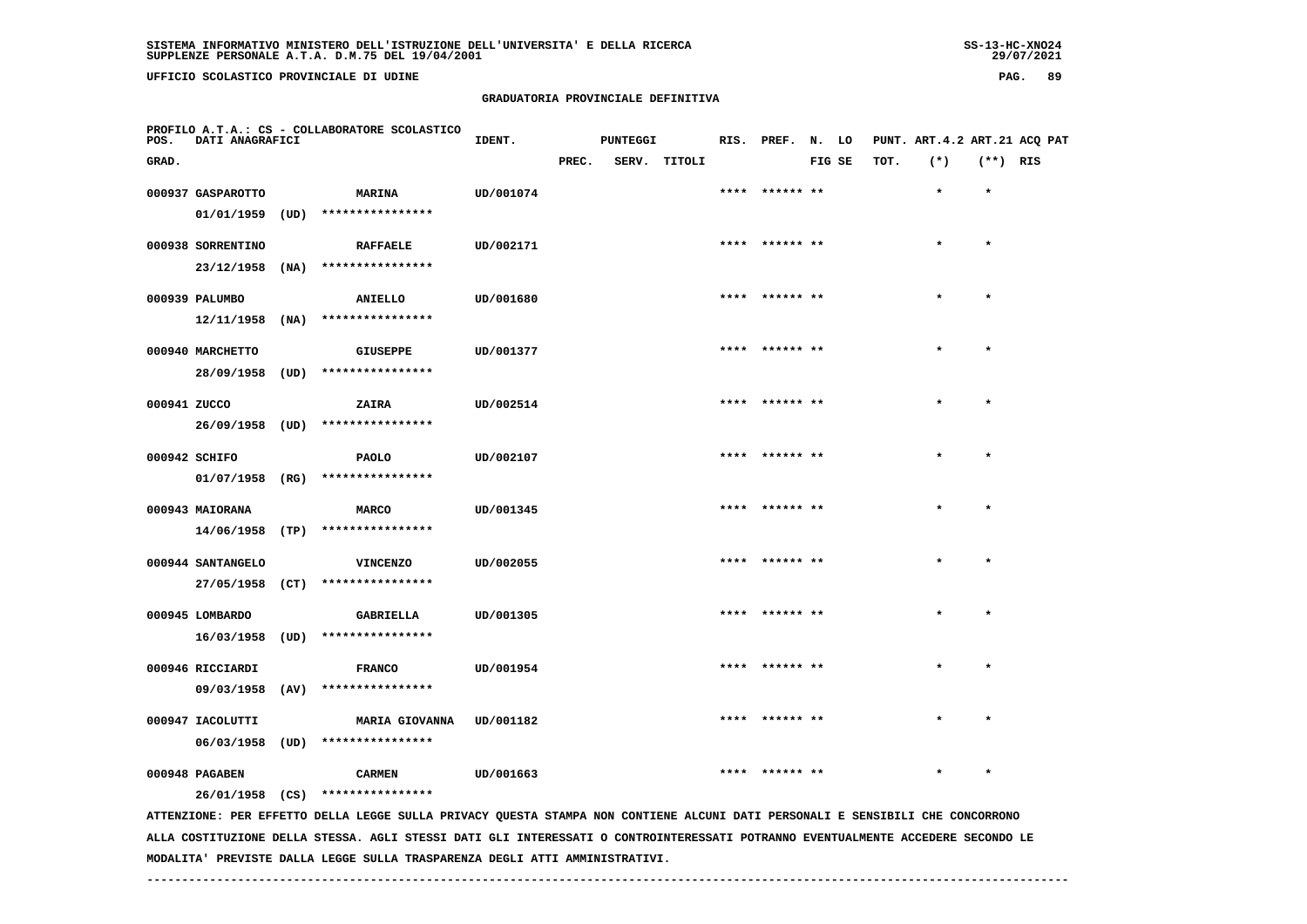**UFFICIO SCOLASTICO PROVINCIALE DI UDINE PAG. 89**

#### **GRADUATORIA PROVINCIALE DEFINITIVA**

| POS.         | DATI ANAGRAFICI                |      | PROFILO A.T.A.: CS - COLLABORATORE SCOLASTICO                                                                                                                     | IDENT.    |       | <b>PUNTEGGI</b> |              |      | RIS. PREF. N. LO |        |      | PUNT. ART. 4.2 ART. 21 ACQ PAT |            |  |
|--------------|--------------------------------|------|-------------------------------------------------------------------------------------------------------------------------------------------------------------------|-----------|-------|-----------------|--------------|------|------------------|--------|------|--------------------------------|------------|--|
| GRAD.        |                                |      |                                                                                                                                                                   |           | PREC. |                 | SERV. TITOLI |      |                  | FIG SE | TOT. | $(*)$                          | $(**)$ RIS |  |
|              | 000937 GASPAROTTO              |      | <b>MARINA</b>                                                                                                                                                     | UD/001074 |       |                 |              |      | **** ****** **   |        |      | $\star$                        | $\star$    |  |
|              | 01/01/1959                     | (UD) | ****************                                                                                                                                                  |           |       |                 |              |      |                  |        |      |                                |            |  |
|              | 000938 SORRENTINO              |      | <b>RAFFAELE</b>                                                                                                                                                   | UD/002171 |       |                 |              |      | ****** **        |        |      |                                | $\star$    |  |
|              | 23/12/1958                     | (NA) | ****************                                                                                                                                                  |           |       |                 |              |      |                  |        |      |                                |            |  |
|              | 000939 PALUMBO                 |      | ANIELLO                                                                                                                                                           | UD/001680 |       |                 |              |      | **** ****** **   |        |      | $\star$                        | $\star$    |  |
|              | 12/11/1958                     | (NA) | ****************                                                                                                                                                  |           |       |                 |              |      |                  |        |      |                                |            |  |
|              | 000940 MARCHETTO               |      | <b>GIUSEPPE</b>                                                                                                                                                   | UD/001377 |       |                 |              |      | **** ****** **   |        |      | $\star$                        | $\star$    |  |
|              | 28/09/1958                     | (UD) | ****************                                                                                                                                                  |           |       |                 |              |      |                  |        |      |                                |            |  |
| 000941 ZUCCO |                                |      | ZAIRA                                                                                                                                                             | UD/002514 |       |                 |              |      | **** ****** **   |        |      |                                |            |  |
|              | 26/09/1958 (UD)                |      | ****************                                                                                                                                                  |           |       |                 |              |      |                  |        |      |                                |            |  |
|              | 000942 SCHIFO                  |      | <b>PAOLO</b>                                                                                                                                                      | UD/002107 |       |                 |              |      | ****  ****** **  |        |      | $\star$                        | $\star$    |  |
|              | 01/07/1958                     | (RG) | ****************                                                                                                                                                  |           |       |                 |              |      |                  |        |      |                                |            |  |
|              | 000943 MAIORANA                |      | <b>MARCO</b>                                                                                                                                                      | UD/001345 |       |                 |              |      | **** ****** **   |        |      | $\star$                        | $\star$    |  |
|              | $14/06/1958$ (TP)              |      | ****************                                                                                                                                                  |           |       |                 |              |      |                  |        |      |                                |            |  |
|              | 000944 SANTANGELO              |      | <b>VINCENZO</b>                                                                                                                                                   | UD/002055 |       |                 |              |      | **** ****** **   |        |      |                                | $\star$    |  |
|              | 27/05/1958 (CT)                |      | ****************                                                                                                                                                  |           |       |                 |              |      |                  |        |      |                                |            |  |
|              | 000945 LOMBARDO                |      | GABRIELLA                                                                                                                                                         | UD/001305 |       |                 |              |      | **** ****** **   |        |      |                                | $\star$    |  |
|              | 16/03/1958                     | (UD) | ****************                                                                                                                                                  |           |       |                 |              |      |                  |        |      |                                |            |  |
|              | 000946 RICCIARDI               |      |                                                                                                                                                                   | UD/001954 |       |                 |              |      |                  |        |      |                                | $\star$    |  |
|              | 09/03/1958 (AV)                |      | <b>FRANCO</b><br>****************                                                                                                                                 |           |       |                 |              |      |                  |        |      |                                |            |  |
|              |                                |      |                                                                                                                                                                   |           |       |                 |              |      |                  |        |      |                                |            |  |
|              | 000947 IACOLUTTI<br>06/03/1958 | (UD) | <b>MARIA GIOVANNA</b><br>****************                                                                                                                         | UD/001182 |       |                 |              | **** | ****** **        |        |      |                                |            |  |
|              |                                |      |                                                                                                                                                                   |           |       |                 |              |      |                  |        |      |                                |            |  |
|              | 000948 PAGABEN                 |      | <b>CARMEN</b>                                                                                                                                                     | UD/001663 |       |                 |              |      |                  |        |      |                                |            |  |
|              |                                |      | 26/01/1958 (CS) ****************<br>ATTENZIONE: PER EFFETTO DELLA LEGGE SULLA PRIVACY QUESTA STAMPA NON CONTIENE ALCUNI DATI PERSONALI E SENSIBILI CHE CONCORRONO |           |       |                 |              |      |                  |        |      |                                |            |  |

 **ALLA COSTITUZIONE DELLA STESSA. AGLI STESSI DATI GLI INTERESSATI O CONTROINTERESSATI POTRANNO EVENTUALMENTE ACCEDERE SECONDO LE MODALITA' PREVISTE DALLA LEGGE SULLA TRASPARENZA DEGLI ATTI AMMINISTRATIVI.**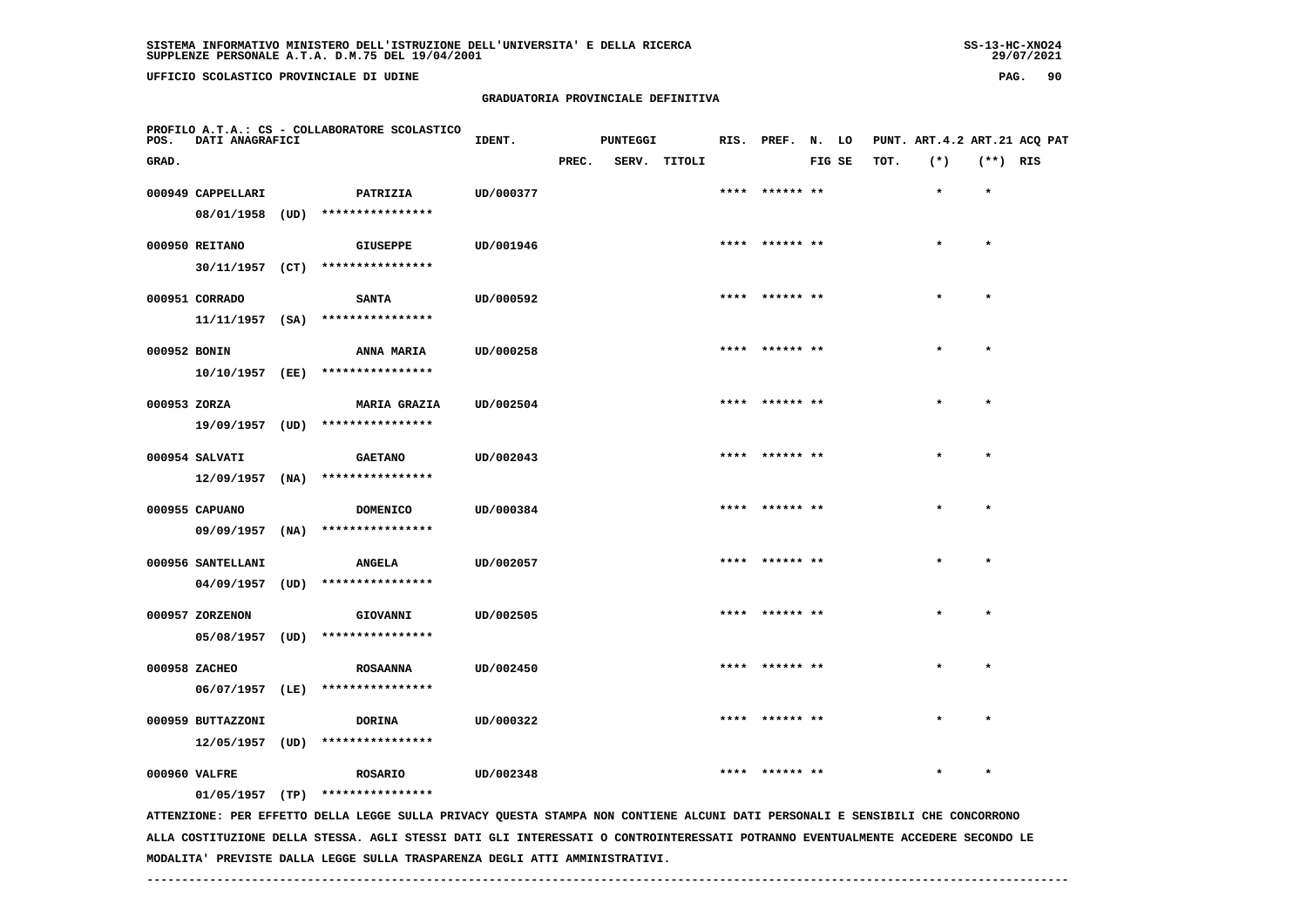## **GRADUATORIA PROVINCIALE DEFINITIVA**

| POS.         | DATI ANAGRAFICI   |      | PROFILO A.T.A.: CS - COLLABORATORE SCOLASTICO                                                                                 | IDENT.    |       | <b>PUNTEGGI</b> |        | RIS. PREF. N. LO |        |      | PUNT. ART. 4.2 ART. 21 ACQ PAT |            |  |
|--------------|-------------------|------|-------------------------------------------------------------------------------------------------------------------------------|-----------|-------|-----------------|--------|------------------|--------|------|--------------------------------|------------|--|
| GRAD.        |                   |      |                                                                                                                               |           | PREC. | SERV.           | TITOLI |                  | FIG SE | TOT. | $(*)$                          | $(**)$ RIS |  |
|              | 000949 CAPPELLARI |      | PATRIZIA                                                                                                                      | UD/000377 |       |                 |        | **** ****** **   |        |      | $\star$                        | $\star$    |  |
|              | 08/01/1958 (UD)   |      | ****************                                                                                                              |           |       |                 |        |                  |        |      |                                |            |  |
|              | 000950 REITANO    |      | <b>GIUSEPPE</b>                                                                                                               | UD/001946 |       |                 |        | **** ****** **   |        |      | $\star$                        | $\star$    |  |
|              |                   |      | 30/11/1957 (CT) ****************                                                                                              |           |       |                 |        |                  |        |      |                                |            |  |
|              | 000951 CORRADO    |      | <b>SANTA</b>                                                                                                                  | UD/000592 |       |                 |        | **** ****** **   |        |      | $\star$                        | $\star$    |  |
|              |                   |      | $11/11/1957$ (SA) ****************                                                                                            |           |       |                 |        |                  |        |      |                                |            |  |
| 000952 BONIN |                   |      | <b>ANNA MARIA</b>                                                                                                             | UD/000258 |       |                 |        |                  |        |      |                                |            |  |
|              | $10/10/1957$ (EE) |      | ****************                                                                                                              |           |       |                 |        |                  |        |      |                                |            |  |
| 000953 ZORZA |                   |      | <b>MARIA GRAZIA</b>                                                                                                           | UD/002504 |       |                 |        | ****** **        |        |      |                                |            |  |
|              |                   |      | 19/09/1957 (UD) ****************                                                                                              |           |       |                 |        |                  |        |      |                                |            |  |
|              | 000954 SALVATI    |      | <b>GAETANO</b>                                                                                                                | UD/002043 |       |                 |        | **** ****** **   |        |      |                                | $\star$    |  |
|              | $12/09/1957$ (NA) |      | ****************                                                                                                              |           |       |                 |        |                  |        |      |                                |            |  |
|              | 000955 CAPUANO    |      | DOMENICO                                                                                                                      | UD/000384 |       |                 |        | **** ****** **   |        |      |                                | $\star$    |  |
|              | $09/09/1957$ (NA) |      | ****************                                                                                                              |           |       |                 |        |                  |        |      |                                |            |  |
|              | 000956 SANTELLANI |      | <b>ANGELA</b>                                                                                                                 | UD/002057 |       |                 |        | **** ****** **   |        |      |                                | $\star$    |  |
|              | 04/09/1957        | (UD) | ****************                                                                                                              |           |       |                 |        |                  |        |      |                                |            |  |
|              | 000957 ZORZENON   |      | GIOVANNI                                                                                                                      | UD/002505 |       |                 |        | ****  ****** **  |        |      | $\star$                        | $\star$    |  |
|              |                   |      | 05/08/1957 (UD) ****************                                                                                              |           |       |                 |        |                  |        |      |                                |            |  |
|              | 000958 ZACHEO     |      | <b>ROSAANNA</b>                                                                                                               | UD/002450 |       |                 |        | **** ****** **   |        |      | $\star$                        | $\star$    |  |
|              | $06/07/1957$ (LE) |      | ****************                                                                                                              |           |       |                 |        |                  |        |      |                                |            |  |
|              | 000959 BUTTAZZONI |      | <b>DORINA</b>                                                                                                                 | UD/000322 |       |                 |        | ****  ****** **  |        |      |                                |            |  |
|              | 12/05/1957 (UD)   |      | ****************                                                                                                              |           |       |                 |        |                  |        |      |                                |            |  |
|              | 000960 VALFRE     |      | <b>ROSARIO</b>                                                                                                                | UD/002348 |       |                 |        |                  |        |      |                                |            |  |
|              |                   |      | $01/05/1957$ (TP) ****************                                                                                            |           |       |                 |        |                  |        |      |                                |            |  |
|              |                   |      | ATTENZIONE: PER EFFETTO DELLA LEGGE SULLA PRIVACY OUESTA STAMPA NON CONTIENE ALCUNI DATI PERSONALI E SENSIBILI CHE CONCORRONO |           |       |                 |        |                  |        |      |                                |            |  |

 **ATTENZIONE: PER EFFETTO DELLA LEGGE SULLA PRIVACY QUESTA STAMPA NON CONTIENE ALCUNI DATI PERSONALI E SENSIBILI CHE CONCORRONO ALLA COSTITUZIONE DELLA STESSA. AGLI STESSI DATI GLI INTERESSATI O CONTROINTERESSATI POTRANNO EVENTUALMENTE ACCEDERE SECONDO LE MODALITA' PREVISTE DALLA LEGGE SULLA TRASPARENZA DEGLI ATTI AMMINISTRATIVI.**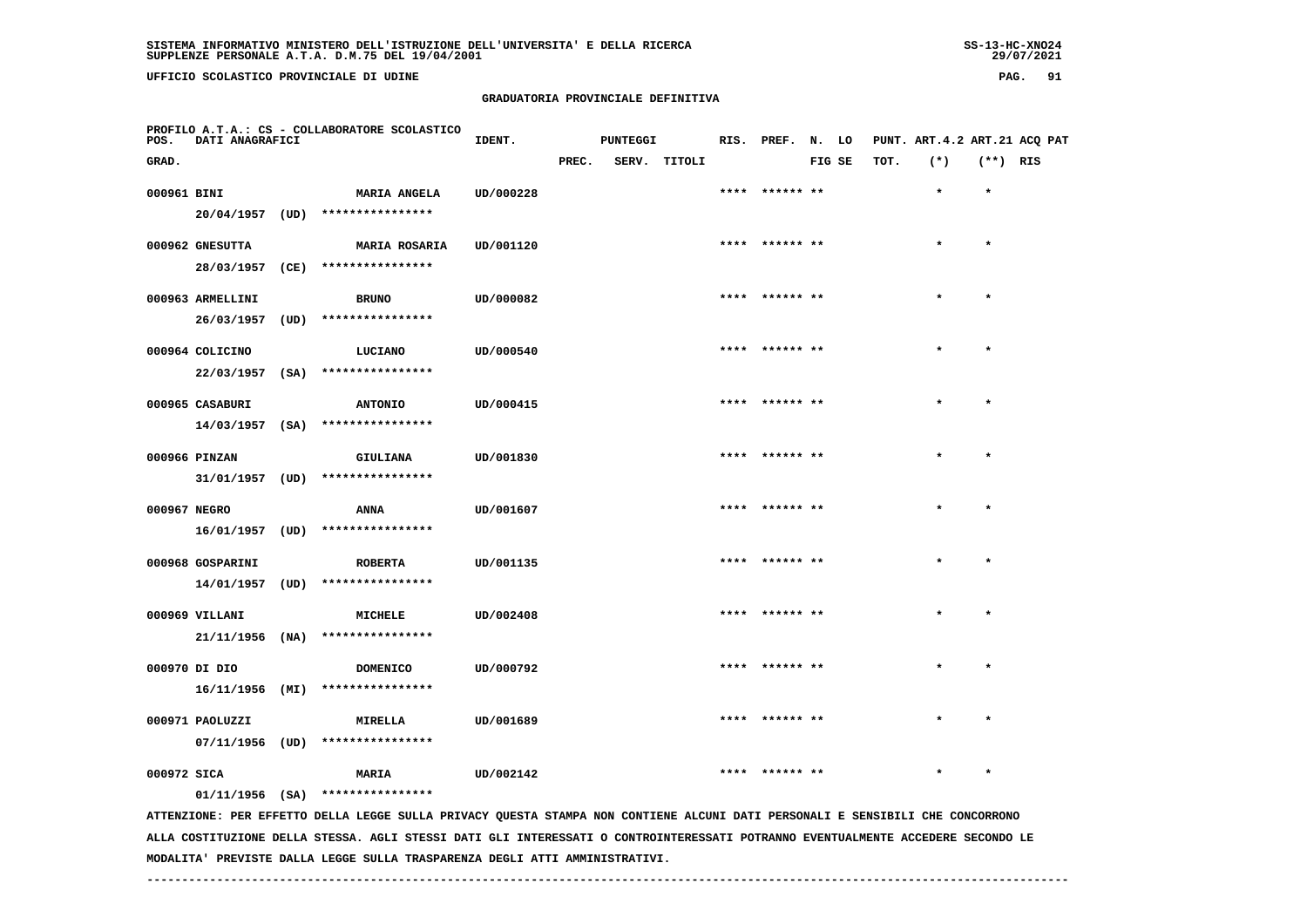# **GRADUATORIA PROVINCIALE DEFINITIVA**

| POS.         | DATI ANAGRAFICI   |      | PROFILO A.T.A.: CS - COLLABORATORE SCOLASTICO                                                                                   | IDENT.    |       | <b>PUNTEGGI</b> |              |      | RIS. PREF. N. LO |        |      | PUNT. ART. 4.2 ART. 21 ACQ PAT |            |  |
|--------------|-------------------|------|---------------------------------------------------------------------------------------------------------------------------------|-----------|-------|-----------------|--------------|------|------------------|--------|------|--------------------------------|------------|--|
| GRAD.        |                   |      |                                                                                                                                 |           | PREC. |                 | SERV. TITOLI |      |                  | FIG SE | TOT. | $(*)$                          | $(**)$ RIS |  |
| 000961 BINI  |                   |      | MARIA ANGELA                                                                                                                    | UD/000228 |       |                 |              |      | **** ****** **   |        |      | $\star$                        | $\star$    |  |
|              | 20/04/1957        | (UD) | ****************                                                                                                                |           |       |                 |              |      |                  |        |      |                                |            |  |
|              | 000962 GNESUTTA   |      | <b>MARIA ROSARIA</b>                                                                                                            | UD/001120 |       |                 |              |      |                  |        |      |                                | $\star$    |  |
|              | 28/03/1957        | (CE) | ****************                                                                                                                |           |       |                 |              |      |                  |        |      |                                |            |  |
|              | 000963 ARMELLINI  |      | <b>BRUNO</b>                                                                                                                    | UD/000082 |       |                 |              |      | **** ****** **   |        |      | $\star$                        | $\star$    |  |
|              | 26/03/1957        | (UD) | ****************                                                                                                                |           |       |                 |              |      |                  |        |      |                                |            |  |
|              |                   |      |                                                                                                                                 |           |       |                 |              |      |                  |        |      |                                |            |  |
|              | 000964 COLICINO   |      | LUCIANO                                                                                                                         | UD/000540 |       |                 |              |      | **** ****** **   |        |      | $\star$                        | $\star$    |  |
|              | $22/03/1957$ (SA) |      | ****************                                                                                                                |           |       |                 |              |      |                  |        |      |                                |            |  |
|              | 000965 CASABURI   |      | <b>ANTONIO</b>                                                                                                                  | UD/000415 |       |                 |              |      |                  |        |      |                                |            |  |
|              | $14/03/1957$ (SA) |      | ****************                                                                                                                |           |       |                 |              |      |                  |        |      |                                |            |  |
|              | 000966 PINZAN     |      | GIULIANA                                                                                                                        | UD/001830 |       |                 |              |      |                  |        |      |                                |            |  |
|              | 31/01/1957 (UD)   |      | ****************                                                                                                                |           |       |                 |              |      |                  |        |      |                                |            |  |
| 000967 NEGRO |                   |      | <b>ANNA</b>                                                                                                                     | UD/001607 |       |                 |              |      | ****** **        |        |      |                                | $\star$    |  |
|              | 16/01/1957        | (UD) | ****************                                                                                                                |           |       |                 |              |      |                  |        |      |                                |            |  |
|              |                   |      |                                                                                                                                 |           |       |                 |              |      |                  |        |      |                                |            |  |
|              | 000968 GOSPARINI  |      | <b>ROBERTA</b>                                                                                                                  | UD/001135 |       |                 |              |      | **** ****** **   |        |      |                                | $\star$    |  |
|              | 14/01/1957 (UD)   |      | ****************                                                                                                                |           |       |                 |              |      |                  |        |      |                                |            |  |
|              | 000969 VILLANI    |      | MICHELE                                                                                                                         | UD/002408 |       |                 |              |      | **** ****** **   |        |      |                                | $\star$    |  |
|              | 21/11/1956        | (NA) | ****************                                                                                                                |           |       |                 |              |      |                  |        |      |                                |            |  |
|              | 000970 DI DIO     |      | <b>DOMENICO</b>                                                                                                                 | UD/000792 |       |                 |              |      |                  |        |      |                                | $\star$    |  |
|              | 16/11/1956        | (MI) | ****************                                                                                                                |           |       |                 |              |      |                  |        |      |                                |            |  |
|              |                   |      |                                                                                                                                 |           |       |                 |              |      |                  |        |      |                                |            |  |
|              | 000971 PAOLUZZI   |      | <b>MIRELLA</b>                                                                                                                  | UD/001689 |       |                 |              |      |                  |        |      |                                |            |  |
|              | 07/11/1956 (UD)   |      | ****************                                                                                                                |           |       |                 |              |      |                  |        |      |                                |            |  |
| 000972 SICA  |                   |      | <b>MARIA</b>                                                                                                                    | UD/002142 |       |                 |              | **** | ****** **        |        |      |                                |            |  |
|              |                   |      | $01/11/1956$ (SA) ****************                                                                                              |           |       |                 |              |      |                  |        |      |                                |            |  |
|              |                   |      | ATTENTIONE. OFD FFFFTTO OFILIA LECCE SUILLA DELUACY OUFSTA STANDA NON CONTIFNE ALCUNI DATI DEPSONALI F SENSIBILI CHE CONCOPPONO |           |       |                 |              |      |                  |        |      |                                |            |  |

 **ATTENZIONE: PER EFFETTO DELLA LEGGE SULLA PRIVACY QUESTA STAMPA NON CONTIENE ALCUNI DATI PERSONALI E SENSIBILI CHE CONCORRONO ALLA COSTITUZIONE DELLA STESSA. AGLI STESSI DATI GLI INTERESSATI O CONTROINTERESSATI POTRANNO EVENTUALMENTE ACCEDERE SECONDO LE MODALITA' PREVISTE DALLA LEGGE SULLA TRASPARENZA DEGLI ATTI AMMINISTRATIVI.**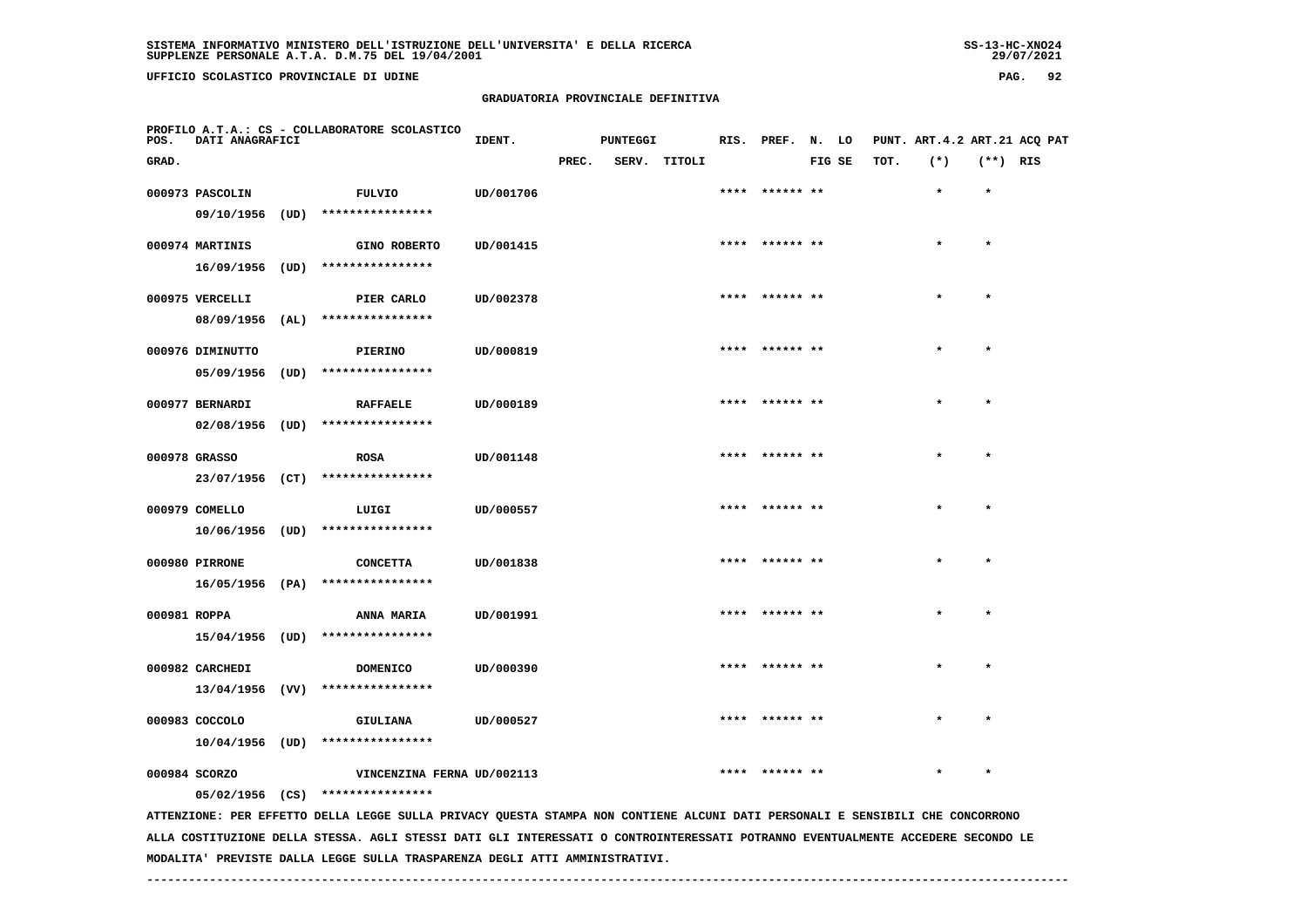**UFFICIO SCOLASTICO PROVINCIALE DI UDINE PAG. 92**

#### **GRADUATORIA PROVINCIALE DEFINITIVA**

| GRAD.<br>000973 PASCOLIN<br>09/10/1956 (UD)<br>000974 MARTINIS<br>16/09/1956 (UD) ****************                                                                | <b>FULVIO</b>       | UD/001706                                                                                                                       | PREC. | SERV. TITOLI |                 | FIG SE | TOT. | $(*)$   | $(**)$ RIS |  |
|-------------------------------------------------------------------------------------------------------------------------------------------------------------------|---------------------|---------------------------------------------------------------------------------------------------------------------------------|-------|--------------|-----------------|--------|------|---------|------------|--|
|                                                                                                                                                                   |                     |                                                                                                                                 |       |              |                 |        |      |         |            |  |
|                                                                                                                                                                   |                     |                                                                                                                                 |       |              |                 |        |      | $\star$ | $\star$    |  |
|                                                                                                                                                                   | ****************    |                                                                                                                                 |       |              |                 |        |      |         |            |  |
|                                                                                                                                                                   | <b>GINO ROBERTO</b> | UD/001415                                                                                                                       |       |              | ****  ****** ** |        |      |         | $\star$    |  |
|                                                                                                                                                                   |                     |                                                                                                                                 |       |              |                 |        |      |         |            |  |
| 000975 VERCELLI                                                                                                                                                   | PIER CARLO          | UD/002378                                                                                                                       |       |              | ****  ****** ** |        |      |         |            |  |
| 08/09/1956 (AL)                                                                                                                                                   | ****************    |                                                                                                                                 |       |              |                 |        |      |         |            |  |
| 000976 DIMINUTTO                                                                                                                                                  | <b>PIERINO</b>      | UD/000819                                                                                                                       |       |              |                 |        |      |         |            |  |
| $05/09/1956$ (UD)                                                                                                                                                 | ****************    |                                                                                                                                 |       |              |                 |        |      |         |            |  |
| 000977 BERNARDI                                                                                                                                                   | <b>RAFFAELE</b>     | UD/000189                                                                                                                       |       |              | **** ****** **  |        |      |         | $\star$    |  |
| 02/08/1956 (UD) ****************                                                                                                                                  |                     |                                                                                                                                 |       |              |                 |        |      |         |            |  |
| 000978 GRASSO                                                                                                                                                     | <b>ROSA</b>         | UD/001148                                                                                                                       |       |              |                 |        |      |         |            |  |
| 23/07/1956 (CT)                                                                                                                                                   | ****************    |                                                                                                                                 |       |              |                 |        |      |         |            |  |
| 000979 COMELLO                                                                                                                                                    | LUIGI               | UD/000557                                                                                                                       |       |              |                 |        |      |         |            |  |
| 10/06/1956 (UD)                                                                                                                                                   | ****************    |                                                                                                                                 |       |              |                 |        |      |         |            |  |
| 000980 PIRRONE                                                                                                                                                    | <b>CONCETTA</b>     | UD/001838                                                                                                                       |       |              | ****** **       |        |      |         |            |  |
| 16/05/1956 (PA)                                                                                                                                                   | ****************    |                                                                                                                                 |       |              |                 |        |      |         |            |  |
| 000981 ROPPA                                                                                                                                                      | ANNA MARIA          | UD/001991                                                                                                                       |       |              | **** ****** **  |        |      |         | $\star$    |  |
| 15/04/1956 (UD) ****************                                                                                                                                  |                     |                                                                                                                                 |       |              |                 |        |      |         |            |  |
| 000982 CARCHEDI                                                                                                                                                   | <b>DOMENICO</b>     | UD/000390                                                                                                                       |       |              |                 |        |      |         |            |  |
| 13/04/1956 (VV)                                                                                                                                                   | ****************    |                                                                                                                                 |       |              |                 |        |      |         |            |  |
| 000983 COCCOLO                                                                                                                                                    | GIULIANA            | UD/000527                                                                                                                       |       |              | ****** **       |        |      |         |            |  |
| 10/04/1956 (UD)                                                                                                                                                   | ****************    |                                                                                                                                 |       |              |                 |        |      |         |            |  |
| 000984 SCORZO                                                                                                                                                     |                     | VINCENZINA FERNA UD/002113                                                                                                      |       |              |                 |        |      |         |            |  |
| 05/02/1956 (CS) ****************<br>ATTENZIONE: PER EFFETTO DELLA LEGGE SULLA PRIVACY QUESTA STAMPA NON CONTIENE ALCUNI DATI PERSONALI E SENSIBILI CHE CONCORRONO |                     |                                                                                                                                 |       |              |                 |        |      |         |            |  |
|                                                                                                                                                                   |                     | ALLA COSTITUZIONE DELLA STESSA. AGLI STESSI DATI GLI INTERESSATI O CONTROINTERESSATI POTRANNO EVENTUALMENTE ACCEDERE SECONDO LE |       |              |                 |        |      |         |            |  |

 **MODALITA' PREVISTE DALLA LEGGE SULLA TRASPARENZA DEGLI ATTI AMMINISTRATIVI.**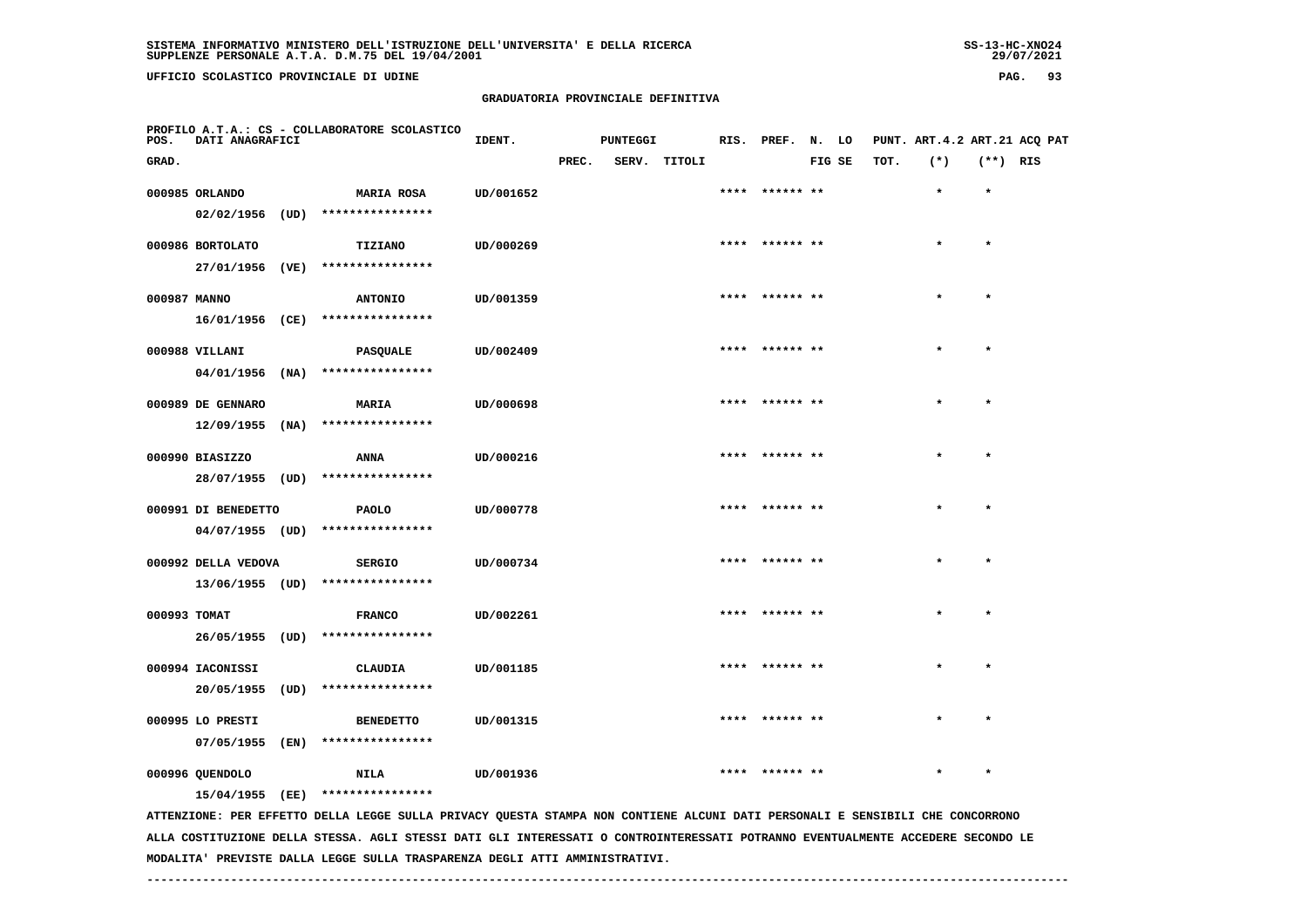**UFFICIO SCOLASTICO PROVINCIALE DI UDINE PAG. 93**

#### **GRADUATORIA PROVINCIALE DEFINITIVA**

| POS.         | DATI ANAGRAFICI     |      | PROFILO A.T.A.: CS - COLLABORATORE SCOLASTICO                                                                                 | IDENT.    |       | <b>PUNTEGGI</b> |              |      | RIS. PREF. N. LO |        |      | PUNT. ART. 4.2 ART. 21 ACQ PAT |            |  |
|--------------|---------------------|------|-------------------------------------------------------------------------------------------------------------------------------|-----------|-------|-----------------|--------------|------|------------------|--------|------|--------------------------------|------------|--|
| GRAD.        |                     |      |                                                                                                                               |           | PREC. |                 | SERV. TITOLI |      |                  | FIG SE | TOT. | $(*)$                          | $(**)$ RIS |  |
|              | 000985 ORLANDO      |      | <b>MARIA ROSA</b>                                                                                                             | UD/001652 |       |                 |              |      | **** ****** **   |        |      | $\star$                        | $\star$    |  |
|              | 02/02/1956          | (UD) | ****************                                                                                                              |           |       |                 |              |      |                  |        |      |                                |            |  |
|              |                     |      |                                                                                                                               |           |       |                 |              |      |                  |        |      |                                | $\star$    |  |
|              | 000986 BORTOLATO    |      | TIZIANO                                                                                                                       | UD/000269 |       |                 |              |      |                  |        |      |                                |            |  |
|              | 27/01/1956 (VE)     |      | ****************                                                                                                              |           |       |                 |              |      |                  |        |      |                                |            |  |
| 000987 MANNO |                     |      | <b>ANTONIO</b>                                                                                                                | UD/001359 |       |                 |              |      | ****  ****** **  |        |      | $\star$                        | $\star$    |  |
|              | 16/01/1956 (CE)     |      | ****************                                                                                                              |           |       |                 |              |      |                  |        |      |                                |            |  |
|              | 000988 VILLANI      |      | <b>PASQUALE</b>                                                                                                               | UD/002409 |       |                 |              |      | **** ****** **   |        |      | $\star$                        | $\star$    |  |
|              | 04/01/1956          | (NA) | ****************                                                                                                              |           |       |                 |              |      |                  |        |      |                                |            |  |
|              |                     |      |                                                                                                                               |           |       |                 |              |      |                  |        |      |                                |            |  |
|              | 000989 DE GENNARO   |      | MARIA                                                                                                                         | UD/000698 |       |                 |              | **** | ****** **        |        |      |                                |            |  |
|              | 12/09/1955          | (NA) | ****************                                                                                                              |           |       |                 |              |      |                  |        |      |                                |            |  |
|              | 000990 BIASIZZO     |      | ANNA                                                                                                                          | UD/000216 |       |                 |              |      | ****  ****** **  |        |      | $\star$                        | $\star$    |  |
|              | 28/07/1955 (UD)     |      | ****************                                                                                                              |           |       |                 |              |      |                  |        |      |                                |            |  |
|              |                     |      |                                                                                                                               |           |       |                 |              |      | **** ****** **   |        |      |                                | $\star$    |  |
|              | 000991 DI BENEDETTO |      | <b>PAOLO</b>                                                                                                                  | UD/000778 |       |                 |              |      |                  |        |      |                                |            |  |
|              | $04/07/1955$ (UD)   |      | ****************                                                                                                              |           |       |                 |              |      |                  |        |      |                                |            |  |
|              | 000992 DELLA VEDOVA |      | <b>SERGIO</b>                                                                                                                 | UD/000734 |       |                 |              |      | **** ****** **   |        |      |                                | $\star$    |  |
|              | 13/06/1955 (UD)     |      | ****************                                                                                                              |           |       |                 |              |      |                  |        |      |                                |            |  |
| 000993 TOMAT |                     |      | <b>FRANCO</b>                                                                                                                 | UD/002261 |       |                 |              |      |                  |        |      |                                | $\star$    |  |
|              | 26/05/1955 (UD)     |      | ****************                                                                                                              |           |       |                 |              |      |                  |        |      |                                |            |  |
|              |                     |      |                                                                                                                               |           |       |                 |              |      |                  |        |      |                                |            |  |
|              | 000994 IACONISSI    |      | <b>CLAUDIA</b>                                                                                                                | UD/001185 |       |                 |              |      |                  |        |      |                                | $\star$    |  |
|              | 20/05/1955 (UD)     |      | ****************                                                                                                              |           |       |                 |              |      |                  |        |      |                                |            |  |
|              | 000995 LO PRESTI    |      | <b>BENEDETTO</b>                                                                                                              | UD/001315 |       |                 |              | **** |                  |        |      |                                |            |  |
|              | 07/05/1955          | (EN) | ****************                                                                                                              |           |       |                 |              |      |                  |        |      |                                |            |  |
|              |                     |      |                                                                                                                               |           |       |                 |              |      |                  |        |      |                                |            |  |
|              | 000996 QUENDOLO     |      | <b>NILA</b>                                                                                                                   | UD/001936 |       |                 |              |      |                  |        |      |                                |            |  |
|              | 15/04/1955 (EE)     |      | ****************                                                                                                              |           |       |                 |              |      |                  |        |      |                                |            |  |
|              |                     |      | ATTENZIONE: PER EFFETTO DELLA LEGGE SULLA PRIVACY QUESTA STAMPA NON CONTIENE ALCUNI DATI PERSONALI E SENSIBILI CHE CONCORRONO |           |       |                 |              |      |                  |        |      |                                |            |  |

 **ALLA COSTITUZIONE DELLA STESSA. AGLI STESSI DATI GLI INTERESSATI O CONTROINTERESSATI POTRANNO EVENTUALMENTE ACCEDERE SECONDO LE MODALITA' PREVISTE DALLA LEGGE SULLA TRASPARENZA DEGLI ATTI AMMINISTRATIVI.**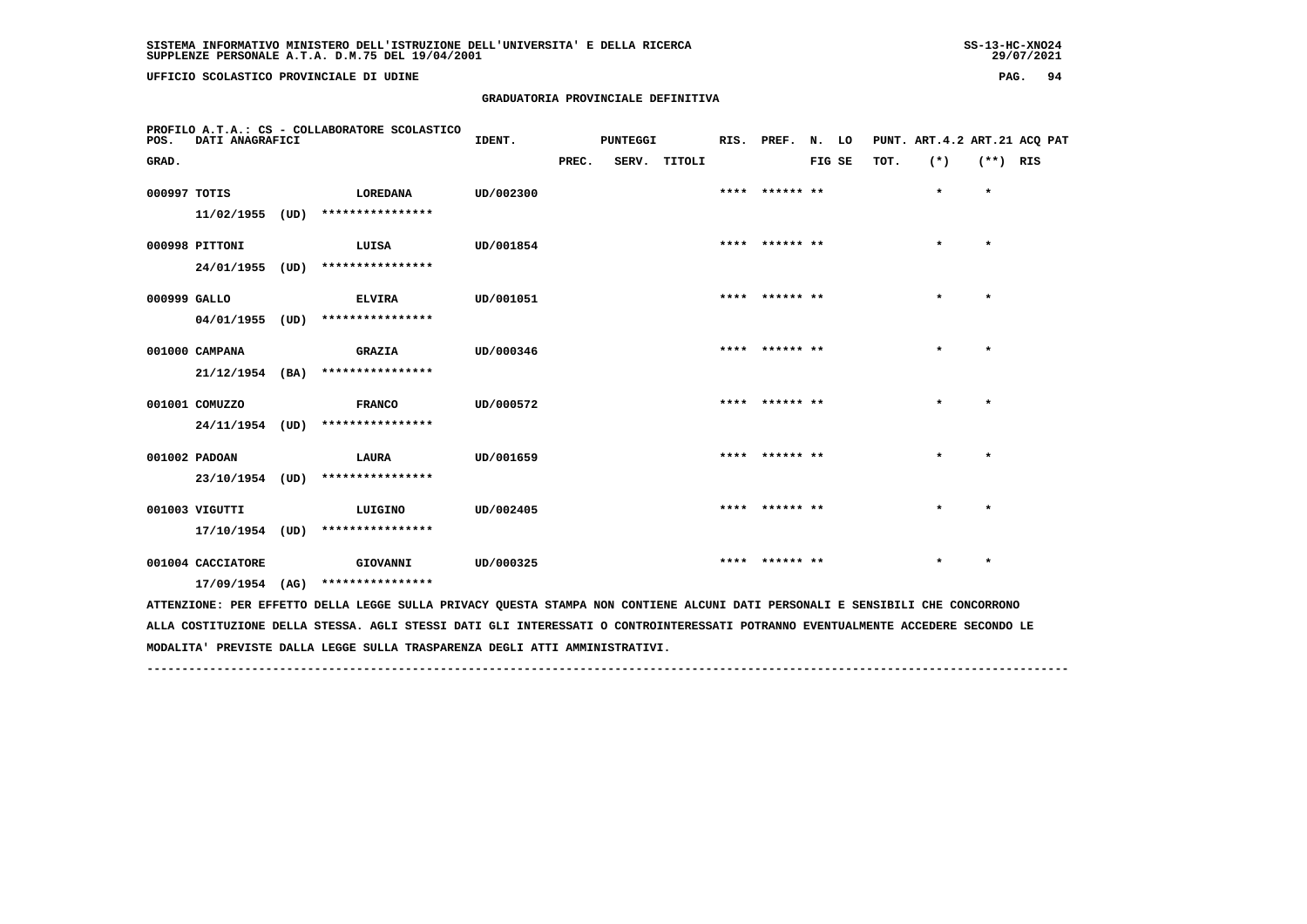**UFFICIO SCOLASTICO PROVINCIALE DI UDINE PAG. 94**

#### **GRADUATORIA PROVINCIALE DEFINITIVA**

| PROFILO A.T.A.: CS - COLLABORATORE SCOLASTICO<br>POS.<br>DATI ANAGRAFICI                                                      |                   |      | IDENT.           | PUNTEGGI  |       |  | RIS. PREF.   | N. LO |                |        | PUNT. ART. 4.2 ART. 21 ACQ PAT |      |         |            |  |
|-------------------------------------------------------------------------------------------------------------------------------|-------------------|------|------------------|-----------|-------|--|--------------|-------|----------------|--------|--------------------------------|------|---------|------------|--|
| GRAD.                                                                                                                         |                   |      |                  |           | PREC. |  | SERV. TITOLI |       |                | FIG SE |                                | TOT. | $(*)$   | $(**)$ RIS |  |
| 000997 TOTIS                                                                                                                  |                   |      | LOREDANA         | UD/002300 |       |  |              |       | **** ****** ** |        |                                |      | $\star$ | $\star$    |  |
|                                                                                                                               | 11/02/1955        | (UD) | **************** |           |       |  |              |       |                |        |                                |      |         |            |  |
|                                                                                                                               | 000998 PITTONI    |      | LUISA            | UD/001854 |       |  |              |       | **** ****** ** |        |                                |      | $\star$ | $\star$    |  |
|                                                                                                                               | 24/01/1955        | (UD) | **************** |           |       |  |              |       |                |        |                                |      |         |            |  |
| 000999 GALLO                                                                                                                  |                   |      | <b>ELVIRA</b>    | UD/001051 |       |  |              |       | **** ****** ** |        |                                |      | $\star$ | $\star$    |  |
|                                                                                                                               | 04/01/1955        | (UD) | **************** |           |       |  |              |       |                |        |                                |      |         |            |  |
|                                                                                                                               | 001000 CAMPANA    |      | <b>GRAZIA</b>    | UD/000346 |       |  |              |       | **** ****** ** |        |                                |      | $\star$ | $\star$    |  |
|                                                                                                                               | $21/12/1954$ (BA) |      | **************** |           |       |  |              |       |                |        |                                |      |         |            |  |
|                                                                                                                               | 001001 COMUZZO    |      | <b>FRANCO</b>    | UD/000572 |       |  |              |       | **** ****** ** |        |                                |      | $\star$ | $\star$    |  |
|                                                                                                                               | 24/11/1954 (UD)   |      | **************** |           |       |  |              |       |                |        |                                |      |         |            |  |
|                                                                                                                               | 001002 PADOAN     |      | LAURA            | UD/001659 |       |  |              |       | **** ****** ** |        |                                |      |         | $\star$    |  |
|                                                                                                                               | 23/10/1954 (UD)   |      | **************** |           |       |  |              |       |                |        |                                |      |         |            |  |
|                                                                                                                               | 001003 VIGUTTI    |      | LUIGINO          | UD/002405 |       |  |              |       | **** ****** ** |        |                                |      | $\star$ | $\star$    |  |
|                                                                                                                               | 17/10/1954 (UD)   |      | **************** |           |       |  |              |       |                |        |                                |      |         |            |  |
|                                                                                                                               | 001004 CACCIATORE |      | GIOVANNI         | UD/000325 |       |  |              |       | **** ****** ** |        |                                |      | $\star$ | $\star$    |  |
|                                                                                                                               | 17/09/1954        | (AG) | **************** |           |       |  |              |       |                |        |                                |      |         |            |  |
| ATTENZIONE: PER EFFETTO DELLA LEGGE SULLA PRIVACY QUESTA STAMPA NON CONTIENE ALCUNI DATI PERSONALI E SENSIBILI CHE CONCORRONO |                   |      |                  |           |       |  |              |       |                |        |                                |      |         |            |  |

 **ALLA COSTITUZIONE DELLA STESSA. AGLI STESSI DATI GLI INTERESSATI O CONTROINTERESSATI POTRANNO EVENTUALMENTE ACCEDERE SECONDO LE MODALITA' PREVISTE DALLA LEGGE SULLA TRASPARENZA DEGLI ATTI AMMINISTRATIVI.**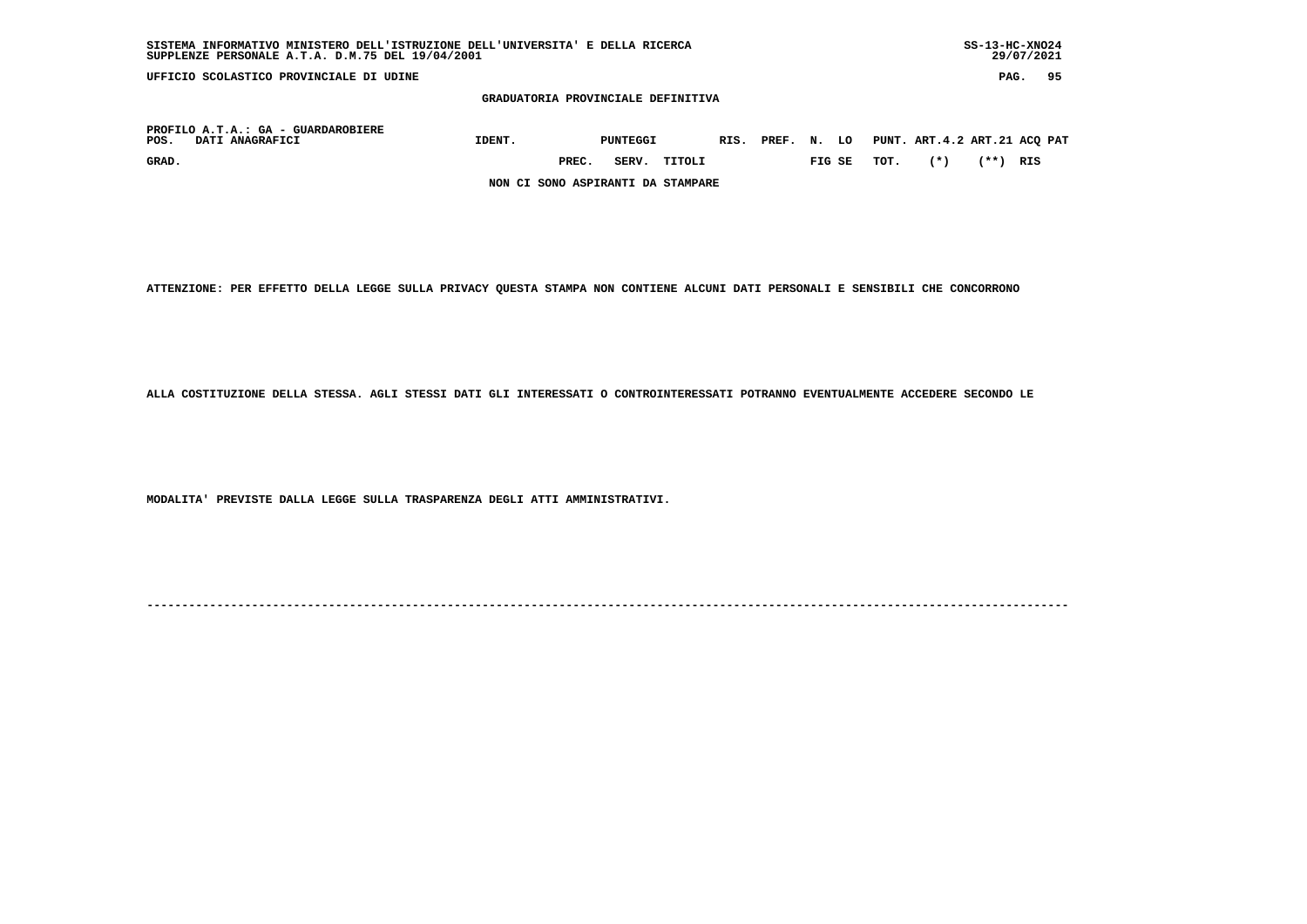| SUPPLENZE PERSONALE A.T.A. D.M.75 DEL 19/04/2001<br>29/07/2021 |        |       |          |        |  |            |    |        |      |                              |      |      |    |
|----------------------------------------------------------------|--------|-------|----------|--------|--|------------|----|--------|------|------------------------------|------|------|----|
| UFFICIO SCOLASTICO PROVINCIALE DI UDINE                        |        |       |          |        |  |            |    |        |      |                              |      | PAG. | 95 |
| GRADUATORIA PROVINCIALE DEFINITIVA                             |        |       |          |        |  |            |    |        |      |                              |      |      |    |
| PROFILO A.T.A.: GA - GUARDAROBIERE<br>DATI ANAGRAFICI<br>POS.  | IDENT. |       | PUNTEGGI |        |  | RIS. PREF. | N. | LO     |      | PUNT. ART.4.2 ART.21 ACQ PAT |      |      |    |
| GRAD.                                                          |        | PREC. | SERV.    | TITOLI |  |            |    | FIG SE | TOT. | $(*)$                        | (**) | RIS  |    |
| NON CI SONO ASPIRANTI DA STAMPARE                              |        |       |          |        |  |            |    |        |      |                              |      |      |    |

 **SISTEMA INFORMATIVO MINISTERO DELL'ISTRUZIONE DELL'UNIVERSITA' E DELLA RICERCA SS-13-HC-XNO24**

 **ATTENZIONE: PER EFFETTO DELLA LEGGE SULLA PRIVACY QUESTA STAMPA NON CONTIENE ALCUNI DATI PERSONALI E SENSIBILI CHE CONCORRONO**

 **ALLA COSTITUZIONE DELLA STESSA. AGLI STESSI DATI GLI INTERESSATI O CONTROINTERESSATI POTRANNO EVENTUALMENTE ACCEDERE SECONDO LE**

 **MODALITA' PREVISTE DALLA LEGGE SULLA TRASPARENZA DEGLI ATTI AMMINISTRATIVI.**